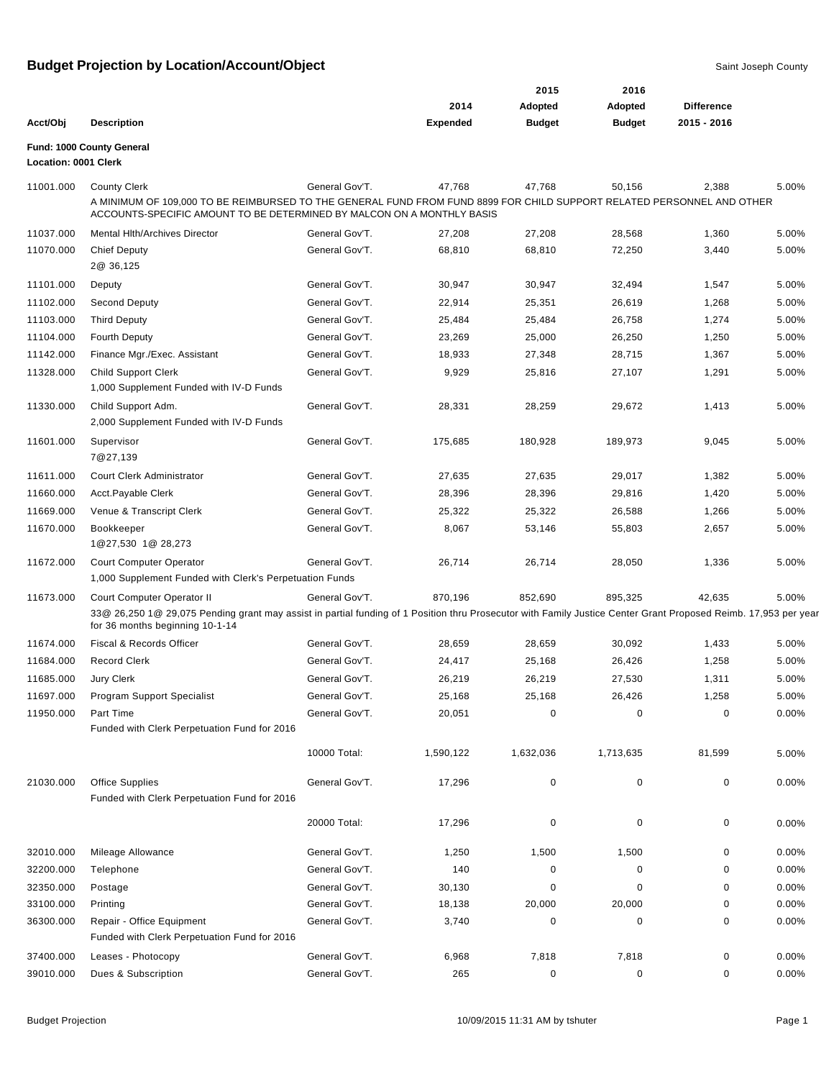|                      |                                                                                                                                                                                                                         |                |                 | 2015          | 2016          |                   |          |
|----------------------|-------------------------------------------------------------------------------------------------------------------------------------------------------------------------------------------------------------------------|----------------|-----------------|---------------|---------------|-------------------|----------|
|                      |                                                                                                                                                                                                                         |                | 2014            | Adopted       | Adopted       | <b>Difference</b> |          |
| Acct/Obj             | <b>Description</b>                                                                                                                                                                                                      |                | <b>Expended</b> | <b>Budget</b> | <b>Budget</b> | 2015 - 2016       |          |
| Location: 0001 Clerk | Fund: 1000 County General                                                                                                                                                                                               |                |                 |               |               |                   |          |
| 11001.000            | <b>County Clerk</b><br>A MINIMUM OF 109,000 TO BE REIMBURSED TO THE GENERAL FUND FROM FUND 8899 FOR CHILD SUPPORT RELATED PERSONNEL AND OTHER<br>ACCOUNTS-SPECIFIC AMOUNT TO BE DETERMINED BY MALCON ON A MONTHLY BASIS | General Gov'T. | 47,768          | 47,768        | 50,156        | 2,388             | 5.00%    |
|                      |                                                                                                                                                                                                                         |                |                 |               |               |                   |          |
| 11037.000            | <b>Mental Hith/Archives Director</b>                                                                                                                                                                                    | General Gov'T. | 27,208          | 27,208        | 28,568        | 1,360             | 5.00%    |
| 11070.000            | <b>Chief Deputy</b><br>2@ 36,125                                                                                                                                                                                        | General Gov'T. | 68,810          | 68,810        | 72,250        | 3,440             | 5.00%    |
| 11101.000            | Deputy                                                                                                                                                                                                                  | General Gov'T. | 30,947          | 30,947        | 32,494        | 1,547             | 5.00%    |
| 11102.000            | Second Deputy                                                                                                                                                                                                           | General Gov'T. | 22,914          | 25,351        | 26,619        | 1,268             | 5.00%    |
| 11103.000            | <b>Third Deputy</b>                                                                                                                                                                                                     | General Gov'T. | 25,484          | 25,484        | 26,758        | 1,274             | 5.00%    |
| 11104.000            | <b>Fourth Deputy</b>                                                                                                                                                                                                    | General Gov'T. | 23,269          | 25,000        | 26,250        | 1,250             | 5.00%    |
| 11142.000            | Finance Mgr./Exec. Assistant                                                                                                                                                                                            | General Gov'T. | 18,933          | 27,348        | 28,715        | 1,367             | 5.00%    |
| 11328.000            | <b>Child Support Clerk</b><br>1,000 Supplement Funded with IV-D Funds                                                                                                                                                   | General Gov'T. | 9,929           | 25,816        | 27,107        | 1,291             | 5.00%    |
| 11330.000            | Child Support Adm.<br>2,000 Supplement Funded with IV-D Funds                                                                                                                                                           | General Gov'T. | 28,331          | 28,259        | 29,672        | 1,413             | 5.00%    |
| 11601.000            | Supervisor<br>7@27,139                                                                                                                                                                                                  | General Gov'T. | 175,685         | 180,928       | 189,973       | 9,045             | 5.00%    |
| 11611.000            | Court Clerk Administrator                                                                                                                                                                                               | General Gov'T. | 27,635          | 27,635        | 29,017        | 1,382             | 5.00%    |
| 11660.000            | Acct.Payable Clerk                                                                                                                                                                                                      | General Gov'T. | 28,396          | 28,396        | 29,816        | 1,420             | 5.00%    |
| 11669.000            | Venue & Transcript Clerk                                                                                                                                                                                                | General Gov'T. | 25,322          | 25,322        | 26,588        | 1,266             | 5.00%    |
| 11670.000            | Bookkeeper<br>1@27,530 1@ 28,273                                                                                                                                                                                        | General Gov'T. | 8,067           | 53,146        | 55,803        | 2,657             | 5.00%    |
| 11672.000            | <b>Court Computer Operator</b><br>1,000 Supplement Funded with Clerk's Perpetuation Funds                                                                                                                               | General Gov'T. | 26,714          | 26,714        | 28,050        | 1,336             | 5.00%    |
| 11673.000            | Court Computer Operator II                                                                                                                                                                                              | General Gov'T. | 870,196         | 852,690       | 895,325       | 42,635            | 5.00%    |
|                      | 33@ 26,250 1@ 29,075 Pending grant may assist in partial funding of 1 Position thru Prosecutor with Family Justice Center Grant Proposed Reimb. 17,953 per year<br>for 36 months beginning 10-1-14                      |                |                 |               |               |                   |          |
| 11674.000            | Fiscal & Records Officer                                                                                                                                                                                                | General Gov'T. | 28,659          | 28,659        | 30,092        | 1,433             | 5.00%    |
| 11684.000            | <b>Record Clerk</b>                                                                                                                                                                                                     | General Gov'T. | 24,417          | 25,168        | 26,426        | 1,258             | 5.00%    |
| 11685.000            | Jury Clerk                                                                                                                                                                                                              | General Gov'T. | 26,219          | 26,219        | 27,530        | 1,311             | 5.00%    |
| 11697.000            | Program Support Specialist                                                                                                                                                                                              | General Gov'T. | 25,168          | 25,168        | 26,426        | 1,258             | 5.00%    |
| 11950.000            | Part Time                                                                                                                                                                                                               | General Gov'T. | 20,051          | 0             | 0             | 0                 | 0.00%    |
|                      | Funded with Clerk Perpetuation Fund for 2016                                                                                                                                                                            |                |                 |               |               |                   |          |
|                      |                                                                                                                                                                                                                         | 10000 Total:   | 1,590,122       | 1,632,036     | 1,713,635     | 81,599            | 5.00%    |
| 21030.000            | Office Supplies<br>Funded with Clerk Perpetuation Fund for 2016                                                                                                                                                         | General Gov'T. | 17,296          | 0             | 0             | 0                 | $0.00\%$ |
|                      |                                                                                                                                                                                                                         | 20000 Total:   | 17,296          | $\mathbf 0$   | 0             | 0                 | $0.00\%$ |
| 32010.000            | Mileage Allowance                                                                                                                                                                                                       | General Gov'T. | 1,250           | 1,500         | 1,500         | 0                 | 0.00%    |
| 32200.000            | Telephone                                                                                                                                                                                                               | General Gov'T. | 140             | 0             | 0             | 0                 | 0.00%    |
| 32350.000            | Postage                                                                                                                                                                                                                 | General Gov'T. | 30,130          | 0             | 0             | 0                 | 0.00%    |
| 33100.000            | Printing                                                                                                                                                                                                                | General Gov'T. | 18,138          | 20,000        | 20,000        | 0                 | 0.00%    |
| 36300.000            | Repair - Office Equipment<br>Funded with Clerk Perpetuation Fund for 2016                                                                                                                                               | General Gov'T. | 3,740           | 0             | 0             | 0                 | 0.00%    |
| 37400.000            | Leases - Photocopy                                                                                                                                                                                                      | General Gov'T. | 6,968           | 7,818         | 7,818         | 0                 | $0.00\%$ |
| 39010.000            | Dues & Subscription                                                                                                                                                                                                     | General Gov'T. | 265             | $\pmb{0}$     | $\mathbf 0$   | 0                 | 0.00%    |
|                      |                                                                                                                                                                                                                         |                |                 |               |               |                   |          |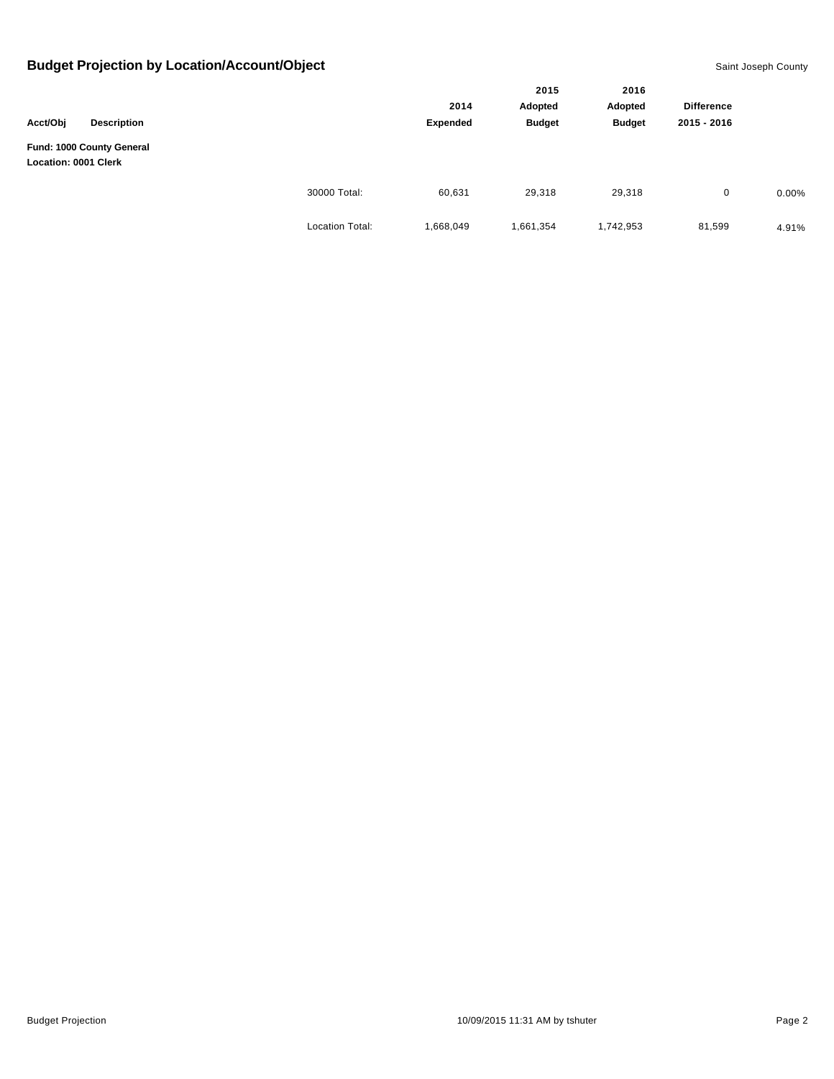|                      |                                                 |                 |                  | 2015<br>Adopted<br><b>Budget</b> | 2016          |                   |          |
|----------------------|-------------------------------------------------|-----------------|------------------|----------------------------------|---------------|-------------------|----------|
| Acct/Obj             | <b>Description</b><br>Fund: 1000 County General |                 | 2014<br>Expended |                                  | Adopted       | <b>Difference</b> |          |
|                      |                                                 |                 |                  |                                  | <b>Budget</b> | 2015 - 2016       |          |
| Location: 0001 Clerk |                                                 |                 |                  |                                  |               |                   |          |
|                      |                                                 | 30000 Total:    | 60,631           | 29,318                           | 29,318        | 0                 | $0.00\%$ |
|                      |                                                 | Location Total: | 1,668,049        | 1,661,354                        | 1,742,953     | 81,599            | 4.91%    |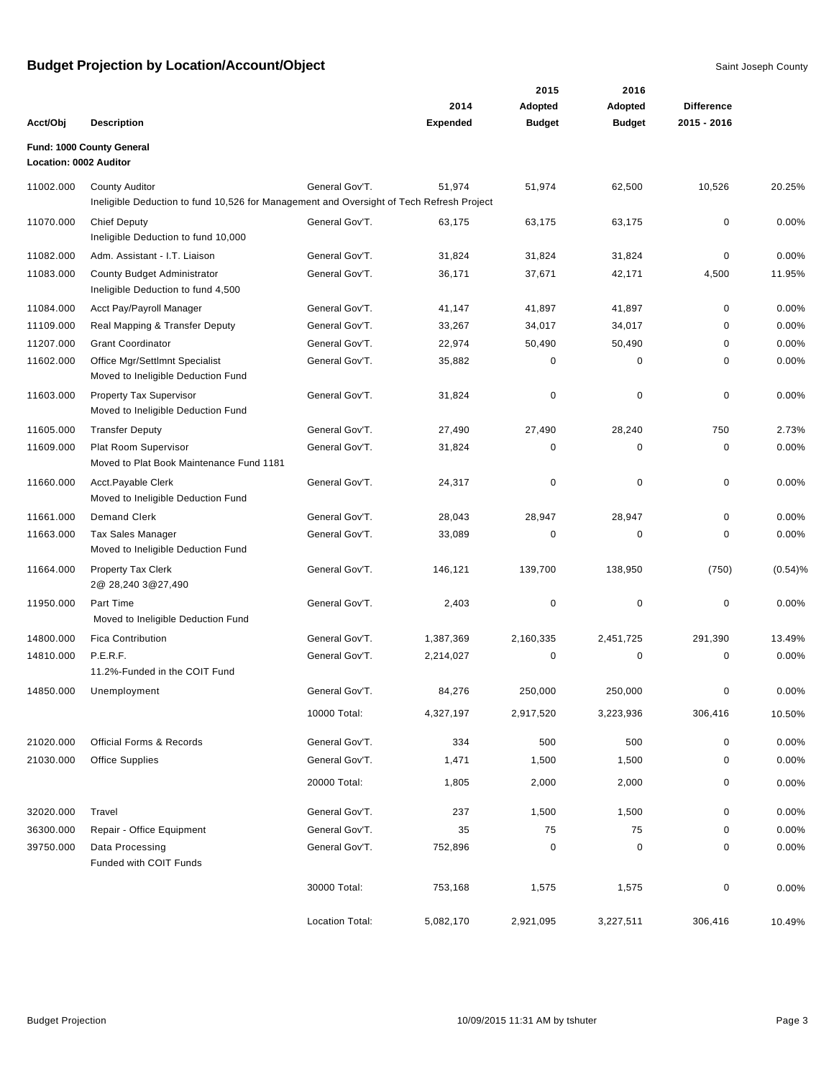|                        |                                                                                                                   |                 | 2014            | 2015<br>Adopted | 2016<br>Adopted | <b>Difference</b> |          |
|------------------------|-------------------------------------------------------------------------------------------------------------------|-----------------|-----------------|-----------------|-----------------|-------------------|----------|
| Acct/Obj               | <b>Description</b>                                                                                                |                 | <b>Expended</b> | <b>Budget</b>   | <b>Budget</b>   | 2015 - 2016       |          |
| Location: 0002 Auditor | Fund: 1000 County General                                                                                         |                 |                 |                 |                 |                   |          |
| 11002.000              | <b>County Auditor</b><br>Ineligible Deduction to fund 10,526 for Management and Oversight of Tech Refresh Project | General Gov'T.  | 51,974          | 51,974          | 62,500          | 10,526            | 20.25%   |
| 11070.000              | <b>Chief Deputy</b><br>Ineligible Deduction to fund 10,000                                                        | General Gov'T.  | 63,175          | 63,175          | 63,175          | $\mathbf 0$       | 0.00%    |
| 11082.000              | Adm. Assistant - I.T. Liaison                                                                                     | General Gov'T.  | 31,824          | 31,824          | 31,824          | $\mathbf 0$       | 0.00%    |
| 11083.000              | County Budget Administrator<br>Ineligible Deduction to fund 4,500                                                 | General Gov'T.  | 36,171          | 37,671          | 42,171          | 4,500             | 11.95%   |
| 11084.000              | Acct Pay/Payroll Manager                                                                                          | General Gov'T.  | 41,147          | 41,897          | 41,897          | $\mathbf 0$       | 0.00%    |
| 11109.000              | Real Mapping & Transfer Deputy                                                                                    | General Gov'T.  | 33,267          | 34,017          | 34,017          | 0                 | 0.00%    |
| 11207.000              | <b>Grant Coordinator</b>                                                                                          | General Gov'T.  | 22,974          | 50,490          | 50,490          | $\mathbf 0$       | 0.00%    |
| 11602.000              | Office Mgr/Settlmnt Specialist<br>Moved to Ineligible Deduction Fund                                              | General Gov'T.  | 35,882          | 0               | 0               | 0                 | 0.00%    |
| 11603.000              | <b>Property Tax Supervisor</b><br>Moved to Ineligible Deduction Fund                                              | General Gov'T.  | 31,824          | 0               | $\mathbf 0$     | $\mathbf 0$       | 0.00%    |
| 11605.000              | <b>Transfer Deputy</b>                                                                                            | General Gov'T.  | 27,490          | 27,490          | 28,240          | 750               | 2.73%    |
| 11609.000              | Plat Room Supervisor<br>Moved to Plat Book Maintenance Fund 1181                                                  | General Gov'T.  | 31,824          | 0               | 0               | $\pmb{0}$         | 0.00%    |
| 11660.000              | Acct.Payable Clerk<br>Moved to Ineligible Deduction Fund                                                          | General Gov'T.  | 24,317          | $\pmb{0}$       | $\mathbf 0$     | $\mathbf 0$       | 0.00%    |
| 11661.000              | <b>Demand Clerk</b>                                                                                               | General Gov'T.  | 28,043          | 28,947          | 28,947          | $\mathbf 0$       | 0.00%    |
| 11663.000              | <b>Tax Sales Manager</b><br>Moved to Ineligible Deduction Fund                                                    | General Gov'T.  | 33,089          | 0               | 0               | 0                 | 0.00%    |
| 11664.000              | <b>Property Tax Clerk</b><br>2@ 28,240 3@27,490                                                                   | General Gov'T.  | 146,121         | 139,700         | 138,950         | (750)             | (0.54)%  |
| 11950.000              | Part Time<br>Moved to Ineligible Deduction Fund                                                                   | General Gov'T.  | 2,403           | 0               | $\mathbf 0$     | 0                 | 0.00%    |
| 14800.000              | <b>Fica Contribution</b>                                                                                          | General Gov'T.  | 1,387,369       | 2,160,335       | 2,451,725       | 291,390           | 13.49%   |
| 14810.000              | P.E.R.F.<br>11.2%-Funded in the COIT Fund                                                                         | General Gov'T.  | 2,214,027       | 0               | $\pmb{0}$       | $\mathbf 0$       | 0.00%    |
| 14850.000              | Unemployment                                                                                                      | General Gov'T.  | 84,276          | 250,000         | 250,000         | 0                 | 0.00%    |
|                        |                                                                                                                   | 10000 Total:    | 4,327,197       | 2,917,520       | 3,223,936       | 306,416           | 10.50%   |
| 21020.000              | <b>Official Forms &amp; Records</b>                                                                               | General Gov'T.  | 334             | 500             | 500             | $\pmb{0}$         | $0.00\%$ |
| 21030.000              | <b>Office Supplies</b>                                                                                            | General Gov'T.  | 1,471           | 1,500           | 1,500           | 0                 | 0.00%    |
|                        |                                                                                                                   | 20000 Total:    | 1,805           | 2,000           | 2,000           | 0                 | 0.00%    |
| 32020.000              | Travel                                                                                                            | General Gov'T.  | 237             | 1,500           | 1,500           | 0                 | 0.00%    |
| 36300.000              | Repair - Office Equipment                                                                                         | General Gov'T.  | 35              | 75              | 75              | 0                 | $0.00\%$ |
| 39750.000              | Data Processing<br>Funded with COIT Funds                                                                         | General Gov'T.  | 752,896         | $\pmb{0}$       | 0               | 0                 | 0.00%    |
|                        |                                                                                                                   | 30000 Total:    | 753,168         | 1,575           | 1,575           | 0                 | 0.00%    |
|                        |                                                                                                                   | Location Total: | 5,082,170       | 2,921,095       | 3,227,511       | 306,416           | 10.49%   |

Budget Projection **10/09/2015 11:31 AM by tshuter** Page 3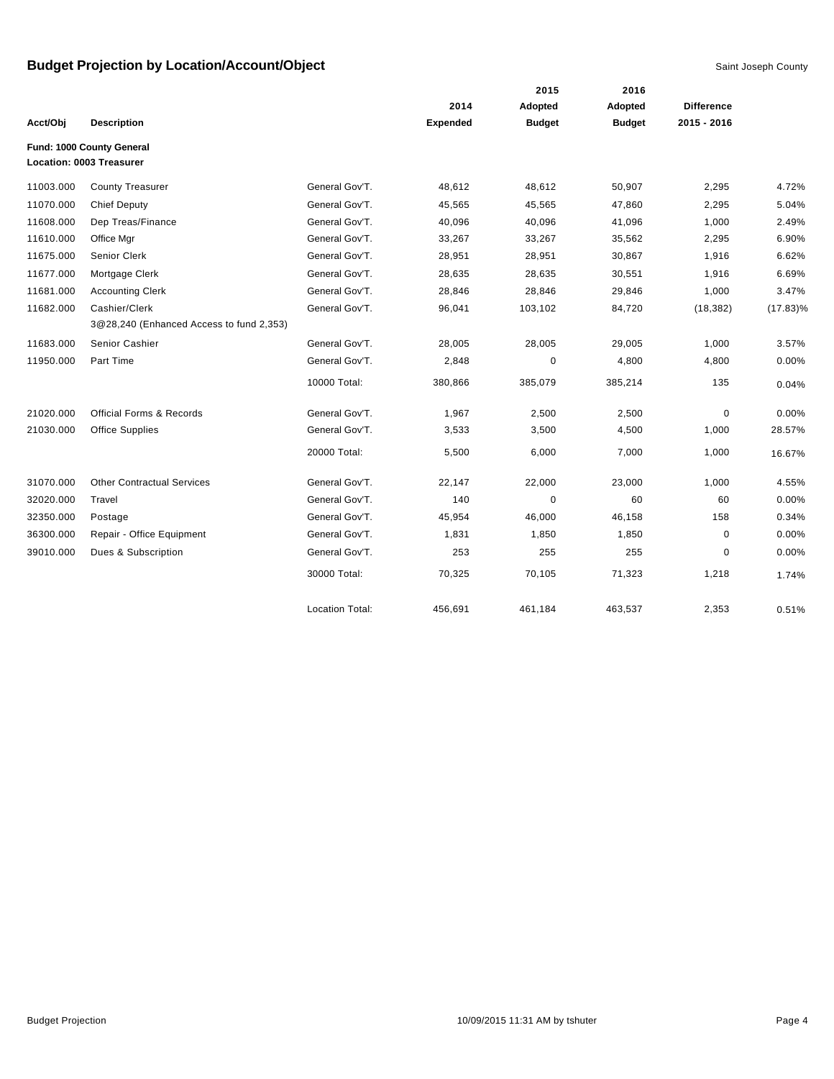|           |                                          |                        |          | 2015          | 2016          |                   |             |
|-----------|------------------------------------------|------------------------|----------|---------------|---------------|-------------------|-------------|
|           |                                          |                        | 2014     | Adopted       | Adopted       | <b>Difference</b> |             |
| Acct/Obj  | <b>Description</b>                       |                        | Expended | <b>Budget</b> | <b>Budget</b> | 2015 - 2016       |             |
|           | Fund: 1000 County General                |                        |          |               |               |                   |             |
|           | Location: 0003 Treasurer                 |                        |          |               |               |                   |             |
| 11003.000 | <b>County Treasurer</b>                  | General Gov'T.         | 48,612   | 48,612        | 50,907        | 2,295             | 4.72%       |
| 11070.000 | <b>Chief Deputy</b>                      | General Gov'T.         | 45,565   | 45,565        | 47,860        | 2,295             | 5.04%       |
| 11608.000 | Dep Treas/Finance                        | General Gov'T.         | 40,096   | 40,096        | 41,096        | 1,000             | 2.49%       |
| 11610.000 | Office Mgr                               | General Gov'T.         | 33,267   | 33,267        | 35,562        | 2,295             | 6.90%       |
| 11675.000 | Senior Clerk                             | General Gov'T.         | 28,951   | 28,951        | 30,867        | 1,916             | 6.62%       |
| 11677.000 | Mortgage Clerk                           | General Gov'T.         | 28,635   | 28,635        | 30,551        | 1,916             | 6.69%       |
| 11681.000 | <b>Accounting Clerk</b>                  | General Gov'T.         | 28,846   | 28,846        | 29,846        | 1,000             | 3.47%       |
| 11682.000 | Cashier/Clerk                            | General Gov'T.         | 96,041   | 103,102       | 84,720        | (18, 382)         | $(17.83)\%$ |
|           | 3@28,240 (Enhanced Access to fund 2,353) |                        |          |               |               |                   |             |
| 11683.000 | Senior Cashier                           | General Gov'T.         | 28,005   | 28,005        | 29,005        | 1,000             | 3.57%       |
| 11950.000 | Part Time                                | General Gov'T.         | 2,848    | $\mathbf 0$   | 4,800         | 4,800             | 0.00%       |
|           |                                          | 10000 Total:           | 380,866  | 385,079       | 385,214       | 135               | 0.04%       |
| 21020.000 | <b>Official Forms &amp; Records</b>      | General Gov'T.         | 1,967    | 2,500         | 2,500         | $\mathbf 0$       | 0.00%       |
| 21030.000 | <b>Office Supplies</b>                   | General Gov'T.         | 3,533    | 3,500         | 4,500         | 1,000             | 28.57%      |
|           |                                          | 20000 Total:           | 5,500    | 6,000         | 7,000         | 1,000             | 16.67%      |
| 31070.000 | <b>Other Contractual Services</b>        | General Gov'T.         | 22,147   | 22,000        | 23,000        | 1,000             | 4.55%       |
| 32020.000 | Travel                                   | General Gov'T.         | 140      | $\mathbf 0$   | 60            | 60                | 0.00%       |
| 32350.000 | Postage                                  | General Gov'T.         | 45,954   | 46,000        | 46,158        | 158               | 0.34%       |
| 36300.000 | Repair - Office Equipment                | General Gov'T.         | 1,831    | 1,850         | 1,850         | 0                 | 0.00%       |
| 39010.000 | Dues & Subscription                      | General Gov'T.         | 253      | 255           | 255           | 0                 | 0.00%       |
|           |                                          | 30000 Total:           | 70,325   | 70,105        | 71,323        | 1,218             | 1.74%       |
|           |                                          | <b>Location Total:</b> | 456,691  | 461,184       | 463,537       | 2,353             | 0.51%       |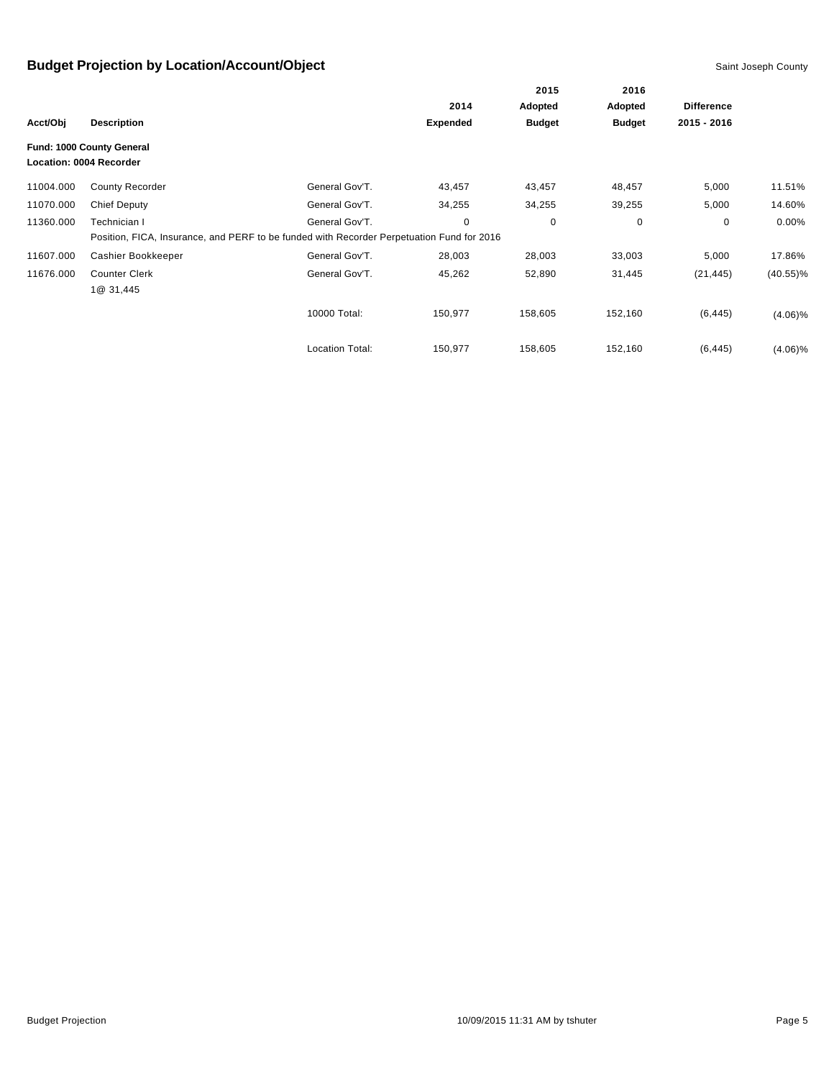|           |                                                      |                                                                                           |                 | 2015          | 2016<br>Adopted | <b>Difference</b> |             |
|-----------|------------------------------------------------------|-------------------------------------------------------------------------------------------|-----------------|---------------|-----------------|-------------------|-------------|
|           |                                                      |                                                                                           | 2014            | Adopted       |                 |                   |             |
| Acct/Obj  | <b>Description</b>                                   |                                                                                           | <b>Expended</b> | <b>Budget</b> | <b>Budget</b>   | 2015 - 2016       |             |
|           | Fund: 1000 County General<br>Location: 0004 Recorder |                                                                                           |                 |               |                 |                   |             |
| 11004.000 | <b>County Recorder</b>                               | General Gov'T.                                                                            | 43,457          | 43,457        | 48,457          | 5,000             | 11.51%      |
| 11070.000 | <b>Chief Deputy</b>                                  | General Gov'T.                                                                            | 34,255          | 34,255        | 39,255          | 5,000             | 14.60%      |
| 11360.000 | Technician I                                         | General Gov'T.                                                                            | 0               | 0             | 0               | $\mathbf 0$       | $0.00\%$    |
|           |                                                      | Position, FICA, Insurance, and PERF to be funded with Recorder Perpetuation Fund for 2016 |                 |               |                 |                   |             |
| 11607.000 | Cashier Bookkeeper                                   | General Gov'T.                                                                            | 28,003          | 28,003        | 33,003          | 5,000             | 17.86%      |
| 11676.000 | <b>Counter Clerk</b><br>1@ 31,445                    | General Gov'T.                                                                            | 45,262          | 52,890        | 31,445          | (21, 445)         | $(40.55)\%$ |
|           |                                                      | 10000 Total:                                                                              | 150,977         | 158,605       | 152,160         | (6, 445)          | $(4.06)\%$  |
|           |                                                      | <b>Location Total:</b>                                                                    | 150,977         | 158,605       | 152,160         | (6, 445)          | $(4.06)\%$  |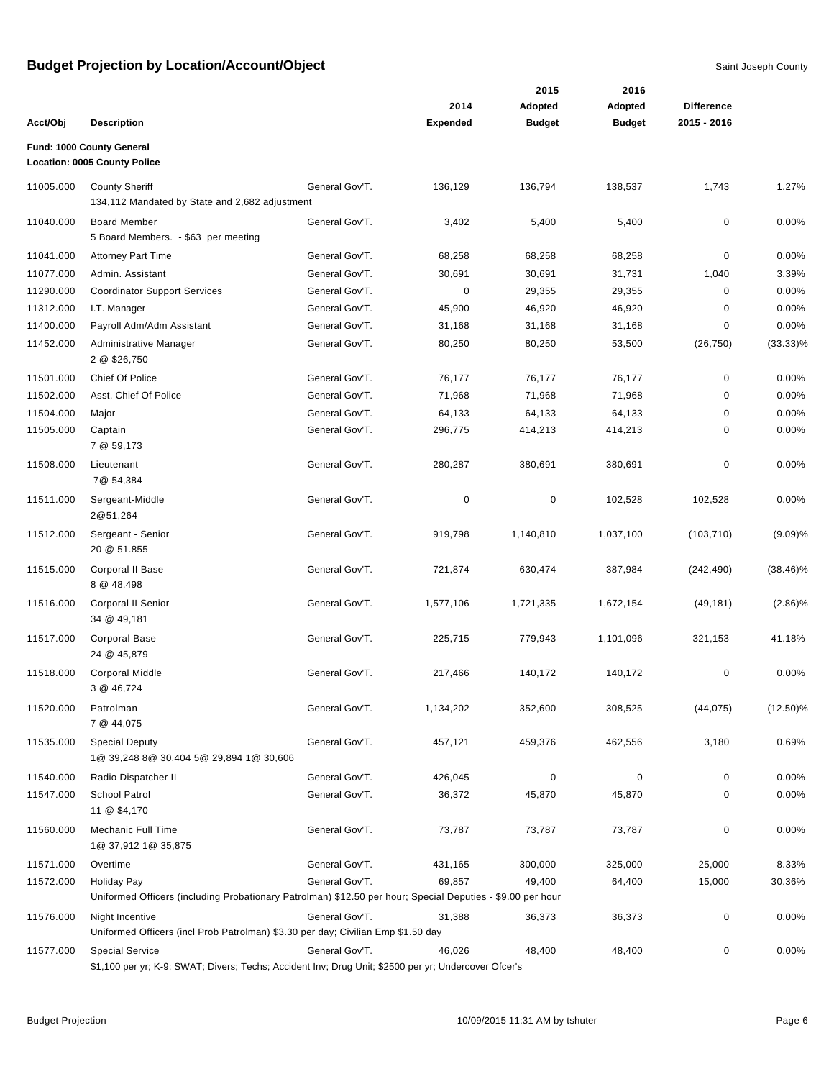|           |                                                                                                                                |                |                 | 2015          | 2016          |                   |             |
|-----------|--------------------------------------------------------------------------------------------------------------------------------|----------------|-----------------|---------------|---------------|-------------------|-------------|
|           |                                                                                                                                |                | 2014            | Adopted       | Adopted       | <b>Difference</b> |             |
| Acct/Obj  | <b>Description</b>                                                                                                             |                | <b>Expended</b> | <b>Budget</b> | <b>Budget</b> | 2015 - 2016       |             |
|           | Fund: 1000 County General<br>Location: 0005 County Police                                                                      |                |                 |               |               |                   |             |
| 11005.000 | <b>County Sheriff</b>                                                                                                          | General Gov'T. | 136,129         | 136,794       | 138,537       | 1,743             | 1.27%       |
|           | 134,112 Mandated by State and 2,682 adjustment                                                                                 |                |                 |               |               |                   |             |
| 11040.000 | <b>Board Member</b>                                                                                                            | General Gov'T. | 3,402           | 5,400         | 5,400         | 0                 | 0.00%       |
|           | 5 Board Members. - \$63 per meeting                                                                                            |                |                 |               |               |                   |             |
| 11041.000 | <b>Attorney Part Time</b>                                                                                                      | General Gov'T. | 68,258          | 68,258        | 68,258        | 0                 | 0.00%       |
| 11077.000 | Admin. Assistant                                                                                                               | General Gov'T. | 30,691          | 30,691        | 31,731        | 1,040             | 3.39%       |
| 11290.000 | <b>Coordinator Support Services</b>                                                                                            | General Gov'T. | 0               | 29,355        | 29,355        | 0                 | 0.00%       |
| 11312.000 | I.T. Manager                                                                                                                   | General Gov'T. | 45,900          | 46,920        | 46,920        | 0                 | 0.00%       |
| 11400.000 | Payroll Adm/Adm Assistant                                                                                                      | General Gov'T. | 31,168          | 31,168        | 31,168        | 0                 | 0.00%       |
| 11452.000 | Administrative Manager                                                                                                         | General Gov'T. | 80,250          | 80,250        | 53,500        | (26, 750)         | $(33.33)\%$ |
|           | 2 @ \$26,750                                                                                                                   |                |                 |               |               |                   |             |
| 11501.000 | Chief Of Police                                                                                                                | General Gov'T. | 76,177          | 76,177        | 76,177        | 0                 | 0.00%       |
| 11502.000 | Asst. Chief Of Police                                                                                                          | General Gov'T. | 71,968          | 71,968        | 71,968        | 0                 | 0.00%       |
| 11504.000 | Major                                                                                                                          | General Gov'T. | 64,133          | 64,133        | 64,133        | 0                 | 0.00%       |
| 11505.000 | Captain                                                                                                                        | General Gov'T. | 296,775         | 414,213       | 414,213       | 0                 | 0.00%       |
|           | 7 @ 59,173                                                                                                                     |                |                 |               |               |                   |             |
| 11508.000 | Lieutenant<br>7@ 54,384                                                                                                        | General Gov'T. | 280,287         | 380,691       | 380,691       | 0                 | 0.00%       |
| 11511.000 | Sergeant-Middle<br>2@51,264                                                                                                    | General Gov'T. | 0               | $\mathbf 0$   | 102,528       | 102,528           | 0.00%       |
| 11512.000 | Sergeant - Senior<br>20 @ 51.855                                                                                               | General Gov'T. | 919,798         | 1,140,810     | 1,037,100     | (103, 710)        | (9.09)%     |
| 11515.000 | Corporal II Base<br>8 @ 48,498                                                                                                 | General Gov'T. | 721,874         | 630,474       | 387,984       | (242, 490)        | $(38.46)\%$ |
| 11516.000 | Corporal II Senior<br>34 @ 49,181                                                                                              | General Gov'T. | 1,577,106       | 1,721,335     | 1,672,154     | (49, 181)         | $(2.86)\%$  |
| 11517.000 | <b>Corporal Base</b><br>24 @ 45,879                                                                                            | General Gov'T. | 225,715         | 779,943       | 1,101,096     | 321,153           | 41.18%      |
| 11518.000 | <b>Corporal Middle</b><br>3 @ 46,724                                                                                           | General Gov'T. | 217,466         | 140,172       | 140,172       | 0                 | 0.00%       |
| 11520.000 | Patrolman<br>7 @ 44,075                                                                                                        | General Gov'T. | 1,134,202       | 352,600       | 308,525       | (44, 075)         | $(12.50)\%$ |
| 11535.000 | <b>Special Deputy</b><br>1@ 39,248 8@ 30,404 5@ 29,894 1@ 30,606                                                               | General Gov'T. | 457,121         | 459,376       | 462,556       | 3,180             | 0.69%       |
| 11540.000 | Radio Dispatcher II                                                                                                            | General Gov'T. | 426,045         | $\mathbf 0$   | 0             | 0                 | 0.00%       |
| 11547.000 | <b>School Patrol</b><br>11 @ \$4,170                                                                                           | General Gov'T. | 36,372          | 45,870        | 45,870        | 0                 | 0.00%       |
| 11560.000 | Mechanic Full Time<br>1@ 37,912 1@ 35,875                                                                                      | General Gov'T. | 73,787          | 73,787        | 73,787        | 0                 | 0.00%       |
| 11571.000 | Overtime                                                                                                                       | General Gov'T. | 431,165         | 300,000       | 325,000       | 25,000            | 8.33%       |
| 11572.000 | <b>Holiday Pay</b>                                                                                                             | General Gov'T. | 69,857          | 49,400        | 64,400        | 15,000            | 30.36%      |
|           | Uniformed Officers (including Probationary Patrolman) \$12.50 per hour; Special Deputies - \$9.00 per hour                     |                |                 |               |               |                   |             |
| 11576.000 | Night Incentive<br>Uniformed Officers (incl Prob Patrolman) \$3.30 per day; Civilian Emp \$1.50 day                            | General Gov'T. | 31,388          | 36,373        | 36,373        | 0                 | 0.00%       |
| 11577.000 | <b>Special Service</b><br>\$1,100 per yr; K-9; SWAT; Divers; Techs; Accident Inv; Drug Unit; \$2500 per yr; Undercover Ofcer's | General Gov'T. | 46,026          | 48,400        | 48,400        | 0                 | 0.00%       |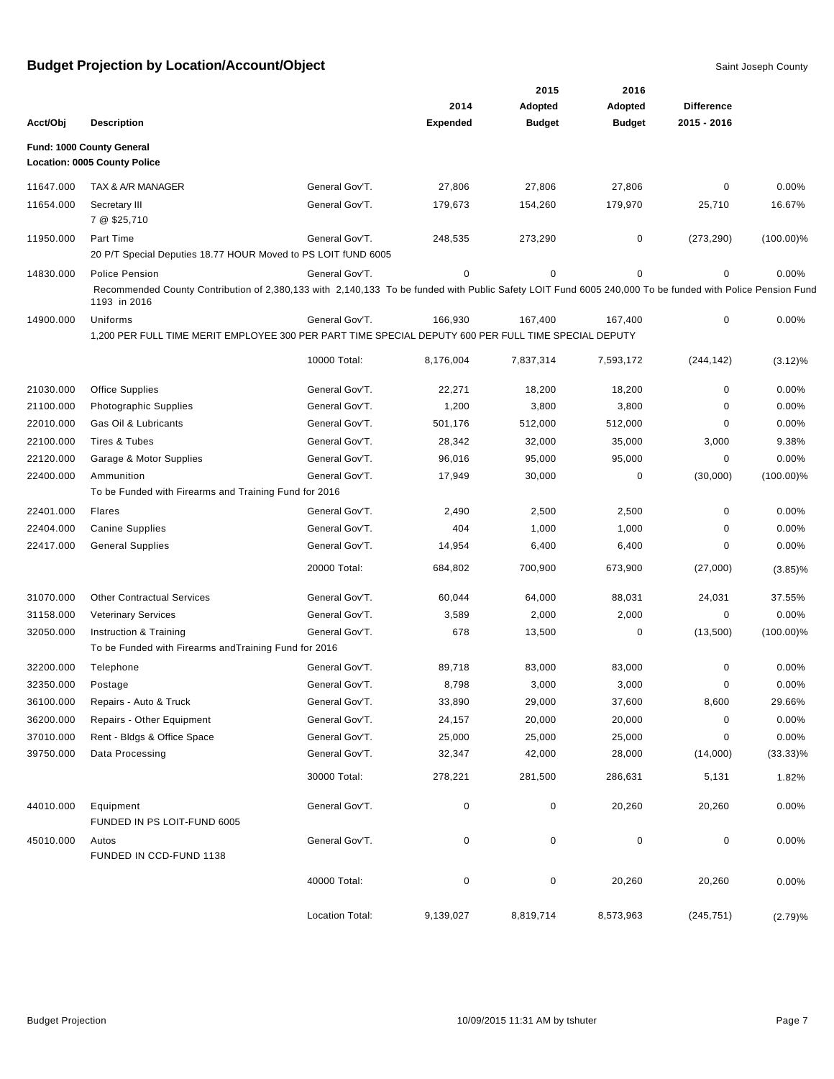|           |                                                                                                                                                                          |                 |                 | 2015          | 2016          |                   |              |
|-----------|--------------------------------------------------------------------------------------------------------------------------------------------------------------------------|-----------------|-----------------|---------------|---------------|-------------------|--------------|
|           |                                                                                                                                                                          |                 | 2014            | Adopted       | Adopted       | <b>Difference</b> |              |
| Acct/Obj  | <b>Description</b>                                                                                                                                                       |                 | <b>Expended</b> | <b>Budget</b> | <b>Budget</b> | 2015 - 2016       |              |
|           | Fund: 1000 County General<br>Location: 0005 County Police                                                                                                                |                 |                 |               |               |                   |              |
| 11647.000 | TAX & A/R MANAGER                                                                                                                                                        | General Gov'T.  | 27,806          | 27,806        | 27,806        | 0                 | 0.00%        |
| 11654.000 | Secretary III                                                                                                                                                            | General Gov'T.  | 179,673         | 154,260       | 179,970       | 25,710            | 16.67%       |
|           | 7 @ \$25,710                                                                                                                                                             |                 |                 |               |               |                   |              |
| 11950.000 | Part Time<br>20 P/T Special Deputies 18.77 HOUR Moved to PS LOIT fUND 6005                                                                                               | General Gov'T.  | 248,535         | 273,290       | 0             | (273, 290)        | $(100.00)\%$ |
| 14830.000 | Police Pension                                                                                                                                                           | General Gov'T.  | 0               | $\mathbf 0$   | 0             | 0                 | 0.00%        |
|           | Recommended County Contribution of 2,380,133 with 2,140,133 To be funded with Public Safety LOIT Fund 6005 240,000 To be funded with Police Pension Fund<br>1193 in 2016 |                 |                 |               |               |                   |              |
| 14900.000 | Uniforms                                                                                                                                                                 | General Gov'T.  | 166,930         | 167,400       | 167,400       | 0                 | 0.00%        |
|           | 1,200 PER FULL TIME MERIT EMPLOYEE 300 PER PART TIME SPECIAL DEPUTY 600 PER FULL TIME SPECIAL DEPUTY                                                                     |                 |                 |               |               |                   |              |
|           |                                                                                                                                                                          | 10000 Total:    | 8,176,004       | 7,837,314     | 7,593,172     | (244, 142)        | $(3.12)\%$   |
| 21030.000 | <b>Office Supplies</b>                                                                                                                                                   | General Gov'T.  | 22,271          | 18,200        | 18,200        | 0                 | 0.00%        |
| 21100.000 | Photographic Supplies                                                                                                                                                    | General Gov'T.  | 1,200           | 3,800         | 3,800         | 0                 | 0.00%        |
| 22010.000 | Gas Oil & Lubricants                                                                                                                                                     | General Gov'T.  | 501,176         | 512,000       | 512,000       | 0                 | 0.00%        |
| 22100.000 | <b>Tires &amp; Tubes</b>                                                                                                                                                 | General Gov'T.  | 28,342          | 32,000        | 35,000        | 3,000             | 9.38%        |
| 22120.000 | Garage & Motor Supplies                                                                                                                                                  | General Gov'T.  | 96,016          | 95,000        | 95,000        | 0                 | 0.00%        |
| 22400.000 | Ammunition                                                                                                                                                               | General Gov'T.  | 17,949          | 30,000        | 0             | (30,000)          | $(100.00)\%$ |
|           | To be Funded with Firearms and Training Fund for 2016                                                                                                                    |                 |                 |               |               |                   |              |
| 22401.000 | <b>Flares</b>                                                                                                                                                            | General Gov'T.  | 2,490           | 2,500         | 2,500         | 0                 | 0.00%        |
| 22404.000 | <b>Canine Supplies</b>                                                                                                                                                   | General Gov'T.  | 404             | 1,000         | 1,000         | 0                 | 0.00%        |
| 22417.000 | <b>General Supplies</b>                                                                                                                                                  | General Gov'T.  | 14,954          | 6,400         | 6,400         | 0                 | 0.00%        |
|           |                                                                                                                                                                          | 20000 Total:    | 684,802         | 700,900       | 673,900       | (27,000)          | $(3.85)\%$   |
| 31070.000 | <b>Other Contractual Services</b>                                                                                                                                        | General Gov'T.  | 60,044          | 64,000        | 88,031        | 24,031            | 37.55%       |
| 31158.000 | <b>Veterinary Services</b>                                                                                                                                               | General Gov'T.  | 3,589           | 2,000         | 2,000         | 0                 | 0.00%        |
| 32050.000 | Instruction & Training                                                                                                                                                   | General Gov'T.  | 678             | 13,500        | 0             | (13,500)          | $(100.00)\%$ |
|           | To be Funded with Firearms and Training Fund for 2016                                                                                                                    |                 |                 |               |               |                   |              |
| 32200.000 | Telephone                                                                                                                                                                | General Gov'T.  | 89,718          | 83,000        | 83,000        | 0                 | 0.00%        |
| 32350.000 | Postage                                                                                                                                                                  | General Gov'T.  | 8,798           | 3,000         | 3,000         | 0                 | 0.00%        |
| 36100.000 | Repairs - Auto & Truck                                                                                                                                                   | General Gov'T.  | 33,890          | 29,000        | 37,600        | 8,600             | 29.66%       |
| 36200.000 | Repairs - Other Equipment                                                                                                                                                | General Gov'T.  | 24,157          | 20,000        | 20,000        | 0                 | 0.00%        |
| 37010.000 | Rent - Bldgs & Office Space                                                                                                                                              | General Gov'T.  | 25,000          | 25,000        | 25,000        | 0                 | 0.00%        |
| 39750.000 | Data Processing                                                                                                                                                          | General Gov'T.  | 32,347          | 42,000        | 28,000        | (14,000)          | $(33.33)\%$  |
|           |                                                                                                                                                                          | 30000 Total:    | 278,221         | 281,500       | 286,631       | 5,131             | 1.82%        |
| 44010.000 | Equipment<br>FUNDED IN PS LOIT-FUND 6005                                                                                                                                 | General Gov'T.  | 0               | $\mathbf 0$   | 20,260        | 20,260            | 0.00%        |
| 45010.000 | Autos<br>FUNDED IN CCD-FUND 1138                                                                                                                                         | General Gov'T.  | 0               | $\mathbf 0$   | $\pmb{0}$     | 0                 | 0.00%        |
|           |                                                                                                                                                                          | 40000 Total:    | 0               | 0             | 20,260        | 20,260            | 0.00%        |
|           |                                                                                                                                                                          | Location Total: | 9,139,027       | 8,819,714     | 8,573,963     | (245, 751)        | (2.79)%      |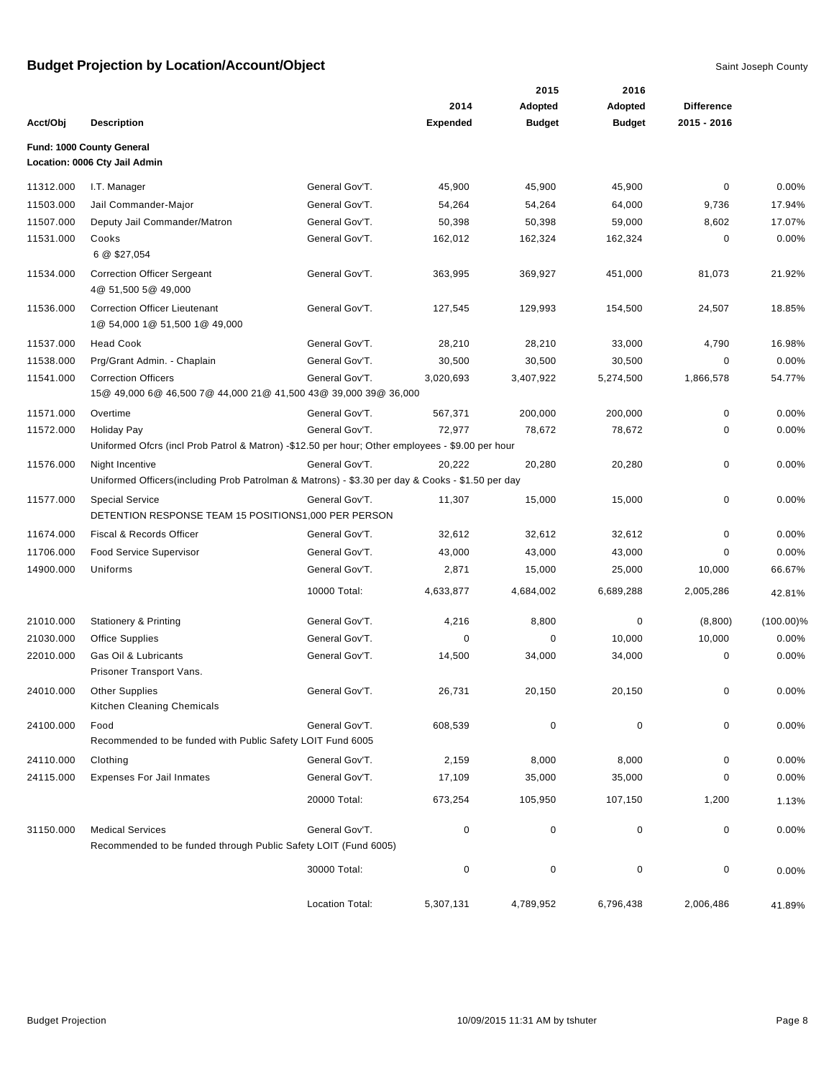|           |                                                                                                                        |                 |                 | 2015          | 2016          |                   |              |
|-----------|------------------------------------------------------------------------------------------------------------------------|-----------------|-----------------|---------------|---------------|-------------------|--------------|
|           |                                                                                                                        |                 | 2014            | Adopted       | Adopted       | <b>Difference</b> |              |
| Acct/Obj  | <b>Description</b>                                                                                                     |                 | <b>Expended</b> | <b>Budget</b> | <b>Budget</b> | 2015 - 2016       |              |
|           | Fund: 1000 County General<br>Location: 0006 Cty Jail Admin                                                             |                 |                 |               |               |                   |              |
| 11312.000 | I.T. Manager                                                                                                           | General Gov'T.  | 45,900          | 45,900        | 45,900        | 0                 | 0.00%        |
| 11503.000 | Jail Commander-Major                                                                                                   | General Gov'T.  | 54,264          | 54,264        | 64,000        | 9,736             | 17.94%       |
| 11507.000 | Deputy Jail Commander/Matron                                                                                           | General Gov'T.  | 50,398          | 50,398        | 59,000        | 8,602             | 17.07%       |
| 11531.000 | Cooks<br>6 @ \$27,054                                                                                                  | General Gov'T.  | 162,012         | 162,324       | 162,324       | 0                 | 0.00%        |
| 11534.000 | <b>Correction Officer Sergeant</b><br>4@ 51,500 5@ 49,000                                                              | General Gov'T.  | 363,995         | 369,927       | 451,000       | 81,073            | 21.92%       |
| 11536.000 | <b>Correction Officer Lieutenant</b><br>1@ 54,000 1@ 51,500 1@ 49,000                                                  | General Gov'T.  | 127,545         | 129,993       | 154,500       | 24,507            | 18.85%       |
| 11537.000 | <b>Head Cook</b>                                                                                                       | General Gov'T.  | 28,210          | 28,210        | 33,000        | 4,790             | 16.98%       |
| 11538.000 | Prg/Grant Admin. - Chaplain                                                                                            | General Gov'T.  | 30,500          | 30,500        | 30,500        | 0                 | 0.00%        |
| 11541.000 | <b>Correction Officers</b>                                                                                             | General Gov'T.  | 3,020,693       | 3,407,922     | 5,274,500     | 1,866,578         | 54.77%       |
|           | 15@ 49,000 6@ 46,500 7@ 44,000 21@ 41,500 43@ 39,000 39@ 36,000                                                        |                 |                 |               |               |                   |              |
| 11571.000 | Overtime                                                                                                               | General Gov'T.  | 567,371         | 200,000       | 200,000       | $\pmb{0}$         | 0.00%        |
| 11572.000 | <b>Holiday Pay</b><br>Uniformed Ofcrs (incl Prob Patrol & Matron) -\$12.50 per hour; Other employees - \$9.00 per hour | General Gov'T.  | 72,977          | 78,672        | 78,672        | 0                 | 0.00%        |
| 11576.000 | Night Incentive<br>Uniformed Officers(including Prob Patrolman & Matrons) - \$3.30 per day & Cooks - \$1.50 per day    | General Gov'T.  | 20,222          | 20,280        | 20,280        | 0                 | 0.00%        |
| 11577.000 | <b>Special Service</b><br>DETENTION RESPONSE TEAM 15 POSITIONS1,000 PER PERSON                                         | General Gov'T.  | 11,307          | 15,000        | 15,000        | 0                 | 0.00%        |
| 11674.000 | Fiscal & Records Officer                                                                                               | General Gov'T.  | 32,612          | 32,612        | 32,612        | 0                 | 0.00%        |
| 11706.000 | <b>Food Service Supervisor</b>                                                                                         | General Gov'T.  | 43,000          | 43,000        | 43,000        | 0                 | 0.00%        |
| 14900.000 | Uniforms                                                                                                               | General Gov'T.  | 2,871           | 15,000        | 25,000        | 10,000            | 66.67%       |
|           |                                                                                                                        | 10000 Total:    | 4,633,877       | 4,684,002     | 6,689,288     | 2,005,286         | 42.81%       |
| 21010.000 | <b>Stationery &amp; Printing</b>                                                                                       | General Gov'T.  | 4,216           | 8,800         | 0             | (8,800)           | $(100.00)\%$ |
| 21030.000 | <b>Office Supplies</b>                                                                                                 | General Gov'T.  | 0               | 0             | 10,000        | 10,000            | 0.00%        |
| 22010.000 | Gas Oil & Lubricants<br>Prisoner Transport Vans.                                                                       | General Gov'T.  | 14,500          | 34,000        | 34,000        | 0                 | 0.00%        |
| 24010.000 | <b>Other Supplies</b><br>Kitchen Cleaning Chemicals                                                                    | General Gov'T.  | 26,731          | 20,150        | 20,150        | 0                 | 0.00%        |
| 24100.000 | Food<br>Recommended to be funded with Public Safety LOIT Fund 6005                                                     | General Gov'T.  | 608,539         | 0             | 0             | 0                 | 0.00%        |
| 24110.000 | Clothing                                                                                                               | General Gov'T.  | 2,159           | 8,000         | 8,000         | 0                 | 0.00%        |
| 24115.000 | <b>Expenses For Jail Inmates</b>                                                                                       | General Gov'T.  | 17,109          | 35,000        | 35,000        | 0                 | 0.00%        |
|           |                                                                                                                        | 20000 Total:    | 673,254         | 105,950       | 107,150       | 1,200             | 1.13%        |
| 31150.000 | <b>Medical Services</b>                                                                                                | General Gov'T.  | 0               | $\pmb{0}$     | $\pmb{0}$     | 0                 | 0.00%        |
|           | Recommended to be funded through Public Safety LOIT (Fund 6005)                                                        |                 |                 |               |               |                   |              |
|           |                                                                                                                        | 30000 Total:    | $\pmb{0}$       | $\pmb{0}$     | $\pmb{0}$     | $\pmb{0}$         | 0.00%        |
|           |                                                                                                                        | Location Total: | 5,307,131       | 4,789,952     | 6,796,438     | 2,006,486         | 41.89%       |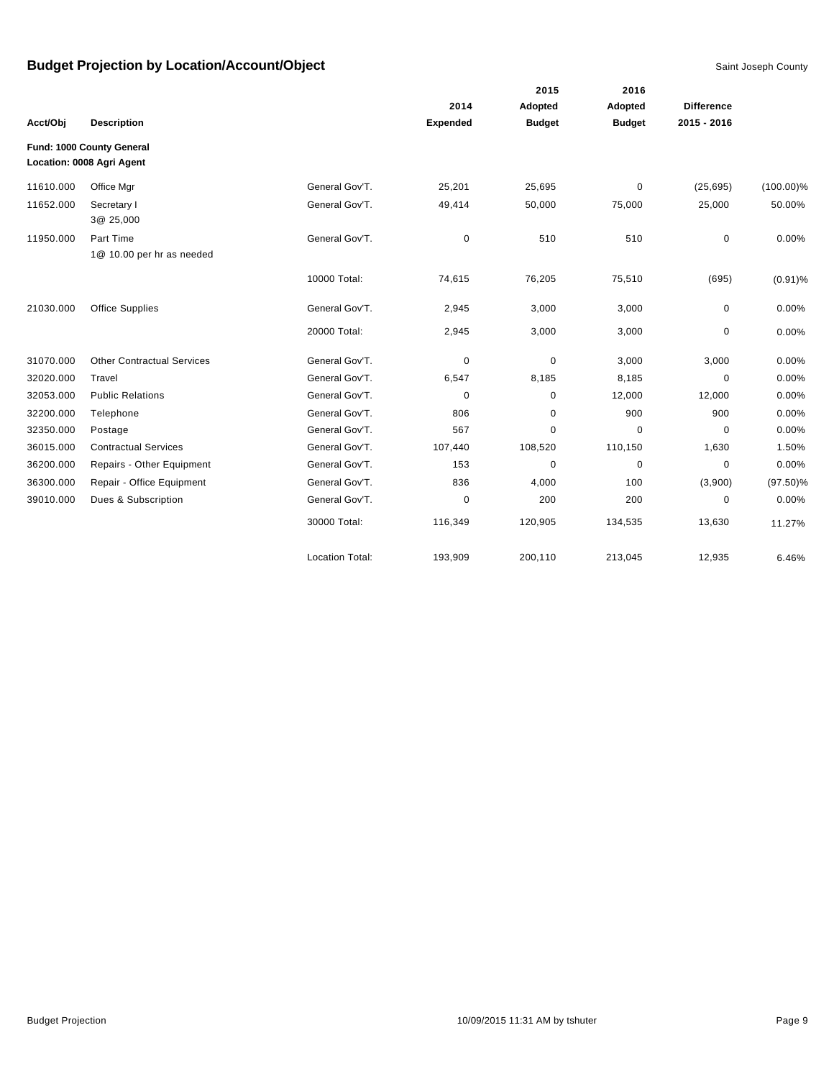|           |                                                        |                        |          | 2015          | 2016          |                   |              |
|-----------|--------------------------------------------------------|------------------------|----------|---------------|---------------|-------------------|--------------|
|           |                                                        |                        | 2014     | Adopted       | Adopted       | <b>Difference</b> |              |
| Acct/Obj  | <b>Description</b>                                     |                        | Expended | <b>Budget</b> | <b>Budget</b> | 2015 - 2016       |              |
|           | Fund: 1000 County General<br>Location: 0008 Agri Agent |                        |          |               |               |                   |              |
| 11610.000 | Office Mgr                                             | General Gov'T.         | 25,201   | 25,695        | 0             | (25, 695)         | $(100.00)\%$ |
| 11652.000 | Secretary I<br>3@ 25,000                               | General Gov'T.         | 49,414   | 50,000        | 75,000        | 25,000            | 50.00%       |
| 11950.000 | Part Time<br>1@ 10.00 per hr as needed                 | General Gov'T.         | 0        | 510           | 510           | $\pmb{0}$         | 0.00%        |
|           |                                                        | 10000 Total:           | 74,615   | 76,205        | 75,510        | (695)             | $(0.91)\%$   |
| 21030.000 | <b>Office Supplies</b>                                 | General Gov'T.         | 2,945    | 3,000         | 3,000         | 0                 | 0.00%        |
|           |                                                        | 20000 Total:           | 2,945    | 3,000         | 3,000         | 0                 | 0.00%        |
| 31070.000 | <b>Other Contractual Services</b>                      | General Gov'T.         | 0        | 0             | 3,000         | 3,000             | 0.00%        |
| 32020.000 | Travel                                                 | General Gov'T.         | 6,547    | 8,185         | 8,185         | $\mathbf 0$       | 0.00%        |
| 32053.000 | <b>Public Relations</b>                                | General Gov'T.         | 0        | 0             | 12,000        | 12,000            | 0.00%        |
| 32200.000 | Telephone                                              | General Gov'T.         | 806      | 0             | 900           | 900               | 0.00%        |
| 32350.000 | Postage                                                | General Gov'T.         | 567      | 0             | $\mathbf 0$   | 0                 | 0.00%        |
| 36015.000 | <b>Contractual Services</b>                            | General Gov'T.         | 107,440  | 108,520       | 110,150       | 1,630             | 1.50%        |
| 36200.000 | Repairs - Other Equipment                              | General Gov'T.         | 153      | 0             | $\mathbf 0$   | 0                 | 0.00%        |
| 36300.000 | Repair - Office Equipment                              | General Gov'T.         | 836      | 4,000         | 100           | (3,900)           | $(97.50)\%$  |
| 39010.000 | Dues & Subscription                                    | General Gov'T.         | 0        | 200           | 200           | 0                 | 0.00%        |
|           |                                                        | 30000 Total:           | 116,349  | 120,905       | 134,535       | 13,630            | 11.27%       |
|           |                                                        | <b>Location Total:</b> | 193,909  | 200,110       | 213,045       | 12,935            | 6.46%        |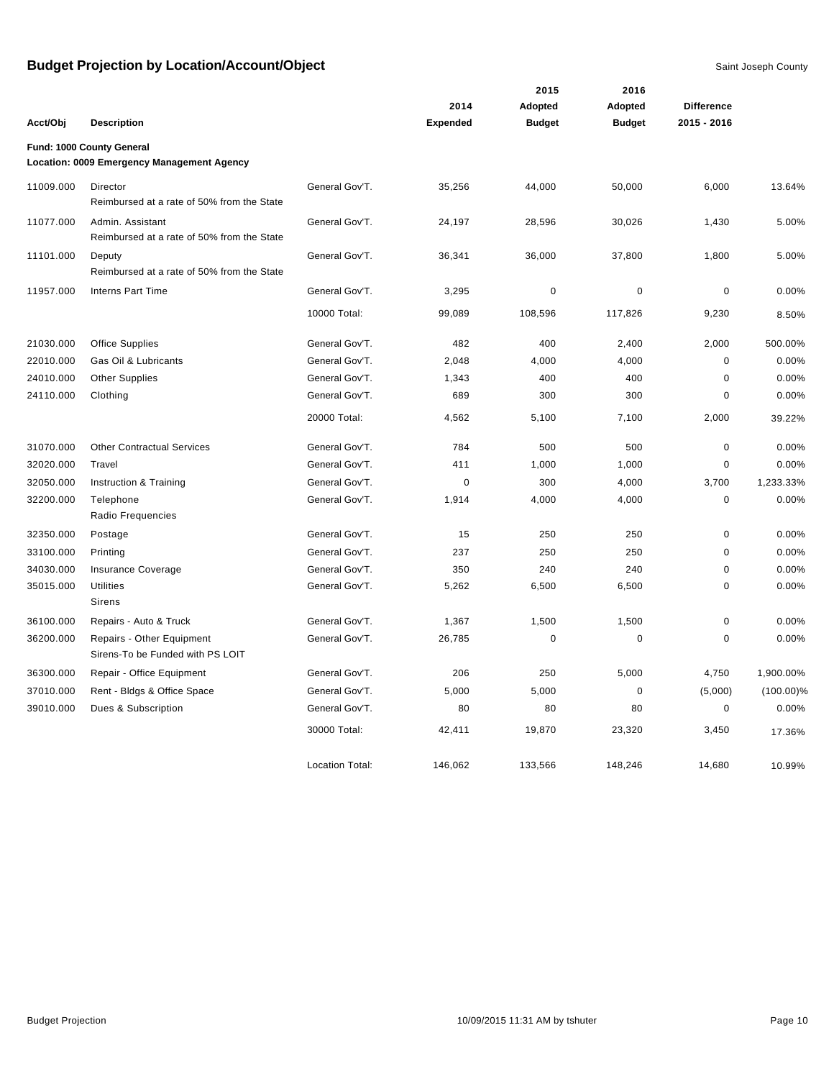|           |                                                                         |                        |                 | 2015          | 2016          |                   |              |
|-----------|-------------------------------------------------------------------------|------------------------|-----------------|---------------|---------------|-------------------|--------------|
|           |                                                                         |                        | 2014            | Adopted       | Adopted       | <b>Difference</b> |              |
| Acct/Obj  | <b>Description</b>                                                      |                        | <b>Expended</b> | <b>Budget</b> | <b>Budget</b> | 2015 - 2016       |              |
|           | Fund: 1000 County General<br>Location: 0009 Emergency Management Agency |                        |                 |               |               |                   |              |
| 11009.000 | Director<br>Reimbursed at a rate of 50% from the State                  | General Gov'T.         | 35,256          | 44,000        | 50,000        | 6,000             | 13.64%       |
| 11077.000 | Admin. Assistant<br>Reimbursed at a rate of 50% from the State          | General Gov'T.         | 24,197          | 28,596        | 30,026        | 1,430             | 5.00%        |
| 11101.000 | Deputy<br>Reimbursed at a rate of 50% from the State                    | General Gov'T.         | 36,341          | 36,000        | 37,800        | 1,800             | 5.00%        |
| 11957.000 | <b>Interns Part Time</b>                                                | General Gov'T.         | 3,295           | $\mathbf 0$   | $\mathbf 0$   | $\pmb{0}$         | 0.00%        |
|           |                                                                         | 10000 Total:           | 99,089          | 108,596       | 117,826       | 9,230             | 8.50%        |
| 21030.000 | <b>Office Supplies</b>                                                  | General Gov'T.         | 482             | 400           | 2,400         | 2,000             | 500.00%      |
| 22010.000 | Gas Oil & Lubricants                                                    | General Gov'T.         | 2,048           | 4,000         | 4,000         | $\mathbf 0$       | 0.00%        |
| 24010.000 | <b>Other Supplies</b>                                                   | General Gov'T.         | 1,343           | 400           | 400           | $\mathbf 0$       | 0.00%        |
| 24110.000 | Clothing                                                                | General Gov'T.         | 689             | 300           | 300           | 0                 | 0.00%        |
|           |                                                                         | 20000 Total:           | 4,562           | 5,100         | 7,100         | 2,000             | 39.22%       |
| 31070.000 | <b>Other Contractual Services</b>                                       | General Gov'T.         | 784             | 500           | 500           | $\pmb{0}$         | 0.00%        |
| 32020.000 | Travel                                                                  | General Gov'T.         | 411             | 1,000         | 1,000         | $\pmb{0}$         | 0.00%        |
| 32050.000 | Instruction & Training                                                  | General Gov'T.         | $\mathbf 0$     | 300           | 4,000         | 3,700             | 1,233.33%    |
| 32200.000 | Telephone<br>Radio Frequencies                                          | General Gov'T.         | 1,914           | 4,000         | 4,000         | $\mathbf 0$       | 0.00%        |
| 32350.000 | Postage                                                                 | General Gov'T.         | 15              | 250           | 250           | 0                 | 0.00%        |
| 33100.000 | Printing                                                                | General Gov'T.         | 237             | 250           | 250           | 0                 | 0.00%        |
| 34030.000 | Insurance Coverage                                                      | General Gov'T.         | 350             | 240           | 240           | 0                 | 0.00%        |
| 35015.000 | <b>Utilities</b><br>Sirens                                              | General Gov'T.         | 5,262           | 6,500         | 6,500         | 0                 | 0.00%        |
| 36100.000 | Repairs - Auto & Truck                                                  | General Gov'T.         | 1,367           | 1,500         | 1,500         | $\pmb{0}$         | 0.00%        |
| 36200.000 | Repairs - Other Equipment<br>Sirens-To be Funded with PS LOIT           | General Gov'T.         | 26,785          | $\mathbf 0$   | $\mathbf 0$   | 0                 | 0.00%        |
| 36300.000 | Repair - Office Equipment                                               | General Gov'T.         | 206             | 250           | 5,000         | 4,750             | 1,900.00%    |
| 37010.000 | Rent - Bldgs & Office Space                                             | General Gov'T.         | 5,000           | 5,000         | 0             | (5,000)           | $(100.00)\%$ |
| 39010.000 | Dues & Subscription                                                     | General Gov'T.         | 80              | 80            | 80            | 0                 | 0.00%        |
|           |                                                                         | 30000 Total:           | 42,411          | 19,870        | 23,320        | 3,450             | 17.36%       |
|           |                                                                         | <b>Location Total:</b> | 146,062         | 133,566       | 148,246       | 14,680            | 10.99%       |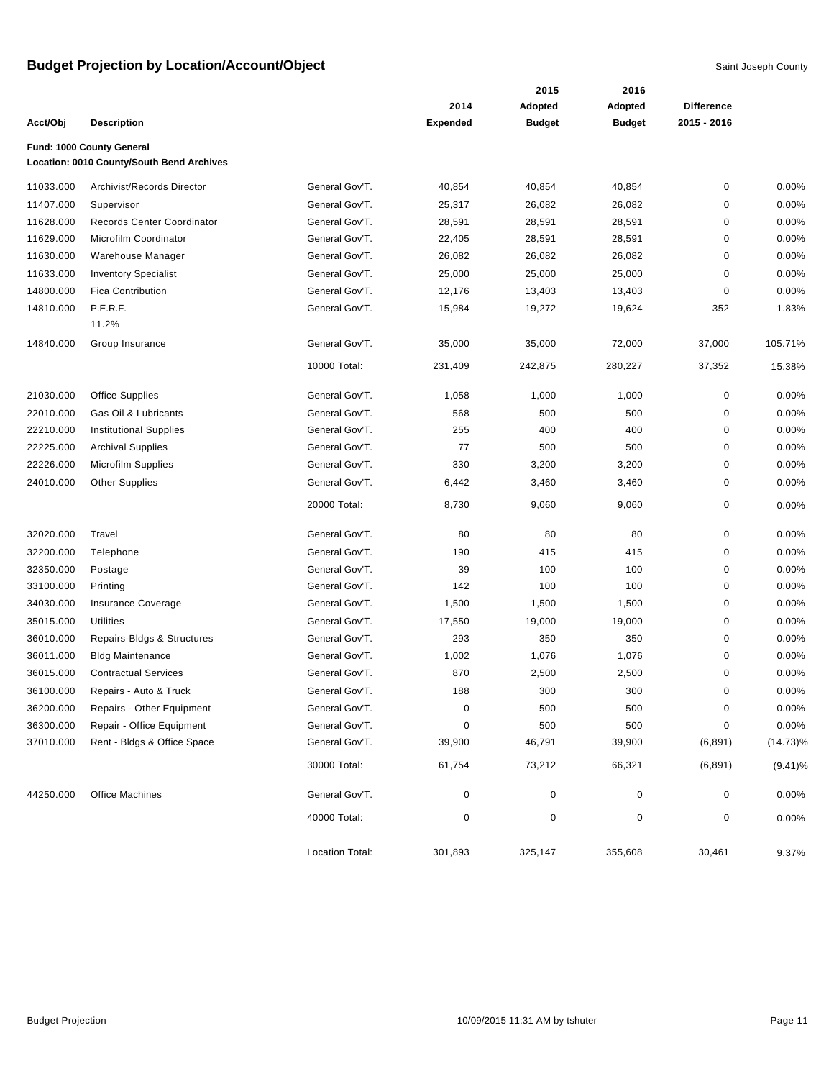|           |                                           |                 |                 | 2015          | 2016          |                   |             |
|-----------|-------------------------------------------|-----------------|-----------------|---------------|---------------|-------------------|-------------|
|           |                                           |                 | 2014            | Adopted       | Adopted       | <b>Difference</b> |             |
| Acct/Obj  | <b>Description</b>                        |                 | <b>Expended</b> | <b>Budget</b> | <b>Budget</b> | 2015 - 2016       |             |
|           | Fund: 1000 County General                 |                 |                 |               |               |                   |             |
|           | Location: 0010 County/South Bend Archives |                 |                 |               |               |                   |             |
| 11033.000 | Archivist/Records Director                | General Gov'T.  | 40,854          | 40,854        | 40,854        | 0                 | 0.00%       |
| 11407.000 | Supervisor                                | General Gov'T.  | 25,317          | 26,082        | 26,082        | 0                 | 0.00%       |
| 11628.000 | Records Center Coordinator                | General Gov'T.  | 28,591          | 28,591        | 28,591        | 0                 | 0.00%       |
| 11629.000 | Microfilm Coordinator                     | General Gov'T.  | 22,405          | 28,591        | 28,591        | 0                 | 0.00%       |
| 11630.000 | Warehouse Manager                         | General Gov'T.  | 26,082          | 26,082        | 26,082        | 0                 | 0.00%       |
| 11633.000 | <b>Inventory Specialist</b>               | General Gov'T.  | 25,000          | 25,000        | 25,000        | 0                 | 0.00%       |
| 14800.000 | <b>Fica Contribution</b>                  | General Gov'T.  | 12,176          | 13,403        | 13,403        | $\mathbf 0$       | 0.00%       |
| 14810.000 | P.E.R.F.                                  | General Gov'T.  | 15,984          | 19,272        | 19,624        | 352               | 1.83%       |
|           | 11.2%                                     |                 |                 |               |               |                   |             |
| 14840.000 | Group Insurance                           | General Gov'T.  | 35,000          | 35,000        | 72,000        | 37,000            | 105.71%     |
|           |                                           | 10000 Total:    | 231,409         | 242,875       | 280,227       | 37,352            | 15.38%      |
| 21030.000 | Office Supplies                           | General Gov'T.  | 1,058           | 1,000         | 1,000         | 0                 | 0.00%       |
| 22010.000 | Gas Oil & Lubricants                      | General Gov'T.  | 568             | 500           | 500           | 0                 | 0.00%       |
| 22210.000 | <b>Institutional Supplies</b>             | General Gov'T.  | 255             | 400           | 400           | 0                 | 0.00%       |
| 22225.000 | <b>Archival Supplies</b>                  | General Gov'T.  | 77              | 500           | 500           | 0                 | 0.00%       |
| 22226.000 | Microfilm Supplies                        | General Gov'T.  | 330             | 3,200         | 3,200         | 0                 | 0.00%       |
| 24010.000 | <b>Other Supplies</b>                     | General Gov'T.  | 6,442           | 3,460         | 3,460         | 0                 | 0.00%       |
|           |                                           | 20000 Total:    | 8,730           | 9,060         | 9,060         | 0                 | 0.00%       |
| 32020.000 | Travel                                    | General Gov'T.  | 80              | 80            | 80            | 0                 | 0.00%       |
| 32200.000 | Telephone                                 | General Gov'T.  | 190             | 415           | 415           | 0                 | 0.00%       |
| 32350.000 | Postage                                   | General Gov'T.  | 39              | 100           | 100           | 0                 | 0.00%       |
| 33100.000 | Printing                                  | General Gov'T.  | 142             | 100           | 100           | 0                 | 0.00%       |
| 34030.000 | Insurance Coverage                        | General Gov'T.  | 1,500           | 1,500         | 1,500         | 0                 | 0.00%       |
| 35015.000 | <b>Utilities</b>                          | General Gov'T.  | 17,550          | 19,000        | 19,000        | 0                 | 0.00%       |
| 36010.000 | Repairs-Bldgs & Structures                | General Gov'T.  | 293             | 350           | 350           | 0                 | 0.00%       |
| 36011.000 | <b>Bldg Maintenance</b>                   | General Gov'T.  | 1,002           | 1,076         | 1,076         | 0                 | 0.00%       |
| 36015.000 | <b>Contractual Services</b>               | General Gov'T.  | 870             | 2,500         | 2,500         | 0                 | 0.00%       |
| 36100.000 | Repairs - Auto & Truck                    | General Gov'T.  | 188             | 300           | 300           | 0                 | 0.00%       |
| 36200.000 | Repairs - Other Equipment                 | General Gov'T.  | $\pmb{0}$       | 500           | 500           | $\pmb{0}$         | 0.00%       |
| 36300.000 | Repair - Office Equipment                 | General Gov'T.  | 0               | 500           | 500           | 0                 | 0.00%       |
| 37010.000 | Rent - Bldgs & Office Space               | General Gov'T.  | 39,900          | 46,791        | 39,900        | (6, 891)          | $(14.73)\%$ |
|           |                                           | 30000 Total:    | 61,754          | 73,212        | 66,321        | (6, 891)          | $(9.41)\%$  |
| 44250.000 | <b>Office Machines</b>                    | General Gov'T.  | 0               | $\pmb{0}$     | 0             | 0                 | 0.00%       |
|           |                                           | 40000 Total:    | 0               | $\pmb{0}$     | $\pmb{0}$     | 0                 | 0.00%       |
|           |                                           | Location Total: | 301,893         | 325,147       | 355,608       | 30,461            | 9.37%       |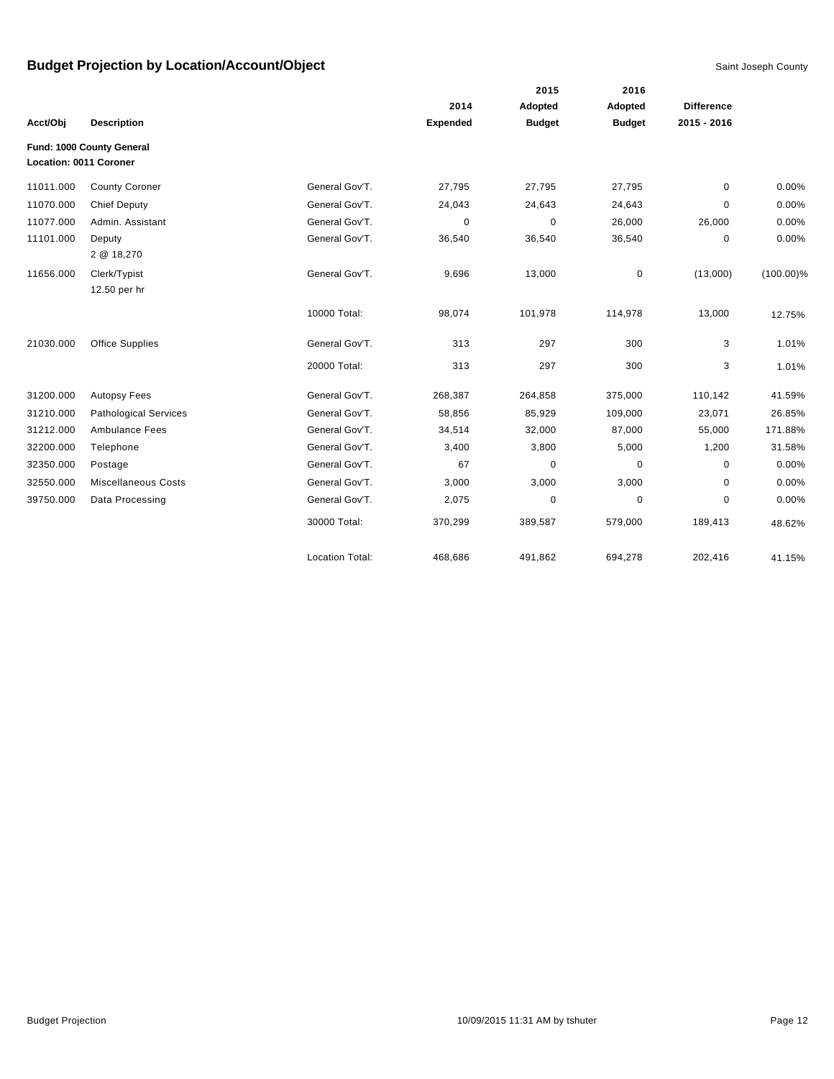|                        |                              |                        |                 | 2015          | 2016          |                   |              |
|------------------------|------------------------------|------------------------|-----------------|---------------|---------------|-------------------|--------------|
|                        |                              |                        | 2014            | Adopted       | Adopted       | <b>Difference</b> |              |
| Acct/Obj               | <b>Description</b>           |                        | <b>Expended</b> | <b>Budget</b> | <b>Budget</b> | 2015 - 2016       |              |
| Location: 0011 Coroner | Fund: 1000 County General    |                        |                 |               |               |                   |              |
| 11011.000              | <b>County Coroner</b>        | General Gov'T.         | 27,795          | 27,795        | 27,795        | 0                 | 0.00%        |
| 11070.000              | <b>Chief Deputy</b>          | General Gov'T.         | 24,043          | 24,643        | 24,643        | 0                 | 0.00%        |
| 11077.000              | Admin. Assistant             | General Gov'T.         | $\Omega$        | $\Omega$      | 26,000        | 26,000            | 0.00%        |
| 11101.000              | Deputy<br>2 @ 18,270         | General Gov'T.         | 36,540          | 36,540        | 36,540        | 0                 | 0.00%        |
| 11656.000              | Clerk/Typist<br>12.50 per hr | General Gov'T.         | 9,696           | 13,000        | $\mathbf 0$   | (13,000)          | $(100.00)\%$ |
|                        |                              | 10000 Total:           | 98,074          | 101,978       | 114,978       | 13,000            | 12.75%       |
| 21030.000              | <b>Office Supplies</b>       | General Gov'T.         | 313             | 297           | 300           | 3                 | 1.01%        |
|                        |                              | 20000 Total:           | 313             | 297           | 300           | 3                 | 1.01%        |
| 31200.000              | <b>Autopsy Fees</b>          | General Gov'T.         | 268,387         | 264,858       | 375,000       | 110,142           | 41.59%       |
| 31210.000              | <b>Pathological Services</b> | General Gov'T.         | 58,856          | 85,929        | 109,000       | 23,071            | 26.85%       |
| 31212.000              | <b>Ambulance Fees</b>        | General Gov'T.         | 34,514          | 32,000        | 87,000        | 55,000            | 171.88%      |
| 32200.000              | Telephone                    | General Gov'T.         | 3,400           | 3,800         | 5,000         | 1,200             | 31.58%       |
| 32350.000              | Postage                      | General Gov'T.         | 67              | $\mathbf 0$   | 0             | 0                 | 0.00%        |
| 32550.000              | <b>Miscellaneous Costs</b>   | General Gov'T.         | 3,000           | 3,000         | 3,000         | 0                 | 0.00%        |
| 39750.000              | Data Processing              | General Gov'T.         | 2,075           | 0             | 0             | 0                 | 0.00%        |
|                        |                              | 30000 Total:           | 370,299         | 389,587       | 579,000       | 189,413           | 48.62%       |
|                        |                              | <b>Location Total:</b> | 468,686         | 491,862       | 694,278       | 202,416           | 41.15%       |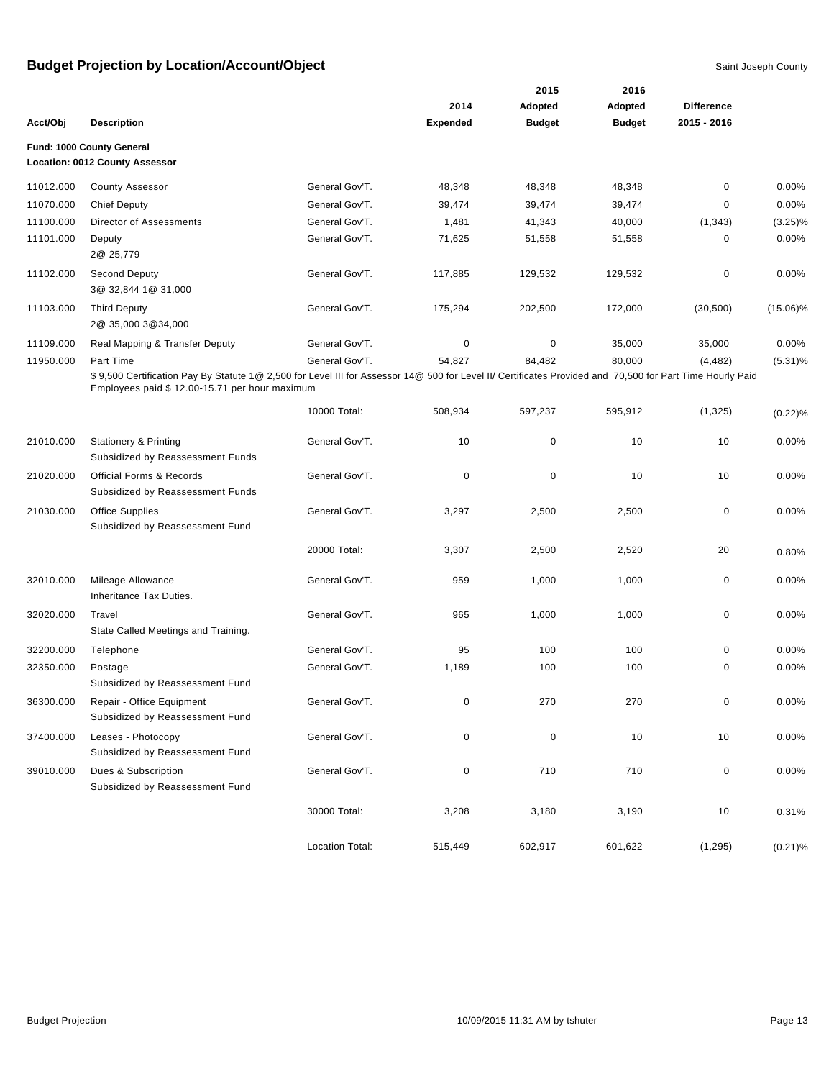|           |                                                                                                                                                           |                 |                 | 2015          | 2016          |                   |             |
|-----------|-----------------------------------------------------------------------------------------------------------------------------------------------------------|-----------------|-----------------|---------------|---------------|-------------------|-------------|
|           |                                                                                                                                                           |                 | 2014            | Adopted       | Adopted       | <b>Difference</b> |             |
| Acct/Obj  | <b>Description</b>                                                                                                                                        |                 | <b>Expended</b> | <b>Budget</b> | <b>Budget</b> | $2015 - 2016$     |             |
|           | Fund: 1000 County General                                                                                                                                 |                 |                 |               |               |                   |             |
|           | Location: 0012 County Assessor                                                                                                                            |                 |                 |               |               |                   |             |
| 11012.000 | <b>County Assessor</b>                                                                                                                                    | General Gov'T.  | 48,348          | 48,348        | 48,348        | $\mathbf 0$       | $0.00\%$    |
| 11070.000 | <b>Chief Deputy</b>                                                                                                                                       | General Gov'T.  | 39,474          | 39,474        | 39,474        | $\mathbf 0$       | 0.00%       |
| 11100.000 | Director of Assessments                                                                                                                                   | General Gov'T.  | 1,481           | 41,343        | 40,000        | (1, 343)          | $(3.25)\%$  |
| 11101.000 | Deputy                                                                                                                                                    | General Gov'T.  | 71,625          | 51,558        | 51,558        | $\mathbf 0$       | 0.00%       |
|           | 2@ 25,779                                                                                                                                                 |                 |                 |               |               |                   |             |
| 11102.000 | Second Deputy                                                                                                                                             | General Gov'T.  | 117,885         | 129,532       | 129,532       | $\mathbf 0$       | 0.00%       |
|           | 3@ 32,844 1@ 31,000                                                                                                                                       |                 |                 |               |               |                   |             |
| 11103.000 | <b>Third Deputy</b>                                                                                                                                       | General Gov'T.  | 175,294         | 202,500       | 172,000       | (30, 500)         | $(15.06)\%$ |
|           | 2@ 35,000 3@ 34,000                                                                                                                                       |                 |                 |               |               |                   |             |
| 11109.000 | Real Mapping & Transfer Deputy                                                                                                                            | General Gov'T.  | 0               | $\pmb{0}$     | 35,000        | 35,000            | 0.00%       |
| 11950.000 | Part Time                                                                                                                                                 | General Gov'T.  | 54,827          | 84,482        | 80,000        | (4, 482)          | $(5.31)\%$  |
|           | \$9,500 Certification Pay By Statute 1@ 2,500 for Level III for Assessor 14@ 500 for Level II/ Certificates Provided and 70,500 for Part Time Hourly Paid |                 |                 |               |               |                   |             |
|           | Employees paid \$ 12.00-15.71 per hour maximum                                                                                                            |                 |                 |               |               |                   |             |
|           |                                                                                                                                                           | 10000 Total:    | 508,934         | 597,237       | 595,912       | (1,325)           | (0.22)%     |
|           |                                                                                                                                                           |                 |                 |               |               |                   |             |
| 21010.000 | <b>Stationery &amp; Printing</b>                                                                                                                          | General Gov'T.  | 10              | $\mathbf 0$   | 10            | 10                | 0.00%       |
|           | Subsidized by Reassessment Funds                                                                                                                          |                 |                 |               |               |                   |             |
| 21020.000 | <b>Official Forms &amp; Records</b>                                                                                                                       | General Gov'T.  | 0               | $\pmb{0}$     | 10            | 10                | $0.00\%$    |
|           | Subsidized by Reassessment Funds                                                                                                                          |                 |                 |               |               |                   |             |
| 21030.000 | <b>Office Supplies</b>                                                                                                                                    | General Gov'T.  | 3,297           | 2,500         | 2,500         | $\mathbf 0$       | 0.00%       |
|           | Subsidized by Reassessment Fund                                                                                                                           |                 |                 |               |               |                   |             |
|           |                                                                                                                                                           | 20000 Total:    | 3,307           | 2,500         | 2,520         | 20                | 0.80%       |
|           |                                                                                                                                                           |                 |                 |               |               |                   |             |
| 32010.000 | Mileage Allowance                                                                                                                                         | General Gov'T.  | 959             | 1,000         | 1,000         | $\mathbf 0$       | $0.00\%$    |
|           | Inheritance Tax Duties.                                                                                                                                   |                 |                 |               |               |                   |             |
| 32020.000 | Travel                                                                                                                                                    | General Gov'T.  | 965             | 1,000         | 1,000         | $\mathbf 0$       | $0.00\%$    |
|           | State Called Meetings and Training.                                                                                                                       |                 |                 |               |               |                   |             |
| 32200.000 | Telephone                                                                                                                                                 | General Gov'T.  | 95              | 100           | 100           | $\mathbf 0$       | 0.00%       |
| 32350.000 | Postage                                                                                                                                                   | General Gov'T.  | 1,189           | 100           | 100           | 0                 | 0.00%       |
|           | Subsidized by Reassessment Fund                                                                                                                           |                 |                 |               |               |                   |             |
| 36300.000 | Repair - Office Equipment                                                                                                                                 | General Gov'T.  | 0               | 270           | 270           | $\pmb{0}$         | 0.00%       |
|           | Subsidized by Reassessment Fund                                                                                                                           |                 |                 |               |               |                   |             |
| 37400.000 | Leases - Photocopy                                                                                                                                        | General Gov'T.  | 0               | $\pmb{0}$     | 10            | 10                | 0.00%       |
|           | Subsidized by Reassessment Fund                                                                                                                           |                 |                 |               |               |                   |             |
| 39010.000 | Dues & Subscription                                                                                                                                       | General Gov'T.  | 0               | 710           | 710           | $\pmb{0}$         | 0.00%       |
|           | Subsidized by Reassessment Fund                                                                                                                           |                 |                 |               |               |                   |             |
|           |                                                                                                                                                           | 30000 Total:    | 3,208           | 3,180         | 3,190         | 10                | 0.31%       |
|           |                                                                                                                                                           |                 |                 |               |               |                   |             |
|           |                                                                                                                                                           | Location Total: | 515,449         | 602,917       | 601,622       | (1, 295)          | $(0.21)\%$  |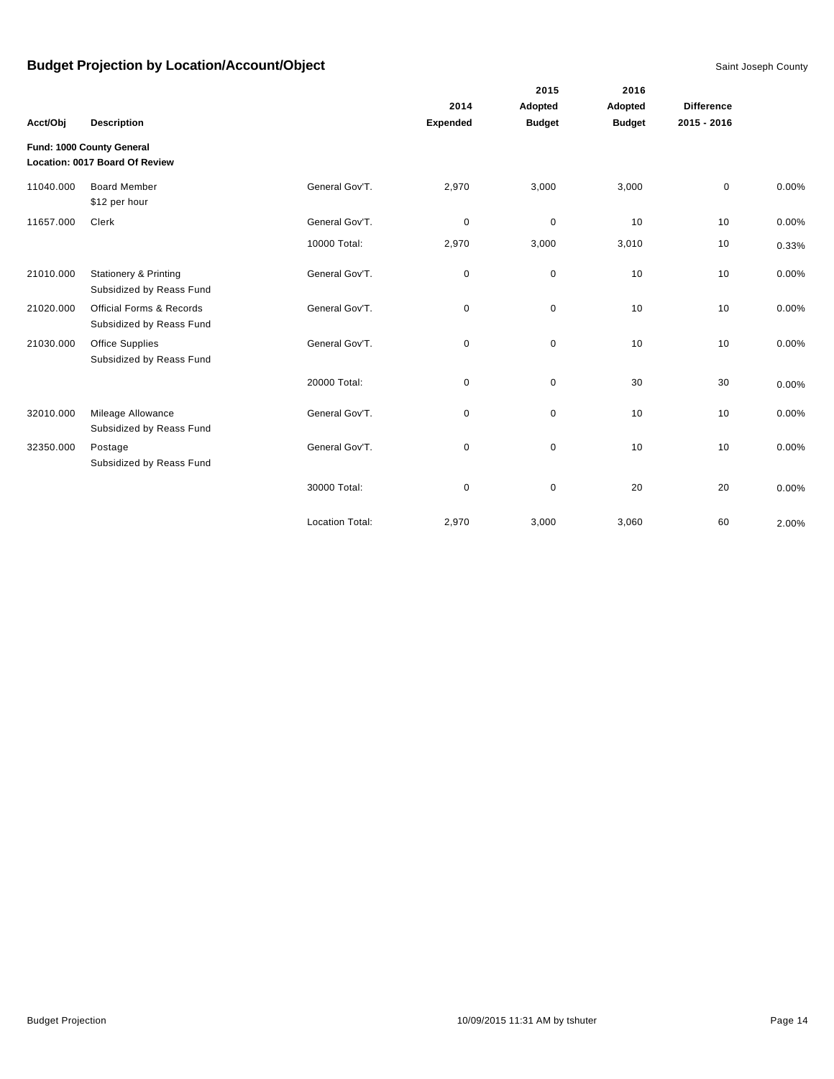|           |                                                              |                        | 2014            | 2015<br>Adopted | 2016<br>Adopted | <b>Difference</b> |       |
|-----------|--------------------------------------------------------------|------------------------|-----------------|-----------------|-----------------|-------------------|-------|
| Acct/Obj  | <b>Description</b>                                           |                        | <b>Expended</b> | <b>Budget</b>   | <b>Budget</b>   | 2015 - 2016       |       |
|           | Fund: 1000 County General<br>Location: 0017 Board Of Review  |                        |                 |                 |                 |                   |       |
| 11040.000 | <b>Board Member</b><br>\$12 per hour                         | General Gov'T.         | 2,970           | 3,000           | 3,000           | $\mathbf 0$       | 0.00% |
| 11657.000 | Clerk                                                        | General Gov'T.         | $\pmb{0}$       | $\mathbf 0$     | 10              | 10                | 0.00% |
|           |                                                              | 10000 Total:           | 2,970           | 3,000           | 3,010           | 10                | 0.33% |
| 21010.000 | <b>Stationery &amp; Printing</b><br>Subsidized by Reass Fund | General Gov'T.         | 0               | $\mathbf 0$     | 10              | 10                | 0.00% |
| 21020.000 | Official Forms & Records<br>Subsidized by Reass Fund         | General Gov'T.         | 0               | $\mathbf 0$     | 10              | 10                | 0.00% |
| 21030.000 | <b>Office Supplies</b><br>Subsidized by Reass Fund           | General Gov'T.         | 0               | $\pmb{0}$       | 10              | 10                | 0.00% |
|           |                                                              | 20000 Total:           | 0               | $\mathbf 0$     | 30              | 30                | 0.00% |
| 32010.000 | Mileage Allowance<br>Subsidized by Reass Fund                | General Gov'T.         | 0               | $\mathbf 0$     | 10              | 10                | 0.00% |
| 32350.000 | Postage<br>Subsidized by Reass Fund                          | General Gov'T.         | 0               | $\mathbf 0$     | 10              | 10                | 0.00% |
|           |                                                              | 30000 Total:           | 0               | $\pmb{0}$       | 20              | 20                | 0.00% |
|           |                                                              | <b>Location Total:</b> | 2,970           | 3,000           | 3,060           | 60                | 2.00% |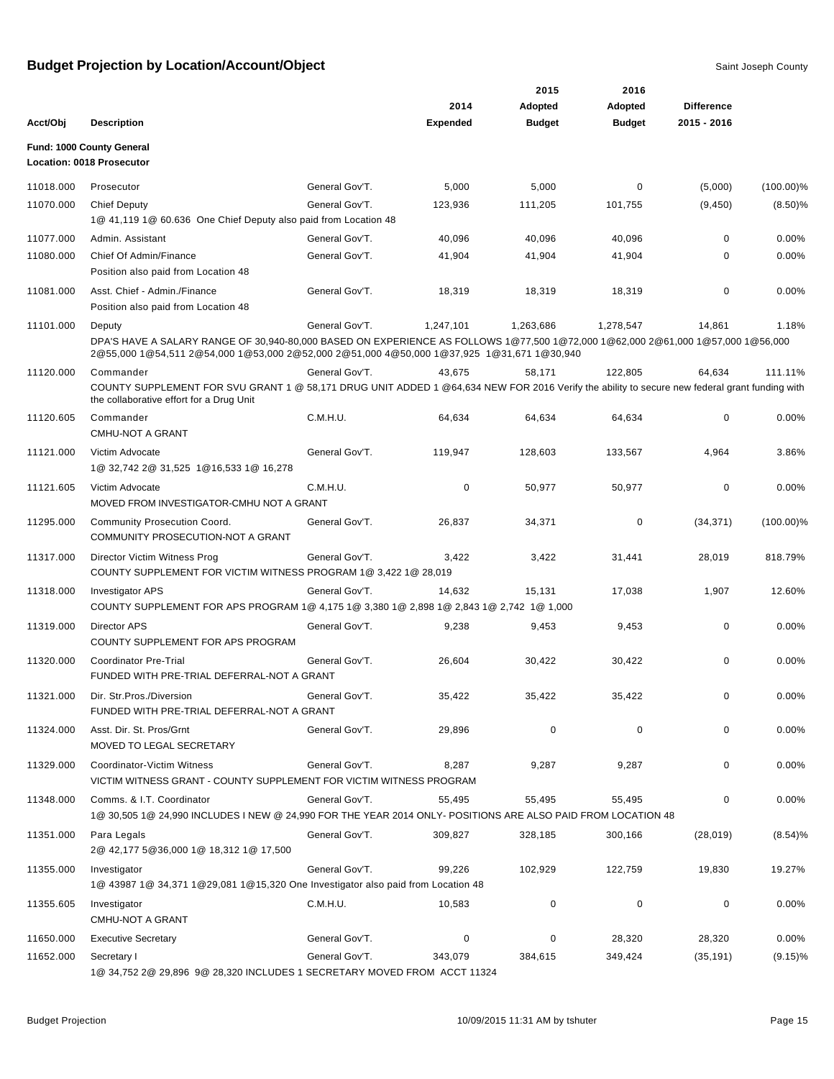|           |                                                                                                                                                                                                                                        |                |                 | 2015          | 2016          |                   |              |
|-----------|----------------------------------------------------------------------------------------------------------------------------------------------------------------------------------------------------------------------------------------|----------------|-----------------|---------------|---------------|-------------------|--------------|
|           |                                                                                                                                                                                                                                        |                | 2014            | Adopted       | Adopted       | <b>Difference</b> |              |
| Acct/Obj  | <b>Description</b>                                                                                                                                                                                                                     |                | <b>Expended</b> | <b>Budget</b> | <b>Budget</b> | 2015 - 2016       |              |
|           | Fund: 1000 County General<br>Location: 0018 Prosecutor                                                                                                                                                                                 |                |                 |               |               |                   |              |
| 11018.000 | Prosecutor                                                                                                                                                                                                                             | General Gov'T. | 5,000           | 5,000         | 0             | (5,000)           | $(100.00)\%$ |
| 11070.000 | <b>Chief Deputy</b><br>1@ 41,119 1@ 60.636 One Chief Deputy also paid from Location 48                                                                                                                                                 | General Gov'T. | 123,936         | 111,205       | 101,755       | (9, 450)          | $(8.50)\%$   |
| 11077.000 | Admin. Assistant                                                                                                                                                                                                                       | General Gov'T. | 40,096          | 40,096        | 40,096        | 0                 | $0.00\%$     |
| 11080.000 | Chief Of Admin/Finance<br>Position also paid from Location 48                                                                                                                                                                          | General Gov'T. | 41,904          | 41,904        | 41,904        | 0                 | 0.00%        |
| 11081.000 | Asst. Chief - Admin./Finance<br>Position also paid from Location 48                                                                                                                                                                    | General Gov'T. | 18,319          | 18,319        | 18,319        | $\mathbf 0$       | 0.00%        |
| 11101.000 | Deputy<br>DPA'S HAVE A SALARY RANGE OF 30,940-80,000 BASED ON EXPERIENCE AS FOLLOWS 1@77,500 1@72,000 1@62,000 2@61,000 1@57,000 1@56,000<br>2@55,000 1@54,511 2@54,000 1@53,000 2@52,000 2@51,000 4@50,000 1@37,925 1@31,671 1@30,940 | General Gov'T. | 1,247,101       | 1,263,686     | 1,278,547     | 14,861            | 1.18%        |
| 11120.000 | Commander<br>COUNTY SUPPLEMENT FOR SVU GRANT 1 @ 58,171 DRUG UNIT ADDED 1 @64,634 NEW FOR 2016 Verify the ability to secure new federal grant funding with<br>the collaborative effort for a Drug Unit                                 | General Gov'T. | 43.675          | 58,171        | 122,805       | 64,634            | 111.11%      |
| 11120.605 | Commander<br><b>CMHU-NOT A GRANT</b>                                                                                                                                                                                                   | C.M.H.U.       | 64,634          | 64,634        | 64,634        | $\mathbf 0$       | 0.00%        |
| 11121.000 | Victim Advocate<br>1@ 32,742 2@ 31,525 1@16,533 1@ 16,278                                                                                                                                                                              | General Gov'T. | 119,947         | 128,603       | 133,567       | 4,964             | 3.86%        |
| 11121.605 | Victim Advocate<br>MOVED FROM INVESTIGATOR-CMHU NOT A GRANT                                                                                                                                                                            | C.M.H.U.       | 0               | 50,977        | 50,977        | $\mathbf 0$       | 0.00%        |
| 11295.000 | Community Prosecution Coord.<br>COMMUNITY PROSECUTION-NOT A GRANT                                                                                                                                                                      | General Gov'T. | 26,837          | 34,371        | 0             | (34, 371)         | $(100.00)\%$ |
| 11317.000 | Director Victim Witness Prog<br>COUNTY SUPPLEMENT FOR VICTIM WITNESS PROGRAM 1@ 3,422 1@ 28,019                                                                                                                                        | General Gov'T. | 3,422           | 3,422         | 31,441        | 28,019            | 818.79%      |
| 11318.000 | <b>Investigator APS</b><br>COUNTY SUPPLEMENT FOR APS PROGRAM 1@ 4,175 1@ 3,380 1@ 2,898 1@ 2,843 1@ 2,742 1@ 1,000                                                                                                                     | General Gov'T. | 14,632          | 15,131        | 17,038        | 1,907             | 12.60%       |
| 11319.000 | <b>Director APS</b><br>COUNTY SUPPLEMENT FOR APS PROGRAM                                                                                                                                                                               | General Gov'T. | 9,238           | 9,453         | 9,453         | $\mathbf 0$       | 0.00%        |
| 11320.000 | <b>Coordinator Pre-Trial</b><br>FUNDED WITH PRE-TRIAL DEFERRAL-NOT A GRANT                                                                                                                                                             | General Gov'T. | 26,604          | 30,422        | 30,422        | 0                 | 0.00%        |
| 11321.000 | Dir. Str. Pros./Diversion<br>FUNDED WITH PRE-TRIAL DEFERRAL-NOT A GRANT                                                                                                                                                                | General Gov'T. | 35,422          | 35,422        | 35,422        |                   | $0.00\%$     |
| 11324.000 | Asst. Dir. St. Pros/Grnt<br>MOVED TO LEGAL SECRETARY                                                                                                                                                                                   | General Gov'T. | 29,896          | 0             | 0             | 0                 | 0.00%        |
| 11329.000 | Coordinator-Victim Witness<br>VICTIM WITNESS GRANT - COUNTY SUPPLEMENT FOR VICTIM WITNESS PROGRAM                                                                                                                                      | General Gov'T. | 8,287           | 9,287         | 9,287         | 0                 | $0.00\%$     |
| 11348.000 | Comms. & I.T. Coordinator<br>1@ 30,505 1@ 24,990 INCLUDES I NEW @ 24,990 FOR THE YEAR 2014 ONLY- POSITIONS ARE ALSO PAID FROM LOCATION 48                                                                                              | General Gov'T. | 55,495          | 55,495        | 55,495        | 0                 | 0.00%        |
| 11351.000 | Para Legals<br>2@ 42,177 5@36,000 1@ 18,312 1@ 17,500                                                                                                                                                                                  | General Gov'T. | 309,827         | 328,185       | 300,166       | (28, 019)         | (8.54)%      |
| 11355.000 | Investigator<br>1@ 43987 1@ 34,371 1@29,081 1@15,320 One Investigator also paid from Location 48                                                                                                                                       | General Gov'T. | 99,226          | 102,929       | 122,759       | 19,830            | 19.27%       |
| 11355.605 | Investigator<br><b>CMHU-NOT A GRANT</b>                                                                                                                                                                                                | C.M.H.U.       | 10,583          | 0             | 0             | 0                 | 0.00%        |
| 11650.000 | <b>Executive Secretary</b>                                                                                                                                                                                                             | General Gov'T. | 0               | 0             | 28,320        | 28,320            | 0.00%        |
| 11652.000 | Secretary I<br>1@ 34,752 2@ 29,896 9@ 28,320 INCLUDES 1 SECRETARY MOVED FROM ACCT 11324                                                                                                                                                | General Gov'T. | 343,079         | 384,615       | 349,424       | (35, 191)         | $(9.15)\%$   |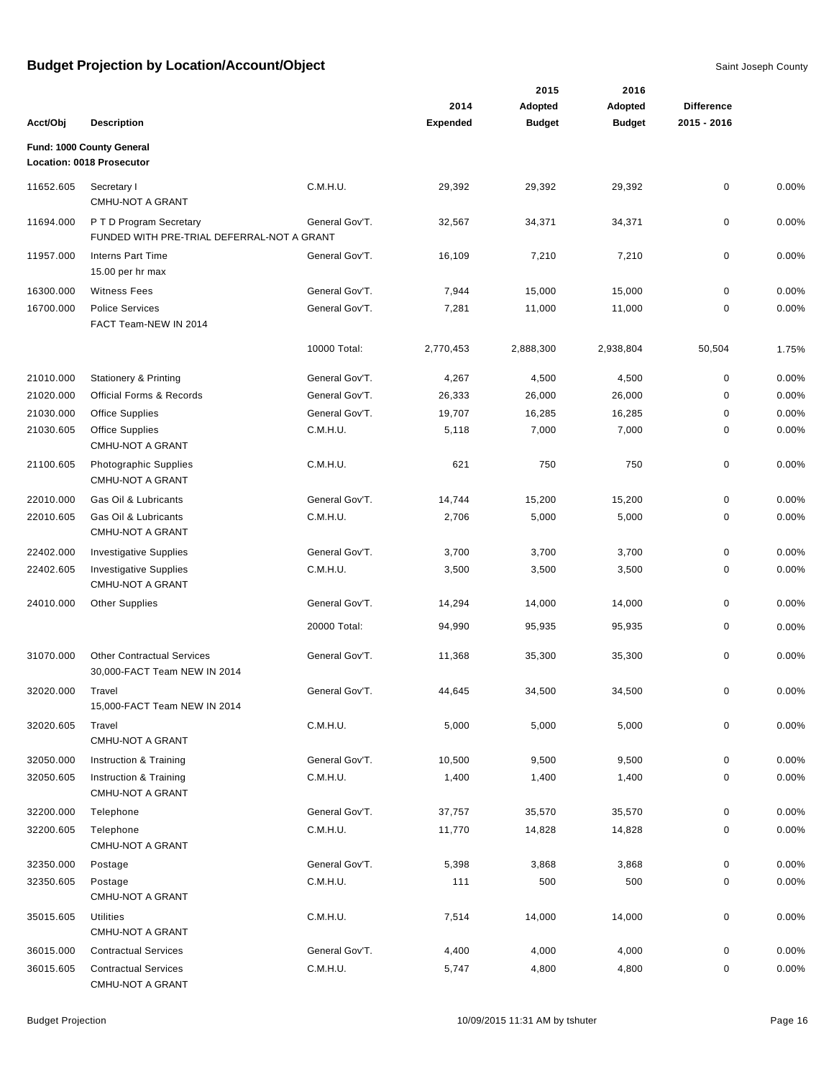|           |                                                                   |                |                 | 2015          | 2016          |                   |       |
|-----------|-------------------------------------------------------------------|----------------|-----------------|---------------|---------------|-------------------|-------|
|           |                                                                   |                | 2014            | Adopted       | Adopted       | <b>Difference</b> |       |
| Acct/Obj  | <b>Description</b>                                                |                | <b>Expended</b> | <b>Budget</b> | <b>Budget</b> | 2015 - 2016       |       |
|           | Fund: 1000 County General                                         |                |                 |               |               |                   |       |
|           | Location: 0018 Prosecutor                                         |                |                 |               |               |                   |       |
| 11652.605 | Secretary I                                                       | C.M.H.U.       | 29,392          | 29,392        | 29,392        | $\mathbf 0$       | 0.00% |
|           | <b>CMHU-NOT A GRANT</b>                                           |                |                 |               |               |                   |       |
| 11694.000 | P T D Program Secretary                                           | General Gov'T. | 32,567          | 34,371        | 34,371        | 0                 | 0.00% |
|           | FUNDED WITH PRE-TRIAL DEFERRAL-NOT A GRANT                        |                |                 |               |               |                   |       |
| 11957.000 | <b>Interns Part Time</b>                                          | General Gov'T. | 16,109          | 7,210         | 7,210         | 0                 | 0.00% |
|           | 15.00 per hr max                                                  |                |                 |               |               |                   |       |
| 16300.000 | <b>Witness Fees</b>                                               | General Gov'T. | 7,944           | 15,000        | 15,000        | $\mathbf 0$       | 0.00% |
| 16700.000 | <b>Police Services</b>                                            | General Gov'T. | 7,281           | 11,000        | 11,000        | 0                 | 0.00% |
|           | FACT Team-NEW IN 2014                                             |                |                 |               |               |                   |       |
|           |                                                                   | 10000 Total:   | 2,770,453       | 2,888,300     | 2,938,804     | 50,504            | 1.75% |
| 21010.000 | <b>Stationery &amp; Printing</b>                                  | General Gov'T. | 4,267           | 4,500         | 4,500         | 0                 | 0.00% |
| 21020.000 | Official Forms & Records                                          | General Gov'T. | 26,333          | 26,000        | 26,000        | $\pmb{0}$         | 0.00% |
| 21030.000 | <b>Office Supplies</b>                                            | General Gov'T. | 19,707          | 16,285        | 16,285        | 0                 | 0.00% |
| 21030.605 | <b>Office Supplies</b>                                            | C.M.H.U.       | 5,118           | 7,000         | 7,000         | 0                 | 0.00% |
|           | <b>CMHU-NOT A GRANT</b>                                           |                |                 |               |               |                   |       |
| 21100.605 | Photographic Supplies<br><b>CMHU-NOT A GRANT</b>                  | C.M.H.U.       | 621             | 750           | 750           | 0                 | 0.00% |
| 22010.000 | Gas Oil & Lubricants                                              | General Gov'T. | 14,744          | 15,200        | 15,200        | $\mathbf 0$       | 0.00% |
| 22010.605 | Gas Oil & Lubricants<br><b>CMHU-NOT A GRANT</b>                   | C.M.H.U.       | 2,706           | 5,000         | 5,000         | 0                 | 0.00% |
| 22402.000 | <b>Investigative Supplies</b>                                     | General Gov'T. | 3,700           | 3,700         | 3,700         | $\pmb{0}$         | 0.00% |
| 22402.605 | <b>Investigative Supplies</b>                                     | C.M.H.U.       | 3,500           | 3,500         | 3,500         | 0                 | 0.00% |
|           | <b>CMHU-NOT A GRANT</b>                                           |                |                 |               |               |                   |       |
| 24010.000 | <b>Other Supplies</b>                                             | General Gov'T. | 14,294          | 14,000        | 14,000        | 0                 | 0.00% |
|           |                                                                   | 20000 Total:   | 94,990          | 95,935        | 95,935        | 0                 | 0.00% |
| 31070.000 | <b>Other Contractual Services</b><br>30,000-FACT Team NEW IN 2014 | General Gov'T. | 11,368          | 35,300        | 35,300        | 0                 | 0.00% |
| 32020.000 | Travel                                                            | General Gov'T. | 44,645          | 34,500        | 34,500        | 0                 | 0.00% |
|           | 15,000-FACT Team NEW IN 2014                                      |                |                 |               |               |                   |       |
| 32020.605 | Travel<br><b>CMHU-NOT A GRANT</b>                                 | C.M.H.U.       | 5,000           | 5,000         | 5,000         | 0                 | 0.00% |
| 32050.000 | Instruction & Training                                            | General Gov'T. | 10,500          | 9,500         | 9,500         | 0                 | 0.00% |
| 32050.605 | Instruction & Training<br><b>CMHU-NOT A GRANT</b>                 | C.M.H.U.       | 1,400           | 1,400         | 1,400         | 0                 | 0.00% |
| 32200.000 | Telephone                                                         | General Gov'T. | 37,757          | 35,570        | 35,570        | 0                 | 0.00% |
| 32200.605 | Telephone                                                         | C.M.H.U.       | 11,770          | 14,828        | 14,828        | 0                 | 0.00% |
|           | <b>CMHU-NOT A GRANT</b>                                           |                |                 |               |               |                   |       |
| 32350.000 | Postage                                                           | General Gov'T. | 5,398           | 3,868         | 3,868         | 0                 | 0.00% |
| 32350.605 | Postage<br><b>CMHU-NOT A GRANT</b>                                | C.M.H.U.       | 111             | 500           | 500           | 0                 | 0.00% |
| 35015.605 | Utilities<br><b>CMHU-NOT A GRANT</b>                              | C.M.H.U.       | 7,514           | 14,000        | 14,000        | 0                 | 0.00% |
| 36015.000 | <b>Contractual Services</b>                                       | General Gov'T. | 4,400           | 4,000         | 4,000         | 0                 | 0.00% |
| 36015.605 | <b>Contractual Services</b><br>CMHU-NOT A GRANT                   | C.M.H.U.       | 5,747           | 4,800         | 4,800         | 0                 | 0.00% |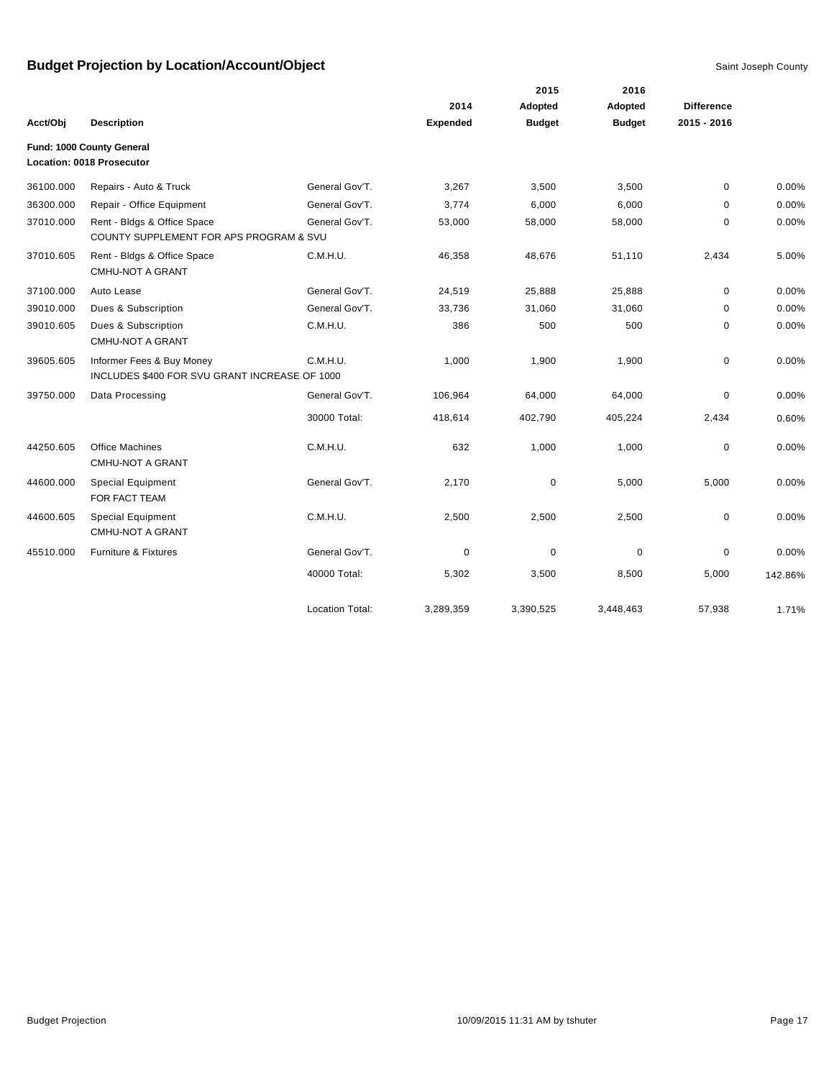|           |                                                                            |                        |             | 2015          | 2016          |                   |         |
|-----------|----------------------------------------------------------------------------|------------------------|-------------|---------------|---------------|-------------------|---------|
|           |                                                                            |                        | 2014        | Adopted       | Adopted       | <b>Difference</b> |         |
| Acct/Obj  | <b>Description</b>                                                         |                        | Expended    | <b>Budget</b> | <b>Budget</b> | 2015 - 2016       |         |
|           | Fund: 1000 County General<br>Location: 0018 Prosecutor                     |                        |             |               |               |                   |         |
| 36100.000 | Repairs - Auto & Truck                                                     | General Gov'T.         | 3,267       | 3,500         | 3,500         | $\mathbf 0$       | 0.00%   |
| 36300.000 | Repair - Office Equipment                                                  | General Gov'T.         | 3,774       | 6,000         | 6,000         | $\Omega$          | 0.00%   |
| 37010.000 | Rent - Bldgs & Office Space<br>COUNTY SUPPLEMENT FOR APS PROGRAM & SVU     | General Gov'T.         | 53,000      | 58,000        | 58,000        | $\mathbf 0$       | 0.00%   |
| 37010.605 | Rent - Bldgs & Office Space<br><b>CMHU-NOT A GRANT</b>                     | C.M.H.U.               | 46,358      | 48,676        | 51,110        | 2,434             | 5.00%   |
| 37100.000 | Auto Lease                                                                 | General Gov'T.         | 24,519      | 25,888        | 25,888        | $\mathbf 0$       | 0.00%   |
| 39010.000 | Dues & Subscription                                                        | General Gov'T.         | 33,736      | 31,060        | 31,060        | $\mathbf 0$       | 0.00%   |
| 39010.605 | Dues & Subscription<br>CMHU-NOT A GRANT                                    | C.M.H.U.               | 386         | 500           | 500           | 0                 | 0.00%   |
| 39605.605 | Informer Fees & Buy Money<br>INCLUDES \$400 FOR SVU GRANT INCREASE OF 1000 | C.M.H.U.               | 1,000       | 1,900         | 1,900         | 0                 | 0.00%   |
| 39750.000 | Data Processing                                                            | General Gov'T.         | 106,964     | 64,000        | 64,000        | $\mathbf 0$       | 0.00%   |
|           |                                                                            | 30000 Total:           | 418,614     | 402,790       | 405,224       | 2,434             | 0.60%   |
| 44250.605 | <b>Office Machines</b><br><b>CMHU-NOT A GRANT</b>                          | C.M.H.U.               | 632         | 1,000         | 1,000         | $\mathbf 0$       | 0.00%   |
| 44600.000 | <b>Special Equipment</b><br>FOR FACT TEAM                                  | General Gov'T.         | 2,170       | $\mathbf 0$   | 5,000         | 5,000             | 0.00%   |
| 44600.605 | <b>Special Equipment</b><br><b>CMHU-NOT A GRANT</b>                        | C.M.H.U.               | 2,500       | 2,500         | 2,500         | 0                 | 0.00%   |
| 45510.000 | Furniture & Fixtures                                                       | General Gov'T.         | $\mathbf 0$ | $\pmb{0}$     | $\mathbf 0$   | $\mathbf 0$       | 0.00%   |
|           |                                                                            | 40000 Total:           | 5,302       | 3,500         | 8,500         | 5,000             | 142.86% |
|           |                                                                            | <b>Location Total:</b> | 3,289,359   | 3,390,525     | 3,448,463     | 57,938            | 1.71%   |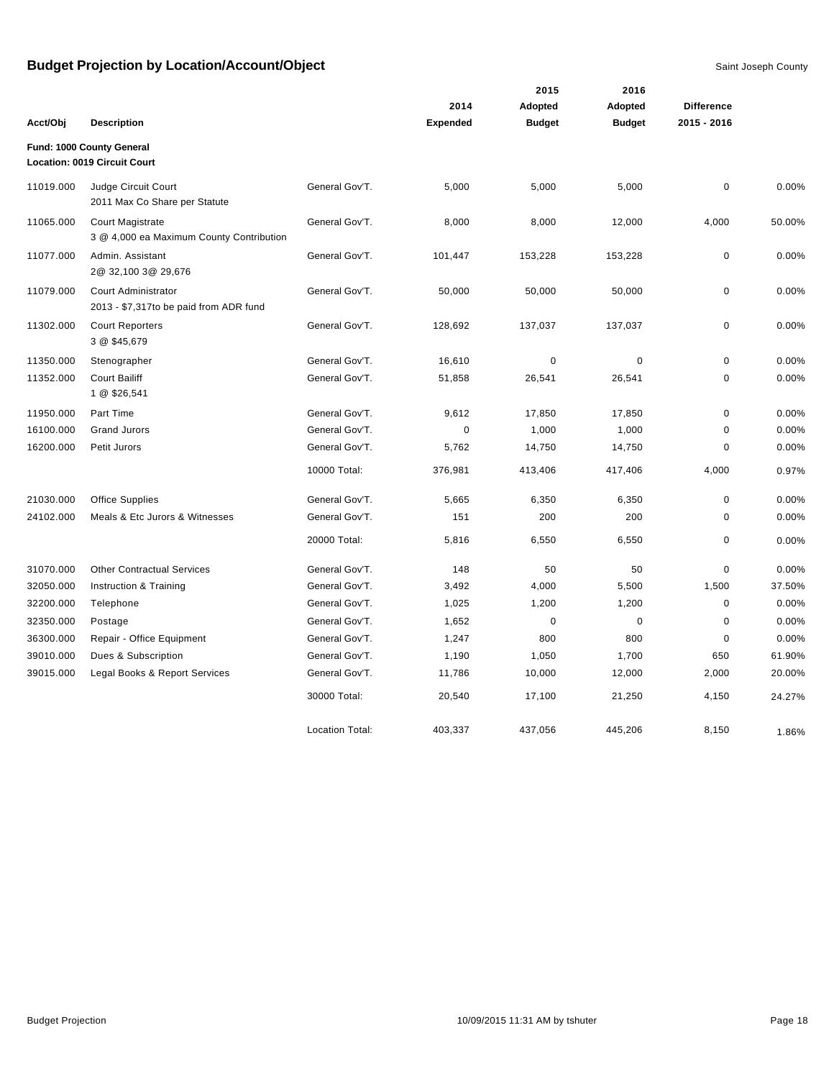|           |                                                                     |                        |                 | 2015          | 2016          |                   |        |
|-----------|---------------------------------------------------------------------|------------------------|-----------------|---------------|---------------|-------------------|--------|
|           |                                                                     |                        | 2014            | Adopted       | Adopted       | <b>Difference</b> |        |
| Acct/Obj  | <b>Description</b>                                                  |                        | <b>Expended</b> | <b>Budget</b> | <b>Budget</b> | 2015 - 2016       |        |
|           | Fund: 1000 County General<br>Location: 0019 Circuit Court           |                        |                 |               |               |                   |        |
| 11019.000 | Judge Circuit Court<br>2011 Max Co Share per Statute                | General Gov'T.         | 5,000           | 5,000         | 5,000         | $\mathbf 0$       | 0.00%  |
| 11065.000 | <b>Court Magistrate</b><br>3 @ 4,000 ea Maximum County Contribution | General Gov'T.         | 8,000           | 8,000         | 12,000        | 4,000             | 50.00% |
| 11077.000 | Admin. Assistant<br>2@ 32,100 3@ 29,676                             | General Gov'T.         | 101,447         | 153,228       | 153,228       | 0                 | 0.00%  |
| 11079.000 | Court Administrator<br>2013 - \$7,317to be paid from ADR fund       | General Gov'T.         | 50,000          | 50,000        | 50,000        | 0                 | 0.00%  |
| 11302.000 | <b>Court Reporters</b><br>3 @ \$45,679                              | General Gov'T.         | 128,692         | 137,037       | 137,037       | 0                 | 0.00%  |
| 11350.000 | Stenographer                                                        | General Gov'T.         | 16,610          | $\mathbf 0$   | $\mathbf 0$   | $\mathbf 0$       | 0.00%  |
| 11352.000 | <b>Court Bailiff</b><br>1 @ \$26,541                                | General Gov'T.         | 51,858          | 26,541        | 26,541        | 0                 | 0.00%  |
| 11950.000 | Part Time                                                           | General Gov'T.         | 9,612           | 17,850        | 17,850        | 0                 | 0.00%  |
| 16100.000 | <b>Grand Jurors</b>                                                 | General Gov'T.         | $\mathbf 0$     | 1,000         | 1,000         | $\mathbf 0$       | 0.00%  |
| 16200.000 | Petit Jurors                                                        | General Gov'T.         | 5,762           | 14,750        | 14,750        | 0                 | 0.00%  |
|           |                                                                     | 10000 Total:           | 376,981         | 413,406       | 417,406       | 4,000             | 0.97%  |
| 21030.000 | <b>Office Supplies</b>                                              | General Gov'T.         | 5,665           | 6,350         | 6,350         | $\mathbf 0$       | 0.00%  |
| 24102.000 | Meals & Etc Jurors & Witnesses                                      | General Gov'T.         | 151             | 200           | 200           | $\mathbf 0$       | 0.00%  |
|           |                                                                     | 20000 Total:           | 5,816           | 6,550         | 6,550         | 0                 | 0.00%  |
| 31070.000 | <b>Other Contractual Services</b>                                   | General Gov'T.         | 148             | 50            | 50            | 0                 | 0.00%  |
| 32050.000 | Instruction & Training                                              | General Gov'T.         | 3,492           | 4,000         | 5,500         | 1,500             | 37.50% |
| 32200.000 | Telephone                                                           | General Gov'T.         | 1,025           | 1,200         | 1,200         | $\mathbf 0$       | 0.00%  |
| 32350.000 | Postage                                                             | General Gov'T.         | 1,652           | $\mathbf 0$   | $\mathbf 0$   | $\mathbf 0$       | 0.00%  |
| 36300.000 | Repair - Office Equipment                                           | General Gov'T.         | 1,247           | 800           | 800           | $\mathbf 0$       | 0.00%  |
| 39010.000 | Dues & Subscription                                                 | General Gov'T.         | 1,190           | 1,050         | 1,700         | 650               | 61.90% |
| 39015.000 | Legal Books & Report Services                                       | General Gov'T.         | 11,786          | 10,000        | 12,000        | 2,000             | 20.00% |
|           |                                                                     | 30000 Total:           | 20,540          | 17,100        | 21,250        | 4,150             | 24.27% |
|           |                                                                     | <b>Location Total:</b> | 403,337         | 437,056       | 445,206       | 8,150             | 1.86%  |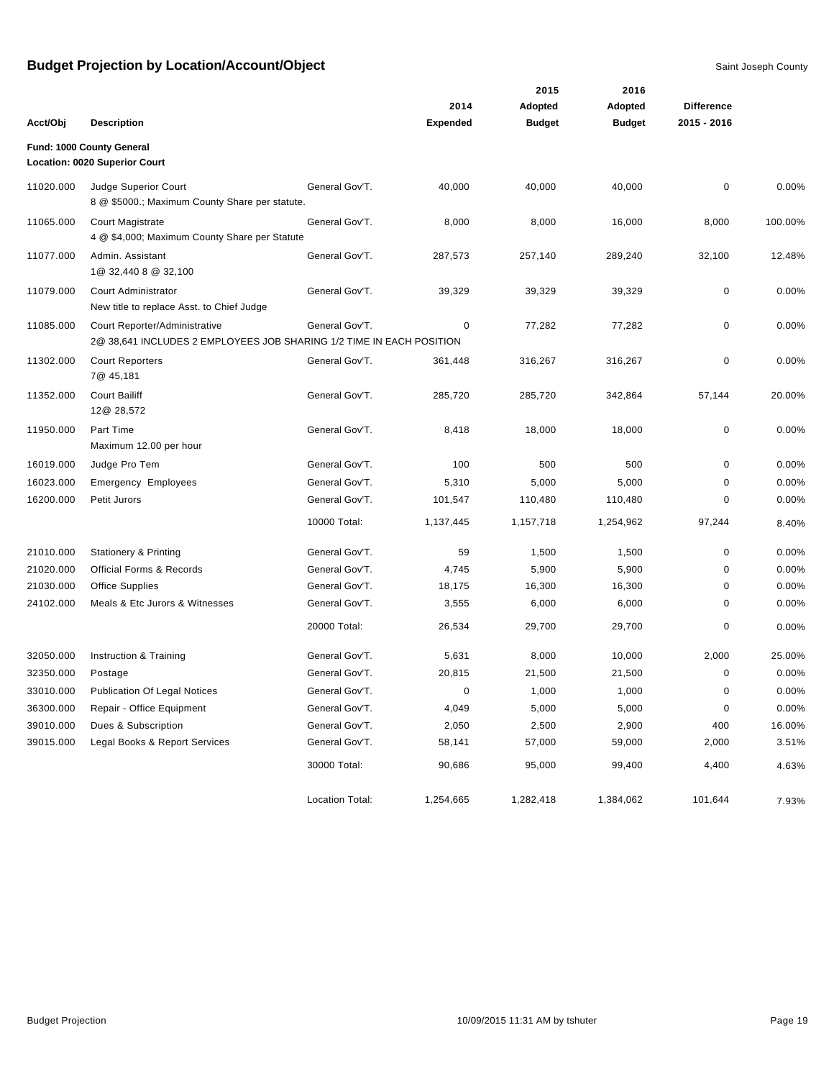|           |                                                                                                       |                 |                 | 2015          | 2016          |                   |         |
|-----------|-------------------------------------------------------------------------------------------------------|-----------------|-----------------|---------------|---------------|-------------------|---------|
|           |                                                                                                       |                 | 2014            | Adopted       | Adopted       | <b>Difference</b> |         |
| Acct/Obj  | <b>Description</b>                                                                                    |                 | <b>Expended</b> | <b>Budget</b> | <b>Budget</b> | 2015 - 2016       |         |
|           | Fund: 1000 County General                                                                             |                 |                 |               |               |                   |         |
|           | Location: 0020 Superior Court                                                                         |                 |                 |               |               |                   |         |
| 11020.000 | Judge Superior Court<br>8 @ \$5000.; Maximum County Share per statute.                                | General Gov'T.  | 40,000          | 40,000        | 40,000        | 0                 | 0.00%   |
| 11065.000 | <b>Court Magistrate</b><br>4 @ \$4,000; Maximum County Share per Statute                              | General Gov'T.  | 8,000           | 8,000         | 16,000        | 8,000             | 100.00% |
| 11077.000 | Admin. Assistant<br>1@ 32,440 8 @ 32,100                                                              | General Gov'T.  | 287,573         | 257,140       | 289,240       | 32,100            | 12.48%  |
| 11079.000 | Court Administrator<br>New title to replace Asst. to Chief Judge                                      | General Gov'T.  | 39,329          | 39,329        | 39,329        | 0                 | 0.00%   |
| 11085.000 | Court Reporter/Administrative<br>2@ 38,641 INCLUDES 2 EMPLOYEES JOB SHARING 1/2 TIME IN EACH POSITION | General Gov'T.  | 0               | 77,282        | 77,282        | 0                 | 0.00%   |
| 11302.000 | <b>Court Reporters</b><br>7@ 45,181                                                                   | General Gov'T.  | 361,448         | 316,267       | 316,267       | 0                 | 0.00%   |
| 11352.000 | <b>Court Bailiff</b><br>12@ 28,572                                                                    | General Gov'T.  | 285,720         | 285,720       | 342,864       | 57,144            | 20.00%  |
| 11950.000 | Part Time<br>Maximum 12.00 per hour                                                                   | General Gov'T.  | 8,418           | 18,000        | 18,000        | 0                 | 0.00%   |
| 16019.000 | Judge Pro Tem                                                                                         | General Gov'T.  | 100             | 500           | 500           | 0                 | 0.00%   |
| 16023.000 | <b>Emergency Employees</b>                                                                            | General Gov'T.  | 5,310           | 5,000         | 5,000         | 0                 | 0.00%   |
| 16200.000 | Petit Jurors                                                                                          | General Gov'T.  | 101,547         | 110,480       | 110,480       | 0                 | 0.00%   |
|           |                                                                                                       | 10000 Total:    | 1,137,445       | 1,157,718     | 1,254,962     | 97,244            | 8.40%   |
| 21010.000 | <b>Stationery &amp; Printing</b>                                                                      | General Gov'T.  | 59              | 1,500         | 1,500         | 0                 | 0.00%   |
| 21020.000 | <b>Official Forms &amp; Records</b>                                                                   | General Gov'T.  | 4,745           | 5,900         | 5,900         | 0                 | 0.00%   |
| 21030.000 | <b>Office Supplies</b>                                                                                | General Gov'T.  | 18,175          | 16,300        | 16,300        | 0                 | 0.00%   |
| 24102.000 | Meals & Etc Jurors & Witnesses                                                                        | General Gov'T.  | 3,555           | 6,000         | 6,000         | 0                 | 0.00%   |
|           |                                                                                                       | 20000 Total:    | 26,534          | 29,700        | 29,700        | 0                 | 0.00%   |
| 32050.000 | Instruction & Training                                                                                | General Gov'T.  | 5,631           | 8,000         | 10,000        | 2,000             | 25.00%  |
| 32350.000 | Postage                                                                                               | General Gov'T.  | 20,815          | 21,500        | 21,500        | 0                 | 0.00%   |
| 33010.000 | <b>Publication Of Legal Notices</b>                                                                   | General Gov'T.  | 0               | 1,000         | 1,000         | 0                 | 0.00%   |
| 36300.000 | Repair - Office Equipment                                                                             | General Gov'T.  | 4,049           | 5,000         | 5,000         | 0                 | 0.00%   |
| 39010.000 | Dues & Subscription                                                                                   | General Gov'T.  | 2,050           | 2,500         | 2,900         | 400               | 16.00%  |
| 39015.000 | Legal Books & Report Services                                                                         | General Gov'T.  | 58,141          | 57,000        | 59,000        | 2,000             | 3.51%   |
|           |                                                                                                       | 30000 Total:    | 90,686          | 95,000        | 99,400        | 4,400             | 4.63%   |
|           |                                                                                                       | Location Total: | 1,254,665       | 1,282,418     | 1,384,062     | 101,644           | 7.93%   |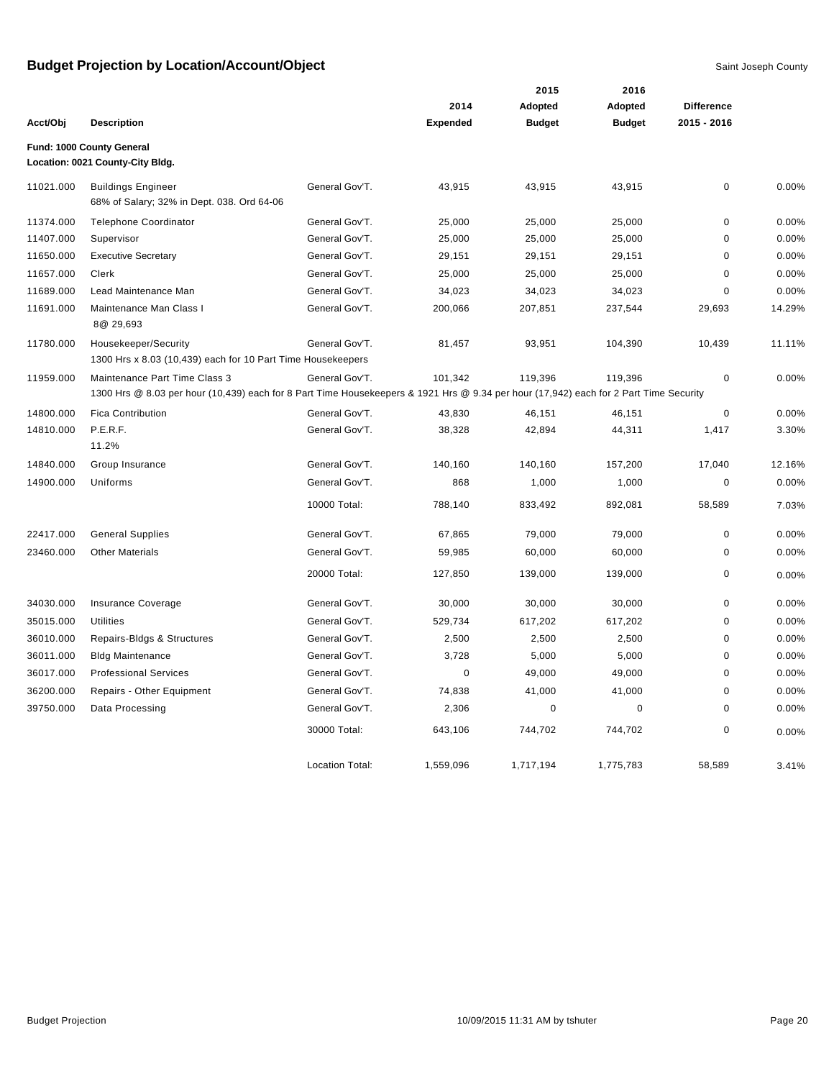|           |                                                                                                                                                                        |                        |                 | 2015          | 2016          |                   |        |
|-----------|------------------------------------------------------------------------------------------------------------------------------------------------------------------------|------------------------|-----------------|---------------|---------------|-------------------|--------|
|           |                                                                                                                                                                        |                        | 2014            | Adopted       | Adopted       | <b>Difference</b> |        |
| Acct/Obj  | <b>Description</b>                                                                                                                                                     |                        | <b>Expended</b> | <b>Budget</b> | <b>Budget</b> | 2015 - 2016       |        |
|           | Fund: 1000 County General<br>Location: 0021 County-City Bldg.                                                                                                          |                        |                 |               |               |                   |        |
| 11021.000 | <b>Buildings Engineer</b><br>68% of Salary; 32% in Dept. 038. Ord 64-06                                                                                                | General Gov'T.         | 43,915          | 43,915        | 43,915        | 0                 | 0.00%  |
| 11374.000 | <b>Telephone Coordinator</b>                                                                                                                                           | General Gov'T.         | 25,000          | 25,000        | 25,000        | 0                 | 0.00%  |
| 11407.000 | Supervisor                                                                                                                                                             | General Gov'T.         | 25,000          | 25,000        | 25,000        | 0                 | 0.00%  |
| 11650.000 | <b>Executive Secretary</b>                                                                                                                                             | General Gov'T.         | 29,151          | 29,151        | 29,151        | 0                 | 0.00%  |
| 11657.000 | Clerk                                                                                                                                                                  | General Gov'T.         | 25,000          | 25,000        | 25,000        | 0                 | 0.00%  |
| 11689.000 | Lead Maintenance Man                                                                                                                                                   | General Gov'T.         | 34,023          | 34,023        | 34,023        | 0                 | 0.00%  |
| 11691.000 | Maintenance Man Class I<br>8@ 29,693                                                                                                                                   | General Gov'T.         | 200,066         | 207,851       | 237,544       | 29,693            | 14.29% |
| 11780.000 | Housekeeper/Security<br>1300 Hrs x 8.03 (10,439) each for 10 Part Time Housekeepers                                                                                    | General Gov'T.         | 81,457          | 93,951        | 104,390       | 10,439            | 11.11% |
| 11959.000 | Maintenance Part Time Class 3<br>1300 Hrs @ 8.03 per hour (10,439) each for 8 Part Time Housekeepers & 1921 Hrs @ 9.34 per hour (17,942) each for 2 Part Time Security | General Gov'T.         | 101,342         | 119,396       | 119,396       | $\pmb{0}$         | 0.00%  |
| 14800.000 | <b>Fica Contribution</b>                                                                                                                                               | General Gov'T.         | 43,830          | 46,151        | 46,151        | 0                 | 0.00%  |
| 14810.000 | P.E.R.F.<br>11.2%                                                                                                                                                      | General Gov'T.         | 38,328          | 42,894        | 44,311        | 1,417             | 3.30%  |
| 14840.000 | Group Insurance                                                                                                                                                        | General Gov'T.         | 140,160         | 140,160       | 157,200       | 17,040            | 12.16% |
| 14900.000 | Uniforms                                                                                                                                                               | General Gov'T.         | 868             | 1,000         | 1,000         | 0                 | 0.00%  |
|           |                                                                                                                                                                        | 10000 Total:           | 788,140         | 833,492       | 892,081       | 58,589            | 7.03%  |
| 22417.000 | <b>General Supplies</b>                                                                                                                                                | General Gov'T.         | 67,865          | 79,000        | 79,000        | $\mathbf 0$       | 0.00%  |
| 23460.000 | <b>Other Materials</b>                                                                                                                                                 | General Gov'T.         | 59,985          | 60,000        | 60,000        | 0                 | 0.00%  |
|           |                                                                                                                                                                        | 20000 Total:           | 127,850         | 139,000       | 139,000       | 0                 | 0.00%  |
| 34030.000 | Insurance Coverage                                                                                                                                                     | General Gov'T.         | 30,000          | 30,000        | 30,000        | 0                 | 0.00%  |
| 35015.000 | <b>Utilities</b>                                                                                                                                                       | General Gov'T.         | 529,734         | 617,202       | 617,202       | 0                 | 0.00%  |
| 36010.000 | Repairs-Bldgs & Structures                                                                                                                                             | General Gov'T.         | 2,500           | 2,500         | 2,500         | 0                 | 0.00%  |
| 36011.000 | <b>Bldg Maintenance</b>                                                                                                                                                | General Gov'T.         | 3,728           | 5,000         | 5,000         | 0                 | 0.00%  |
| 36017.000 | <b>Professional Services</b>                                                                                                                                           | General Gov'T.         | 0               | 49,000        | 49,000        | 0                 | 0.00%  |
| 36200.000 | Repairs - Other Equipment                                                                                                                                              | General Gov'T.         | 74,838          | 41,000        | 41,000        | 0                 | 0.00%  |
| 39750.000 | Data Processing                                                                                                                                                        | General Gov'T.         | 2,306           | $\mathbf 0$   | $\pmb{0}$     | $\mathbf 0$       | 0.00%  |
|           |                                                                                                                                                                        | 30000 Total:           | 643,106         | 744,702       | 744,702       | 0                 | 0.00%  |
|           |                                                                                                                                                                        | <b>Location Total:</b> | 1,559,096       | 1,717,194     | 1,775,783     | 58,589            | 3.41%  |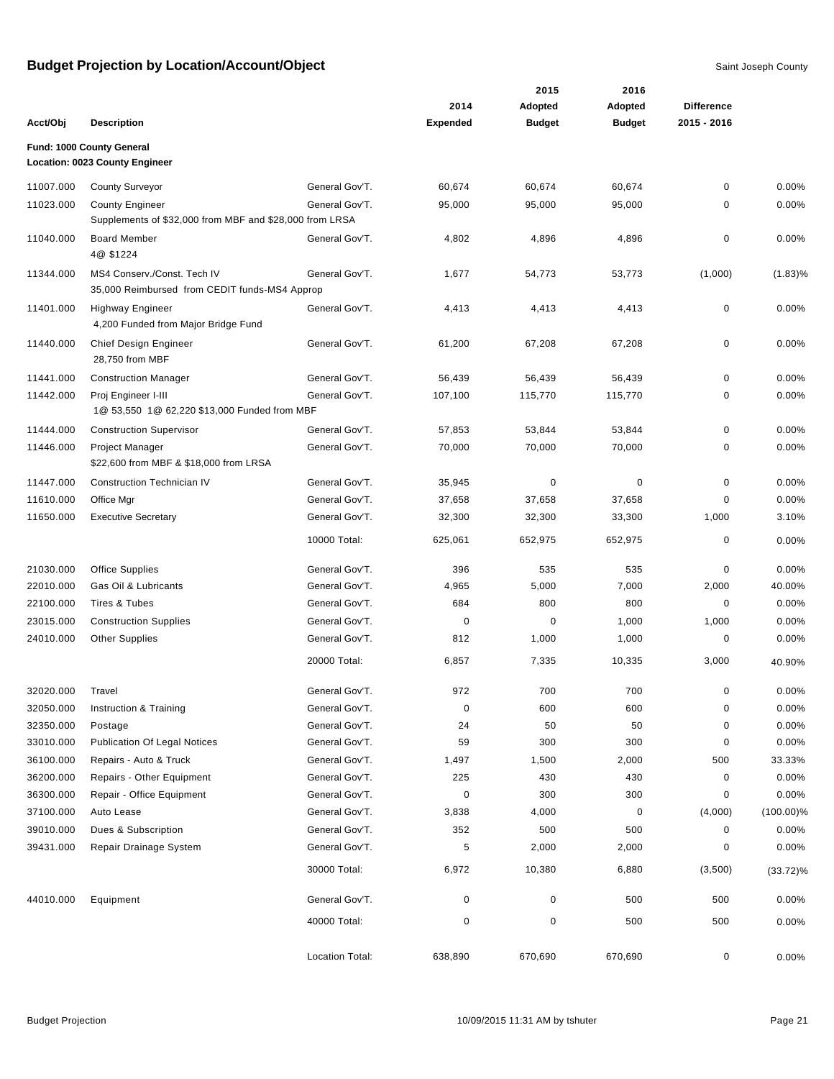|           |                                                         |                 |                 | 2015          | 2016          |                   |              |
|-----------|---------------------------------------------------------|-----------------|-----------------|---------------|---------------|-------------------|--------------|
|           |                                                         |                 | 2014            | Adopted       | Adopted       | <b>Difference</b> |              |
| Acct/Obj  | <b>Description</b>                                      |                 | <b>Expended</b> | <b>Budget</b> | <b>Budget</b> | 2015 - 2016       |              |
|           | Fund: 1000 County General                               |                 |                 |               |               |                   |              |
|           | Location: 0023 County Engineer                          |                 |                 |               |               |                   |              |
| 11007.000 | <b>County Surveyor</b>                                  | General Gov'T.  | 60,674          | 60,674        | 60,674        | 0                 | 0.00%        |
| 11023.000 | <b>County Engineer</b>                                  | General Gov'T.  | 95,000          | 95,000        | 95,000        | 0                 | 0.00%        |
|           | Supplements of \$32,000 from MBF and \$28,000 from LRSA |                 |                 |               |               |                   |              |
| 11040.000 | <b>Board Member</b><br>4@ \$1224                        | General Gov'T.  | 4,802           | 4,896         | 4,896         | 0                 | 0.00%        |
| 11344.000 | MS4 Conserv./Const. Tech IV                             | General Gov'T.  | 1,677           | 54,773        | 53,773        | (1,000)           | $(1.83)\%$   |
|           | 35,000 Reimbursed from CEDIT funds-MS4 Approp           |                 |                 |               |               |                   |              |
| 11401.000 | <b>Highway Engineer</b>                                 | General Gov'T.  | 4,413           | 4,413         | 4,413         | 0                 | 0.00%        |
|           | 4,200 Funded from Major Bridge Fund                     |                 |                 |               |               |                   |              |
| 11440.000 | Chief Design Engineer<br>28.750 from MBF                | General Gov'T.  | 61,200          | 67,208        | 67,208        | 0                 | 0.00%        |
| 11441.000 | <b>Construction Manager</b>                             | General Gov'T.  | 56,439          | 56,439        | 56,439        | 0                 | 0.00%        |
| 11442.000 | Proj Engineer I-III                                     | General Gov'T.  | 107,100         | 115,770       | 115,770       | 0                 | 0.00%        |
|           | 1@ 53,550 1@ 62,220 \$13,000 Funded from MBF            |                 |                 |               |               |                   |              |
| 11444.000 | <b>Construction Supervisor</b>                          | General Gov'T.  | 57,853          | 53,844        | 53,844        | 0                 | 0.00%        |
| 11446.000 | Project Manager                                         | General Gov'T.  | 70,000          | 70,000        | 70,000        | 0                 | 0.00%        |
|           | \$22,600 from MBF & \$18,000 from LRSA                  |                 |                 |               |               |                   |              |
| 11447.000 | <b>Construction Technician IV</b>                       | General Gov'T.  | 35,945          | $\pmb{0}$     | $\mathbf 0$   | $\mathbf 0$       | 0.00%        |
| 11610.000 | Office Mgr                                              | General Gov'T.  | 37,658          | 37,658        | 37,658        | 0                 | 0.00%        |
| 11650.000 | <b>Executive Secretary</b>                              | General Gov'T.  | 32,300          | 32,300        | 33,300        | 1,000             | 3.10%        |
|           |                                                         | 10000 Total:    | 625,061         | 652,975       | 652,975       | 0                 | 0.00%        |
| 21030.000 | <b>Office Supplies</b>                                  | General Gov'T.  | 396             | 535           | 535           | 0                 | 0.00%        |
| 22010.000 | Gas Oil & Lubricants                                    | General Gov'T.  | 4,965           | 5,000         | 7,000         | 2,000             | 40.00%       |
| 22100.000 | Tires & Tubes                                           | General Gov'T.  | 684             | 800           | 800           | 0                 | 0.00%        |
| 23015.000 | <b>Construction Supplies</b>                            | General Gov'T.  | 0               | 0             | 1,000         | 1,000             | 0.00%        |
| 24010.000 | <b>Other Supplies</b>                                   | General Gov'T.  | 812             | 1,000         | 1,000         | 0                 | 0.00%        |
|           |                                                         | 20000 Total:    | 6,857           | 7,335         | 10,335        | 3,000             | 40.90%       |
| 32020.000 | Travel                                                  | General Gov'T.  | 972             | 700           | 700           | 0                 | 0.00%        |
| 32050.000 | Instruction & Training                                  | General Gov'T.  | $\pmb{0}$       | 600           | 600           | 0                 | 0.00%        |
| 32350.000 | Postage                                                 | General Gov'T.  | 24              | 50            | 50            | 0                 | 0.00%        |
| 33010.000 | <b>Publication Of Legal Notices</b>                     | General Gov'T.  | 59              | 300           | 300           | 0                 | 0.00%        |
| 36100.000 | Repairs - Auto & Truck                                  | General Gov'T.  | 1,497           | 1,500         | 2,000         | 500               | 33.33%       |
| 36200.000 | Repairs - Other Equipment                               | General Gov'T.  | 225             | 430           | 430           | 0                 | 0.00%        |
| 36300.000 | Repair - Office Equipment                               | General Gov'T.  | 0               | 300           | 300           | 0                 | 0.00%        |
| 37100.000 | Auto Lease                                              | General Gov'T.  | 3,838           | 4,000         | 0             | (4,000)           | $(100.00)\%$ |
| 39010.000 | Dues & Subscription                                     | General Gov'T.  | 352             | 500           | 500           | 0                 | 0.00%        |
| 39431.000 | Repair Drainage System                                  | General Gov'T.  | 5               | 2,000         | 2,000         | 0                 | 0.00%        |
|           |                                                         | 30000 Total:    | 6,972           | 10,380        | 6,880         | (3,500)           | $(33.72)\%$  |
| 44010.000 | Equipment                                               | General Gov'T.  | 0               | 0             | 500           | 500               | 0.00%        |
|           |                                                         | 40000 Total:    | 0               | $\pmb{0}$     | 500           | 500               | 0.00%        |
|           |                                                         | Location Total: | 638,890         | 670,690       | 670,690       | 0                 | 0.00%        |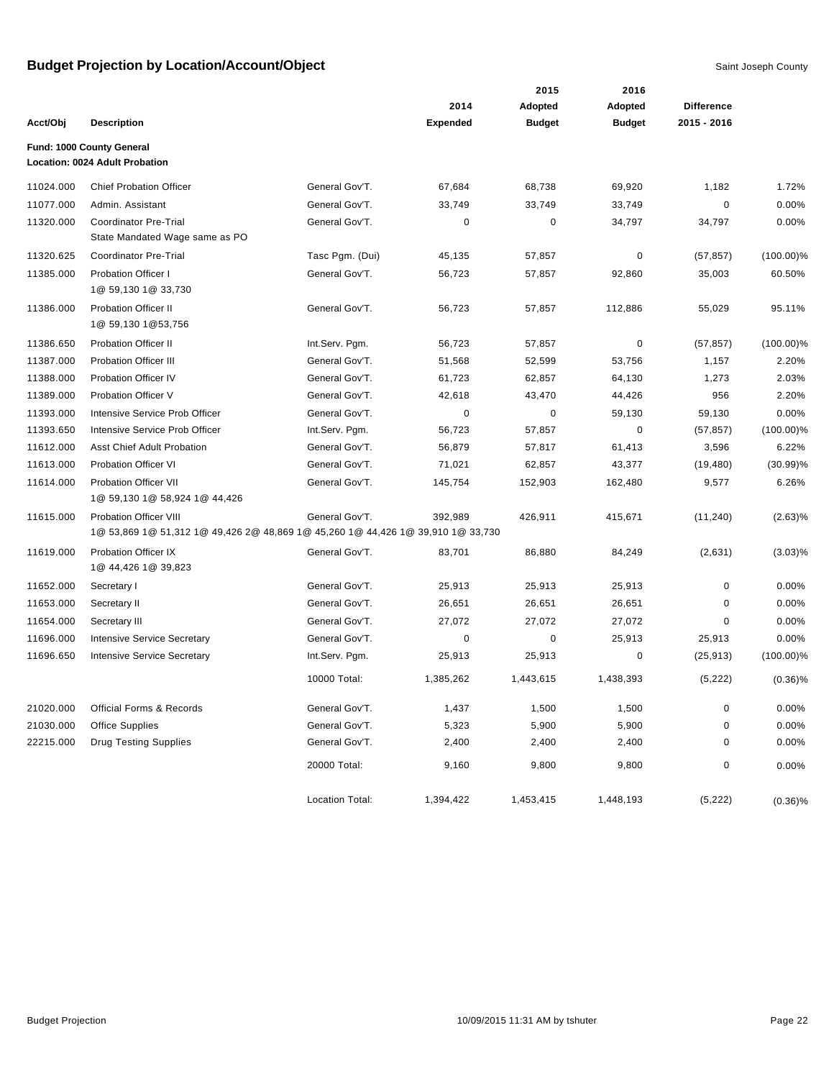|           |                                                                                 |                 |                 | 2015          | 2016          |                   |              |
|-----------|---------------------------------------------------------------------------------|-----------------|-----------------|---------------|---------------|-------------------|--------------|
|           |                                                                                 |                 | 2014            | Adopted       | Adopted       | <b>Difference</b> |              |
| Acct/Obj  | <b>Description</b>                                                              |                 | <b>Expended</b> | <b>Budget</b> | <b>Budget</b> | 2015 - 2016       |              |
|           | Fund: 1000 County General                                                       |                 |                 |               |               |                   |              |
|           | Location: 0024 Adult Probation                                                  |                 |                 |               |               |                   |              |
| 11024.000 | <b>Chief Probation Officer</b>                                                  | General Gov'T.  | 67,684          | 68,738        | 69,920        | 1,182             | 1.72%        |
| 11077.000 | Admin. Assistant                                                                | General Gov'T.  | 33,749          | 33,749        | 33,749        | 0                 | 0.00%        |
| 11320.000 | <b>Coordinator Pre-Trial</b><br>State Mandated Wage same as PO                  | General Gov'T.  | 0               | 0             | 34,797        | 34,797            | 0.00%        |
| 11320.625 | Coordinator Pre-Trial                                                           | Tasc Pgm. (Dui) | 45,135          | 57,857        | 0             | (57, 857)         | $(100.00)\%$ |
| 11385.000 | <b>Probation Officer I</b><br>1@ 59,130 1@ 33,730                               | General Gov'T.  | 56,723          | 57,857        | 92,860        | 35,003            | 60.50%       |
| 11386.000 | <b>Probation Officer II</b><br>1@ 59,130 1@53,756                               | General Gov'T.  | 56,723          | 57,857        | 112,886       | 55,029            | 95.11%       |
| 11386.650 | <b>Probation Officer II</b>                                                     | Int.Serv. Pgm.  | 56,723          | 57,857        | 0             | (57, 857)         | $(100.00)\%$ |
| 11387.000 | <b>Probation Officer III</b>                                                    | General Gov'T.  | 51,568          | 52,599        | 53,756        | 1,157             | 2.20%        |
| 11388.000 | <b>Probation Officer IV</b>                                                     | General Gov'T.  | 61,723          | 62,857        | 64,130        | 1,273             | 2.03%        |
| 11389.000 | Probation Officer V                                                             | General Gov'T.  | 42,618          | 43,470        | 44,426        | 956               | 2.20%        |
| 11393.000 | Intensive Service Prob Officer                                                  | General Gov'T.  | 0               | 0             | 59,130        | 59,130            | 0.00%        |
| 11393.650 | Intensive Service Prob Officer                                                  | Int.Serv. Pgm.  | 56,723          | 57,857        | 0             | (57, 857)         | $(100.00)\%$ |
| 11612.000 | <b>Asst Chief Adult Probation</b>                                               | General Gov'T.  | 56,879          | 57,817        | 61,413        | 3,596             | 6.22%        |
| 11613.000 | Probation Officer VI                                                            | General Gov'T.  | 71,021          | 62,857        | 43,377        | (19, 480)         | $(30.99)\%$  |
| 11614.000 | <b>Probation Officer VII</b><br>1@ 59,130 1@ 58,924 1@ 44,426                   | General Gov'T.  | 145,754         | 152,903       | 162,480       | 9,577             | 6.26%        |
| 11615.000 | Probation Officer VIII                                                          | General Gov'T.  | 392,989         | 426,911       | 415,671       | (11, 240)         | $(2.63)\%$   |
|           | 1@ 53,869 1@ 51,312 1@ 49,426 2@ 48,869 1@ 45,260 1@ 44,426 1@ 39,910 1@ 33,730 |                 |                 |               |               |                   |              |
| 11619.000 | <b>Probation Officer IX</b><br>1@ 44,426 1@ 39,823                              | General Gov'T.  | 83,701          | 86,880        | 84,249        | (2,631)           | $(3.03)\%$   |
| 11652.000 | Secretary I                                                                     | General Gov'T.  | 25,913          | 25,913        | 25,913        | 0                 | 0.00%        |
| 11653.000 | Secretary II                                                                    | General Gov'T.  | 26,651          | 26,651        | 26,651        | 0                 | 0.00%        |
| 11654.000 | Secretary III                                                                   | General Gov'T.  | 27,072          | 27,072        | 27,072        | 0                 | 0.00%        |
| 11696.000 | <b>Intensive Service Secretary</b>                                              | General Gov'T.  | 0               | 0             | 25,913        | 25,913            | 0.00%        |
| 11696.650 | <b>Intensive Service Secretary</b>                                              | Int.Serv. Pgm.  | 25,913          | 25,913        | 0             | (25, 913)         | $(100.00)\%$ |
|           |                                                                                 | 10000 Total:    | 1,385,262       | 1,443,615     | 1,438,393     | (5,222)           | $(0.36)\%$   |
| 21020.000 | <b>Official Forms &amp; Records</b>                                             | General Gov'T.  | 1,437           | 1,500         | 1,500         | $\pmb{0}$         | 0.00%        |
| 21030.000 | <b>Office Supplies</b>                                                          | General Gov'T.  | 5,323           | 5,900         | 5,900         | 0                 | 0.00%        |
| 22215.000 | <b>Drug Testing Supplies</b>                                                    | General Gov'T.  | 2,400           | 2,400         | 2,400         | 0                 | 0.00%        |
|           |                                                                                 | 20000 Total:    | 9,160           | 9,800         | 9,800         | 0                 | 0.00%        |
|           |                                                                                 | Location Total: | 1,394,422       | 1,453,415     | 1,448,193     | (5, 222)          | $(0.36)\%$   |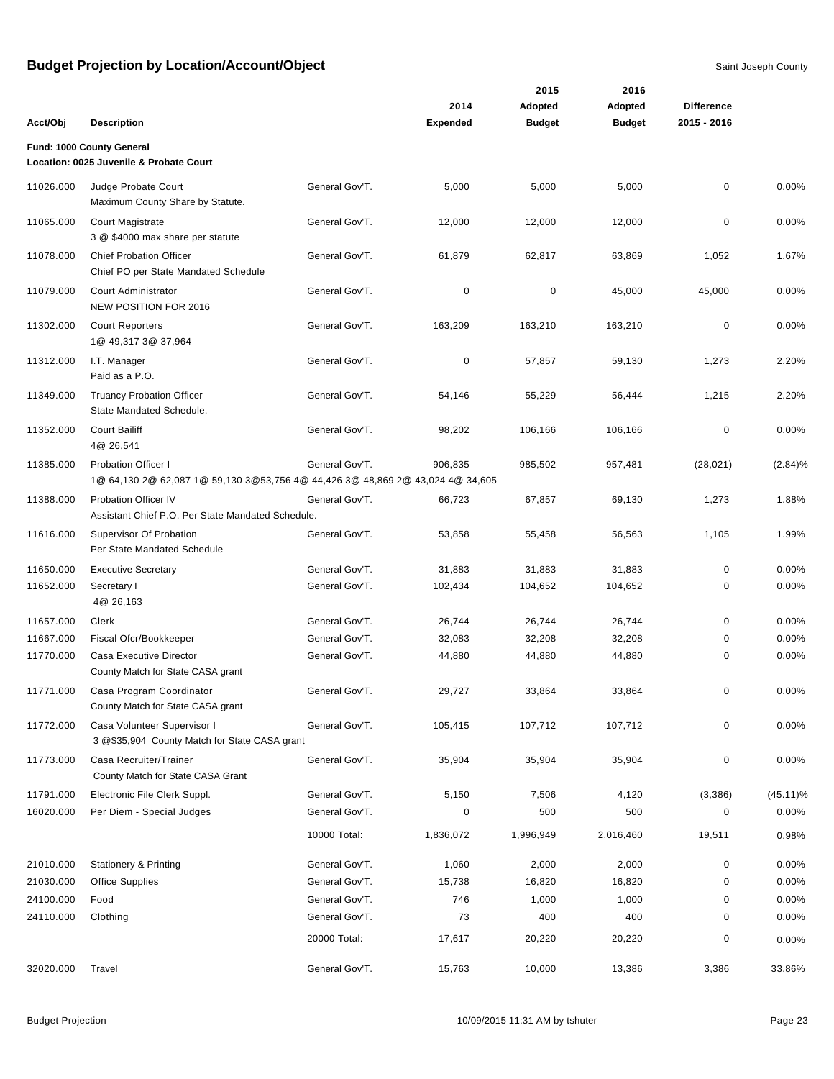|           |                                                                                                              |                |                 | 2015          | 2016          |                   |             |
|-----------|--------------------------------------------------------------------------------------------------------------|----------------|-----------------|---------------|---------------|-------------------|-------------|
|           |                                                                                                              |                | 2014            | Adopted       | Adopted       | <b>Difference</b> |             |
| Acct/Obj  | <b>Description</b>                                                                                           |                | <b>Expended</b> | <b>Budget</b> | <b>Budget</b> | 2015 - 2016       |             |
|           | Fund: 1000 County General                                                                                    |                |                 |               |               |                   |             |
|           | Location: 0025 Juvenile & Probate Court                                                                      |                |                 |               |               |                   |             |
| 11026.000 | Judge Probate Court<br>Maximum County Share by Statute.                                                      | General Gov'T. | 5,000           | 5,000         | 5,000         | 0                 | 0.00%       |
| 11065.000 | <b>Court Magistrate</b><br>3 @ \$4000 max share per statute                                                  | General Gov'T. | 12,000          | 12,000        | 12,000        | 0                 | 0.00%       |
| 11078.000 | <b>Chief Probation Officer</b><br>Chief PO per State Mandated Schedule                                       | General Gov'T. | 61,879          | 62,817        | 63,869        | 1,052             | 1.67%       |
| 11079.000 | Court Administrator<br><b>NEW POSITION FOR 2016</b>                                                          | General Gov'T. | 0               | $\pmb{0}$     | 45,000        | 45,000            | 0.00%       |
| 11302.000 | <b>Court Reporters</b><br>1@ 49,317 3@ 37,964                                                                | General Gov'T. | 163,209         | 163,210       | 163,210       | $\mathbf 0$       | 0.00%       |
| 11312.000 | I.T. Manager<br>Paid as a P.O.                                                                               | General Gov'T. | 0               | 57,857        | 59,130        | 1,273             | 2.20%       |
| 11349.000 | <b>Truancy Probation Officer</b><br>State Mandated Schedule.                                                 | General Gov'T. | 54,146          | 55,229        | 56,444        | 1,215             | 2.20%       |
| 11352.000 | <b>Court Bailiff</b><br>4@ 26,541                                                                            | General Gov'T. | 98,202          | 106,166       | 106,166       | 0                 | 0.00%       |
| 11385.000 | <b>Probation Officer I</b><br>1@ 64,130 2@ 62,087 1@ 59,130 3@53,756 4@ 44,426 3@ 48,869 2@ 43,024 4@ 34,605 | General Gov'T. | 906,835         | 985,502       | 957,481       | (28, 021)         | (2.84)%     |
| 11388.000 | <b>Probation Officer IV</b><br>Assistant Chief P.O. Per State Mandated Schedule.                             | General Gov'T. | 66,723          | 67,857        | 69,130        | 1,273             | 1.88%       |
| 11616.000 | Supervisor Of Probation<br>Per State Mandated Schedule                                                       | General Gov'T. | 53,858          | 55,458        | 56,563        | 1,105             | 1.99%       |
| 11650.000 | <b>Executive Secretary</b>                                                                                   | General Gov'T. | 31,883          | 31,883        | 31,883        | 0                 | 0.00%       |
| 11652.000 | Secretary I<br>4@ 26,163                                                                                     | General Gov'T. | 102,434         | 104,652       | 104,652       | 0                 | 0.00%       |
| 11657.000 | Clerk                                                                                                        | General Gov'T. | 26,744          | 26,744        | 26,744        | 0                 | 0.00%       |
| 11667.000 | Fiscal Ofcr/Bookkeeper                                                                                       | General Gov'T. | 32,083          | 32,208        | 32,208        | 0                 | 0.00%       |
| 11770.000 | Casa Executive Director<br>County Match for State CASA grant                                                 | General Gov'T. | 44,880          | 44,880        | 44,880        | 0                 | 0.00%       |
| 11771.000 | Casa Program Coordinator<br>County Match for State CASA grant                                                | General Gov'T. | 29.727          | 33,864        | 33,864        | 0                 | 0.00%       |
| 11772.000 | Casa Volunteer Supervisor I<br>3 @\$35,904 County Match for State CASA grant                                 | General Gov'T. | 105,415         | 107,712       | 107,712       | 0                 | 0.00%       |
| 11773.000 | Casa Recruiter/Trainer<br>County Match for State CASA Grant                                                  | General Gov'T. | 35,904          | 35,904        | 35,904        | 0                 | 0.00%       |
| 11791.000 | Electronic File Clerk Suppl.                                                                                 | General Gov'T. | 5,150           | 7,506         | 4,120         | (3,386)           | $(45.11)\%$ |
| 16020.000 | Per Diem - Special Judges                                                                                    | General Gov'T. | 0               | 500           | 500           | 0                 | 0.00%       |
|           |                                                                                                              | 10000 Total:   | 1,836,072       | 1,996,949     | 2,016,460     | 19,511            | 0.98%       |
| 21010.000 | <b>Stationery &amp; Printing</b>                                                                             | General Gov'T. | 1,060           | 2,000         | 2,000         | 0                 | 0.00%       |
| 21030.000 | <b>Office Supplies</b>                                                                                       | General Gov'T. | 15,738          | 16,820        | 16,820        | 0                 | 0.00%       |
| 24100.000 | Food                                                                                                         | General Gov'T. | 746             | 1,000         | 1,000         | 0                 | 0.00%       |
| 24110.000 | Clothing                                                                                                     | General Gov'T. | 73              | 400           | 400           | 0                 | 0.00%       |
|           |                                                                                                              | 20000 Total:   | 17,617          | 20,220        | 20,220        | 0                 | 0.00%       |
| 32020.000 | Travel                                                                                                       | General Gov'T. | 15,763          | 10,000        | 13,386        | 3,386             | 33.86%      |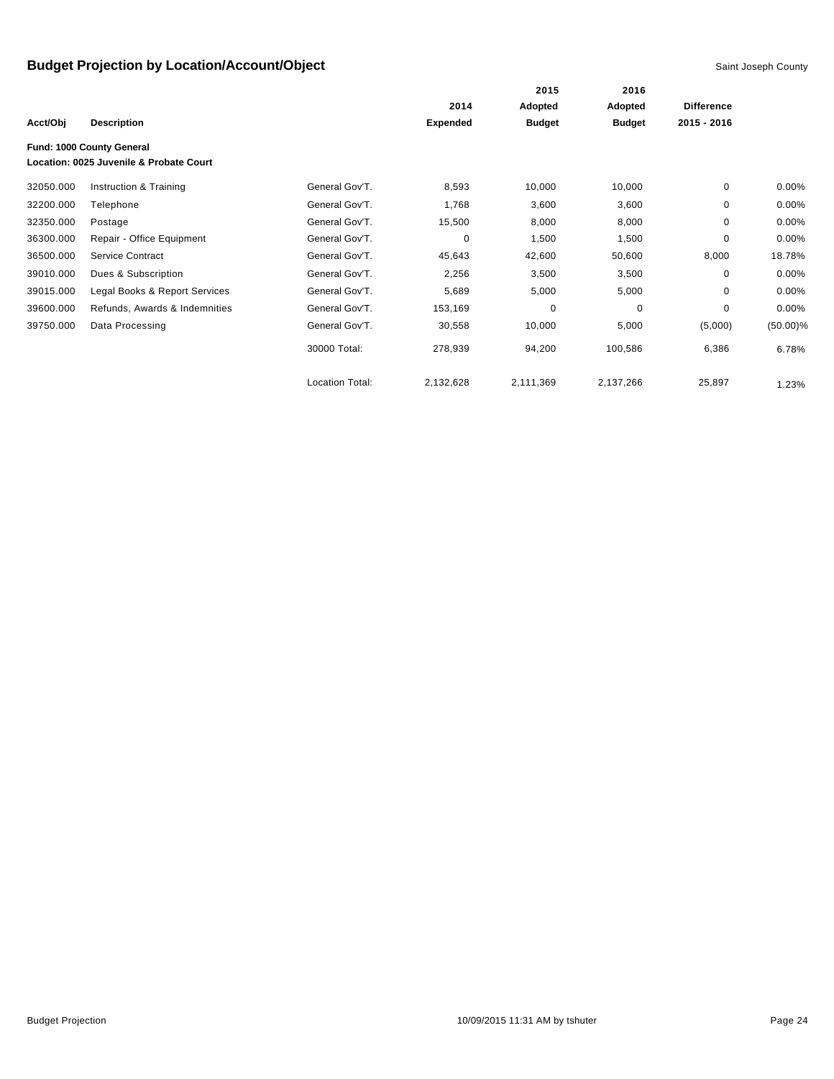|           |                                                                      |                        |                 | 2015          | 2016          |                   |             |
|-----------|----------------------------------------------------------------------|------------------------|-----------------|---------------|---------------|-------------------|-------------|
|           |                                                                      |                        | 2014            | Adopted       | Adopted       | <b>Difference</b> |             |
| Acct/Obj  | <b>Description</b>                                                   |                        | <b>Expended</b> | <b>Budget</b> | <b>Budget</b> | 2015 - 2016       |             |
|           | Fund: 1000 County General<br>Location: 0025 Juvenile & Probate Court |                        |                 |               |               |                   |             |
| 32050.000 | Instruction & Training                                               | General Gov'T.         | 8,593           | 10,000        | 10,000        | 0                 | 0.00%       |
| 32200.000 | Telephone                                                            | General Gov'T.         | 1,768           | 3,600         | 3,600         | 0                 | 0.00%       |
| 32350.000 | Postage                                                              | General Gov'T.         | 15,500          | 8,000         | 8,000         | 0                 | $0.00\%$    |
| 36300.000 | Repair - Office Equipment                                            | General Gov'T.         | 0               | 1,500         | 1,500         | $\mathbf 0$       | 0.00%       |
| 36500.000 | Service Contract                                                     | General Gov'T.         | 45,643          | 42,600        | 50,600        | 8,000             | 18.78%      |
| 39010.000 | Dues & Subscription                                                  | General Gov'T.         | 2,256           | 3,500         | 3,500         | 0                 | $0.00\%$    |
| 39015.000 | Legal Books & Report Services                                        | General Gov'T.         | 5,689           | 5,000         | 5,000         | $\Omega$          | $0.00\%$    |
| 39600.000 | Refunds, Awards & Indemnities                                        | General Gov'T.         | 153,169         | 0             | $\mathbf 0$   | $\Omega$          | $0.00\%$    |
| 39750.000 | Data Processing                                                      | General Gov'T.         | 30,558          | 10,000        | 5,000         | (5,000)           | $(50.00)\%$ |
|           |                                                                      | 30000 Total:           | 278,939         | 94,200        | 100,586       | 6,386             | 6.78%       |
|           |                                                                      | <b>Location Total:</b> | 2,132,628       | 2,111,369     | 2,137,266     | 25,897            | 1.23%       |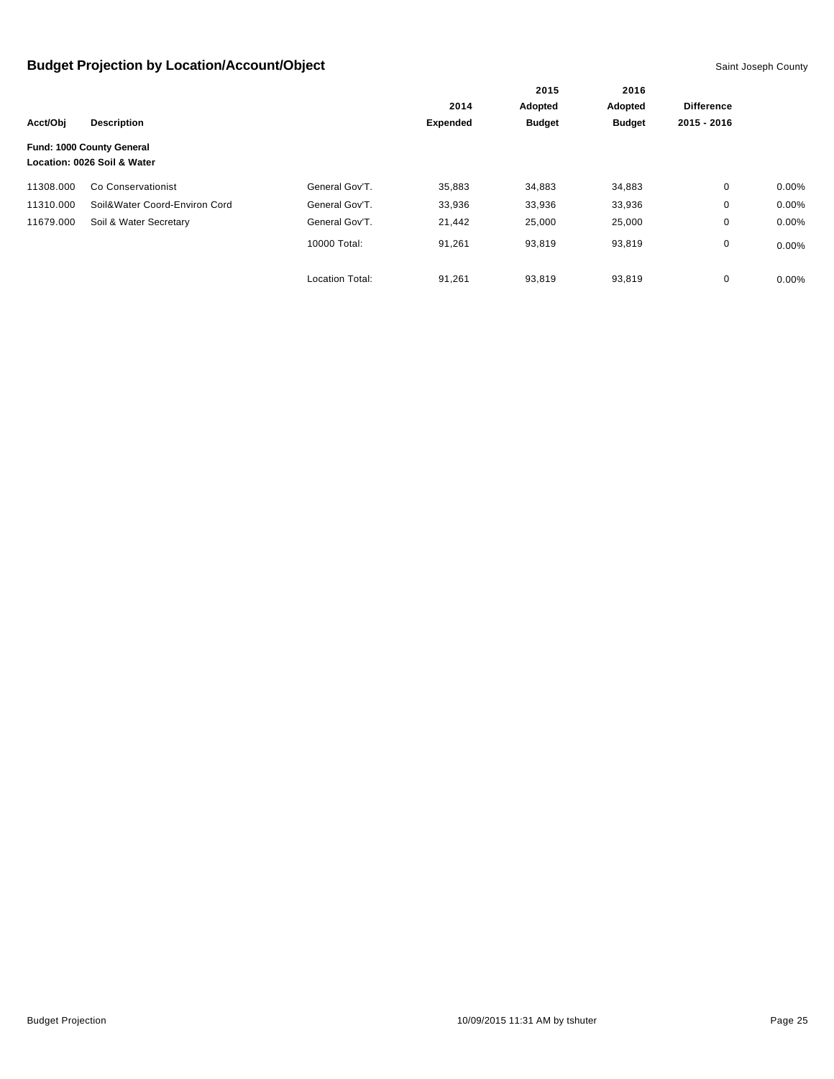|           |                                                          |                        | 2014            | Adopted       | Adopted       | <b>Difference</b> |          |
|-----------|----------------------------------------------------------|------------------------|-----------------|---------------|---------------|-------------------|----------|
| Acct/Obi  | <b>Description</b>                                       |                        | <b>Expended</b> | <b>Budget</b> | <b>Budget</b> | 2015 - 2016       |          |
|           | Fund: 1000 County General<br>Location: 0026 Soil & Water |                        |                 |               |               |                   |          |
| 11308.000 | Co Conservationist                                       | General Gov'T.         | 35,883          | 34,883        | 34,883        | 0                 | $0.00\%$ |
| 11310.000 | Soil&Water Coord-Environ Cord                            | General Gov'T.         | 33,936          | 33,936        | 33,936        | 0                 | $0.00\%$ |
| 11679.000 | Soil & Water Secretary                                   | General Gov'T.         | 21,442          | 25,000        | 25,000        | 0                 | 0.00%    |
|           |                                                          | 10000 Total:           | 91,261          | 93,819        | 93,819        | 0                 | $0.00\%$ |
|           |                                                          | <b>Location Total:</b> | 91,261          | 93,819        | 93,819        | 0                 | $0.00\%$ |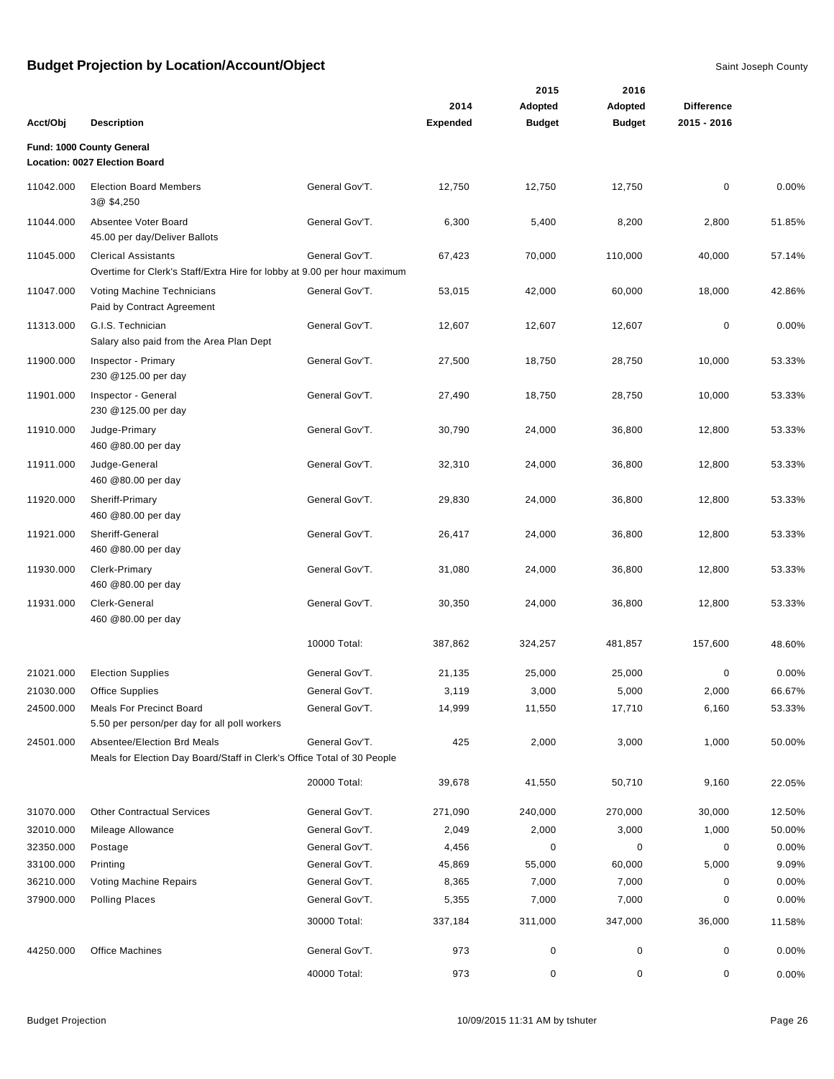|           |                                                                                                        |                |                 | 2015          | 2016          |                   |        |
|-----------|--------------------------------------------------------------------------------------------------------|----------------|-----------------|---------------|---------------|-------------------|--------|
|           |                                                                                                        |                | 2014            | Adopted       | Adopted       | <b>Difference</b> |        |
| Acct/Obj  | <b>Description</b>                                                                                     |                | <b>Expended</b> | <b>Budget</b> | <b>Budget</b> | 2015 - 2016       |        |
|           | Fund: 1000 County General<br>Location: 0027 Election Board                                             |                |                 |               |               |                   |        |
| 11042.000 | <b>Election Board Members</b><br>3@ \$4,250                                                            | General Gov'T. | 12,750          | 12,750        | 12,750        | 0                 | 0.00%  |
| 11044.000 | Absentee Voter Board<br>45.00 per day/Deliver Ballots                                                  | General Gov'T. | 6,300           | 5,400         | 8,200         | 2,800             | 51.85% |
| 11045.000 | <b>Clerical Assistants</b><br>Overtime for Clerk's Staff/Extra Hire for lobby at 9.00 per hour maximum | General Gov'T. | 67,423          | 70,000        | 110,000       | 40,000            | 57.14% |
| 11047.000 | Voting Machine Technicians<br>Paid by Contract Agreement                                               | General Gov'T. | 53,015          | 42,000        | 60,000        | 18,000            | 42.86% |
| 11313.000 | G.I.S. Technician<br>Salary also paid from the Area Plan Dept                                          | General Gov'T. | 12,607          | 12,607        | 12,607        | $\mathbf 0$       | 0.00%  |
| 11900.000 | Inspector - Primary<br>230 @125.00 per day                                                             | General Gov'T. | 27,500          | 18,750        | 28,750        | 10,000            | 53.33% |
| 11901.000 | Inspector - General<br>230 @125.00 per day                                                             | General Gov'T. | 27,490          | 18,750        | 28,750        | 10,000            | 53.33% |
| 11910.000 | Judge-Primary<br>460 @80.00 per day                                                                    | General Gov'T. | 30,790          | 24,000        | 36,800        | 12,800            | 53.33% |
| 11911.000 | Judge-General<br>460 @80.00 per day                                                                    | General Gov'T. | 32,310          | 24,000        | 36,800        | 12,800            | 53.33% |
| 11920.000 | Sheriff-Primary<br>460 @80.00 per day                                                                  | General Gov'T. | 29,830          | 24,000        | 36,800        | 12,800            | 53.33% |
| 11921.000 | Sheriff-General<br>460 @80.00 per day                                                                  | General Gov'T. | 26,417          | 24,000        | 36,800        | 12,800            | 53.33% |
| 11930.000 | Clerk-Primary<br>460 @80.00 per day                                                                    | General Gov'T. | 31,080          | 24,000        | 36,800        | 12,800            | 53.33% |
| 11931.000 | Clerk-General<br>460 @80.00 per day                                                                    | General Gov'T. | 30,350          | 24,000        | 36,800        | 12,800            | 53.33% |
|           |                                                                                                        | 10000 Total:   | 387,862         | 324,257       | 481,857       | 157,600           | 48.60% |
| 21021.000 | <b>Election Supplies</b>                                                                               | General Gov'T. | 21,135          | 25,000        | 25,000        | 0                 | 0.00%  |
| 21030.000 | <b>Office Supplies</b>                                                                                 | General Gov'T. | 3,119           | 3,000         | 5,000         | 2,000             | 66.67% |
| 24500.000 | <b>Meals For Precinct Board</b><br>5.50 per person/per day for all poll workers                        | General Gov'T. | 14,999          | 11,550        | 17,710        | 6,160             | 53.33% |
| 24501.000 | Absentee/Election Brd Meals<br>Meals for Election Day Board/Staff in Clerk's Office Total of 30 People | General Gov'T. | 425             | 2,000         | 3,000         | 1,000             | 50.00% |
|           |                                                                                                        | 20000 Total:   | 39,678          | 41,550        | 50,710        | 9,160             | 22.05% |
| 31070.000 | <b>Other Contractual Services</b>                                                                      | General Gov'T. | 271,090         | 240,000       | 270,000       | 30,000            | 12.50% |
| 32010.000 | Mileage Allowance                                                                                      | General Gov'T. | 2,049           | 2,000         | 3,000         | 1,000             | 50.00% |
| 32350.000 | Postage                                                                                                | General Gov'T. | 4,456           | 0             | 0             | 0                 | 0.00%  |
| 33100.000 | Printing                                                                                               | General Gov'T. | 45,869          | 55,000        | 60,000        | 5,000             | 9.09%  |
| 36210.000 | Voting Machine Repairs                                                                                 | General Gov'T. | 8,365           | 7,000         | 7,000         | 0                 | 0.00%  |
| 37900.000 | <b>Polling Places</b>                                                                                  | General Gov'T. | 5,355           | 7,000         | 7,000         | 0                 | 0.00%  |
|           |                                                                                                        | 30000 Total:   | 337,184         | 311,000       | 347,000       | 36,000            | 11.58% |
| 44250.000 | <b>Office Machines</b>                                                                                 | General Gov'T. | 973             | 0             | 0             | 0                 | 0.00%  |
|           |                                                                                                        | 40000 Total:   | 973             | 0             | 0             | 0                 | 0.00%  |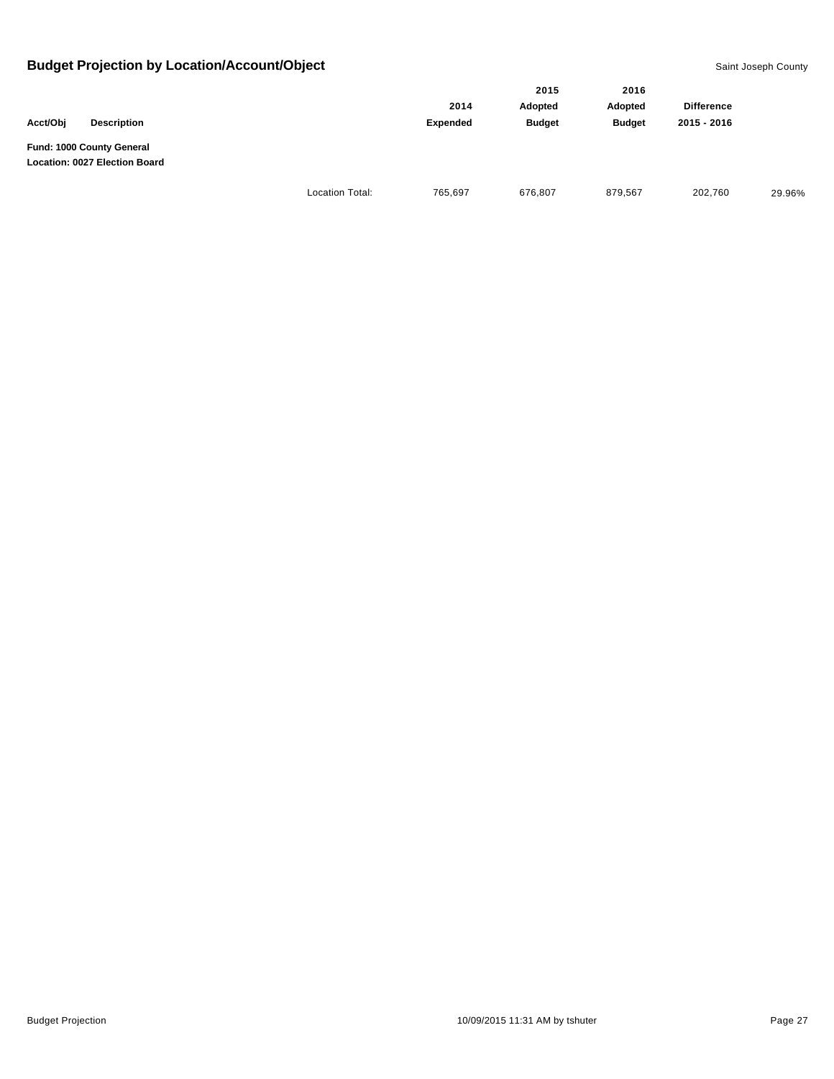|                                                            |                        |          | 2015          | 2016          |                   |        |
|------------------------------------------------------------|------------------------|----------|---------------|---------------|-------------------|--------|
|                                                            |                        | 2014     | Adopted       | Adopted       | <b>Difference</b> |        |
| Acct/Obj<br><b>Description</b>                             |                        | Expended | <b>Budget</b> | <b>Budget</b> | 2015 - 2016       |        |
| Fund: 1000 County General<br>Location: 0027 Election Board |                        |          |               |               |                   |        |
|                                                            | <b>Location Total:</b> | 765,697  | 676,807       | 879,567       | 202,760           | 29.96% |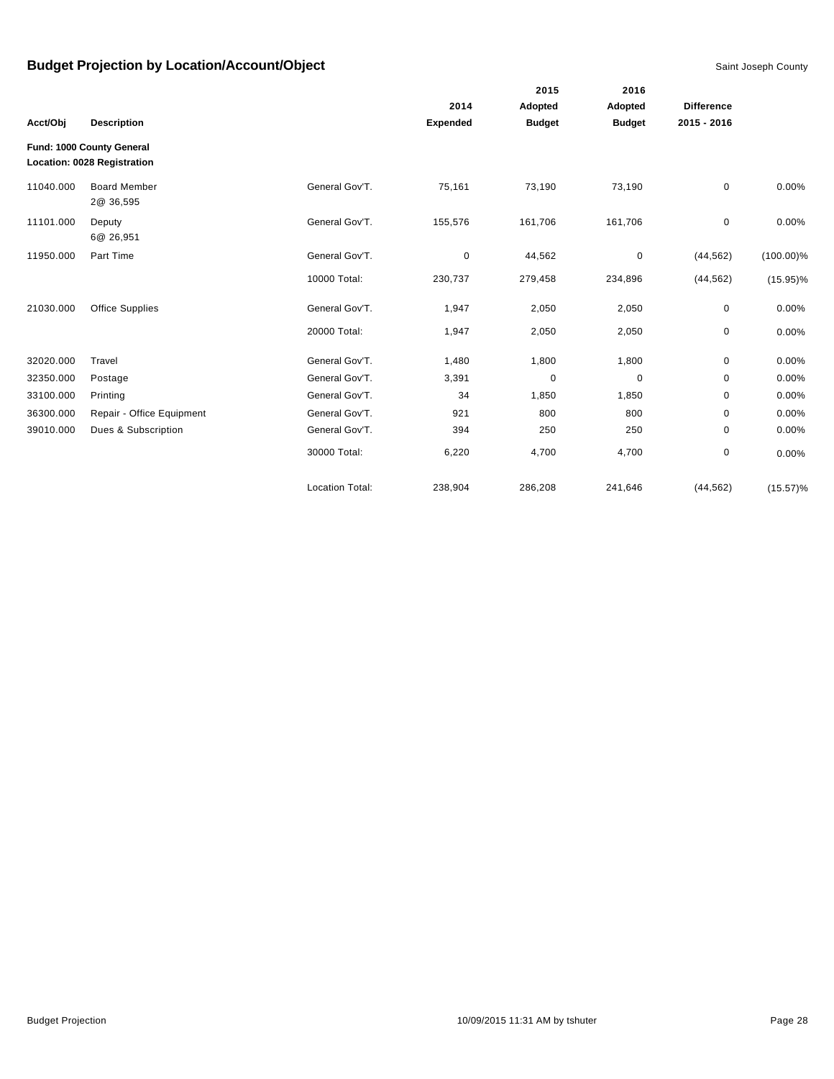|           |                                                          |                        |                 | 2015          | 2016          |                   |              |
|-----------|----------------------------------------------------------|------------------------|-----------------|---------------|---------------|-------------------|--------------|
|           |                                                          |                        | 2014            | Adopted       | Adopted       | <b>Difference</b> |              |
| Acct/Obj  | <b>Description</b>                                       |                        | <b>Expended</b> | <b>Budget</b> | <b>Budget</b> | 2015 - 2016       |              |
|           | Fund: 1000 County General<br>Location: 0028 Registration |                        |                 |               |               |                   |              |
| 11040.000 | <b>Board Member</b><br>2@ 36,595                         | General Gov'T.         | 75,161          | 73,190        | 73,190        | 0                 | 0.00%        |
| 11101.000 | Deputy<br>6@ 26,951                                      | General Gov'T.         | 155,576         | 161,706       | 161,706       | $\mathbf 0$       | 0.00%        |
| 11950.000 | Part Time                                                | General Gov'T.         | 0               | 44,562        | $\mathbf 0$   | (44, 562)         | $(100.00)\%$ |
|           |                                                          | 10000 Total:           | 230,737         | 279,458       | 234,896       | (44, 562)         | $(15.95)\%$  |
| 21030.000 | <b>Office Supplies</b>                                   | General Gov'T.         | 1,947           | 2,050         | 2,050         | $\pmb{0}$         | 0.00%        |
|           |                                                          | 20000 Total:           | 1,947           | 2,050         | 2,050         | 0                 | 0.00%        |
| 32020.000 | Travel                                                   | General Gov'T.         | 1,480           | 1,800         | 1,800         | 0                 | 0.00%        |
| 32350.000 | Postage                                                  | General Gov'T.         | 3,391           | $\mathbf 0$   | 0             | 0                 | 0.00%        |
| 33100.000 | Printing                                                 | General Gov'T.         | 34              | 1,850         | 1,850         | 0                 | 0.00%        |
| 36300.000 | Repair - Office Equipment                                | General Gov'T.         | 921             | 800           | 800           | $\mathbf 0$       | 0.00%        |
| 39010.000 | Dues & Subscription                                      | General Gov'T.         | 394             | 250           | 250           | 0                 | 0.00%        |
|           |                                                          | 30000 Total:           | 6,220           | 4,700         | 4,700         | $\pmb{0}$         | 0.00%        |
|           |                                                          | <b>Location Total:</b> | 238,904         | 286,208       | 241,646       | (44, 562)         | $(15.57)\%$  |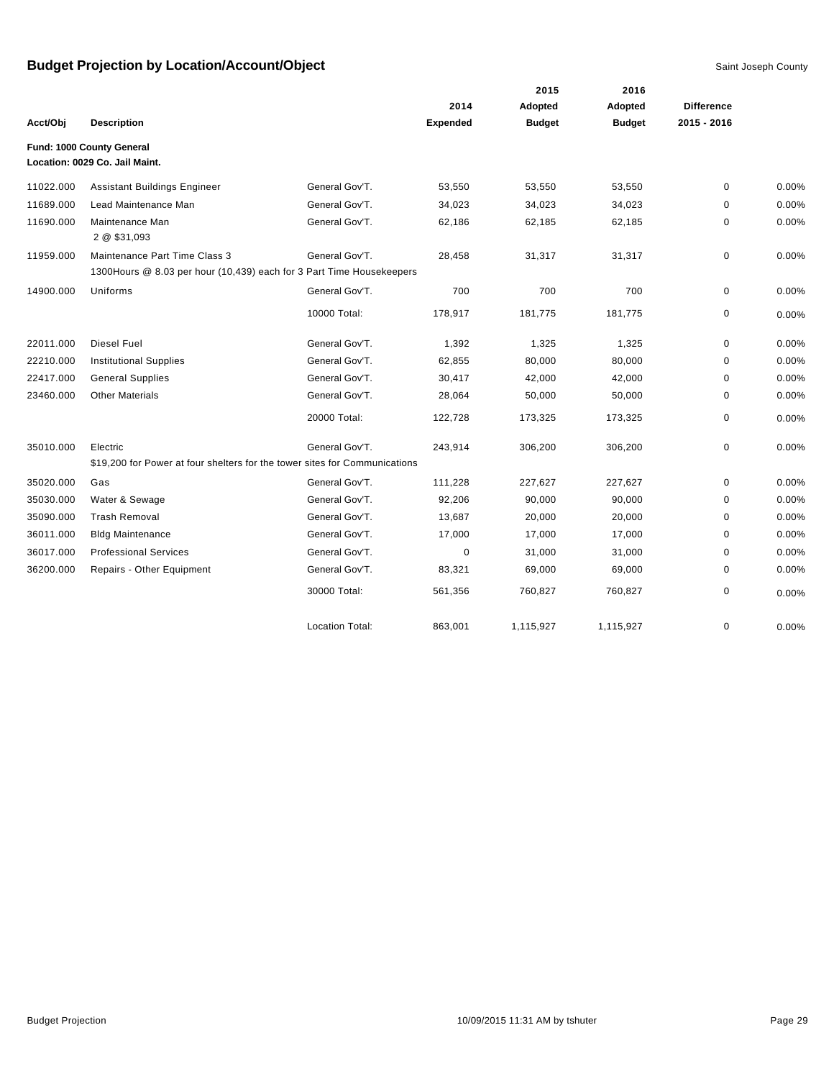|           |                                                                            |                        |          | 2015          | 2016          |                   |       |
|-----------|----------------------------------------------------------------------------|------------------------|----------|---------------|---------------|-------------------|-------|
|           |                                                                            |                        | 2014     | Adopted       | Adopted       | <b>Difference</b> |       |
| Acct/Obj  | <b>Description</b>                                                         |                        | Expended | <b>Budget</b> | <b>Budget</b> | 2015 - 2016       |       |
|           | Fund: 1000 County General                                                  |                        |          |               |               |                   |       |
|           | Location: 0029 Co. Jail Maint.                                             |                        |          |               |               |                   |       |
| 11022.000 | <b>Assistant Buildings Engineer</b>                                        | General Gov'T.         | 53,550   | 53,550        | 53,550        | $\mathbf 0$       | 0.00% |
| 11689.000 | Lead Maintenance Man                                                       | General Gov'T.         | 34,023   | 34,023        | 34,023        | $\mathbf 0$       | 0.00% |
| 11690.000 | Maintenance Man<br>2 @ \$31,093                                            | General Gov'T.         | 62,186   | 62,185        | 62,185        | $\mathbf 0$       | 0.00% |
| 11959.000 | Maintenance Part Time Class 3                                              | General Gov'T.         | 28,458   | 31,317        | 31,317        | 0                 | 0.00% |
|           | 1300 Hours @ 8.03 per hour (10,439) each for 3 Part Time Housekeepers      |                        |          |               |               |                   |       |
| 14900.000 | Uniforms                                                                   | General Gov'T.         | 700      | 700           | 700           | $\mathbf 0$       | 0.00% |
|           |                                                                            | 10000 Total:           | 178,917  | 181,775       | 181,775       | $\mathbf 0$       | 0.00% |
| 22011.000 | Diesel Fuel                                                                | General Gov'T.         | 1,392    | 1,325         | 1,325         | $\mathbf 0$       | 0.00% |
| 22210.000 | <b>Institutional Supplies</b>                                              | General Gov'T.         | 62,855   | 80,000        | 80,000        | $\mathbf 0$       | 0.00% |
| 22417.000 | <b>General Supplies</b>                                                    | General Gov'T.         | 30,417   | 42,000        | 42,000        | $\mathbf 0$       | 0.00% |
| 23460.000 | <b>Other Materials</b>                                                     | General Gov'T.         | 28,064   | 50,000        | 50,000        | 0                 | 0.00% |
|           |                                                                            | 20000 Total:           | 122,728  | 173,325       | 173,325       | $\mathbf 0$       | 0.00% |
| 35010.000 | Electric                                                                   | General Gov'T.         | 243,914  | 306,200       | 306,200       | $\mathbf 0$       | 0.00% |
|           | \$19,200 for Power at four shelters for the tower sites for Communications |                        |          |               |               |                   |       |
| 35020.000 | Gas                                                                        | General Gov'T.         | 111,228  | 227,627       | 227,627       | $\mathbf 0$       | 0.00% |
| 35030.000 | Water & Sewage                                                             | General Gov'T.         | 92,206   | 90,000        | 90,000        | $\mathbf 0$       | 0.00% |
| 35090.000 | <b>Trash Removal</b>                                                       | General Gov'T.         | 13,687   | 20,000        | 20,000        | $\Omega$          | 0.00% |
| 36011.000 | <b>Bldg Maintenance</b>                                                    | General Gov'T.         | 17,000   | 17,000        | 17,000        | $\mathbf 0$       | 0.00% |
| 36017.000 | <b>Professional Services</b>                                               | General Gov'T.         | $\Omega$ | 31,000        | 31,000        | $\Omega$          | 0.00% |
| 36200.000 | Repairs - Other Equipment                                                  | General Gov'T.         | 83,321   | 69,000        | 69,000        | $\mathbf 0$       | 0.00% |
|           |                                                                            | 30000 Total:           | 561,356  | 760,827       | 760,827       | $\mathbf 0$       | 0.00% |
|           |                                                                            | <b>Location Total:</b> | 863,001  | 1,115,927     | 1,115,927     | 0                 | 0.00% |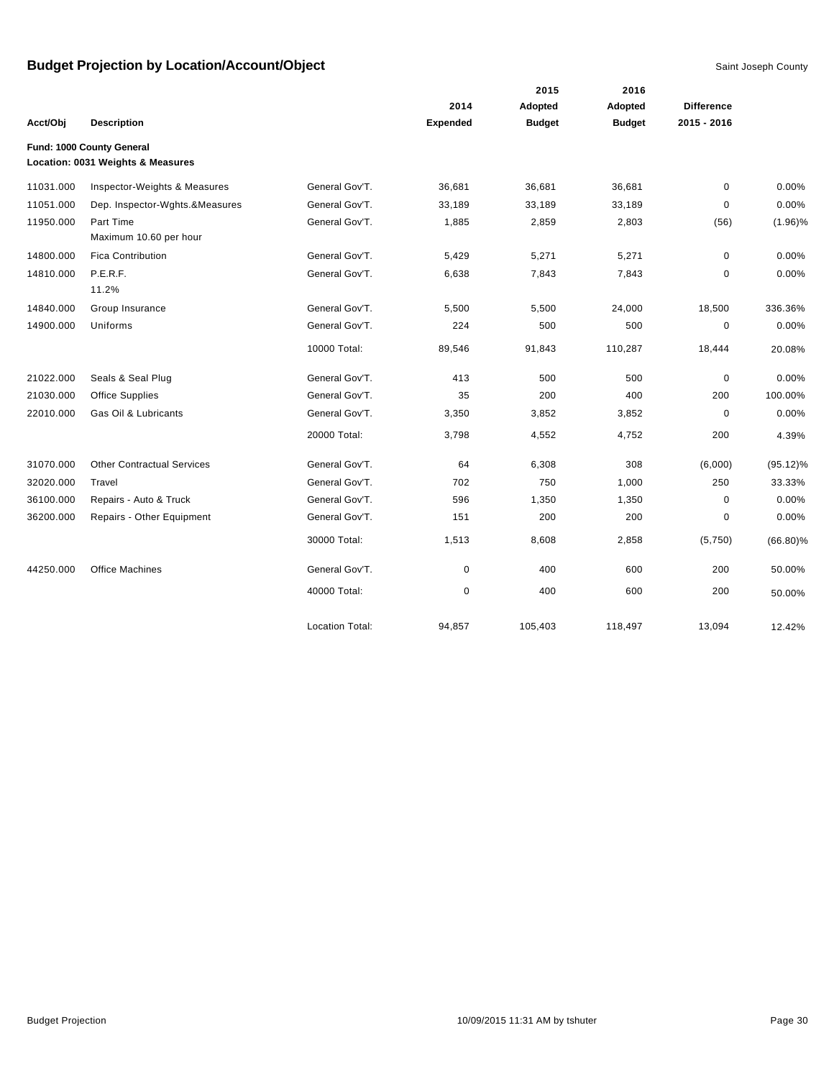|           |                                                                |                        |                 | 2015          | 2016          |                   |             |
|-----------|----------------------------------------------------------------|------------------------|-----------------|---------------|---------------|-------------------|-------------|
|           |                                                                |                        | 2014            | Adopted       | Adopted       | <b>Difference</b> |             |
| Acct/Obj  | <b>Description</b>                                             |                        | <b>Expended</b> | <b>Budget</b> | <b>Budget</b> | 2015 - 2016       |             |
|           | Fund: 1000 County General<br>Location: 0031 Weights & Measures |                        |                 |               |               |                   |             |
| 11031.000 | Inspector-Weights & Measures                                   | General Gov'T.         | 36,681          | 36,681        | 36,681        | $\mathbf 0$       | 0.00%       |
| 11051.000 | Dep. Inspector-Wghts.&Measures                                 | General Gov'T.         | 33,189          | 33,189        | 33,189        | $\mathbf 0$       | 0.00%       |
| 11950.000 | Part Time<br>Maximum 10.60 per hour                            | General Gov'T.         | 1,885           | 2,859         | 2,803         | (56)              | $(1.96)\%$  |
| 14800.000 | <b>Fica Contribution</b>                                       | General Gov'T.         | 5,429           | 5,271         | 5,271         | $\mathbf 0$       | 0.00%       |
| 14810.000 | P.E.R.F.<br>11.2%                                              | General Gov'T.         | 6,638           | 7,843         | 7,843         | 0                 | 0.00%       |
| 14840.000 | Group Insurance                                                | General Gov'T.         | 5,500           | 5,500         | 24,000        | 18,500            | 336.36%     |
| 14900.000 | Uniforms                                                       | General Gov'T.         | 224             | 500           | 500           | $\mathbf 0$       | 0.00%       |
|           |                                                                | 10000 Total:           | 89,546          | 91,843        | 110,287       | 18,444            | 20.08%      |
| 21022.000 | Seals & Seal Plug                                              | General Gov'T.         | 413             | 500           | 500           | $\mathbf 0$       | 0.00%       |
| 21030.000 | <b>Office Supplies</b>                                         | General Gov'T.         | 35              | 200           | 400           | 200               | 100.00%     |
| 22010.000 | Gas Oil & Lubricants                                           | General Gov'T.         | 3,350           | 3,852         | 3,852         | $\mathbf 0$       | 0.00%       |
|           |                                                                | 20000 Total:           | 3,798           | 4,552         | 4,752         | 200               | 4.39%       |
| 31070.000 | <b>Other Contractual Services</b>                              | General Gov'T.         | 64              | 6,308         | 308           | (6,000)           | $(95.12)\%$ |
| 32020.000 | Travel                                                         | General Gov'T.         | 702             | 750           | 1,000         | 250               | 33.33%      |
| 36100.000 | Repairs - Auto & Truck                                         | General Gov'T.         | 596             | 1,350         | 1,350         | 0                 | 0.00%       |
| 36200.000 | Repairs - Other Equipment                                      | General Gov'T.         | 151             | 200           | 200           | 0                 | 0.00%       |
|           |                                                                | 30000 Total:           | 1,513           | 8,608         | 2,858         | (5,750)           | $(66.80)\%$ |
| 44250.000 | <b>Office Machines</b>                                         | General Gov'T.         | 0               | 400           | 600           | 200               | 50.00%      |
|           |                                                                | 40000 Total:           | 0               | 400           | 600           | 200               | 50.00%      |
|           |                                                                | <b>Location Total:</b> | 94,857          | 105,403       | 118,497       | 13,094            | 12.42%      |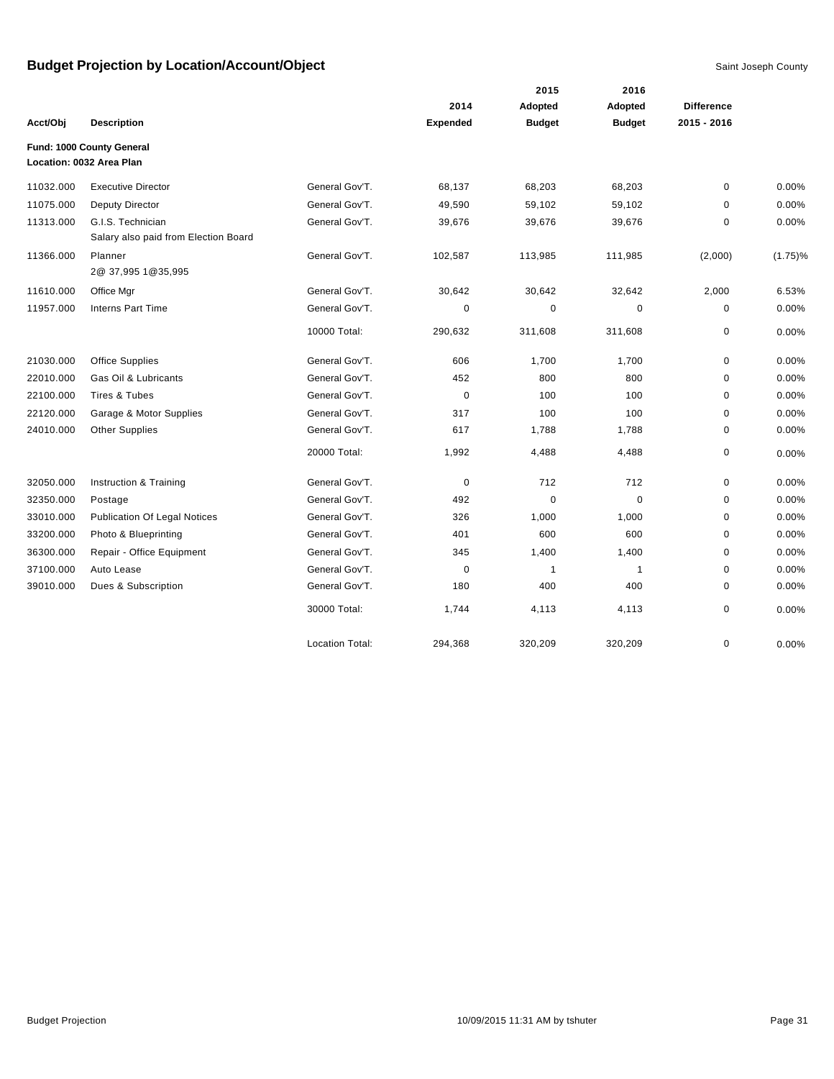|           |                                                           |                        |             | 2015          | 2016           |                   |            |
|-----------|-----------------------------------------------------------|------------------------|-------------|---------------|----------------|-------------------|------------|
|           |                                                           |                        | 2014        | Adopted       | Adopted        | <b>Difference</b> |            |
| Acct/Obj  | <b>Description</b>                                        |                        | Expended    | <b>Budget</b> | <b>Budget</b>  | 2015 - 2016       |            |
|           | Fund: 1000 County General                                 |                        |             |               |                |                   |            |
|           | Location: 0032 Area Plan                                  |                        |             |               |                |                   |            |
| 11032.000 | <b>Executive Director</b>                                 | General Gov'T.         | 68,137      | 68,203        | 68,203         | $\mathbf 0$       | 0.00%      |
| 11075.000 | <b>Deputy Director</b>                                    | General Gov'T.         | 49,590      | 59,102        | 59,102         | 0                 | 0.00%      |
| 11313.000 | G.I.S. Technician<br>Salary also paid from Election Board | General Gov'T.         | 39,676      | 39,676        | 39,676         | 0                 | 0.00%      |
| 11366.000 | Planner<br>2@ 37,995 1@35,995                             | General Gov'T.         | 102,587     | 113,985       | 111,985        | (2,000)           | $(1.75)\%$ |
| 11610.000 | Office Mgr                                                | General Gov'T.         | 30,642      | 30,642        | 32,642         | 2,000             | 6.53%      |
| 11957.000 | <b>Interns Part Time</b>                                  | General Gov'T.         | 0           | 0             | 0              | 0                 | 0.00%      |
|           |                                                           | 10000 Total:           | 290,632     | 311,608       | 311,608        | 0                 | 0.00%      |
| 21030.000 | <b>Office Supplies</b>                                    | General Gov'T.         | 606         | 1,700         | 1,700          | $\mathbf 0$       | $0.00\%$   |
| 22010.000 | Gas Oil & Lubricants                                      | General Gov'T.         | 452         | 800           | 800            | 0                 | 0.00%      |
| 22100.000 | Tires & Tubes                                             | General Gov'T.         | $\mathbf 0$ | 100           | 100            | 0                 | 0.00%      |
| 22120.000 | Garage & Motor Supplies                                   | General Gov'T.         | 317         | 100           | 100            | $\mathbf 0$       | 0.00%      |
| 24010.000 | <b>Other Supplies</b>                                     | General Gov'T.         | 617         | 1,788         | 1,788          | $\mathbf 0$       | 0.00%      |
|           |                                                           | 20000 Total:           | 1,992       | 4,488         | 4,488          | $\mathbf 0$       | 0.00%      |
| 32050.000 | Instruction & Training                                    | General Gov'T.         | $\mathbf 0$ | 712           | 712            | $\mathbf 0$       | 0.00%      |
| 32350.000 | Postage                                                   | General Gov'T.         | 492         | $\mathbf 0$   | $\mathbf 0$    | $\pmb{0}$         | 0.00%      |
| 33010.000 | <b>Publication Of Legal Notices</b>                       | General Gov'T.         | 326         | 1,000         | 1,000          | 0                 | 0.00%      |
| 33200.000 | Photo & Blueprinting                                      | General Gov'T.         | 401         | 600           | 600            | $\Omega$          | $0.00\%$   |
| 36300.000 | Repair - Office Equipment                                 | General Gov'T.         | 345         | 1,400         | 1,400          | $\pmb{0}$         | 0.00%      |
| 37100.000 | Auto Lease                                                | General Gov'T.         | $\mathbf 0$ | $\mathbf{1}$  | $\overline{1}$ | $\mathbf 0$       | 0.00%      |
| 39010.000 | Dues & Subscription                                       | General Gov'T.         | 180         | 400           | 400            | $\mathbf 0$       | 0.00%      |
|           |                                                           | 30000 Total:           | 1,744       | 4,113         | 4,113          | $\pmb{0}$         | 0.00%      |
|           |                                                           | <b>Location Total:</b> | 294,368     | 320,209       | 320,209        | $\mathbf 0$       | 0.00%      |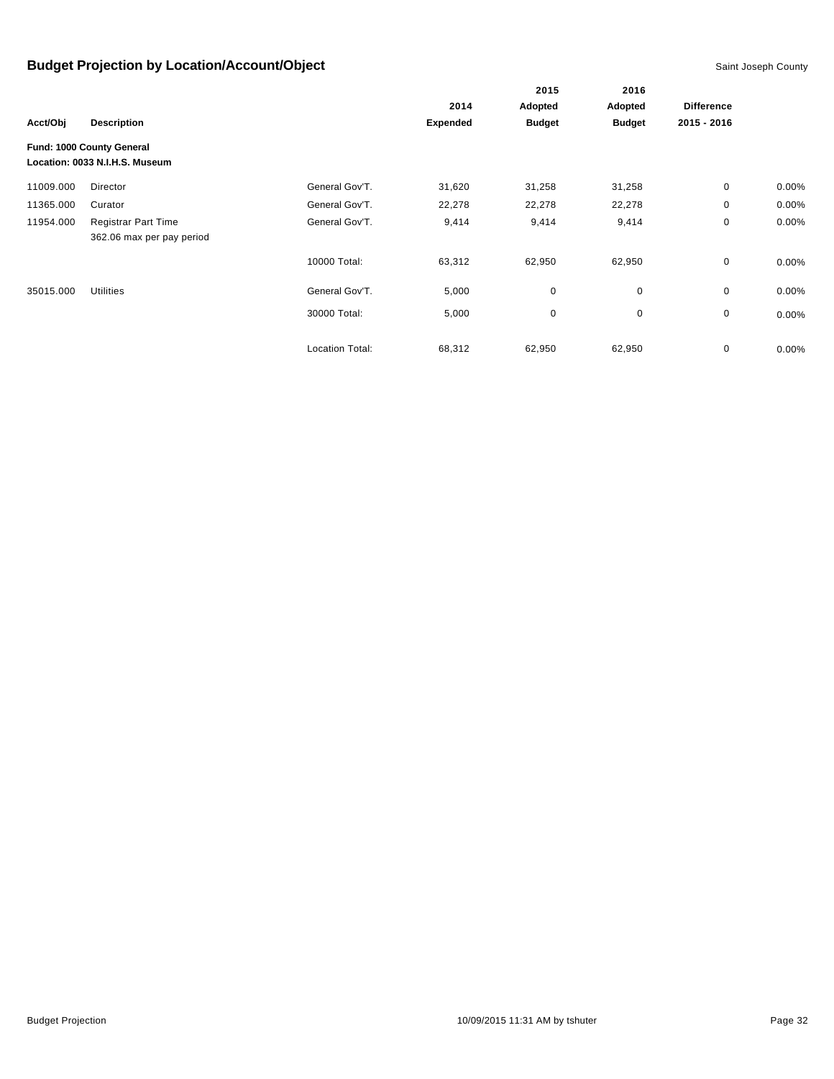|           |                                                             |                        |                 | 2015          | 2016<br>Adopted | <b>Difference</b> |          |
|-----------|-------------------------------------------------------------|------------------------|-----------------|---------------|-----------------|-------------------|----------|
|           |                                                             |                        | 2014            | Adopted       |                 |                   |          |
| Acct/Obj  | <b>Description</b>                                          |                        | <b>Expended</b> | <b>Budget</b> | <b>Budget</b>   | 2015 - 2016       |          |
|           | Fund: 1000 County General<br>Location: 0033 N.I.H.S. Museum |                        |                 |               |                 |                   |          |
| 11009.000 | Director                                                    | General Gov'T.         | 31,620          | 31,258        | 31,258          | 0                 | 0.00%    |
| 11365.000 | Curator                                                     | General Gov'T.         | 22,278          | 22,278        | 22,278          | 0                 | $0.00\%$ |
| 11954.000 | <b>Registrar Part Time</b>                                  | General Gov'T.         | 9,414           | 9,414         | 9,414           | $\mathbf 0$       | 0.00%    |
|           | 362.06 max per pay period                                   |                        |                 |               |                 |                   |          |
|           |                                                             | 10000 Total:           | 63,312          | 62,950        | 62,950          | $\mathbf 0$       | 0.00%    |
| 35015.000 | <b>Utilities</b>                                            | General Gov'T.         | 5,000           | $\pmb{0}$     | 0               | $\mathbf 0$       | 0.00%    |
|           |                                                             | 30000 Total:           | 5,000           | 0             | 0               | 0                 | 0.00%    |
|           |                                                             | <b>Location Total:</b> | 68,312          | 62,950        | 62,950          | 0                 | 0.00%    |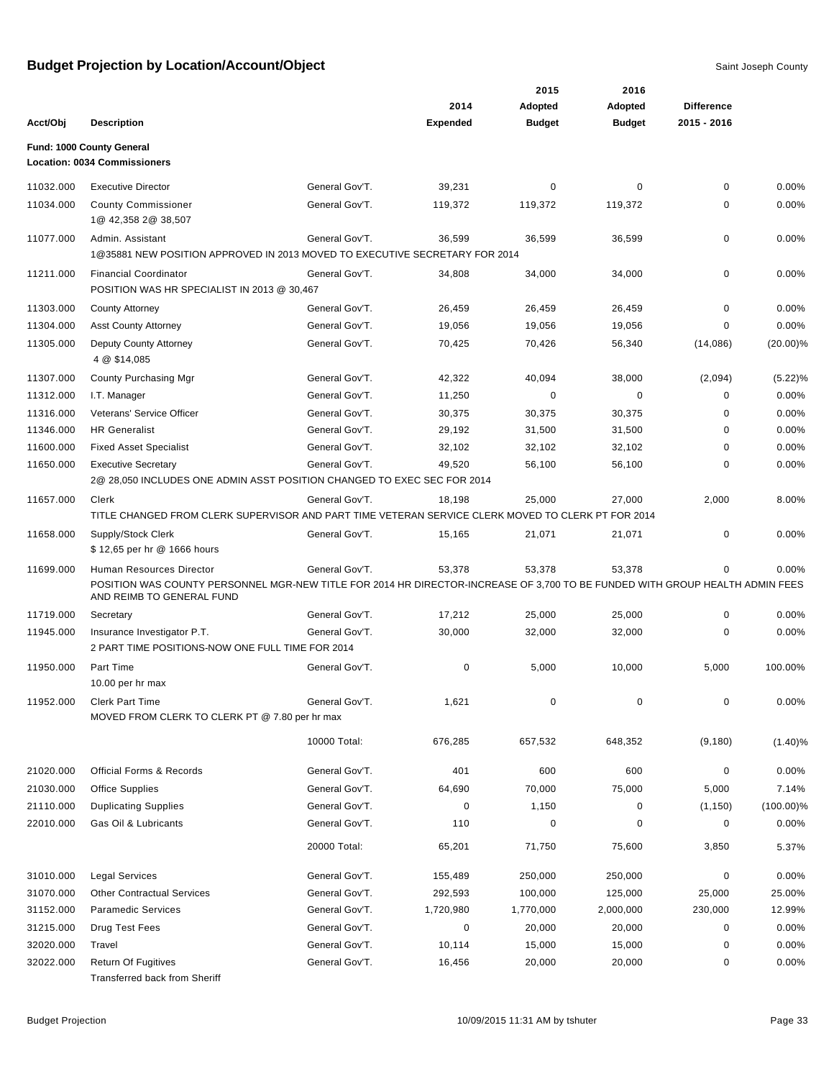|           |                                                                                                                                                                                       |                |                 | 2015          | 2016          |                   |              |
|-----------|---------------------------------------------------------------------------------------------------------------------------------------------------------------------------------------|----------------|-----------------|---------------|---------------|-------------------|--------------|
|           |                                                                                                                                                                                       |                | 2014            | Adopted       | Adopted       | <b>Difference</b> |              |
| Acct/Obj  | <b>Description</b>                                                                                                                                                                    |                | <b>Expended</b> | <b>Budget</b> | <b>Budget</b> | 2015 - 2016       |              |
|           | Fund: 1000 County General                                                                                                                                                             |                |                 |               |               |                   |              |
|           | <b>Location: 0034 Commissioners</b>                                                                                                                                                   |                |                 |               |               |                   |              |
| 11032.000 | <b>Executive Director</b>                                                                                                                                                             | General Gov'T. | 39,231          | 0             | 0             | 0                 | 0.00%        |
| 11034.000 | <b>County Commissioner</b><br>1@ 42,358 2@ 38,507                                                                                                                                     | General Gov'T. | 119,372         | 119,372       | 119,372       | $\Omega$          | 0.00%        |
| 11077.000 | Admin. Assistant<br>1@35881 NEW POSITION APPROVED IN 2013 MOVED TO EXECUTIVE SECRETARY FOR 2014                                                                                       | General Gov'T. | 36,599          | 36,599        | 36,599        | 0                 | 0.00%        |
| 11211.000 | <b>Financial Coordinator</b><br>POSITION WAS HR SPECIALIST IN 2013 @ 30,467                                                                                                           | General Gov'T. | 34,808          | 34,000        | 34,000        | 0                 | 0.00%        |
| 11303.000 | <b>County Attorney</b>                                                                                                                                                                | General Gov'T. | 26,459          | 26,459        | 26,459        | 0                 | 0.00%        |
| 11304.000 | <b>Asst County Attorney</b>                                                                                                                                                           | General Gov'T. | 19,056          | 19,056        | 19,056        | 0                 | 0.00%        |
| 11305.000 | Deputy County Attorney<br>4 @ \$14,085                                                                                                                                                | General Gov'T. | 70,425          | 70,426        | 56,340        | (14,086)          | $(20.00)\%$  |
| 11307.000 | County Purchasing Mgr                                                                                                                                                                 | General Gov'T. | 42,322          | 40,094        | 38,000        | (2,094)           | $(5.22)\%$   |
| 11312.000 | I.T. Manager                                                                                                                                                                          | General Gov'T. | 11,250          | 0             | 0             | 0                 | 0.00%        |
| 11316.000 | Veterans' Service Officer                                                                                                                                                             | General Gov'T. | 30,375          | 30,375        | 30,375        | 0                 | 0.00%        |
| 11346.000 | <b>HR</b> Generalist                                                                                                                                                                  | General Gov'T. | 29,192          | 31,500        | 31,500        | 0                 | 0.00%        |
| 11600.000 | <b>Fixed Asset Specialist</b>                                                                                                                                                         | General Gov'T. | 32,102          | 32,102        | 32,102        | 0                 | 0.00%        |
| 11650.000 | <b>Executive Secretary</b><br>2@ 28,050 INCLUDES ONE ADMIN ASST POSITION CHANGED TO EXEC SEC FOR 2014                                                                                 | General Gov'T. | 49,520          | 56,100        | 56,100        | 0                 | 0.00%        |
| 11657.000 | Clerk<br>TITLE CHANGED FROM CLERK SUPERVISOR AND PART TIME VETERAN SERVICE CLERK MOVED TO CLERK PT FOR 2014                                                                           | General Gov'T. | 18,198          | 25,000        | 27,000        | 2,000             | 8.00%        |
| 11658.000 | Supply/Stock Clerk<br>\$12,65 per hr @ 1666 hours                                                                                                                                     | General Gov'T. | 15,165          | 21,071        | 21,071        | 0                 | 0.00%        |
| 11699.000 | Human Resources Director<br>POSITION WAS COUNTY PERSONNEL MGR-NEW TITLE FOR 2014 HR DIRECTOR-INCREASE OF 3,700 TO BE FUNDED WITH GROUP HEALTH ADMIN FEES<br>AND REIMB TO GENERAL FUND | General Gov'T. | 53,378          | 53,378        | 53,378        | 0                 | 0.00%        |
| 11719.000 | Secretary                                                                                                                                                                             | General Gov'T. | 17,212          | 25,000        | 25,000        | $\Omega$          | 0.00%        |
| 11945.000 | Insurance Investigator P.T.<br>2 PART TIME POSITIONS-NOW ONE FULL TIME FOR 2014                                                                                                       | General Gov'T. | 30,000          | 32,000        | 32,000        | $\Omega$          | 0.00%        |
| 11950.000 | Part Time<br>10.00 per hr max                                                                                                                                                         | General Gov'T. | 0               | 5,000         | 10.000        | 5,000             | 100.00%      |
| 11952.000 | <b>Clerk Part Time</b><br>MOVED FROM CLERK TO CLERK PT @ 7.80 per hr max                                                                                                              | General Gov'T. | 1,621           | 0             | 0             | 0                 | 0.00%        |
|           |                                                                                                                                                                                       | 10000 Total:   | 676,285         | 657,532       | 648,352       | (9, 180)          | $(1.40)\%$   |
| 21020.000 | <b>Official Forms &amp; Records</b>                                                                                                                                                   | General Gov'T. | 401             | 600           | 600           | 0                 | 0.00%        |
| 21030.000 | <b>Office Supplies</b>                                                                                                                                                                | General Gov'T. | 64,690          | 70,000        | 75,000        | 5,000             | 7.14%        |
| 21110.000 | <b>Duplicating Supplies</b>                                                                                                                                                           | General Gov'T. | $\pmb{0}$       | 1,150         | 0             | (1, 150)          | $(100.00)\%$ |
| 22010.000 | Gas Oil & Lubricants                                                                                                                                                                  | General Gov'T. | 110             | 0             | 0             | 0                 | 0.00%        |
|           |                                                                                                                                                                                       | 20000 Total:   | 65,201          | 71,750        | 75,600        | 3,850             | 5.37%        |
| 31010.000 | <b>Legal Services</b>                                                                                                                                                                 | General Gov'T. | 155,489         | 250,000       | 250,000       | 0                 | 0.00%        |
| 31070.000 | <b>Other Contractual Services</b>                                                                                                                                                     | General Gov'T. | 292,593         | 100,000       | 125,000       | 25,000            | 25.00%       |
| 31152.000 | <b>Paramedic Services</b>                                                                                                                                                             | General Gov'T. | 1,720,980       | 1,770,000     | 2,000,000     | 230,000           | 12.99%       |
| 31215.000 | Drug Test Fees                                                                                                                                                                        | General Gov'T. | 0               | 20,000        | 20,000        | 0                 | 0.00%        |
| 32020.000 | Travel                                                                                                                                                                                | General Gov'T. | 10,114          | 15,000        | 15,000        | 0                 | 0.00%        |
| 32022.000 | Return Of Fugitives<br>Transferred back from Sheriff                                                                                                                                  | General Gov'T. | 16,456          | 20,000        | 20,000        | 0                 | 0.00%        |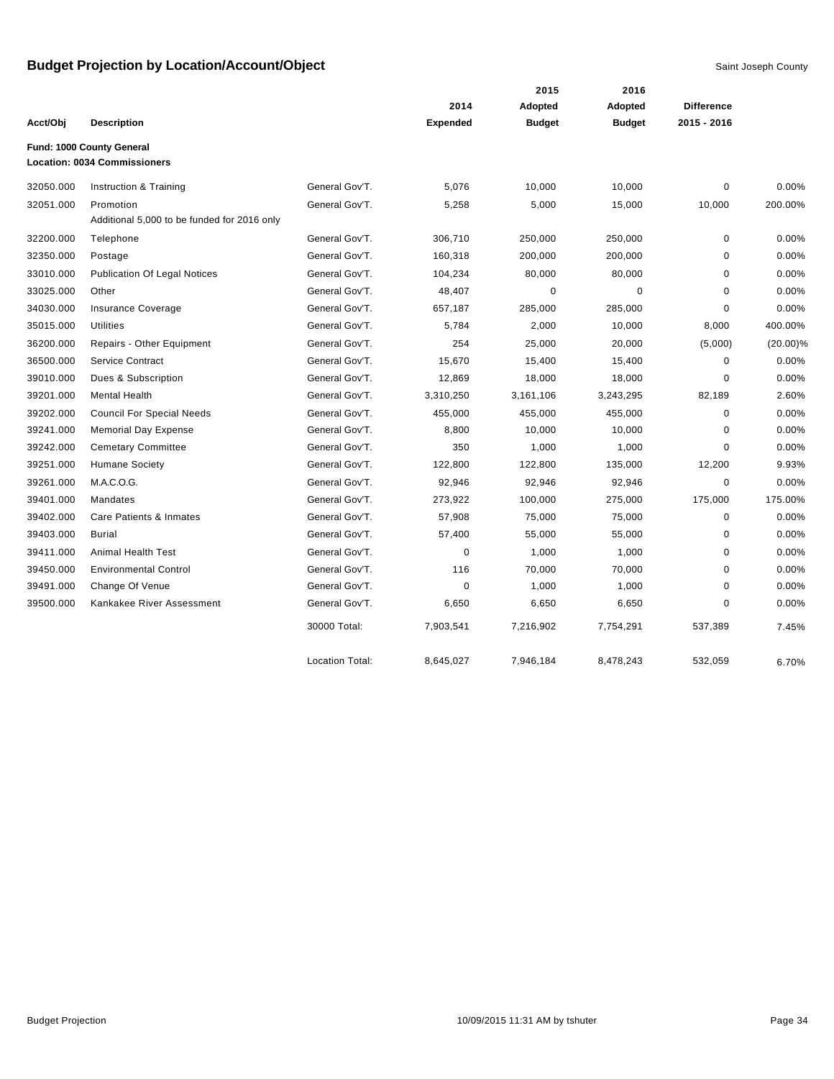|           |                                             |                        |                 | 2015          | 2016          |                   |             |
|-----------|---------------------------------------------|------------------------|-----------------|---------------|---------------|-------------------|-------------|
|           |                                             |                        | 2014            | Adopted       | Adopted       | <b>Difference</b> |             |
| Acct/Obj  | <b>Description</b>                          |                        | <b>Expended</b> | <b>Budget</b> | <b>Budget</b> | 2015 - 2016       |             |
|           | Fund: 1000 County General                   |                        |                 |               |               |                   |             |
|           | <b>Location: 0034 Commissioners</b>         |                        |                 |               |               |                   |             |
| 32050.000 | Instruction & Training                      | General Gov'T.         | 5,076           | 10,000        | 10,000        | 0                 | 0.00%       |
| 32051.000 | Promotion                                   | General Gov'T.         | 5,258           | 5,000         | 15,000        | 10,000            | 200.00%     |
|           | Additional 5,000 to be funded for 2016 only |                        |                 |               |               |                   |             |
| 32200.000 | Telephone                                   | General Gov'T.         | 306,710         | 250,000       | 250,000       | $\mathbf 0$       | 0.00%       |
| 32350.000 | Postage                                     | General Gov'T.         | 160,318         | 200,000       | 200,000       | $\mathbf 0$       | 0.00%       |
| 33010.000 | <b>Publication Of Legal Notices</b>         | General Gov'T.         | 104,234         | 80,000        | 80,000        | $\mathbf 0$       | 0.00%       |
| 33025.000 | Other                                       | General Gov'T.         | 48,407          | 0             | 0             | 0                 | 0.00%       |
| 34030.000 | Insurance Coverage                          | General Gov'T.         | 657,187         | 285,000       | 285,000       | 0                 | 0.00%       |
| 35015.000 | <b>Utilities</b>                            | General Gov'T.         | 5,784           | 2,000         | 10,000        | 8,000             | 400.00%     |
| 36200.000 | Repairs - Other Equipment                   | General Gov'T.         | 254             | 25,000        | 20,000        | (5,000)           | $(20.00)\%$ |
| 36500.000 | <b>Service Contract</b>                     | General Gov'T.         | 15,670          | 15,400        | 15,400        | $\mathbf 0$       | 0.00%       |
| 39010.000 | Dues & Subscription                         | General Gov'T.         | 12,869          | 18,000        | 18,000        | 0                 | 0.00%       |
| 39201.000 | <b>Mental Health</b>                        | General Gov'T.         | 3,310,250       | 3,161,106     | 3,243,295     | 82,189            | 2.60%       |
| 39202.000 | <b>Council For Special Needs</b>            | General Gov'T.         | 455,000         | 455,000       | 455,000       | $\mathbf 0$       | 0.00%       |
| 39241.000 | <b>Memorial Day Expense</b>                 | General Gov'T.         | 8,800           | 10,000        | 10,000        | $\mathbf 0$       | 0.00%       |
| 39242.000 | <b>Cemetary Committee</b>                   | General Gov'T.         | 350             | 1,000         | 1,000         | 0                 | 0.00%       |
| 39251.000 | <b>Humane Society</b>                       | General Gov'T.         | 122,800         | 122,800       | 135,000       | 12,200            | 9.93%       |
| 39261.000 | M.A.C.O.G.                                  | General Gov'T.         | 92,946          | 92,946        | 92,946        | $\mathbf 0$       | 0.00%       |
| 39401.000 | Mandates                                    | General Gov'T.         | 273,922         | 100,000       | 275,000       | 175,000           | 175.00%     |
| 39402.000 | Care Patients & Inmates                     | General Gov'T.         | 57,908          | 75,000        | 75,000        | $\mathbf 0$       | 0.00%       |
| 39403.000 | <b>Burial</b>                               | General Gov'T.         | 57,400          | 55,000        | 55,000        | 0                 | 0.00%       |
| 39411.000 | Animal Health Test                          | General Gov'T.         | 0               | 1,000         | 1,000         | 0                 | 0.00%       |
| 39450.000 | <b>Environmental Control</b>                | General Gov'T.         | 116             | 70,000        | 70,000        | 0                 | 0.00%       |
| 39491.000 | Change Of Venue                             | General Gov'T.         | 0               | 1,000         | 1,000         | $\mathbf 0$       | 0.00%       |
| 39500.000 | Kankakee River Assessment                   | General Gov'T.         | 6,650           | 6,650         | 6,650         | 0                 | 0.00%       |
|           |                                             | 30000 Total:           | 7,903,541       | 7,216,902     | 7,754,291     | 537,389           | 7.45%       |
|           |                                             | <b>Location Total:</b> | 8,645,027       | 7,946,184     | 8,478,243     | 532,059           | 6.70%       |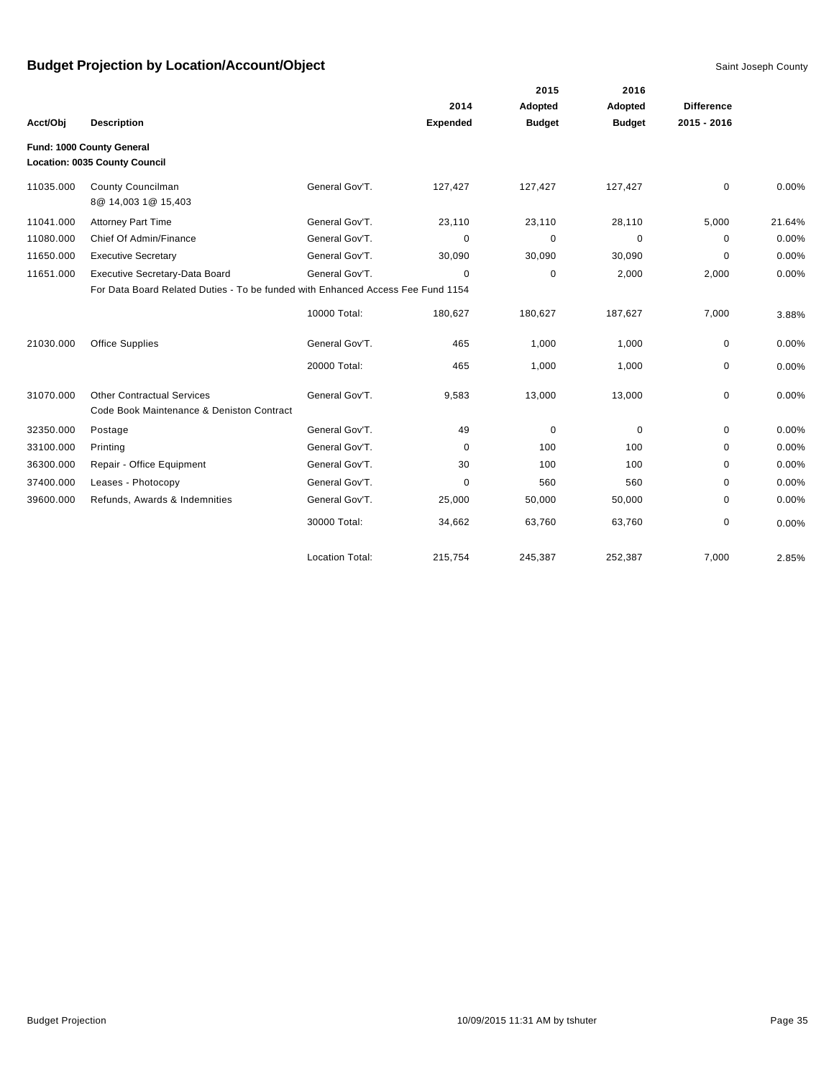|           |                                                                                 |                        |                 | 2015          | 2016          |                   |        |
|-----------|---------------------------------------------------------------------------------|------------------------|-----------------|---------------|---------------|-------------------|--------|
|           |                                                                                 |                        | 2014            | Adopted       | Adopted       | <b>Difference</b> |        |
| Acct/Obj  | <b>Description</b>                                                              |                        | <b>Expended</b> | <b>Budget</b> | <b>Budget</b> | 2015 - 2016       |        |
|           | Fund: 1000 County General<br>Location: 0035 County Council                      |                        |                 |               |               |                   |        |
| 11035.000 | <b>County Councilman</b><br>8@ 14,003 1@ 15,403                                 | General Gov'T.         | 127,427         | 127,427       | 127,427       | 0                 | 0.00%  |
| 11041.000 | <b>Attorney Part Time</b>                                                       | General Gov'T.         | 23,110          | 23,110        | 28,110        | 5,000             | 21.64% |
| 11080.000 | Chief Of Admin/Finance                                                          | General Gov'T.         | 0               | $\mathbf 0$   | 0             | 0                 | 0.00%  |
| 11650.000 | <b>Executive Secretary</b>                                                      | General Gov'T.         | 30,090          | 30,090        | 30,090        | 0                 | 0.00%  |
| 11651.000 | Executive Secretary-Data Board                                                  | General Gov'T.         | 0               | 0             | 2,000         | 2,000             | 0.00%  |
|           | For Data Board Related Duties - To be funded with Enhanced Access Fee Fund 1154 |                        |                 |               |               |                   |        |
|           |                                                                                 | 10000 Total:           | 180,627         | 180,627       | 187,627       | 7,000             | 3.88%  |
| 21030.000 | <b>Office Supplies</b>                                                          | General Gov'T.         | 465             | 1,000         | 1,000         | 0                 | 0.00%  |
|           |                                                                                 | 20000 Total:           | 465             | 1,000         | 1,000         | 0                 | 0.00%  |
| 31070.000 | <b>Other Contractual Services</b><br>Code Book Maintenance & Deniston Contract  | General Gov'T.         | 9,583           | 13,000        | 13,000        | 0                 | 0.00%  |
| 32350.000 | Postage                                                                         | General Gov'T.         | 49              | $\mathbf 0$   | $\mathbf 0$   | 0                 | 0.00%  |
| 33100.000 | Printing                                                                        | General Gov'T.         | $\mathbf 0$     | 100           | 100           | $\Omega$          | 0.00%  |
| 36300.000 | Repair - Office Equipment                                                       | General Gov'T.         | 30              | 100           | 100           | 0                 | 0.00%  |
| 37400.000 | Leases - Photocopy                                                              | General Gov'T.         | 0               | 560           | 560           | 0                 | 0.00%  |
| 39600.000 | Refunds, Awards & Indemnities                                                   | General Gov'T.         | 25,000          | 50,000        | 50,000        | 0                 | 0.00%  |
|           |                                                                                 | 30000 Total:           | 34,662          | 63,760        | 63,760        | 0                 | 0.00%  |
|           |                                                                                 | <b>Location Total:</b> | 215,754         | 245,387       | 252,387       | 7,000             | 2.85%  |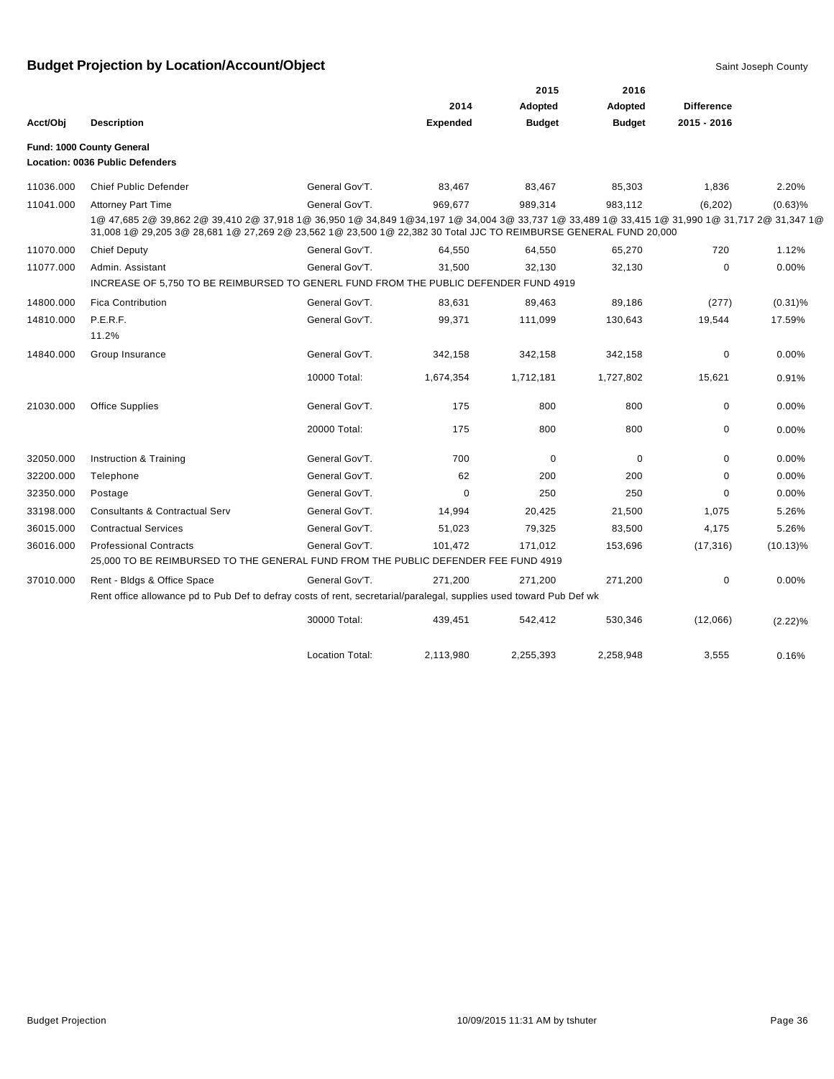|           |                                                                                                                                                                                                                                                                   |                 |                 | 2015          | 2016          |                   |             |
|-----------|-------------------------------------------------------------------------------------------------------------------------------------------------------------------------------------------------------------------------------------------------------------------|-----------------|-----------------|---------------|---------------|-------------------|-------------|
|           |                                                                                                                                                                                                                                                                   |                 | 2014            | Adopted       | Adopted       | <b>Difference</b> |             |
| Acct/Obj  | <b>Description</b>                                                                                                                                                                                                                                                |                 | <b>Expended</b> | <b>Budget</b> | <b>Budget</b> | $2015 - 2016$     |             |
|           | Fund: 1000 County General                                                                                                                                                                                                                                         |                 |                 |               |               |                   |             |
|           | <b>Location: 0036 Public Defenders</b>                                                                                                                                                                                                                            |                 |                 |               |               |                   |             |
| 11036.000 | <b>Chief Public Defender</b>                                                                                                                                                                                                                                      | General Gov'T.  | 83,467          | 83,467        | 85,303        | 1,836             | 2.20%       |
| 11041.000 | <b>Attorney Part Time</b>                                                                                                                                                                                                                                         | General Gov'T.  | 969,677         | 989,314       | 983,112       | (6,202)           | $(0.63)$ %  |
|           | 1@ 47,685 2@ 39,862 2@ 39,410 2@ 37,918 1@ 36,950 1@ 34,849 1@34,197 1@ 34,004 3@ 33,737 1@ 33,489 1@ 33,415 1@ 31,990 1@ 31,717 2@ 31,347 1@<br>31,008 1@ 29,205 3@ 28,681 1@ 27,269 2@ 23,562 1@ 23,500 1@ 22,382 30 Total JJC TO REIMBURSE GENERAL FUND 20,000 |                 |                 |               |               |                   |             |
| 11070.000 | <b>Chief Deputy</b>                                                                                                                                                                                                                                               | General Gov'T.  | 64,550          | 64,550        | 65,270        | 720               | 1.12%       |
| 11077.000 | Admin. Assistant                                                                                                                                                                                                                                                  | General Gov'T.  | 31,500          | 32,130        | 32,130        | $\mathbf 0$       | 0.00%       |
|           | INCREASE OF 5,750 TO BE REIMBURSED TO GENERL FUND FROM THE PUBLIC DEFENDER FUND 4919                                                                                                                                                                              |                 |                 |               |               |                   |             |
| 14800.000 | <b>Fica Contribution</b>                                                                                                                                                                                                                                          | General Gov'T.  | 83,631          | 89,463        | 89,186        | (277)             | $(0.31)\%$  |
| 14810.000 | P.E.R.F.                                                                                                                                                                                                                                                          | General Gov'T.  | 99,371          | 111,099       | 130,643       | 19,544            | 17.59%      |
|           | 11.2%                                                                                                                                                                                                                                                             |                 |                 |               |               |                   |             |
| 14840.000 | Group Insurance                                                                                                                                                                                                                                                   | General Gov'T.  | 342,158         | 342,158       | 342,158       | $\mathbf 0$       | 0.00%       |
|           |                                                                                                                                                                                                                                                                   | 10000 Total:    | 1,674,354       | 1,712,181     | 1,727,802     | 15,621            | 0.91%       |
| 21030.000 | <b>Office Supplies</b>                                                                                                                                                                                                                                            | General Gov'T.  | 175             | 800           | 800           | $\mathbf 0$       | 0.00%       |
|           |                                                                                                                                                                                                                                                                   | 20000 Total:    | 175             | 800           | 800           | $\mathbf 0$       | 0.00%       |
| 32050.000 | Instruction & Training                                                                                                                                                                                                                                            | General Gov'T.  | 700             | $\mathbf 0$   | 0             | $\mathbf 0$       | 0.00%       |
| 32200.000 | Telephone                                                                                                                                                                                                                                                         | General Gov'T.  | 62              | 200           | 200           | $\mathbf 0$       | 0.00%       |
| 32350.000 | Postage                                                                                                                                                                                                                                                           | General Gov'T.  | 0               | 250           | 250           | 0                 | 0.00%       |
| 33198.000 | <b>Consultants &amp; Contractual Serv</b>                                                                                                                                                                                                                         | General Gov'T.  | 14,994          | 20,425        | 21,500        | 1,075             | 5.26%       |
| 36015.000 | <b>Contractual Services</b>                                                                                                                                                                                                                                       | General Gov'T.  | 51,023          | 79,325        | 83,500        | 4,175             | 5.26%       |
| 36016.000 | <b>Professional Contracts</b>                                                                                                                                                                                                                                     | General Gov'T.  | 101,472         | 171,012       | 153,696       | (17, 316)         | $(10.13)\%$ |
|           | 25,000 TO BE REIMBURSED TO THE GENERAL FUND FROM THE PUBLIC DEFENDER FEE FUND 4919                                                                                                                                                                                |                 |                 |               |               |                   |             |
| 37010.000 | Rent - Bldgs & Office Space                                                                                                                                                                                                                                       | General Gov'T.  | 271,200         | 271,200       | 271,200       | $\mathbf 0$       | 0.00%       |
|           | Rent office allowance pd to Pub Def to defray costs of rent, secretarial/paralegal, supplies used toward Pub Def wk                                                                                                                                               |                 |                 |               |               |                   |             |
|           |                                                                                                                                                                                                                                                                   | 30000 Total:    | 439,451         | 542,412       | 530,346       | (12,066)          | (2.22)%     |
|           |                                                                                                                                                                                                                                                                   | Location Total: | 2,113,980       | 2,255,393     | 2,258,948     | 3,555             | 0.16%       |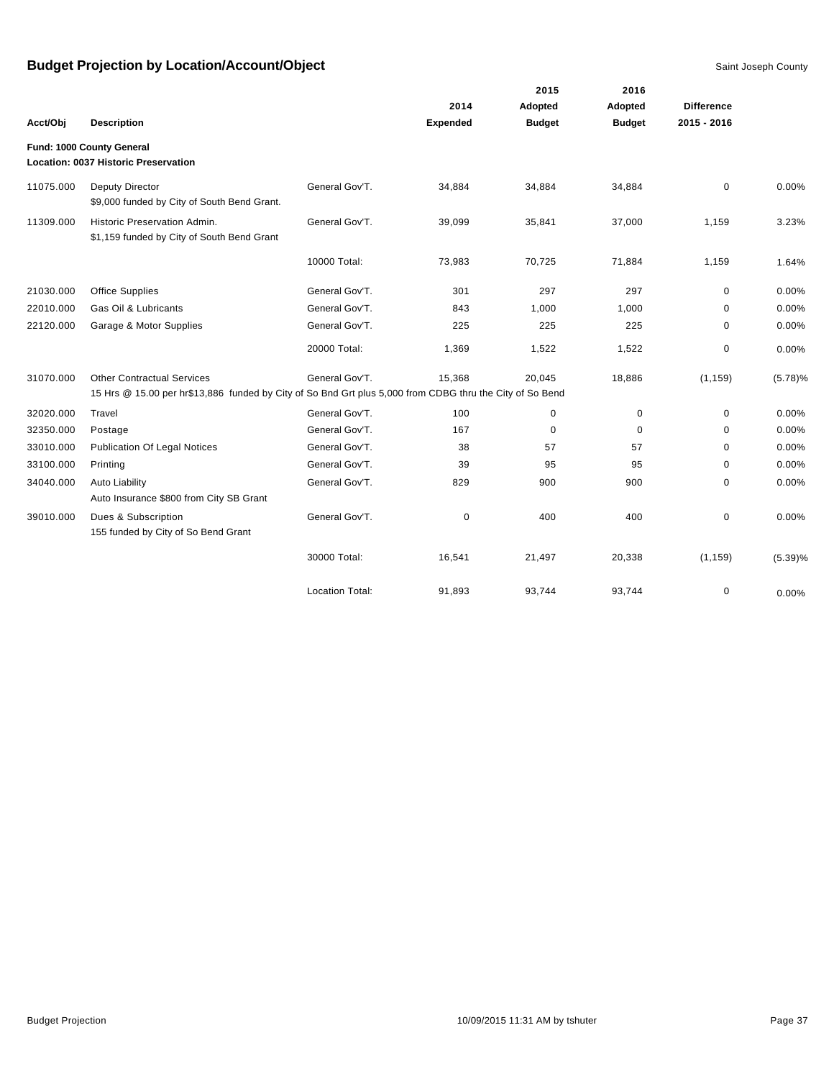|           |                                                                                                                                               |                        |                 | 2015          | 2016          |                   |          |
|-----------|-----------------------------------------------------------------------------------------------------------------------------------------------|------------------------|-----------------|---------------|---------------|-------------------|----------|
|           |                                                                                                                                               |                        | 2014            | Adopted       | Adopted       | <b>Difference</b> |          |
| Acct/Obj  | <b>Description</b>                                                                                                                            |                        | <b>Expended</b> | <b>Budget</b> | <b>Budget</b> | 2015 - 2016       |          |
|           | Fund: 1000 County General<br>Location: 0037 Historic Preservation                                                                             |                        |                 |               |               |                   |          |
| 11075.000 | Deputy Director<br>\$9,000 funded by City of South Bend Grant.                                                                                | General Gov'T.         | 34,884          | 34,884        | 34,884        | $\mathbf 0$       | 0.00%    |
| 11309.000 | Historic Preservation Admin.<br>\$1,159 funded by City of South Bend Grant                                                                    | General Gov'T.         | 39,099          | 35,841        | 37,000        | 1,159             | 3.23%    |
|           |                                                                                                                                               | 10000 Total:           | 73,983          | 70,725        | 71,884        | 1,159             | 1.64%    |
| 21030.000 | <b>Office Supplies</b>                                                                                                                        | General Gov'T.         | 301             | 297           | 297           | $\mathbf 0$       | 0.00%    |
| 22010.000 | Gas Oil & Lubricants                                                                                                                          | General Gov'T.         | 843             | 1,000         | 1,000         | $\Omega$          | 0.00%    |
| 22120.000 | Garage & Motor Supplies                                                                                                                       | General Gov'T.         | 225             | 225           | 225           | 0                 | 0.00%    |
|           |                                                                                                                                               | 20000 Total:           | 1,369           | 1,522         | 1,522         | 0                 | 0.00%    |
| 31070.000 | <b>Other Contractual Services</b><br>15 Hrs @ 15.00 per hr\$13,886 funded by City of So Bnd Grt plus 5,000 from CDBG thru the City of So Bend | General Gov'T.         | 15,368          | 20,045        | 18,886        | (1, 159)          | (5.78)%  |
| 32020.000 | Travel                                                                                                                                        | General Gov'T.         | 100             | 0             | $\mathbf 0$   | $\mathbf 0$       | $0.00\%$ |
| 32350.000 | Postage                                                                                                                                       | General Gov'T.         | 167             | $\mathbf 0$   | $\mathbf 0$   | 0                 | 0.00%    |
| 33010.000 | <b>Publication Of Legal Notices</b>                                                                                                           | General Gov'T.         | 38              | 57            | 57            | $\mathbf 0$       | $0.00\%$ |
| 33100.000 | Printing                                                                                                                                      | General Gov'T.         | 39              | 95            | 95            | $\mathbf 0$       | 0.00%    |
| 34040.000 | <b>Auto Liability</b><br>Auto Insurance \$800 from City SB Grant                                                                              | General Gov'T.         | 829             | 900           | 900           | $\mathbf 0$       | 0.00%    |
| 39010.000 | Dues & Subscription<br>155 funded by City of So Bend Grant                                                                                    | General Gov'T.         | $\mathbf 0$     | 400           | 400           | $\mathbf 0$       | 0.00%    |
|           |                                                                                                                                               | 30000 Total:           | 16,541          | 21,497        | 20,338        | (1, 159)          | (5.39)%  |
|           |                                                                                                                                               | <b>Location Total:</b> | 91,893          | 93,744        | 93,744        | 0                 | 0.00%    |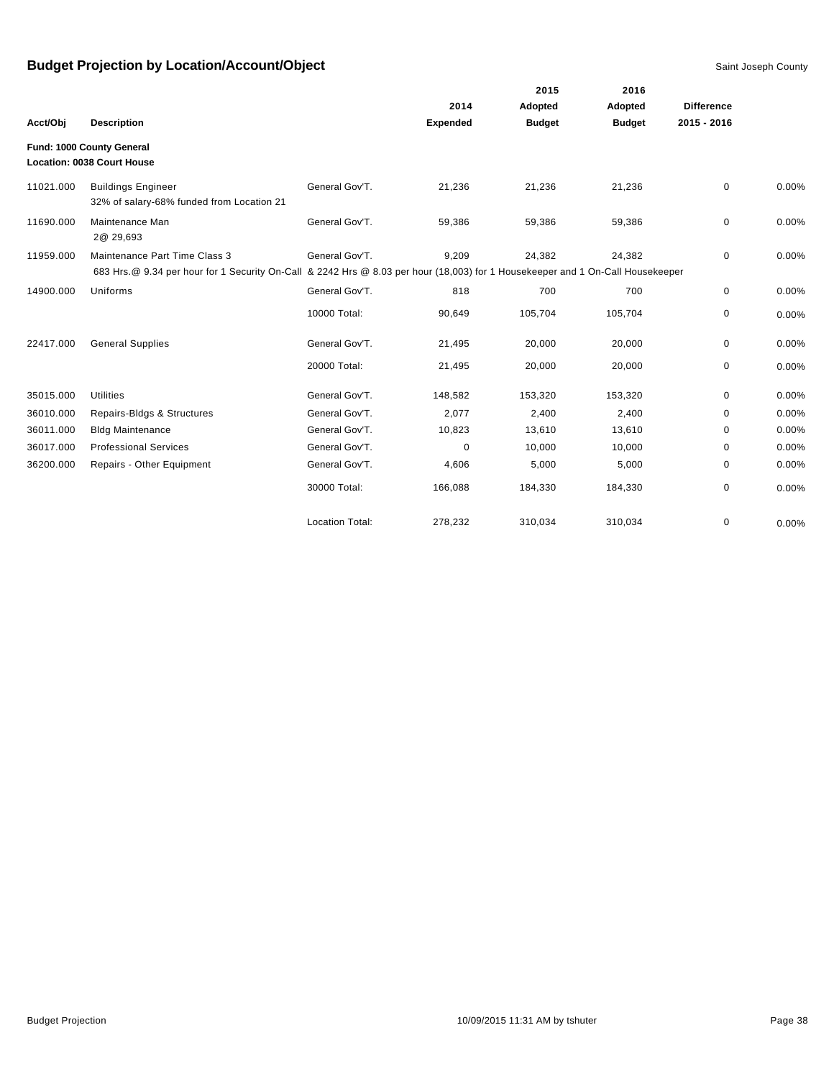|           |                                                                                                                                 |                        |                 | 2015          | 2016          |                   |       |
|-----------|---------------------------------------------------------------------------------------------------------------------------------|------------------------|-----------------|---------------|---------------|-------------------|-------|
|           |                                                                                                                                 |                        | 2014            | Adopted       | Adopted       | <b>Difference</b> |       |
| Acct/Obi  | <b>Description</b>                                                                                                              |                        | <b>Expended</b> | <b>Budget</b> | <b>Budget</b> | $2015 - 2016$     |       |
|           | Fund: 1000 County General                                                                                                       |                        |                 |               |               |                   |       |
|           | Location: 0038 Court House                                                                                                      |                        |                 |               |               |                   |       |
| 11021.000 | <b>Buildings Engineer</b><br>32% of salary-68% funded from Location 21                                                          | General Gov'T.         | 21,236          | 21,236        | 21,236        | $\mathbf 0$       | 0.00% |
| 11690.000 | Maintenance Man<br>2@ 29,693                                                                                                    | General Gov'T.         | 59,386          | 59,386        | 59,386        | $\mathbf 0$       | 0.00% |
| 11959.000 | Maintenance Part Time Class 3                                                                                                   | General Gov'T.         | 9,209           | 24,382        | 24,382        | 0                 | 0.00% |
|           | 683 Hrs. @ 9.34 per hour for 1 Security On-Call & 2242 Hrs @ 8.03 per hour (18,003) for 1 Housekeeper and 1 On-Call Housekeeper |                        |                 |               |               |                   |       |
| 14900.000 | Uniforms                                                                                                                        | General Gov'T.         | 818             | 700           | 700           | 0                 | 0.00% |
|           |                                                                                                                                 | 10000 Total:           | 90,649          | 105,704       | 105,704       | 0                 | 0.00% |
| 22417.000 | <b>General Supplies</b>                                                                                                         | General Gov'T.         | 21,495          | 20,000        | 20,000        | 0                 | 0.00% |
|           |                                                                                                                                 | 20000 Total:           | 21,495          | 20,000        | 20,000        | $\mathbf 0$       | 0.00% |
| 35015.000 | <b>Utilities</b>                                                                                                                | General Gov'T.         | 148,582         | 153,320       | 153,320       | $\mathbf 0$       | 0.00% |
| 36010.000 | Repairs-Bldgs & Structures                                                                                                      | General Gov'T.         | 2,077           | 2,400         | 2,400         | $\Omega$          | 0.00% |
| 36011.000 | <b>Bldg Maintenance</b>                                                                                                         | General Gov'T.         | 10,823          | 13,610        | 13,610        | $\Omega$          | 0.00% |
| 36017.000 | <b>Professional Services</b>                                                                                                    | General Gov'T.         | 0               | 10,000        | 10,000        | 0                 | 0.00% |
| 36200.000 | Repairs - Other Equipment                                                                                                       | General Gov'T.         | 4,606           | 5,000         | 5,000         | $\mathbf 0$       | 0.00% |
|           |                                                                                                                                 | 30000 Total:           | 166,088         | 184,330       | 184,330       | 0                 | 0.00% |
|           |                                                                                                                                 | <b>Location Total:</b> | 278,232         | 310,034       | 310,034       | 0                 | 0.00% |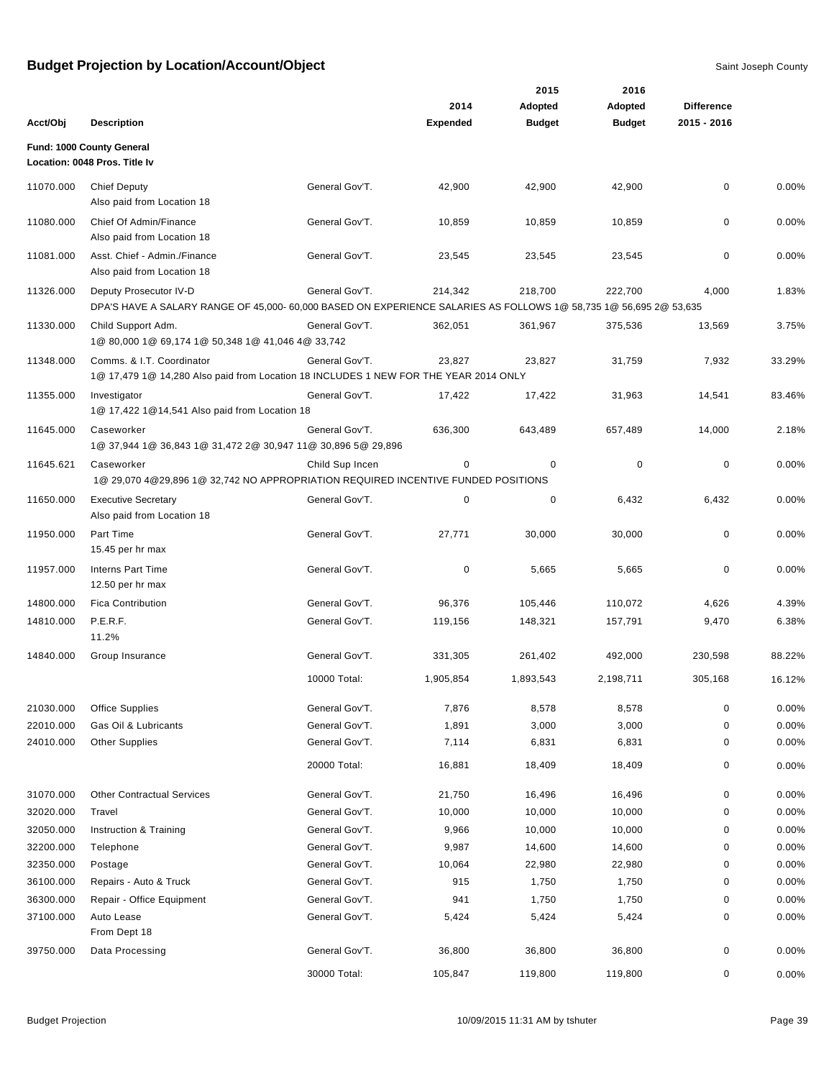|           |                                                                                                                                             |                 |                 | 2015          | 2016          |                   |        |
|-----------|---------------------------------------------------------------------------------------------------------------------------------------------|-----------------|-----------------|---------------|---------------|-------------------|--------|
|           |                                                                                                                                             |                 | 2014            | Adopted       | Adopted       | <b>Difference</b> |        |
| Acct/Obj  | <b>Description</b>                                                                                                                          |                 | <b>Expended</b> | <b>Budget</b> | <b>Budget</b> | 2015 - 2016       |        |
|           | Fund: 1000 County General<br>Location: 0048 Pros. Title Iv                                                                                  |                 |                 |               |               |                   |        |
| 11070.000 | <b>Chief Deputy</b><br>Also paid from Location 18                                                                                           | General Gov'T.  | 42,900          | 42,900        | 42,900        | 0                 | 0.00%  |
| 11080.000 | Chief Of Admin/Finance<br>Also paid from Location 18                                                                                        | General Gov'T.  | 10,859          | 10,859        | 10,859        | 0                 | 0.00%  |
| 11081.000 | Asst. Chief - Admin./Finance<br>Also paid from Location 18                                                                                  | General Gov'T.  | 23,545          | 23,545        | 23,545        | 0                 | 0.00%  |
| 11326.000 | Deputy Prosecutor IV-D<br>DPA'S HAVE A SALARY RANGE OF 45,000- 60,000 BASED ON EXPERIENCE SALARIES AS FOLLOWS 1@ 58,735 1@ 56,695 2@ 53,635 | General Gov'T.  | 214,342         | 218,700       | 222,700       | 4,000             | 1.83%  |
| 11330.000 | Child Support Adm.<br>1@ 80,000 1@ 69,174 1@ 50,348 1@ 41,046 4@ 33,742                                                                     | General Gov'T.  | 362,051         | 361,967       | 375,536       | 13,569            | 3.75%  |
| 11348.000 | Comms. & I.T. Coordinator<br>1@ 17,479 1@ 14,280 Also paid from Location 18 INCLUDES 1 NEW FOR THE YEAR 2014 ONLY                           | General Gov'T.  | 23,827          | 23,827        | 31,759        | 7,932             | 33.29% |
| 11355.000 | Investigator<br>1@ 17,422 1@14,541 Also paid from Location 18                                                                               | General Gov'T.  | 17,422          | 17,422        | 31,963        | 14,541            | 83.46% |
| 11645.000 | Caseworker<br>1@ 37,944 1@ 36,843 1@ 31,472 2@ 30,947 11@ 30,896 5@ 29,896                                                                  | General Gov'T.  | 636,300         | 643,489       | 657,489       | 14,000            | 2.18%  |
| 11645.621 | Caseworker<br>1@ 29,070 4@29,896 1@ 32,742 NO APPROPRIATION REQUIRED INCENTIVE FUNDED POSITIONS                                             | Child Sup Incen | 0               | 0             | 0             | 0                 | 0.00%  |
| 11650.000 | <b>Executive Secretary</b><br>Also paid from Location 18                                                                                    | General Gov'T.  | 0               | 0             | 6,432         | 6,432             | 0.00%  |
| 11950.000 | Part Time<br>15.45 per hr max                                                                                                               | General Gov'T.  | 27,771          | 30,000        | 30,000        | 0                 | 0.00%  |
| 11957.000 | <b>Interns Part Time</b><br>12.50 per hr max                                                                                                | General Gov'T.  | 0               | 5,665         | 5,665         | 0                 | 0.00%  |
| 14800.000 | <b>Fica Contribution</b>                                                                                                                    | General Gov'T.  | 96,376          | 105,446       | 110,072       | 4,626             | 4.39%  |
| 14810.000 | P.E.R.F.<br>11.2%                                                                                                                           | General Gov'T.  | 119,156         | 148,321       | 157,791       | 9,470             | 6.38%  |
| 14840.000 | Group Insurance                                                                                                                             | General Gov'T.  | 331,305         | 261,402       | 492,000       | 230,598           | 88.22% |
|           |                                                                                                                                             | 10000 Total:    | 1,905,854       | 1,893,543     | 2,198,711     | 305,168           | 16.12% |
| 21030.000 | <b>Office Supplies</b>                                                                                                                      | General Gov'T.  | 7,876           | 8,578         | 8,578         | 0                 | 0.00%  |
| 22010.000 | Gas Oil & Lubricants                                                                                                                        | General Gov'T.  | 1,891           | 3,000         | 3,000         | 0                 | 0.00%  |
| 24010.000 | <b>Other Supplies</b>                                                                                                                       | General Gov'T.  | 7,114           | 6,831         | 6,831         | 0                 | 0.00%  |
|           |                                                                                                                                             | 20000 Total:    | 16,881          | 18,409        | 18,409        | 0                 | 0.00%  |
| 31070.000 | <b>Other Contractual Services</b>                                                                                                           | General Gov'T.  | 21,750          | 16,496        | 16,496        | 0                 | 0.00%  |
| 32020.000 | Travel                                                                                                                                      | General Gov'T.  | 10,000          | 10,000        | 10,000        | 0                 | 0.00%  |
| 32050.000 | Instruction & Training                                                                                                                      | General Gov'T.  | 9,966           | 10,000        | 10,000        | 0                 | 0.00%  |
| 32200.000 | Telephone                                                                                                                                   | General Gov'T.  | 9,987           | 14,600        | 14,600        | 0                 | 0.00%  |
| 32350.000 | Postage                                                                                                                                     | General Gov'T.  | 10,064          | 22,980        | 22,980        | 0                 | 0.00%  |
| 36100.000 | Repairs - Auto & Truck                                                                                                                      | General Gov'T.  | 915             | 1,750         | 1,750         | 0                 | 0.00%  |
| 36300.000 | Repair - Office Equipment                                                                                                                   | General Gov'T.  | 941             | 1,750         | 1,750         | 0                 | 0.00%  |
| 37100.000 | Auto Lease<br>From Dept 18                                                                                                                  | General Gov'T.  | 5,424           | 5,424         | 5,424         | 0                 | 0.00%  |
| 39750.000 | Data Processing                                                                                                                             | General Gov'T.  | 36,800          | 36,800        | 36,800        | 0                 | 0.00%  |
|           |                                                                                                                                             | 30000 Total:    | 105,847         | 119,800       | 119,800       | 0                 | 0.00%  |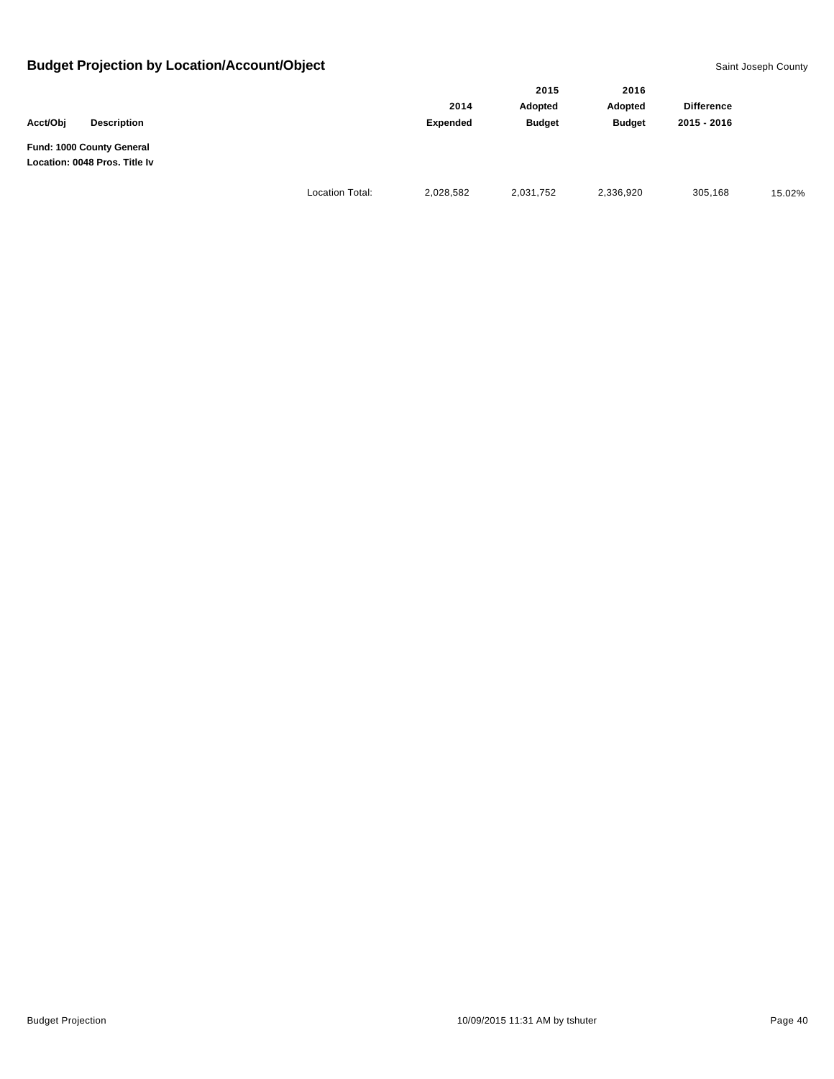|                                                            |                        |           | 2015          | 2016          |                   |        |
|------------------------------------------------------------|------------------------|-----------|---------------|---------------|-------------------|--------|
|                                                            |                        | 2014      | Adopted       | Adopted       | <b>Difference</b> |        |
| Acct/Obi<br><b>Description</b>                             |                        | Expended  | <b>Budget</b> | <b>Budget</b> | 2015 - 2016       |        |
| Fund: 1000 County General<br>Location: 0048 Pros. Title Iv |                        |           |               |               |                   |        |
|                                                            | <b>Location Total:</b> | 2,028,582 | 2,031,752     | 2,336,920     | 305,168           | 15.02% |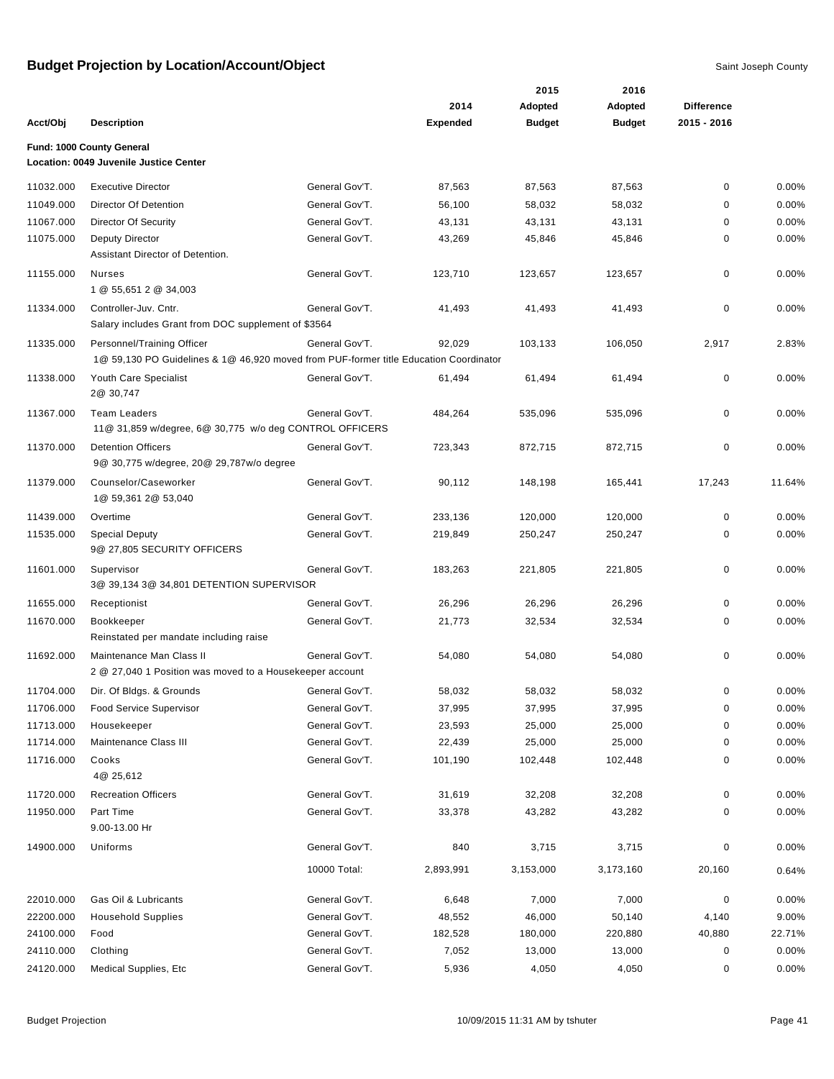|           |                                                                                       |                |                 | 2015          | 2016          |                   |        |
|-----------|---------------------------------------------------------------------------------------|----------------|-----------------|---------------|---------------|-------------------|--------|
|           |                                                                                       |                | 2014            | Adopted       | Adopted       | <b>Difference</b> |        |
| Acct/Obj  | <b>Description</b>                                                                    |                | <b>Expended</b> | <b>Budget</b> | <b>Budget</b> | 2015 - 2016       |        |
|           | Fund: 1000 County General                                                             |                |                 |               |               |                   |        |
|           | Location: 0049 Juvenile Justice Center                                                |                |                 |               |               |                   |        |
| 11032.000 | <b>Executive Director</b>                                                             | General Gov'T. | 87,563          | 87,563        | 87,563        | 0                 | 0.00%  |
| 11049.000 | Director Of Detention                                                                 | General Gov'T. | 56,100          | 58,032        | 58,032        | 0                 | 0.00%  |
| 11067.000 | <b>Director Of Security</b>                                                           | General Gov'T. | 43,131          | 43,131        | 43,131        | 0                 | 0.00%  |
| 11075.000 | <b>Deputy Director</b><br>Assistant Director of Detention.                            | General Gov'T. | 43,269          | 45,846        | 45,846        | 0                 | 0.00%  |
| 11155.000 | Nurses<br>1 @ 55,651 2 @ 34,003                                                       | General Gov'T. | 123,710         | 123,657       | 123,657       | 0                 | 0.00%  |
| 11334.000 | Controller-Juv. Cntr.<br>Salary includes Grant from DOC supplement of \$3564          | General Gov'T. | 41,493          | 41,493        | 41,493        | 0                 | 0.00%  |
| 11335.000 | Personnel/Training Officer                                                            | General Gov'T. | 92,029          | 103,133       | 106,050       | 2,917             | 2.83%  |
|           | 1@ 59,130 PO Guidelines & 1@ 46,920 moved from PUF-former title Education Coordinator |                |                 |               |               |                   |        |
| 11338.000 | Youth Care Specialist<br>2@ 30,747                                                    | General Gov'T. | 61,494          | 61,494        | 61,494        | 0                 | 0.00%  |
| 11367.000 | <b>Team Leaders</b><br>11@ 31,859 w/degree, 6@ 30,775 w/o deg CONTROL OFFICERS        | General Gov'T. | 484,264         | 535,096       | 535,096       | 0                 | 0.00%  |
| 11370.000 | <b>Detention Officers</b><br>9@ 30,775 w/degree, 20@ 29,787w/o degree                 | General Gov'T. | 723,343         | 872,715       | 872,715       | 0                 | 0.00%  |
| 11379.000 | Counselor/Caseworker<br>1@ 59,361 2@ 53,040                                           | General Gov'T. | 90,112          | 148,198       | 165,441       | 17,243            | 11.64% |
| 11439.000 | Overtime                                                                              | General Gov'T. | 233,136         | 120,000       | 120,000       | 0                 | 0.00%  |
| 11535.000 | <b>Special Deputy</b><br>9@ 27,805 SECURITY OFFICERS                                  | General Gov'T. | 219,849         | 250,247       | 250,247       | 0                 | 0.00%  |
| 11601.000 | Supervisor<br>3@ 39,134 3@ 34,801 DETENTION SUPERVISOR                                | General Gov'T. | 183,263         | 221,805       | 221,805       | 0                 | 0.00%  |
| 11655.000 | Receptionist                                                                          | General Gov'T. | 26,296          | 26,296        | 26,296        | 0                 | 0.00%  |
| 11670.000 | Bookkeeper<br>Reinstated per mandate including raise                                  | General Gov'T. | 21,773          | 32,534        | 32,534        | 0                 | 0.00%  |
| 11692.000 | Maintenance Man Class II<br>2 @ 27,040 1 Position was moved to a Housekeeper account  | General Gov'T. | 54,080          | 54,080        | 54,080        | 0                 | 0.00%  |
| 11704.000 | Dir. Of Bldgs. & Grounds                                                              | General Gov'T. | 58,032          | 58,032        | 58,032        | 0                 | 0.00%  |
| 11706.000 | <b>Food Service Supervisor</b>                                                        | General Gov'T. | 37,995          | 37,995        | 37,995        | 0                 | 0.00%  |
| 11713.000 | Housekeeper                                                                           | General Gov'T. | 23,593          | 25,000        | 25,000        | 0                 | 0.00%  |
| 11714.000 | Maintenance Class III                                                                 | General Gov'T. | 22,439          | 25,000        | 25,000        | 0                 | 0.00%  |
| 11716.000 | Cooks<br>4@ 25,612                                                                    | General Gov'T. | 101,190         | 102,448       | 102,448       | 0                 | 0.00%  |
| 11720.000 | <b>Recreation Officers</b>                                                            | General Gov'T. | 31,619          | 32,208        | 32,208        | 0                 | 0.00%  |
| 11950.000 | Part Time<br>9.00-13.00 Hr                                                            | General Gov'T. | 33,378          | 43,282        | 43,282        | 0                 | 0.00%  |
| 14900.000 | Uniforms                                                                              | General Gov'T. | 840             | 3,715         | 3,715         | 0                 | 0.00%  |
|           |                                                                                       | 10000 Total:   | 2,893,991       | 3,153,000     | 3,173,160     | 20,160            | 0.64%  |
| 22010.000 | Gas Oil & Lubricants                                                                  | General Gov'T. | 6,648           | 7,000         | 7,000         | 0                 | 0.00%  |
| 22200.000 | <b>Household Supplies</b>                                                             | General Gov'T. | 48,552          | 46,000        | 50,140        | 4,140             | 9.00%  |
| 24100.000 | Food                                                                                  | General Gov'T. | 182,528         | 180,000       | 220,880       | 40,880            | 22.71% |
| 24110.000 | Clothing                                                                              | General Gov'T. | 7,052           | 13,000        | 13,000        | 0                 | 0.00%  |
| 24120.000 | Medical Supplies, Etc                                                                 | General Gov'T. | 5,936           | 4,050         | 4,050         | 0                 | 0.00%  |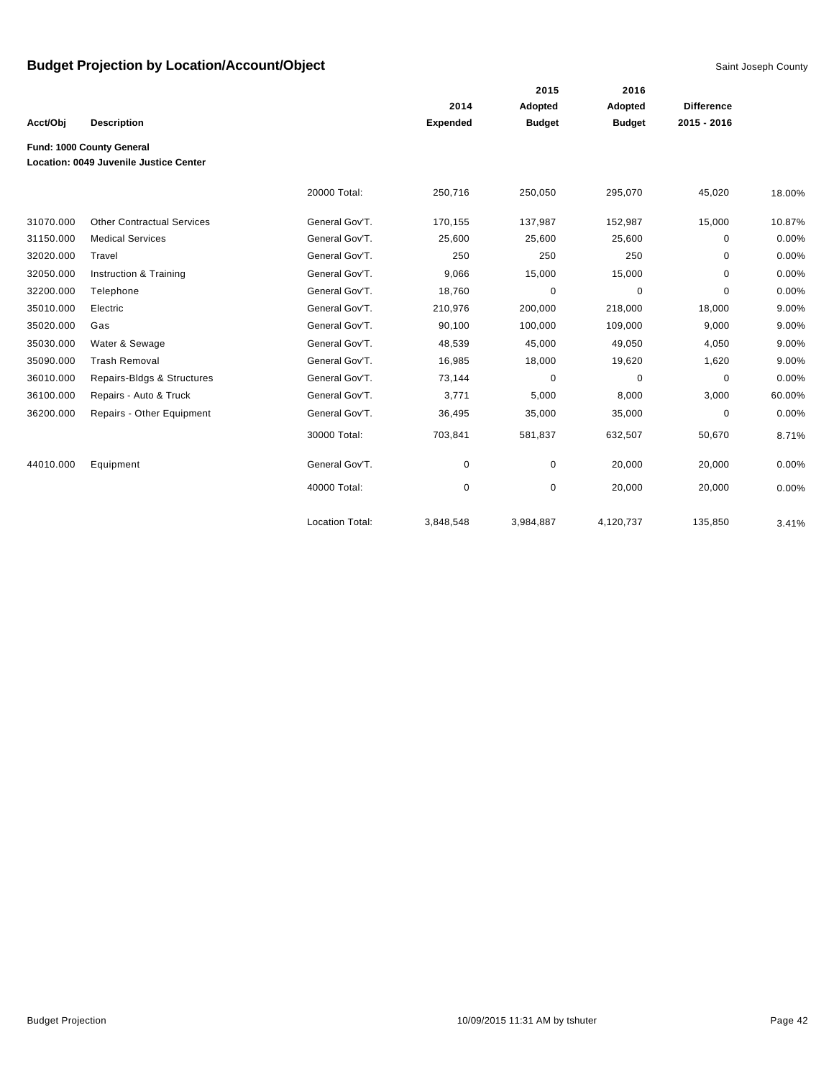|           |                                               |                        |                 | 2015          | 2016          |                   |        |
|-----------|-----------------------------------------------|------------------------|-----------------|---------------|---------------|-------------------|--------|
|           |                                               |                        | 2014            | Adopted       | Adopted       | <b>Difference</b> |        |
| Acct/Obj  | <b>Description</b>                            |                        | <b>Expended</b> | <b>Budget</b> | <b>Budget</b> | 2015 - 2016       |        |
|           | Fund: 1000 County General                     |                        |                 |               |               |                   |        |
|           | <b>Location: 0049 Juvenile Justice Center</b> |                        |                 |               |               |                   |        |
|           |                                               | 20000 Total:           | 250,716         | 250,050       | 295,070       | 45,020            | 18.00% |
| 31070.000 | <b>Other Contractual Services</b>             | General Gov'T.         | 170,155         | 137,987       | 152,987       | 15,000            | 10.87% |
| 31150.000 | <b>Medical Services</b>                       | General Gov'T.         | 25,600          | 25,600        | 25,600        | 0                 | 0.00%  |
| 32020.000 | Travel                                        | General Gov'T.         | 250             | 250           | 250           | 0                 | 0.00%  |
| 32050.000 | Instruction & Training                        | General Gov'T.         | 9,066           | 15,000        | 15,000        | 0                 | 0.00%  |
| 32200.000 | Telephone                                     | General Gov'T.         | 18,760          | $\mathbf 0$   | $\Omega$      | 0                 | 0.00%  |
| 35010.000 | Electric                                      | General Gov'T.         | 210,976         | 200,000       | 218,000       | 18,000            | 9.00%  |
| 35020.000 | Gas                                           | General Gov'T.         | 90,100          | 100,000       | 109,000       | 9,000             | 9.00%  |
| 35030.000 | Water & Sewage                                | General Gov'T.         | 48,539          | 45,000        | 49,050        | 4,050             | 9.00%  |
| 35090.000 | <b>Trash Removal</b>                          | General Gov'T.         | 16,985          | 18,000        | 19,620        | 1,620             | 9.00%  |
| 36010.000 | Repairs-Bldgs & Structures                    | General Gov'T.         | 73,144          | $\mathbf 0$   | $\Omega$      | 0                 | 0.00%  |
| 36100.000 | Repairs - Auto & Truck                        | General Gov'T.         | 3,771           | 5,000         | 8,000         | 3,000             | 60.00% |
| 36200.000 | Repairs - Other Equipment                     | General Gov'T.         | 36,495          | 35,000        | 35,000        | 0                 | 0.00%  |
|           |                                               | 30000 Total:           | 703,841         | 581,837       | 632,507       | 50,670            | 8.71%  |
| 44010.000 | Equipment                                     | General Gov'T.         | 0               | 0             | 20,000        | 20,000            | 0.00%  |
|           |                                               | 40000 Total:           | $\pmb{0}$       | $\pmb{0}$     | 20,000        | 20,000            | 0.00%  |
|           |                                               | <b>Location Total:</b> | 3,848,548       | 3,984,887     | 4,120,737     | 135,850           | 3.41%  |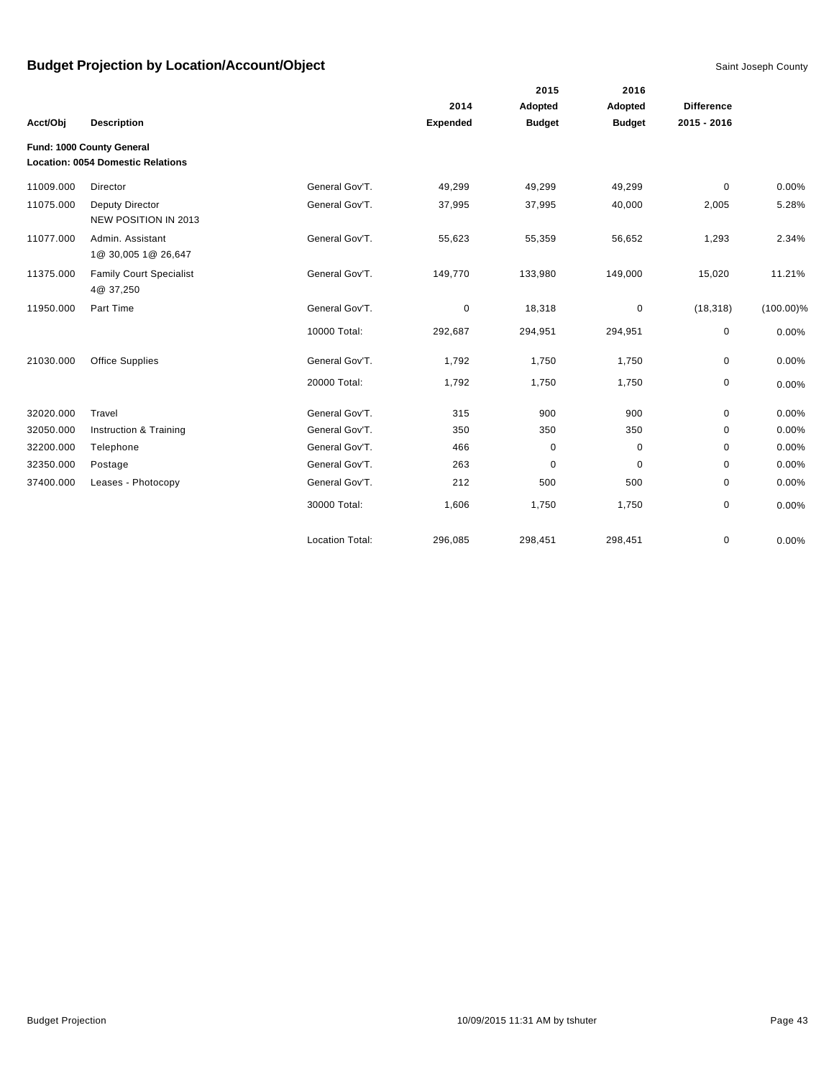|           |                                                                       |                        |                 | 2015          | 2016          |                   |              |
|-----------|-----------------------------------------------------------------------|------------------------|-----------------|---------------|---------------|-------------------|--------------|
|           |                                                                       |                        | 2014            | Adopted       | Adopted       | <b>Difference</b> |              |
| Acct/Obj  | <b>Description</b>                                                    |                        | <b>Expended</b> | <b>Budget</b> | <b>Budget</b> | 2015 - 2016       |              |
|           | Fund: 1000 County General<br><b>Location: 0054 Domestic Relations</b> |                        |                 |               |               |                   |              |
| 11009.000 | Director                                                              | General Gov'T.         | 49,299          | 49,299        | 49,299        | $\mathbf 0$       | 0.00%        |
| 11075.000 | Deputy Director<br>NEW POSITION IN 2013                               | General Gov'T.         | 37,995          | 37,995        | 40,000        | 2,005             | 5.28%        |
| 11077.000 | Admin, Assistant<br>1@ 30,005 1@ 26,647                               | General Gov'T.         | 55,623          | 55,359        | 56,652        | 1,293             | 2.34%        |
| 11375.000 | <b>Family Court Specialist</b><br>4@ 37,250                           | General Gov'T.         | 149,770         | 133,980       | 149,000       | 15,020            | 11.21%       |
| 11950.000 | Part Time                                                             | General Gov'T.         | 0               | 18,318        | $\mathbf 0$   | (18, 318)         | $(100.00)\%$ |
|           |                                                                       | 10000 Total:           | 292,687         | 294,951       | 294,951       | 0                 | 0.00%        |
| 21030.000 | <b>Office Supplies</b>                                                | General Gov'T.         | 1,792           | 1,750         | 1,750         | $\mathbf 0$       | 0.00%        |
|           |                                                                       | 20000 Total:           | 1,792           | 1,750         | 1,750         | 0                 | 0.00%        |
| 32020.000 | Travel                                                                | General Gov'T.         | 315             | 900           | 900           | 0                 | 0.00%        |
| 32050.000 | Instruction & Training                                                | General Gov'T.         | 350             | 350           | 350           | 0                 | 0.00%        |
| 32200.000 | Telephone                                                             | General Gov'T.         | 466             | 0             | 0             | 0                 | 0.00%        |
| 32350.000 | Postage                                                               | General Gov'T.         | 263             | $\mathbf 0$   | $\mathbf 0$   | 0                 | 0.00%        |
| 37400.000 | Leases - Photocopy                                                    | General Gov'T.         | 212             | 500           | 500           | 0                 | 0.00%        |
|           |                                                                       | 30000 Total:           | 1,606           | 1,750         | 1,750         | 0                 | 0.00%        |
|           |                                                                       | <b>Location Total:</b> | 296,085         | 298,451       | 298,451       | 0                 | 0.00%        |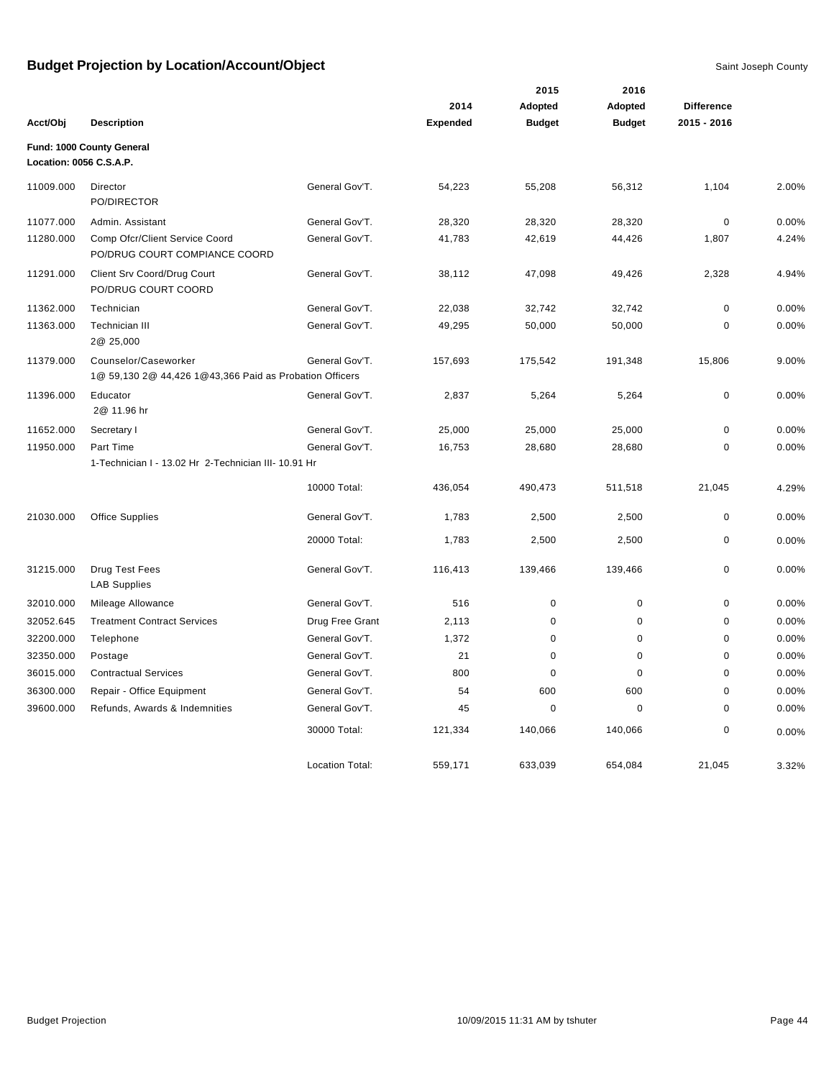|                         |                                                                                 |                        |                 | 2015          | 2016          |                   |       |
|-------------------------|---------------------------------------------------------------------------------|------------------------|-----------------|---------------|---------------|-------------------|-------|
|                         |                                                                                 |                        | 2014            | Adopted       | Adopted       | <b>Difference</b> |       |
| Acct/Obj                | <b>Description</b>                                                              |                        | <b>Expended</b> | <b>Budget</b> | <b>Budget</b> | 2015 - 2016       |       |
| Location: 0056 C.S.A.P. | Fund: 1000 County General                                                       |                        |                 |               |               |                   |       |
| 11009.000               | Director<br>PO/DIRECTOR                                                         | General Gov'T.         | 54,223          | 55,208        | 56,312        | 1,104             | 2.00% |
| 11077.000               | Admin. Assistant                                                                | General Gov'T.         | 28,320          | 28,320        | 28,320        | $\mathbf 0$       | 0.00% |
| 11280.000               | Comp Ofcr/Client Service Coord<br>PO/DRUG COURT COMPIANCE COORD                 | General Gov'T.         | 41,783          | 42,619        | 44,426        | 1,807             | 4.24% |
| 11291.000               | Client Srv Coord/Drug Court<br>PO/DRUG COURT COORD                              | General Gov'T.         | 38,112          | 47,098        | 49,426        | 2,328             | 4.94% |
| 11362.000               | Technician                                                                      | General Gov'T.         | 22,038          | 32,742        | 32,742        | $\mathbf 0$       | 0.00% |
| 11363.000               | Technician III<br>2@ 25,000                                                     | General Gov'T.         | 49,295          | 50,000        | 50,000        | $\mathbf 0$       | 0.00% |
| 11379.000               | Counselor/Caseworker<br>1@ 59,130 2@ 44,426 1@43,366 Paid as Probation Officers | General Gov'T.         | 157,693         | 175,542       | 191,348       | 15,806            | 9.00% |
| 11396.000               | Educator<br>2@ 11.96 hr                                                         | General Gov'T.         | 2,837           | 5,264         | 5,264         | $\mathbf 0$       | 0.00% |
| 11652.000               | Secretary I                                                                     | General Gov'T.         | 25,000          | 25,000        | 25,000        | 0                 | 0.00% |
| 11950.000               | Part Time                                                                       | General Gov'T.         | 16,753          | 28,680        | 28,680        | 0                 | 0.00% |
|                         | 1-Technician I - 13.02 Hr 2-Technician III- 10.91 Hr                            |                        |                 |               |               |                   |       |
|                         |                                                                                 | 10000 Total:           | 436,054         | 490,473       | 511,518       | 21,045            | 4.29% |
| 21030.000               | <b>Office Supplies</b>                                                          | General Gov'T.         | 1,783           | 2,500         | 2,500         | 0                 | 0.00% |
|                         |                                                                                 | 20000 Total:           | 1,783           | 2,500         | 2,500         | 0                 | 0.00% |
| 31215.000               | Drug Test Fees<br><b>LAB Supplies</b>                                           | General Gov'T.         | 116,413         | 139,466       | 139,466       | 0                 | 0.00% |
| 32010.000               | Mileage Allowance                                                               | General Gov'T.         | 516             | $\pmb{0}$     | $\pmb{0}$     | $\mathbf 0$       | 0.00% |
| 32052.645               | <b>Treatment Contract Services</b>                                              | Drug Free Grant        | 2,113           | 0             | $\mathbf 0$   | 0                 | 0.00% |
| 32200.000               | Telephone                                                                       | General Gov'T.         | 1,372           | $\pmb{0}$     | 0             | 0                 | 0.00% |
| 32350.000               | Postage                                                                         | General Gov'T.         | 21              | 0             | $\mathbf 0$   | 0                 | 0.00% |
| 36015.000               | <b>Contractual Services</b>                                                     | General Gov'T.         | 800             | $\mathbf 0$   | $\mathbf 0$   | 0                 | 0.00% |
| 36300.000               | Repair - Office Equipment                                                       | General Gov'T.         | 54              | 600           | 600           | 0                 | 0.00% |
| 39600.000               | Refunds, Awards & Indemnities                                                   | General Gov'T.         | 45              | 0             | 0             | $\mathbf 0$       | 0.00% |
|                         |                                                                                 | 30000 Total:           | 121,334         | 140,066       | 140,066       | 0                 | 0.00% |
|                         |                                                                                 | <b>Location Total:</b> | 559.171         | 633,039       | 654,084       | 21.045            | 3.32% |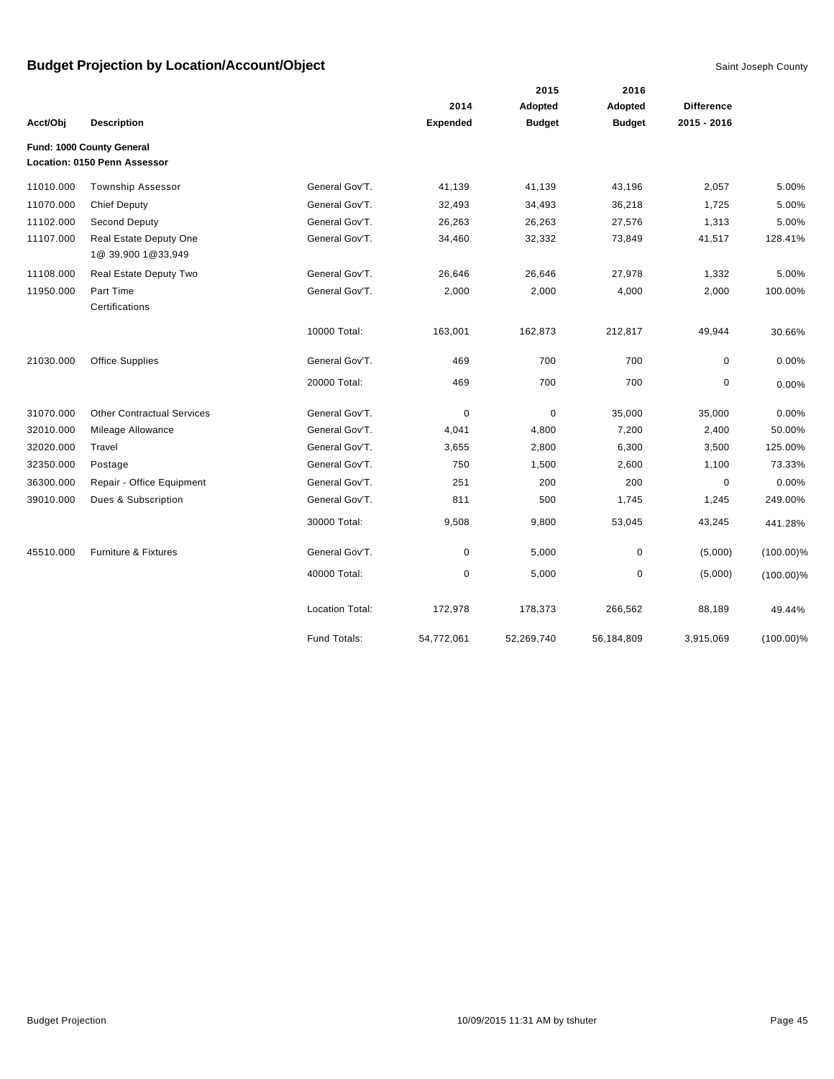|           |                                                           |                        |                 | 2015          | 2016          |                   |              |
|-----------|-----------------------------------------------------------|------------------------|-----------------|---------------|---------------|-------------------|--------------|
|           |                                                           |                        | 2014            | Adopted       | Adopted       | <b>Difference</b> |              |
| Acct/Obj  | <b>Description</b>                                        |                        | <b>Expended</b> | <b>Budget</b> | <b>Budget</b> | 2015 - 2016       |              |
|           | Fund: 1000 County General<br>Location: 0150 Penn Assessor |                        |                 |               |               |                   |              |
| 11010.000 | Township Assessor                                         | General Gov'T.         | 41,139          | 41,139        | 43,196        | 2,057             | 5.00%        |
| 11070.000 | <b>Chief Deputy</b>                                       | General Gov'T.         | 32,493          | 34,493        | 36,218        | 1,725             | 5.00%        |
| 11102.000 | Second Deputy                                             | General Gov'T.         | 26,263          | 26,263        | 27,576        | 1,313             | 5.00%        |
| 11107.000 | Real Estate Deputy One<br>1@ 39,900 1@33,949              | General Gov'T.         | 34,460          | 32,332        | 73,849        | 41,517            | 128.41%      |
| 11108.000 | Real Estate Deputy Two                                    | General Gov'T.         | 26,646          | 26,646        | 27,978        | 1,332             | 5.00%        |
| 11950.000 | Part Time<br>Certifications                               | General Gov'T.         | 2,000           | 2,000         | 4,000         | 2,000             | 100.00%      |
|           |                                                           | 10000 Total:           | 163,001         | 162,873       | 212,817       | 49,944            | 30.66%       |
| 21030.000 | <b>Office Supplies</b>                                    | General Gov'T.         | 469             | 700           | 700           | $\mathbf 0$       | 0.00%        |
|           |                                                           | 20000 Total:           | 469             | 700           | 700           | 0                 | 0.00%        |
| 31070.000 | <b>Other Contractual Services</b>                         | General Gov'T.         | 0               | $\pmb{0}$     | 35,000        | 35,000            | 0.00%        |
| 32010.000 | Mileage Allowance                                         | General Gov'T.         | 4,041           | 4,800         | 7,200         | 2,400             | 50.00%       |
| 32020.000 | Travel                                                    | General Gov'T.         | 3,655           | 2,800         | 6,300         | 3,500             | 125.00%      |
| 32350.000 | Postage                                                   | General Gov'T.         | 750             | 1,500         | 2,600         | 1,100             | 73.33%       |
| 36300.000 | Repair - Office Equipment                                 | General Gov'T.         | 251             | 200           | 200           | 0                 | 0.00%        |
| 39010.000 | Dues & Subscription                                       | General Gov'T.         | 811             | 500           | 1,745         | 1,245             | 249.00%      |
|           |                                                           | 30000 Total:           | 9,508           | 9,800         | 53,045        | 43,245            | 441.28%      |
| 45510.000 | Furniture & Fixtures                                      | General Gov'T.         | 0               | 5,000         | $\mathbf 0$   | (5,000)           | $(100.00)\%$ |
|           |                                                           | 40000 Total:           | 0               | 5,000         | 0             | (5,000)           | $(100.00)\%$ |
|           |                                                           | <b>Location Total:</b> | 172,978         | 178,373       | 266,562       | 88,189            | 49.44%       |
|           |                                                           | Fund Totals:           | 54,772,061      | 52,269,740    | 56,184,809    | 3,915,069         | $(100.00)\%$ |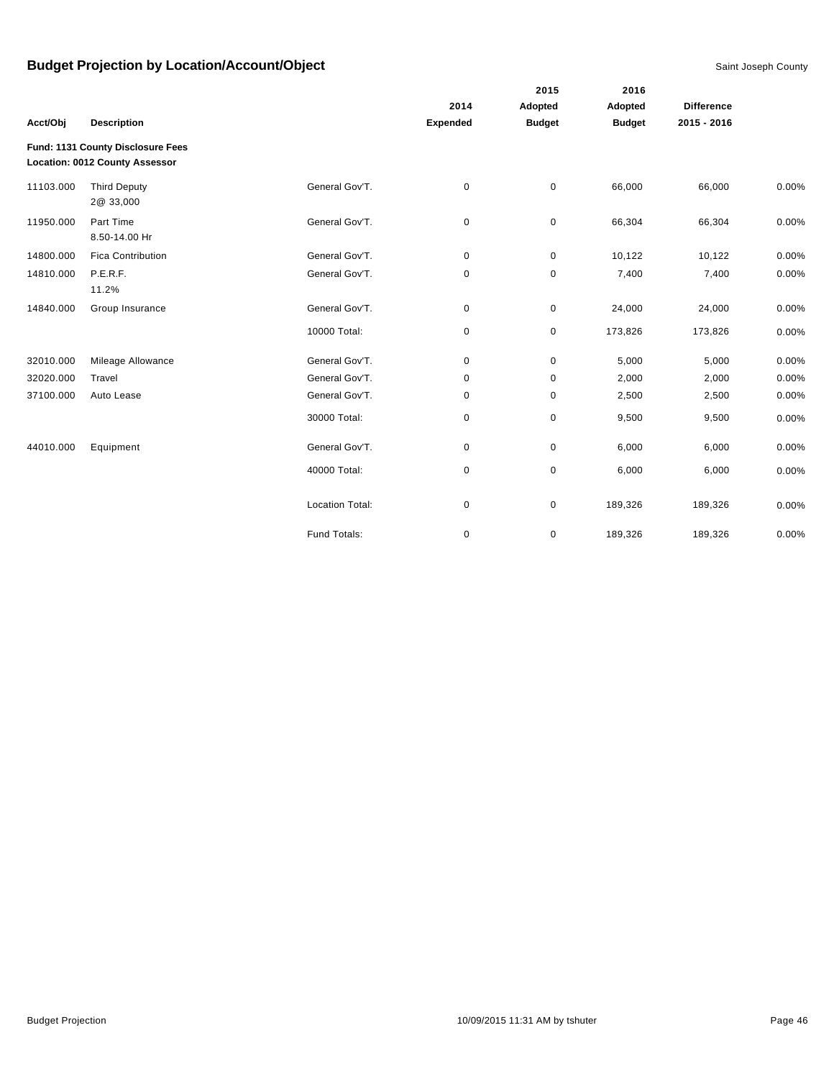|           | <b>Description</b>                                                  |                        | 2014            | Adopted<br><b>Budget</b> | Adopted<br><b>Budget</b> | <b>Difference</b> |       |
|-----------|---------------------------------------------------------------------|------------------------|-----------------|--------------------------|--------------------------|-------------------|-------|
| Acct/Obj  |                                                                     |                        | <b>Expended</b> |                          |                          | 2015 - 2016       |       |
|           | Fund: 1131 County Disclosure Fees<br>Location: 0012 County Assessor |                        |                 |                          |                          |                   |       |
| 11103.000 | <b>Third Deputy</b><br>2@ 33,000                                    | General Gov'T.         | 0               | $\mathbf 0$              | 66,000                   | 66,000            | 0.00% |
| 11950.000 | Part Time<br>8.50-14.00 Hr                                          | General Gov'T.         | 0               | 0                        | 66,304                   | 66,304            | 0.00% |
| 14800.000 | <b>Fica Contribution</b>                                            | General Gov'T.         | 0               | $\pmb{0}$                | 10,122                   | 10,122            | 0.00% |
| 14810.000 | P.E.R.F.<br>11.2%                                                   | General Gov'T.         | 0               | $\pmb{0}$                | 7,400                    | 7,400             | 0.00% |
| 14840.000 | Group Insurance                                                     | General Gov'T.         | 0               | $\pmb{0}$                | 24,000                   | 24,000            | 0.00% |
|           |                                                                     | 10000 Total:           | 0               | 0                        | 173,826                  | 173,826           | 0.00% |
| 32010.000 | Mileage Allowance                                                   | General Gov'T.         | 0               | 0                        | 5,000                    | 5,000             | 0.00% |
| 32020.000 | Travel                                                              | General Gov'T.         | 0               | $\pmb{0}$                | 2,000                    | 2,000             | 0.00% |
| 37100.000 | Auto Lease                                                          | General Gov'T.         | 0               | 0                        | 2,500                    | 2,500             | 0.00% |
|           |                                                                     | 30000 Total:           | 0               | $\pmb{0}$                | 9,500                    | 9,500             | 0.00% |
| 44010.000 | Equipment                                                           | General Gov'T.         | 0               | $\pmb{0}$                | 6,000                    | 6,000             | 0.00% |
|           |                                                                     | 40000 Total:           | 0               | $\pmb{0}$                | 6,000                    | 6,000             | 0.00% |
|           |                                                                     | <b>Location Total:</b> | 0               | $\pmb{0}$                | 189,326                  | 189,326           | 0.00% |
|           |                                                                     | Fund Totals:           | 0               | $\pmb{0}$                | 189,326                  | 189,326           | 0.00% |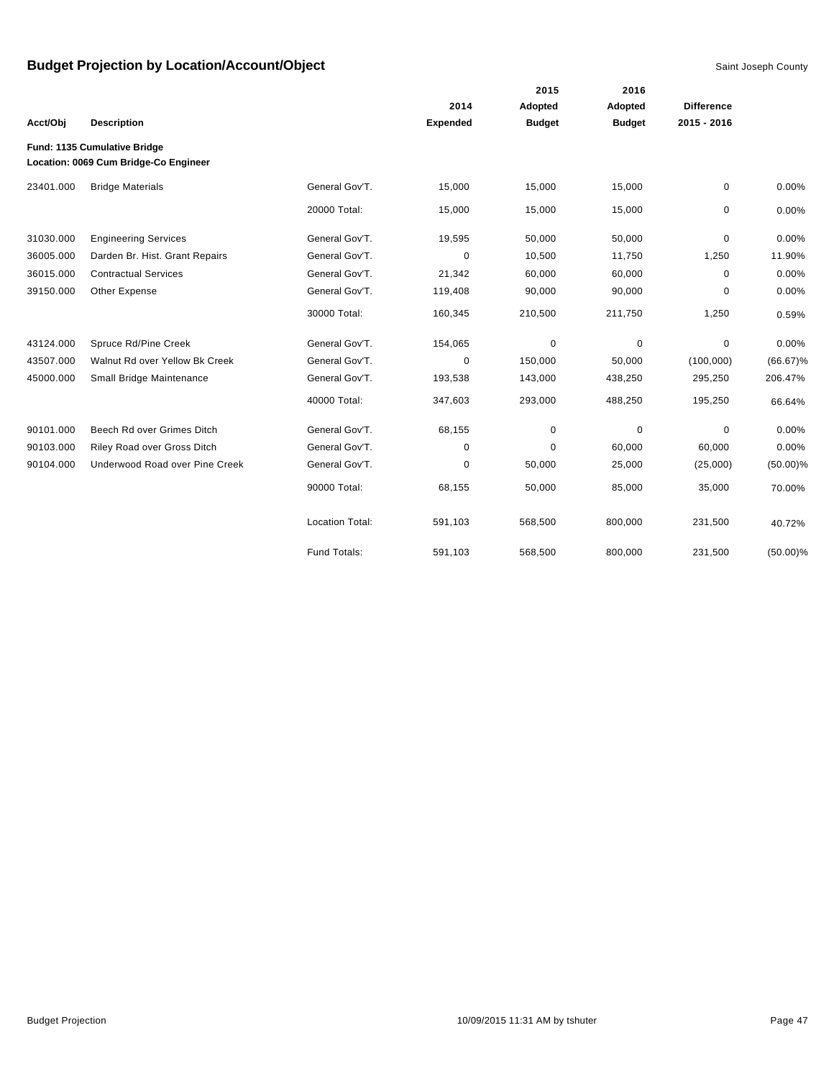|           |                                                                       |                        |                 | 2015          | 2016          |                   |             |
|-----------|-----------------------------------------------------------------------|------------------------|-----------------|---------------|---------------|-------------------|-------------|
|           |                                                                       |                        | 2014            | Adopted       | Adopted       | <b>Difference</b> |             |
| Acct/Obj  | <b>Description</b>                                                    |                        | <b>Expended</b> | <b>Budget</b> | <b>Budget</b> | $2015 - 2016$     |             |
|           | Fund: 1135 Cumulative Bridge<br>Location: 0069 Cum Bridge-Co Engineer |                        |                 |               |               |                   |             |
| 23401.000 | <b>Bridge Materials</b>                                               | General Gov'T.         | 15,000          | 15,000        | 15,000        | 0                 | 0.00%       |
|           |                                                                       | 20000 Total:           | 15,000          | 15,000        | 15,000        | 0                 | 0.00%       |
| 31030.000 | <b>Engineering Services</b>                                           | General Gov'T.         | 19,595          | 50,000        | 50,000        | 0                 | 0.00%       |
| 36005.000 | Darden Br. Hist. Grant Repairs                                        | General Gov'T.         | 0               | 10,500        | 11,750        | 1,250             | 11.90%      |
| 36015.000 | <b>Contractual Services</b>                                           | General Gov'T.         | 21,342          | 60,000        | 60,000        | 0                 | 0.00%       |
| 39150.000 | Other Expense                                                         | General Gov'T.         | 119,408         | 90,000        | 90,000        | 0                 | 0.00%       |
|           |                                                                       | 30000 Total:           | 160,345         | 210,500       | 211,750       | 1,250             | 0.59%       |
| 43124.000 | Spruce Rd/Pine Creek                                                  | General Gov'T.         | 154,065         | 0             | 0             | 0                 | 0.00%       |
| 43507.000 | Walnut Rd over Yellow Bk Creek                                        | General Gov'T.         | 0               | 150,000       | 50,000        | (100,000)         | $(66.67)\%$ |
| 45000.000 | Small Bridge Maintenance                                              | General Gov'T.         | 193,538         | 143,000       | 438,250       | 295,250           | 206.47%     |
|           |                                                                       | 40000 Total:           | 347,603         | 293,000       | 488,250       | 195,250           | 66.64%      |
| 90101.000 | Beech Rd over Grimes Ditch                                            | General Gov'T.         | 68,155          | 0             | 0             | 0                 | 0.00%       |
| 90103.000 | Riley Road over Gross Ditch                                           | General Gov'T.         | 0               | $\Omega$      | 60,000        | 60,000            | 0.00%       |
| 90104.000 | Underwood Road over Pine Creek                                        | General Gov'T.         | $\pmb{0}$       | 50,000        | 25,000        | (25,000)          | $(50.00)\%$ |
|           |                                                                       | 90000 Total:           | 68,155          | 50,000        | 85,000        | 35,000            | 70.00%      |
|           |                                                                       | <b>Location Total:</b> | 591,103         | 568,500       | 800,000       | 231,500           | 40.72%      |
|           |                                                                       | Fund Totals:           | 591,103         | 568,500       | 800,000       | 231,500           | $(50.00)\%$ |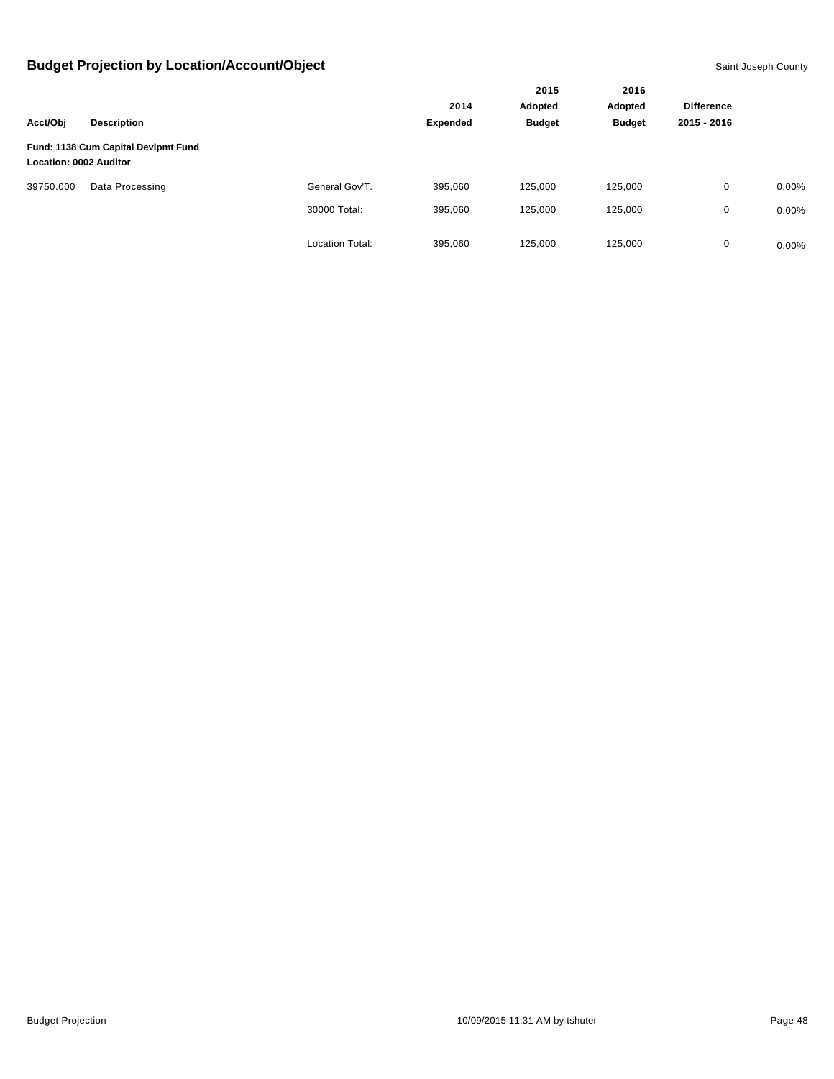|                        |                                     |                        |          | 2015<br>Adopted | 2016<br>Adopted |                   |          |
|------------------------|-------------------------------------|------------------------|----------|-----------------|-----------------|-------------------|----------|
|                        |                                     |                        | 2014     |                 |                 | <b>Difference</b> |          |
| Acct/Obj               | <b>Description</b>                  |                        | Expended | <b>Budget</b>   | <b>Budget</b>   | 2015 - 2016       |          |
| Location: 0002 Auditor | Fund: 1138 Cum Capital Devlpmt Fund |                        |          |                 |                 |                   |          |
| 39750.000              | Data Processing                     | General Gov'T.         | 395,060  | 125,000         | 125,000         | $\mathbf 0$       | $0.00\%$ |
|                        |                                     | 30000 Total:           | 395,060  | 125,000         | 125,000         | 0                 | $0.00\%$ |
|                        |                                     | <b>Location Total:</b> | 395,060  | 125,000         | 125,000         | 0                 | $0.00\%$ |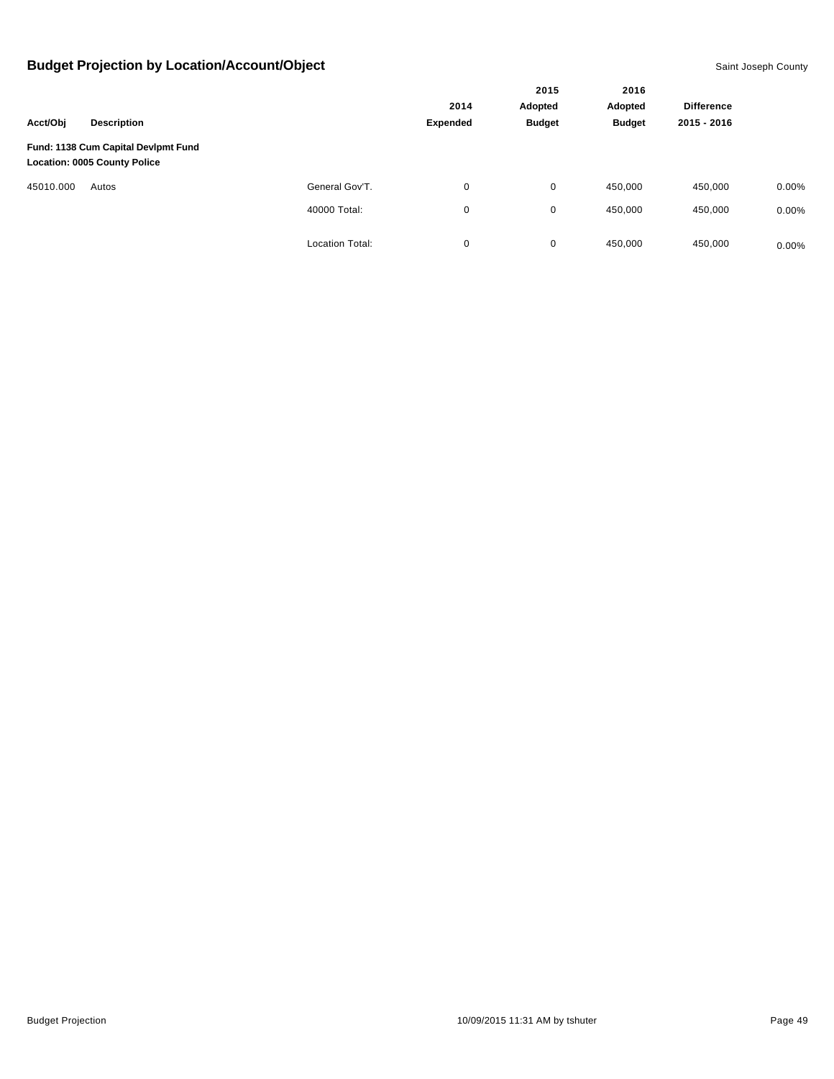|           |                                                                            |                        |          | 2015          | 2016          |                   |          |
|-----------|----------------------------------------------------------------------------|------------------------|----------|---------------|---------------|-------------------|----------|
|           |                                                                            | 2014                   |          | Adopted       | Adopted       | <b>Difference</b> |          |
| Acct/Obj  | <b>Description</b>                                                         |                        | Expended | <b>Budget</b> | <b>Budget</b> | 2015 - 2016       |          |
|           | Fund: 1138 Cum Capital Devlpmt Fund<br><b>Location: 0005 County Police</b> |                        |          |               |               |                   |          |
| 45010.000 | Autos                                                                      | General Gov'T.         | 0        | 0             | 450,000       | 450,000           | $0.00\%$ |
|           |                                                                            | 40000 Total:           | 0        | 0             | 450,000       | 450,000           | $0.00\%$ |
|           |                                                                            | <b>Location Total:</b> | 0        | 0             | 450,000       | 450,000           | $0.00\%$ |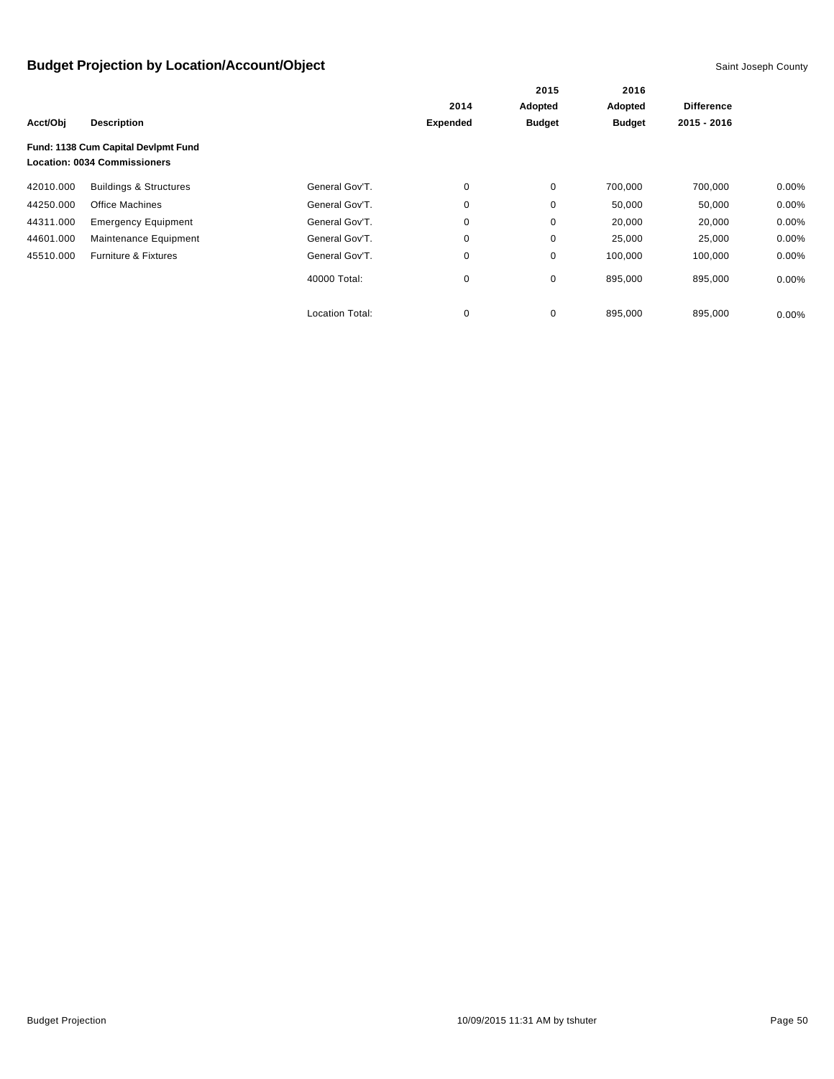|           |                                                                            |                        |                 | 2015<br>Adopted | 2016<br>Adopted | <b>Difference</b> |          |
|-----------|----------------------------------------------------------------------------|------------------------|-----------------|-----------------|-----------------|-------------------|----------|
|           |                                                                            |                        | 2014            |                 |                 |                   |          |
| Acct/Obj  | <b>Description</b>                                                         |                        | <b>Expended</b> | <b>Budget</b>   | <b>Budget</b>   | 2015 - 2016       |          |
|           | Fund: 1138 Cum Capital Devlpmt Fund<br><b>Location: 0034 Commissioners</b> |                        |                 |                 |                 |                   |          |
| 42010.000 | <b>Buildings &amp; Structures</b>                                          | General Gov'T.         | 0               | 0               | 700,000         | 700,000           | $0.00\%$ |
| 44250.000 | <b>Office Machines</b>                                                     | General Gov'T.         | 0               | 0               | 50,000          | 50,000            | $0.00\%$ |
| 44311.000 | <b>Emergency Equipment</b>                                                 | General Gov'T.         | 0               | 0               | 20,000          | 20,000            | 0.00%    |
| 44601.000 | Maintenance Equipment                                                      | General Gov'T.         | 0               | 0               | 25,000          | 25,000            | 0.00%    |
| 45510.000 | <b>Furniture &amp; Fixtures</b>                                            | General Gov'T.         | 0               | 0               | 100,000         | 100,000           | 0.00%    |
|           |                                                                            | 40000 Total:           | 0               | 0               | 895,000         | 895,000           | $0.00\%$ |
|           |                                                                            | <b>Location Total:</b> | 0               | 0               | 895,000         | 895,000           | $0.00\%$ |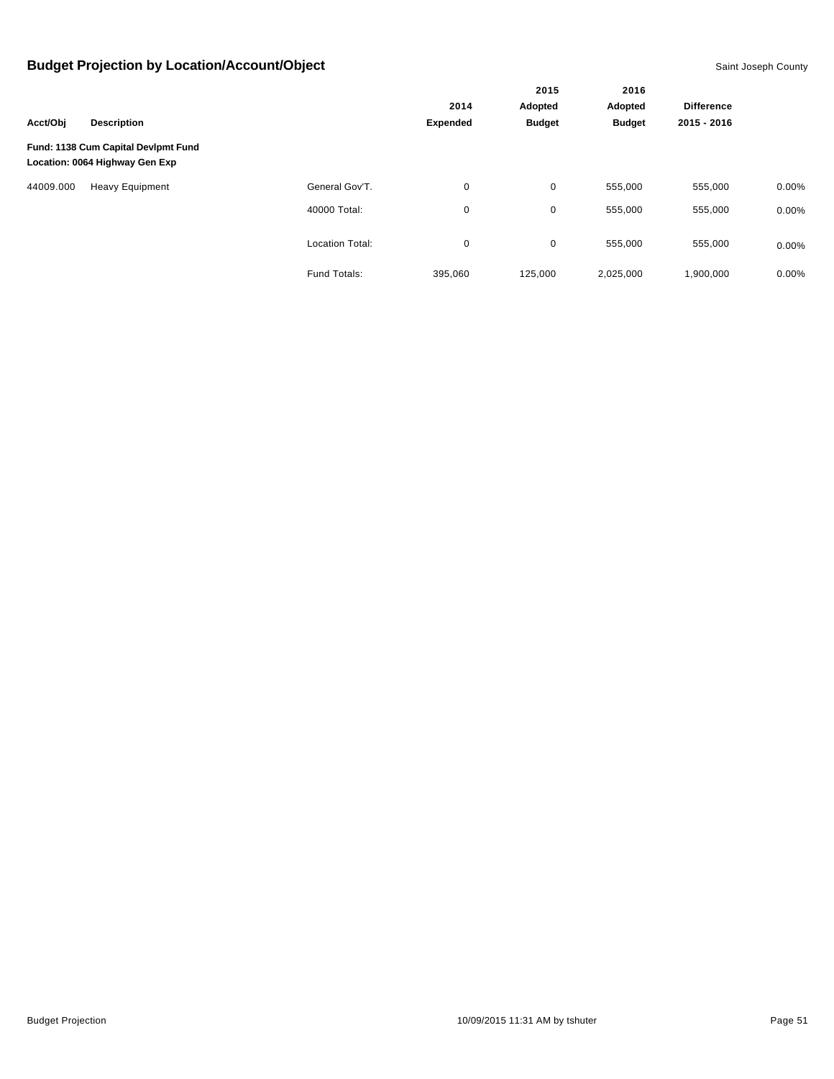|           |                                                                       |                        |                  | 2015                     | 2016<br>Adopted |                   |          |
|-----------|-----------------------------------------------------------------------|------------------------|------------------|--------------------------|-----------------|-------------------|----------|
|           | <b>Description</b>                                                    |                        | 2014<br>Expended | Adopted<br><b>Budget</b> |                 | <b>Difference</b> |          |
| Acct/Obi  |                                                                       |                        |                  |                          | <b>Budget</b>   | 2015 - 2016       |          |
|           | Fund: 1138 Cum Capital Devlpmt Fund<br>Location: 0064 Highway Gen Exp |                        |                  |                          |                 |                   |          |
| 44009.000 | <b>Heavy Equipment</b>                                                | General Gov'T.         | $\mathbf 0$      | 0                        | 555,000         | 555,000           | $0.00\%$ |
|           |                                                                       | 40000 Total:           | 0                | 0                        | 555,000         | 555,000           | $0.00\%$ |
|           |                                                                       | <b>Location Total:</b> | $\mathbf 0$      | 0                        | 555,000         | 555,000           | $0.00\%$ |
|           |                                                                       | Fund Totals:           | 395,060          | 125,000                  | 2,025,000       | 1,900,000         | $0.00\%$ |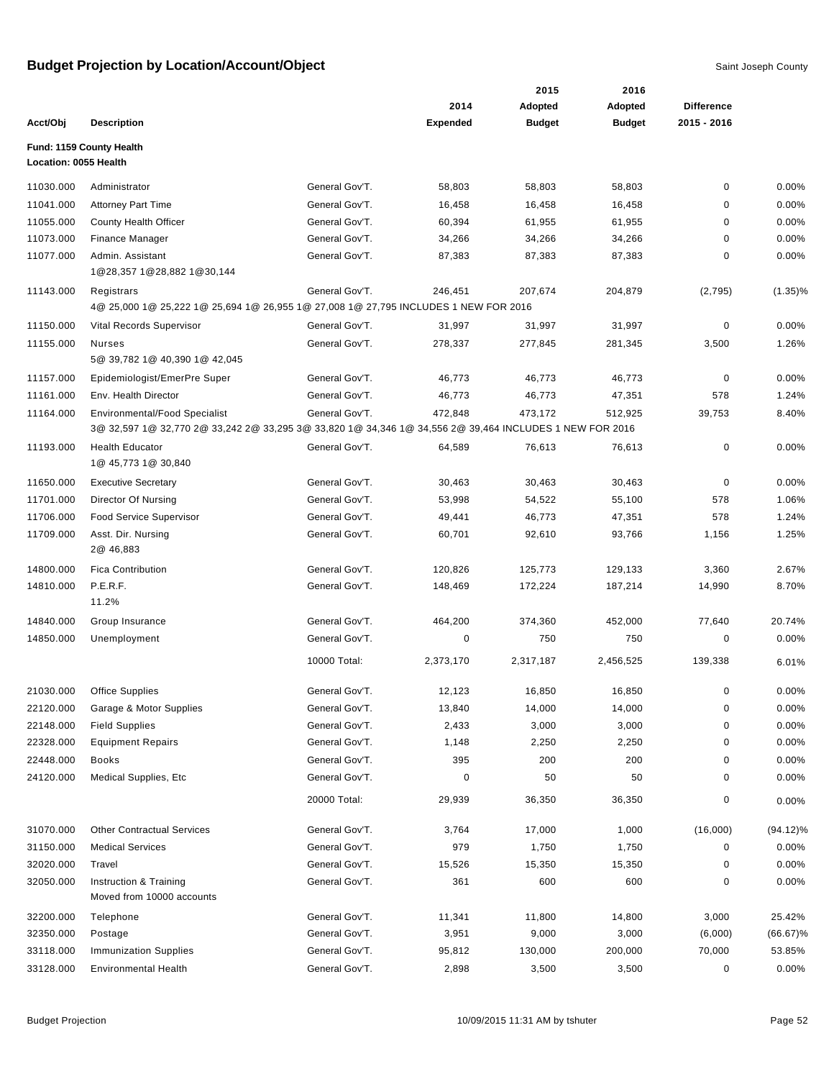|                       |                                                                                                         |                |                 | 2015           | 2016          |                   |             |
|-----------------------|---------------------------------------------------------------------------------------------------------|----------------|-----------------|----------------|---------------|-------------------|-------------|
|                       |                                                                                                         |                | 2014            | <b>Adopted</b> | Adopted       | <b>Difference</b> |             |
| Acct/Obj              | <b>Description</b>                                                                                      |                | <b>Expended</b> | <b>Budget</b>  | <b>Budget</b> | 2015 - 2016       |             |
|                       | Fund: 1159 County Health                                                                                |                |                 |                |               |                   |             |
| Location: 0055 Health |                                                                                                         |                |                 |                |               |                   |             |
| 11030.000             | Administrator                                                                                           | General Gov'T. | 58,803          | 58,803         | 58,803        | 0                 | 0.00%       |
| 11041.000             | <b>Attorney Part Time</b>                                                                               | General Gov'T. | 16,458          | 16,458         | 16,458        | 0                 | 0.00%       |
| 11055.000             | County Health Officer                                                                                   | General Gov'T. | 60,394          | 61,955         | 61,955        | 0                 | 0.00%       |
| 11073.000             | Finance Manager                                                                                         | General Gov'T. | 34,266          | 34,266         | 34,266        | 0                 | 0.00%       |
| 11077.000             | Admin. Assistant<br>1@28,357 1@28,882 1@30,144                                                          | General Gov'T. | 87,383          | 87,383         | 87,383        | 0                 | 0.00%       |
| 11143.000             | Registrars                                                                                              | General Gov'T. | 246,451         | 207,674        | 204,879       | (2,795)           | $(1.35)\%$  |
|                       | 4@ 25,000 1@ 25,222 1@ 25,694 1@ 26,955 1@ 27,008 1@ 27,795 INCLUDES 1 NEW FOR 2016                     |                |                 |                |               |                   |             |
| 11150.000             | Vital Records Supervisor                                                                                | General Gov'T. | 31,997          | 31,997         | 31,997        | 0                 | 0.00%       |
| 11155.000             | Nurses                                                                                                  | General Gov'T. | 278,337         | 277,845        | 281,345       | 3,500             | 1.26%       |
|                       | 5@ 39,782 1@ 40,390 1@ 42,045                                                                           |                |                 |                |               |                   |             |
| 11157.000             | Epidemiologist/EmerPre Super                                                                            | General Gov'T. | 46,773          | 46,773         | 46,773        | 0                 | 0.00%       |
| 11161.000             | Env. Health Director                                                                                    | General Gov'T. | 46,773          | 46,773         | 47,351        | 578               | 1.24%       |
| 11164.000             | <b>Environmental/Food Specialist</b>                                                                    | General Gov'T. | 472,848         | 473,172        | 512,925       | 39,753            | 8.40%       |
|                       | 3@ 32,597 1@ 32,770 2@ 33,242 2@ 33,295 3@ 33,820 1@ 34,346 1@ 34,556 2@ 39,464 INCLUDES 1 NEW FOR 2016 |                |                 |                |               |                   |             |
| 11193.000             | <b>Health Educator</b><br>1@ 45,773 1@ 30,840                                                           | General Gov'T. | 64,589          | 76,613         | 76,613        | 0                 | 0.00%       |
| 11650.000             | <b>Executive Secretary</b>                                                                              | General Gov'T. | 30,463          | 30,463         | 30,463        | 0                 | 0.00%       |
| 11701.000             | Director Of Nursing                                                                                     | General Gov'T. | 53,998          | 54,522         | 55,100        | 578               | 1.06%       |
| 11706.000             | <b>Food Service Supervisor</b>                                                                          | General Gov'T. | 49,441          | 46,773         | 47,351        | 578               | 1.24%       |
| 11709.000             | Asst. Dir. Nursing<br>2@ 46,883                                                                         | General Gov'T. | 60,701          | 92,610         | 93,766        | 1,156             | 1.25%       |
| 14800.000             | <b>Fica Contribution</b>                                                                                | General Gov'T. | 120,826         | 125,773        | 129,133       | 3,360             | 2.67%       |
| 14810.000             | P.E.R.F.<br>11.2%                                                                                       | General Gov'T. | 148,469         | 172,224        | 187,214       | 14,990            | 8.70%       |
| 14840.000             | Group Insurance                                                                                         | General Gov'T. | 464,200         | 374,360        | 452,000       | 77,640            | 20.74%      |
| 14850.000             | Unemployment                                                                                            | General Gov'T. | 0               | 750            | 750           | 0                 | 0.00%       |
|                       |                                                                                                         | 10000 Total:   | 2,373,170       | 2,317,187      | 2,456,525     | 139,338           | 6.01%       |
| 21030.000             | <b>Office Supplies</b>                                                                                  | General Gov'T. | 12,123          | 16,850         | 16,850        | 0                 | 0.00%       |
| 22120.000             | Garage & Motor Supplies                                                                                 | General Gov'T. | 13,840          | 14,000         | 14,000        | $\pmb{0}$         | 0.00%       |
| 22148.000             | <b>Field Supplies</b>                                                                                   | General Gov'T. | 2,433           | 3,000          | 3,000         | 0                 | 0.00%       |
| 22328.000             | <b>Equipment Repairs</b>                                                                                | General Gov'T. | 1,148           | 2,250          | 2,250         | 0                 | 0.00%       |
| 22448.000             | Books                                                                                                   | General Gov'T. | 395             | 200            | 200           | 0                 | 0.00%       |
| 24120.000             | <b>Medical Supplies, Etc.</b>                                                                           | General Gov'T. | 0               | 50             | 50            | 0                 | 0.00%       |
|                       |                                                                                                         | 20000 Total:   | 29,939          | 36,350         | 36,350        | 0                 | 0.00%       |
| 31070.000             | <b>Other Contractual Services</b>                                                                       | General Gov'T. | 3,764           | 17,000         | 1,000         | (16,000)          | $(94.12)\%$ |
| 31150.000             | <b>Medical Services</b>                                                                                 | General Gov'T. | 979             | 1,750          | 1,750         | 0                 | 0.00%       |
| 32020.000             | Travel                                                                                                  | General Gov'T. | 15,526          | 15,350         | 15,350        | 0                 | 0.00%       |
| 32050.000             | Instruction & Training<br>Moved from 10000 accounts                                                     | General Gov'T. | 361             | 600            | 600           | 0                 | 0.00%       |
| 32200.000             | Telephone                                                                                               | General Gov'T. | 11,341          | 11,800         | 14,800        | 3,000             | 25.42%      |
| 32350.000             | Postage                                                                                                 | General Gov'T. | 3,951           | 9,000          | 3,000         | (6,000)           | $(66.67)\%$ |
| 33118.000             | <b>Immunization Supplies</b>                                                                            | General Gov'T. | 95,812          | 130,000        | 200,000       | 70,000            | 53.85%      |
| 33128.000             | <b>Environmental Health</b>                                                                             | General Gov'T. | 2,898           | 3,500          | 3,500         | 0                 | 0.00%       |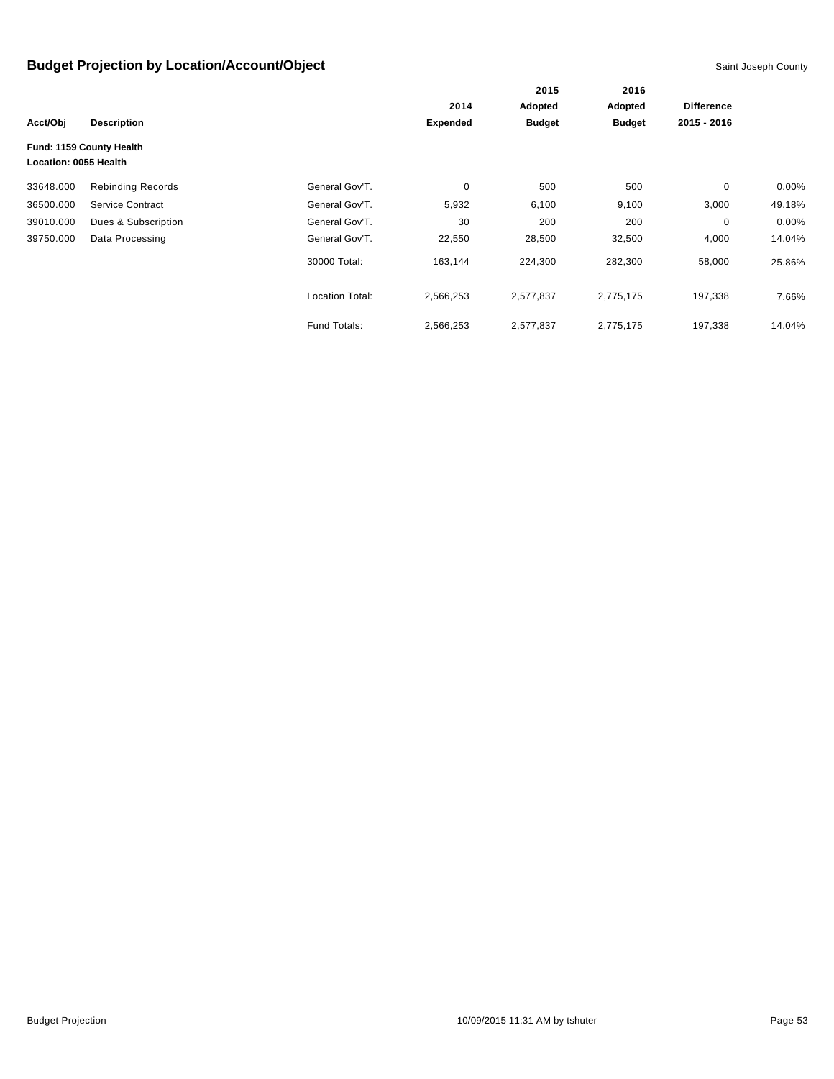|                       |                          |                        |                 | 2015          | 2016<br>Adopted |                   |          |
|-----------------------|--------------------------|------------------------|-----------------|---------------|-----------------|-------------------|----------|
|                       |                          |                        | 2014            | Adopted       |                 | <b>Difference</b> |          |
| Acct/Obj              | <b>Description</b>       |                        | <b>Expended</b> | <b>Budget</b> | <b>Budget</b>   | 2015 - 2016       |          |
|                       | Fund: 1159 County Health |                        |                 |               |                 |                   |          |
| Location: 0055 Health |                          |                        |                 |               |                 |                   |          |
| 33648.000             | <b>Rebinding Records</b> | General Gov'T.         | $\mathbf 0$     | 500           | 500             | $\mathbf 0$       | $0.00\%$ |
| 36500.000             | Service Contract         | General Gov'T.         | 5,932           | 6,100         | 9,100           | 3,000             | 49.18%   |
| 39010.000             | Dues & Subscription      | General Gov'T.         | 30              | 200           | 200             | 0                 | $0.00\%$ |
| 39750.000             | Data Processing          | General Gov'T.         | 22,550          | 28,500        | 32,500          | 4,000             | 14.04%   |
|                       |                          | 30000 Total:           | 163,144         | 224,300       | 282,300         | 58,000            | 25.86%   |
|                       |                          | <b>Location Total:</b> | 2,566,253       | 2,577,837     | 2,775,175       | 197,338           | 7.66%    |
|                       |                          | Fund Totals:           | 2,566,253       | 2,577,837     | 2,775,175       | 197,338           | 14.04%   |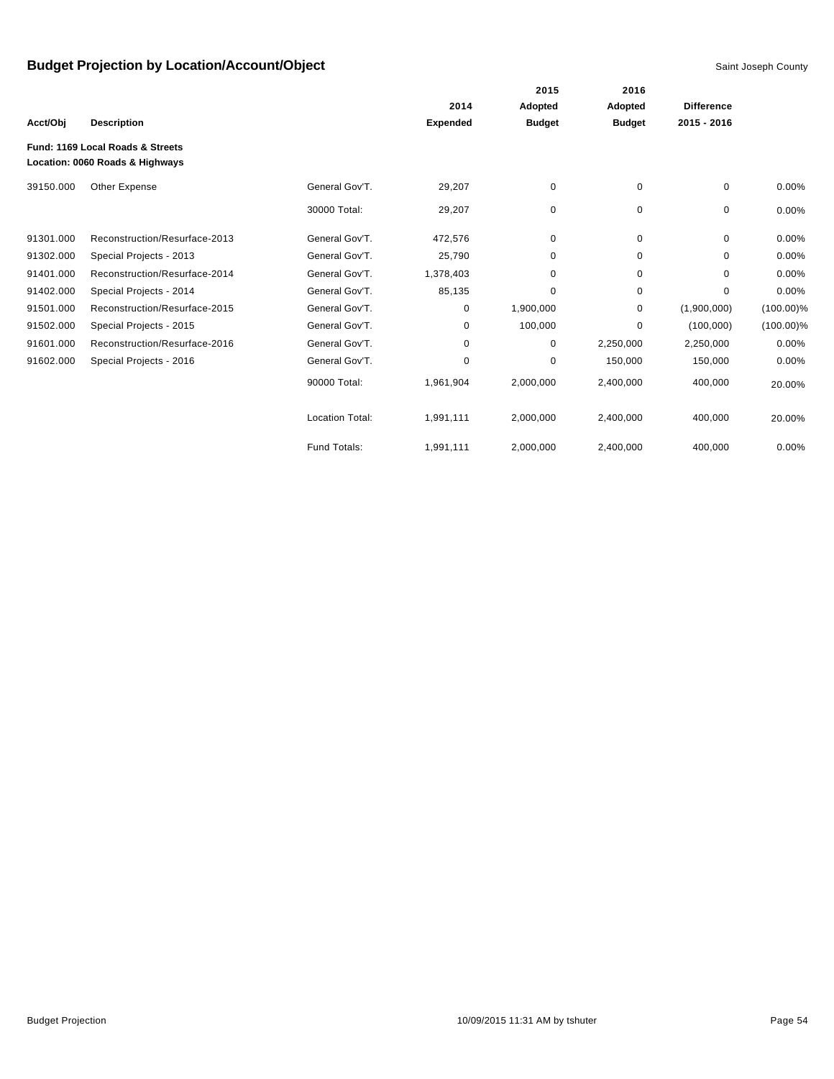|           |                                                                     |                        |                 | 2015          | 2016<br>Adopted |                   |              |
|-----------|---------------------------------------------------------------------|------------------------|-----------------|---------------|-----------------|-------------------|--------------|
|           |                                                                     |                        | 2014            | Adopted       |                 | <b>Difference</b> |              |
| Acct/Obj  | <b>Description</b>                                                  |                        | <b>Expended</b> | <b>Budget</b> | <b>Budget</b>   | $2015 - 2016$     |              |
|           | Fund: 1169 Local Roads & Streets<br>Location: 0060 Roads & Highways |                        |                 |               |                 |                   |              |
| 39150.000 | Other Expense                                                       | General Gov'T.         | 29,207          | 0             | 0               | 0                 | 0.00%        |
|           |                                                                     | 30000 Total:           | 29,207          | 0             | 0               | $\mathbf 0$       | 0.00%        |
| 91301.000 | Reconstruction/Resurface-2013                                       | General Gov'T.         | 472,576         | 0             | $\mathbf 0$     | $\Omega$          | 0.00%        |
| 91302.000 | Special Projects - 2013                                             | General Gov'T.         | 25,790          | 0             | 0               | $\Omega$          | 0.00%        |
| 91401.000 | Reconstruction/Resurface-2014                                       | General Gov'T.         | 1,378,403       | 0             | $\mathbf 0$     | 0                 | 0.00%        |
| 91402.000 | Special Projects - 2014                                             | General Gov'T.         | 85,135          | 0             | 0               | 0                 | 0.00%        |
| 91501.000 | Reconstruction/Resurface-2015                                       | General Gov'T.         | 0               | 1,900,000     | 0               | (1,900,000)       | $(100.00)\%$ |
| 91502.000 | Special Projects - 2015                                             | General Gov'T.         | 0               | 100,000       | 0               | (100,000)         | $(100.00)\%$ |
| 91601.000 | Reconstruction/Resurface-2016                                       | General Gov'T.         | 0               | 0             | 2,250,000       | 2,250,000         | 0.00%        |
| 91602.000 | Special Projects - 2016                                             | General Gov'T.         | 0               | 0             | 150,000         | 150,000           | 0.00%        |
|           |                                                                     | 90000 Total:           | 1,961,904       | 2,000,000     | 2,400,000       | 400,000           | 20.00%       |
|           |                                                                     | <b>Location Total:</b> | 1,991,111       | 2,000,000     | 2,400,000       | 400,000           | 20.00%       |
|           |                                                                     | Fund Totals:           | 1,991,111       | 2,000,000     | 2,400,000       | 400,000           | 0.00%        |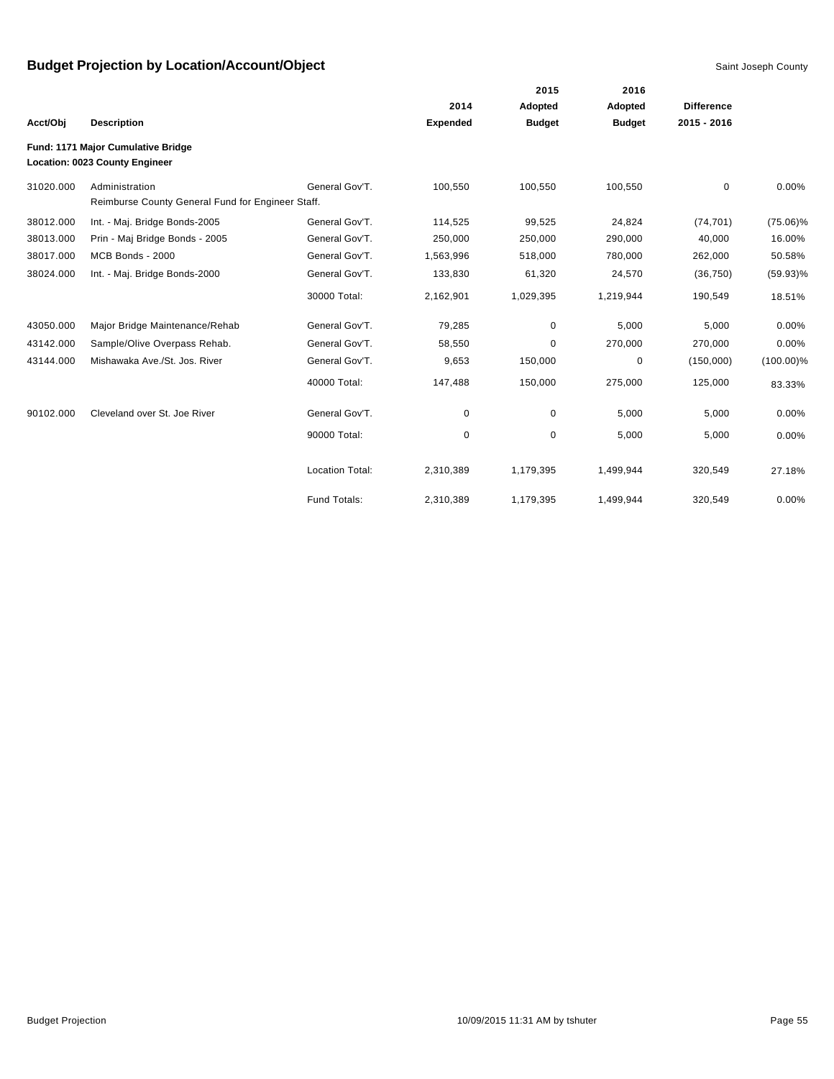|           |                                                   |                 |                 | 2015          | 2016          |                   |              |
|-----------|---------------------------------------------------|-----------------|-----------------|---------------|---------------|-------------------|--------------|
|           |                                                   |                 | 2014            | Adopted       | Adopted       | <b>Difference</b> |              |
| Acct/Obj  | <b>Description</b>                                |                 | <b>Expended</b> | <b>Budget</b> | <b>Budget</b> | $2015 - 2016$     |              |
|           | Fund: 1171 Major Cumulative Bridge                |                 |                 |               |               |                   |              |
|           | <b>Location: 0023 County Engineer</b>             |                 |                 |               |               |                   |              |
| 31020.000 | Administration                                    | General Gov'T.  | 100,550         | 100,550       | 100,550       | 0                 | 0.00%        |
|           | Reimburse County General Fund for Engineer Staff. |                 |                 |               |               |                   |              |
| 38012.000 | Int. - Maj. Bridge Bonds-2005                     | General Gov'T.  | 114,525         | 99,525        | 24,824        | (74, 701)         | $(75.06)\%$  |
| 38013.000 | Prin - Maj Bridge Bonds - 2005                    | General Gov'T.  | 250,000         | 250,000       | 290,000       | 40,000            | 16.00%       |
| 38017.000 | MCB Bonds - 2000                                  | General Gov'T.  | 1,563,996       | 518,000       | 780,000       | 262,000           | 50.58%       |
| 38024.000 | Int. - Maj. Bridge Bonds-2000                     | General Gov'T.  | 133,830         | 61,320        | 24,570        | (36, 750)         | $(59.93)\%$  |
|           |                                                   | 30000 Total:    | 2,162,901       | 1,029,395     | 1,219,944     | 190,549           | 18.51%       |
| 43050.000 | Major Bridge Maintenance/Rehab                    | General Gov'T.  | 79,285          | 0             | 5,000         | 5,000             | 0.00%        |
| 43142.000 | Sample/Olive Overpass Rehab.                      | General Gov'T.  | 58,550          | 0             | 270,000       | 270,000           | 0.00%        |
| 43144.000 | Mishawaka Ave./St. Jos. River                     | General Gov'T.  | 9,653           | 150,000       | 0             | (150,000)         | $(100.00)\%$ |
|           |                                                   | 40000 Total:    | 147,488         | 150,000       | 275,000       | 125,000           | 83.33%       |
| 90102.000 | Cleveland over St. Joe River                      | General Gov'T.  | 0               | 0             | 5,000         | 5,000             | 0.00%        |
|           |                                                   | 90000 Total:    | 0               | 0             | 5,000         | 5,000             | 0.00%        |
|           |                                                   | Location Total: | 2,310,389       | 1,179,395     | 1,499,944     | 320,549           | 27.18%       |
|           |                                                   | Fund Totals:    | 2,310,389       | 1,179,395     | 1,499,944     | 320,549           | 0.00%        |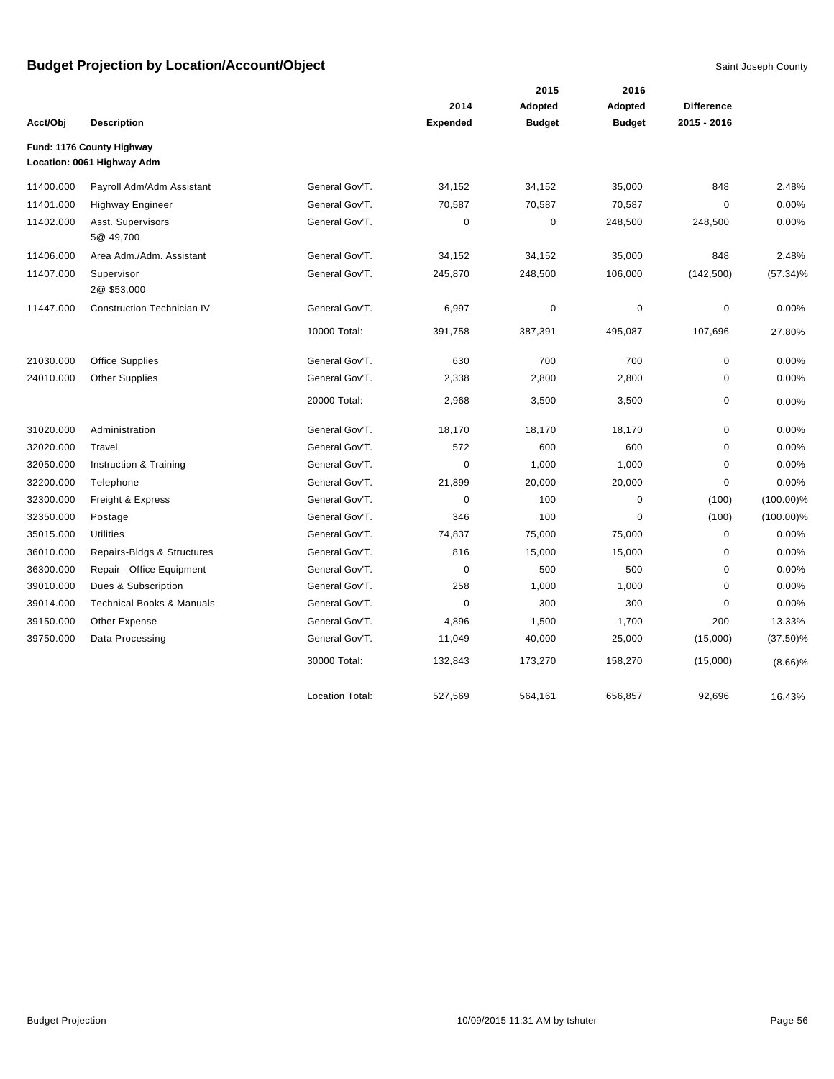|           |                                                         |                        |                 | 2015          | 2016          |                   |              |
|-----------|---------------------------------------------------------|------------------------|-----------------|---------------|---------------|-------------------|--------------|
|           |                                                         |                        | 2014            | Adopted       | Adopted       | <b>Difference</b> |              |
| Acct/Obj  | <b>Description</b>                                      |                        | <b>Expended</b> | <b>Budget</b> | <b>Budget</b> | 2015 - 2016       |              |
|           | Fund: 1176 County Highway<br>Location: 0061 Highway Adm |                        |                 |               |               |                   |              |
| 11400.000 | Payroll Adm/Adm Assistant                               | General Gov'T.         | 34,152          | 34,152        | 35,000        | 848               | 2.48%        |
| 11401.000 | <b>Highway Engineer</b>                                 | General Gov'T.         | 70,587          | 70,587        | 70,587        | $\mathbf 0$       | 0.00%        |
| 11402.000 | Asst. Supervisors<br>5@ 49,700                          | General Gov'T.         | $\mathbf 0$     | 0             | 248,500       | 248,500           | 0.00%        |
| 11406.000 | Area Adm./Adm. Assistant                                | General Gov'T.         | 34,152          | 34,152        | 35,000        | 848               | 2.48%        |
| 11407.000 | Supervisor<br>2@\$53,000                                | General Gov'T.         | 245,870         | 248,500       | 106,000       | (142, 500)        | $(57.34)\%$  |
| 11447.000 | <b>Construction Technician IV</b>                       | General Gov'T.         | 6,997           | $\pmb{0}$     | $\mathbf 0$   | $\mathbf 0$       | 0.00%        |
|           |                                                         | 10000 Total:           | 391,758         | 387,391       | 495,087       | 107,696           | 27.80%       |
| 21030.000 | Office Supplies                                         | General Gov'T.         | 630             | 700           | 700           | $\mathbf 0$       | 0.00%        |
| 24010.000 | <b>Other Supplies</b>                                   | General Gov'T.         | 2,338           | 2,800         | 2,800         | $\pmb{0}$         | 0.00%        |
|           |                                                         | 20000 Total:           | 2,968           | 3,500         | 3,500         | $\mathbf 0$       | 0.00%        |
| 31020.000 | Administration                                          | General Gov'T.         | 18,170          | 18,170        | 18,170        | $\pmb{0}$         | 0.00%        |
| 32020.000 | Travel                                                  | General Gov'T.         | 572             | 600           | 600           | $\pmb{0}$         | 0.00%        |
| 32050.000 | Instruction & Training                                  | General Gov'T.         | $\mathbf 0$     | 1,000         | 1,000         | $\mathbf 0$       | 0.00%        |
| 32200.000 | Telephone                                               | General Gov'T.         | 21,899          | 20,000        | 20,000        | $\pmb{0}$         | 0.00%        |
| 32300.000 | Freight & Express                                       | General Gov'T.         | $\mathbf 0$     | 100           | 0             | (100)             | $(100.00)\%$ |
| 32350.000 | Postage                                                 | General Gov'T.         | 346             | 100           | $\mathbf 0$   | (100)             | $(100.00)\%$ |
| 35015.000 | <b>Utilities</b>                                        | General Gov'T.         | 74,837          | 75,000        | 75,000        | $\mathbf 0$       | 0.00%        |
| 36010.000 | Repairs-Bldgs & Structures                              | General Gov'T.         | 816             | 15,000        | 15,000        | $\mathbf 0$       | 0.00%        |
| 36300.000 | Repair - Office Equipment                               | General Gov'T.         | $\pmb{0}$       | 500           | 500           | $\mathbf 0$       | 0.00%        |
| 39010.000 | Dues & Subscription                                     | General Gov'T.         | 258             | 1,000         | 1,000         | $\mathbf 0$       | 0.00%        |
| 39014.000 | <b>Technical Books &amp; Manuals</b>                    | General Gov'T.         | $\mathbf 0$     | 300           | 300           | $\overline{0}$    | 0.00%        |
| 39150.000 | Other Expense                                           | General Gov'T.         | 4,896           | 1,500         | 1,700         | 200               | 13.33%       |
| 39750.000 | Data Processing                                         | General Gov'T.         | 11,049          | 40,000        | 25,000        | (15,000)          | $(37.50)\%$  |
|           |                                                         | 30000 Total:           | 132,843         | 173,270       | 158,270       | (15,000)          | $(8.66)\%$   |
|           |                                                         | <b>Location Total:</b> | 527.569         | 564.161       | 656.857       | 92.696            | 16.43%       |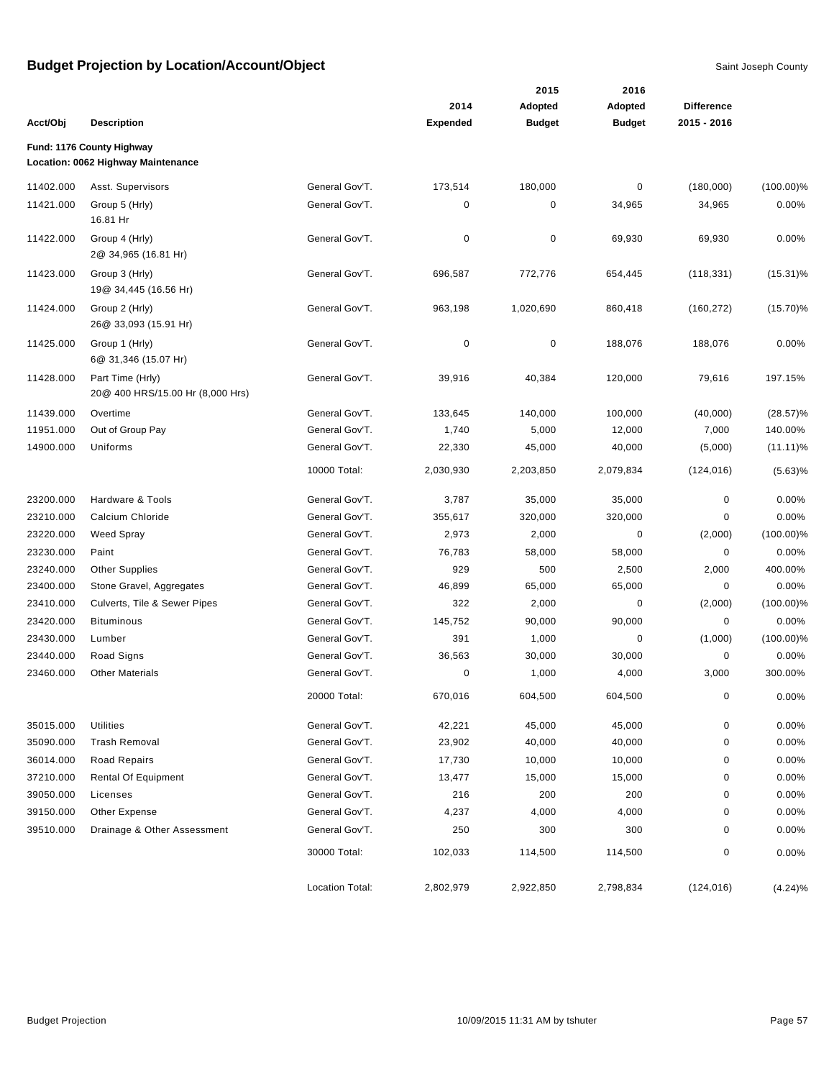|           |                                                                 |                        |                         | 2015                     | 2016                     |                                  |              |
|-----------|-----------------------------------------------------------------|------------------------|-------------------------|--------------------------|--------------------------|----------------------------------|--------------|
|           | <b>Description</b>                                              |                        | 2014<br><b>Expended</b> | Adopted<br><b>Budget</b> | Adopted<br><b>Budget</b> | <b>Difference</b><br>2015 - 2016 |              |
| Acct/Obj  |                                                                 |                        |                         |                          |                          |                                  |              |
|           | Fund: 1176 County Highway<br>Location: 0062 Highway Maintenance |                        |                         |                          |                          |                                  |              |
| 11402.000 | Asst. Supervisors                                               | General Gov'T.         | 173,514                 | 180,000                  | 0                        | (180,000)                        | $(100.00)\%$ |
| 11421.000 | Group 5 (Hrly)                                                  | General Gov'T.         | 0                       | 0                        | 34,965                   | 34,965                           | 0.00%        |
|           | 16.81 Hr                                                        |                        |                         |                          |                          |                                  |              |
| 11422.000 | Group 4 (Hrly)<br>2@ 34,965 (16.81 Hr)                          | General Gov'T.         | 0                       | 0                        | 69,930                   | 69,930                           | 0.00%        |
| 11423.000 | Group 3 (Hrly)<br>19@ 34,445 (16.56 Hr)                         | General Gov'T.         | 696,587                 | 772,776                  | 654,445                  | (118, 331)                       | $(15.31)\%$  |
| 11424.000 | Group 2 (Hrly)<br>26@ 33,093 (15.91 Hr)                         | General Gov'T.         | 963,198                 | 1,020,690                | 860,418                  | (160, 272)                       | $(15.70)\%$  |
| 11425.000 | Group 1 (Hrly)<br>6@ 31,346 (15.07 Hr)                          | General Gov'T.         | $\mathbf 0$             | 0                        | 188,076                  | 188,076                          | 0.00%        |
| 11428.000 | Part Time (Hrly)<br>20@ 400 HRS/15.00 Hr (8,000 Hrs)            | General Gov'T.         | 39,916                  | 40,384                   | 120,000                  | 79,616                           | 197.15%      |
| 11439.000 | Overtime                                                        | General Gov'T.         | 133,645                 | 140,000                  | 100,000                  | (40,000)                         | $(28.57)\%$  |
| 11951.000 | Out of Group Pay                                                | General Gov'T.         | 1,740                   | 5,000                    | 12,000                   | 7,000                            | 140.00%      |
| 14900.000 | Uniforms                                                        | General Gov'T.         | 22,330                  | 45,000                   | 40,000                   | (5,000)                          | $(11.11)\%$  |
|           |                                                                 | 10000 Total:           | 2,030,930               | 2,203,850                | 2,079,834                | (124, 016)                       | (5.63)%      |
| 23200.000 | Hardware & Tools                                                | General Gov'T.         | 3,787                   | 35,000                   | 35,000                   | 0                                | 0.00%        |
| 23210.000 | Calcium Chloride                                                | General Gov'T.         | 355,617                 | 320,000                  | 320,000                  | 0                                | 0.00%        |
| 23220.000 | <b>Weed Spray</b>                                               | General Gov'T.         | 2,973                   | 2,000                    | 0                        | (2,000)                          | $(100.00)\%$ |
| 23230.000 | Paint                                                           | General Gov'T.         | 76,783                  | 58,000                   | 58,000                   | 0                                | 0.00%        |
| 23240.000 | <b>Other Supplies</b>                                           | General Gov'T.         | 929                     | 500                      | 2,500                    | 2,000                            | 400.00%      |
| 23400.000 | Stone Gravel, Aggregates                                        | General Gov'T.         | 46,899                  | 65,000                   | 65,000                   | 0                                | 0.00%        |
| 23410.000 | Culverts, Tile & Sewer Pipes                                    | General Gov'T.         | 322                     | 2,000                    | 0                        | (2,000)                          | $(100.00)\%$ |
| 23420.000 | <b>Bituminous</b>                                               | General Gov'T.         | 145,752                 | 90,000                   | 90,000                   | 0                                | 0.00%        |
| 23430.000 | Lumber                                                          | General Gov'T.         | 391                     | 1,000                    | 0                        | (1,000)                          | $(100.00)\%$ |
| 23440.000 | Road Signs                                                      | General Gov'T.         | 36,563                  | 30,000                   | 30,000                   | 0                                | 0.00%        |
| 23460.000 | <b>Other Materials</b>                                          | General Gov'T.         | 0                       | 1,000                    | 4,000                    | 3,000                            | 300.00%      |
|           |                                                                 | 20000 Total:           | 670,016                 | 604,500                  | 604,500                  | $\Omega$                         | 0.00%        |
| 35015.000 | <b>Utilities</b>                                                | General Gov'T.         | 42,221                  | 45,000                   | 45,000                   | $\pmb{0}$                        | 0.00%        |
| 35090.000 | <b>Trash Removal</b>                                            | General Gov'T.         | 23,902                  | 40,000                   | 40,000                   | 0                                | 0.00%        |
| 36014.000 | <b>Road Repairs</b>                                             | General Gov'T.         | 17,730                  | 10,000                   | 10,000                   | 0                                | 0.00%        |
| 37210.000 | <b>Rental Of Equipment</b>                                      | General Gov'T.         | 13,477                  | 15,000                   | 15,000                   | 0                                | 0.00%        |
| 39050.000 | Licenses                                                        | General Gov'T.         | 216                     | 200                      | 200                      | 0                                | 0.00%        |
| 39150.000 | Other Expense                                                   | General Gov'T.         | 4,237                   | 4,000                    | 4,000                    | 0                                | 0.00%        |
| 39510.000 | Drainage & Other Assessment                                     | General Gov'T.         | 250                     | 300                      | 300                      | 0                                | 0.00%        |
|           |                                                                 | 30000 Total:           | 102,033                 | 114,500                  | 114,500                  | 0                                | 0.00%        |
|           |                                                                 | <b>Location Total:</b> | 2,802,979               | 2,922,850                | 2,798,834                | (124, 016)                       | (4.24)%      |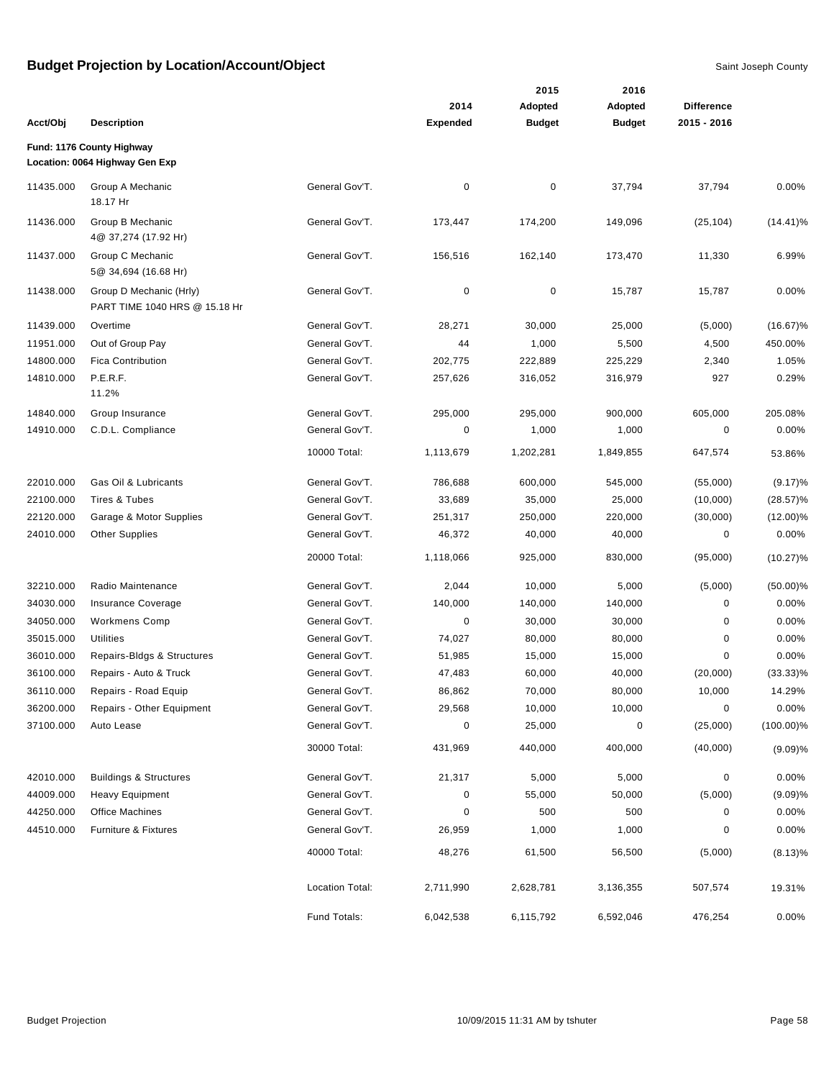|           |                                                             |                 |                 | 2015          | 2016          |                   |              |
|-----------|-------------------------------------------------------------|-----------------|-----------------|---------------|---------------|-------------------|--------------|
|           |                                                             |                 | 2014            | Adopted       | Adopted       | <b>Difference</b> |              |
| Acct/Obj  | <b>Description</b>                                          |                 | <b>Expended</b> | <b>Budget</b> | <b>Budget</b> | 2015 - 2016       |              |
|           | Fund: 1176 County Highway<br>Location: 0064 Highway Gen Exp |                 |                 |               |               |                   |              |
| 11435.000 | Group A Mechanic<br>18.17 Hr                                | General Gov'T.  | 0               | $\pmb{0}$     | 37,794        | 37,794            | 0.00%        |
| 11436.000 | Group B Mechanic<br>4@ 37,274 (17.92 Hr)                    | General Gov'T.  | 173,447         | 174,200       | 149,096       | (25, 104)         | $(14.41)\%$  |
| 11437.000 | Group C Mechanic<br>5@ 34,694 (16.68 Hr)                    | General Gov'T.  | 156,516         | 162,140       | 173,470       | 11,330            | 6.99%        |
| 11438.000 | Group D Mechanic (Hrly)<br>PART TIME 1040 HRS @ 15.18 Hr    | General Gov'T.  | 0               | 0             | 15,787        | 15,787            | 0.00%        |
| 11439.000 | Overtime                                                    | General Gov'T.  | 28,271          | 30,000        | 25,000        | (5,000)           | $(16.67)\%$  |
| 11951.000 | Out of Group Pay                                            | General Gov'T.  | 44              | 1,000         | 5,500         | 4,500             | 450.00%      |
| 14800.000 | <b>Fica Contribution</b>                                    | General Gov'T.  | 202,775         | 222,889       | 225,229       | 2,340             | 1.05%        |
| 14810.000 | P.E.R.F.<br>11.2%                                           | General Gov'T.  | 257,626         | 316,052       | 316,979       | 927               | 0.29%        |
| 14840.000 | Group Insurance                                             | General Gov'T.  | 295,000         | 295,000       | 900,000       | 605,000           | 205.08%      |
| 14910.000 | C.D.L. Compliance                                           | General Gov'T.  | 0               | 1,000         | 1,000         | $\pmb{0}$         | 0.00%        |
|           |                                                             | 10000 Total:    | 1,113,679       | 1,202,281     | 1,849,855     | 647,574           | 53.86%       |
| 22010.000 | Gas Oil & Lubricants                                        | General Gov'T.  | 786,688         | 600,000       | 545,000       | (55,000)          | (9.17)%      |
| 22100.000 | Tires & Tubes                                               | General Gov'T.  | 33,689          | 35,000        | 25,000        | (10,000)          | $(28.57)\%$  |
| 22120.000 | Garage & Motor Supplies                                     | General Gov'T.  | 251,317         | 250,000       | 220,000       | (30,000)          | $(12.00)\%$  |
| 24010.000 | <b>Other Supplies</b>                                       | General Gov'T.  | 46,372          | 40,000        | 40,000        | 0                 | 0.00%        |
|           |                                                             | 20000 Total:    | 1,118,066       | 925,000       | 830,000       | (95,000)          | $(10.27)\%$  |
| 32210.000 | Radio Maintenance                                           | General Gov'T.  | 2,044           | 10,000        | 5,000         | (5,000)           | $(50.00)\%$  |
| 34030.000 | Insurance Coverage                                          | General Gov'T.  | 140,000         | 140,000       | 140,000       | 0                 | 0.00%        |
| 34050.000 | <b>Workmens Comp</b>                                        | General Gov'T.  | 0               | 30,000        | 30,000        | 0                 | 0.00%        |
| 35015.000 | <b>Utilities</b>                                            | General Gov'T.  | 74,027          | 80,000        | 80,000        | 0                 | 0.00%        |
| 36010.000 | Repairs-Bldgs & Structures                                  | General Gov'T.  | 51,985          | 15,000        | 15,000        | 0                 | 0.00%        |
| 36100.000 | Repairs - Auto & Truck                                      | General Gov'T.  | 47,483          | 60,000        | 40,000        | (20,000)          | $(33.33)\%$  |
| 36110.000 | Repairs - Road Equip                                        | General Gov'T.  | 86,862          | 70,000        | 80,000        | 10,000            | 14.29%       |
| 36200.000 | Repairs - Other Equipment                                   | General Gov'T.  | 29,568          | 10,000        | 10,000        | $\pmb{0}$         | 0.00%        |
| 37100.000 | Auto Lease                                                  | General Gov'T.  | 0               | 25,000        | $\pmb{0}$     | (25,000)          | $(100.00)\%$ |
|           |                                                             | 30000 Total:    | 431,969         | 440,000       | 400,000       | (40,000)          | (9.09)%      |
| 42010.000 | <b>Buildings &amp; Structures</b>                           | General Gov'T.  | 21,317          | 5,000         | 5,000         | 0                 | 0.00%        |
| 44009.000 | <b>Heavy Equipment</b>                                      | General Gov'T.  | 0               | 55,000        | 50,000        | (5,000)           | (9.09)%      |
| 44250.000 | <b>Office Machines</b>                                      | General Gov'T.  | 0               | 500           | 500           | 0                 | 0.00%        |
| 44510.000 | Furniture & Fixtures                                        | General Gov'T.  | 26,959          | 1,000         | 1,000         | 0                 | 0.00%        |
|           |                                                             | 40000 Total:    | 48,276          | 61,500        | 56,500        | (5,000)           | (8.13)%      |
|           |                                                             | Location Total: | 2,711,990       | 2,628,781     | 3,136,355     | 507,574           | 19.31%       |
|           |                                                             | Fund Totals:    | 6,042,538       | 6,115,792     | 6,592,046     | 476,254           | 0.00%        |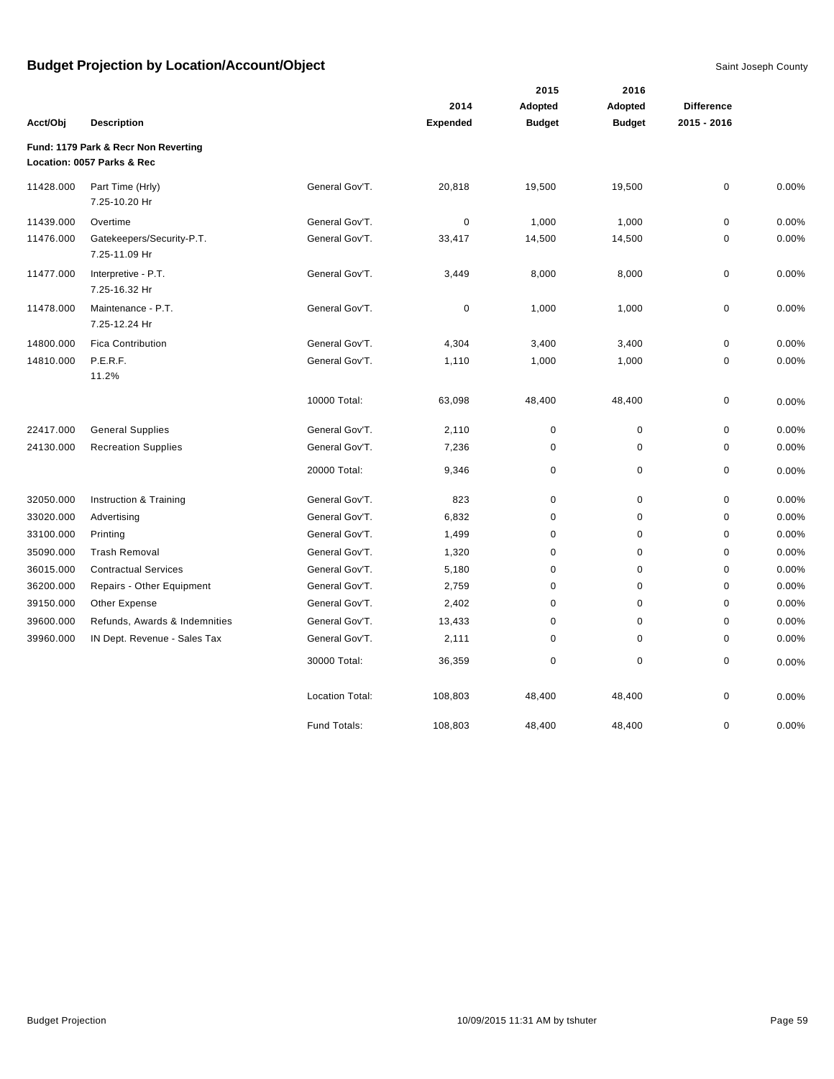|           |                                                                    |                        |                 | 2015          | 2016          |                   |       |
|-----------|--------------------------------------------------------------------|------------------------|-----------------|---------------|---------------|-------------------|-------|
|           |                                                                    |                        | 2014            | Adopted       | Adopted       | <b>Difference</b> |       |
| Acct/Obj  | <b>Description</b>                                                 |                        | <b>Expended</b> | <b>Budget</b> | <b>Budget</b> | 2015 - 2016       |       |
|           | Fund: 1179 Park & Recr Non Reverting<br>Location: 0057 Parks & Rec |                        |                 |               |               |                   |       |
| 11428.000 | Part Time (Hrly)<br>7.25-10.20 Hr                                  | General Gov'T.         | 20,818          | 19,500        | 19,500        | 0                 | 0.00% |
| 11439.000 | Overtime                                                           | General Gov'T.         | $\mathbf 0$     | 1,000         | 1,000         | 0                 | 0.00% |
| 11476.000 | Gatekeepers/Security-P.T.<br>7.25-11.09 Hr                         | General Gov'T.         | 33,417          | 14,500        | 14,500        | 0                 | 0.00% |
| 11477.000 | Interpretive - P.T.<br>7.25-16.32 Hr                               | General Gov'T.         | 3,449           | 8,000         | 8,000         | 0                 | 0.00% |
| 11478.000 | Maintenance - P.T.<br>7.25-12.24 Hr                                | General Gov'T.         | 0               | 1,000         | 1,000         | 0                 | 0.00% |
| 14800.000 | <b>Fica Contribution</b>                                           | General Gov'T.         | 4,304           | 3,400         | 3,400         | 0                 | 0.00% |
| 14810.000 | P.E.R.F.<br>11.2%                                                  | General Gov'T.         | 1,110           | 1,000         | 1,000         | 0                 | 0.00% |
|           |                                                                    | 10000 Total:           | 63,098          | 48,400        | 48,400        | 0                 | 0.00% |
| 22417.000 | <b>General Supplies</b>                                            | General Gov'T.         | 2,110           | $\pmb{0}$     | $\pmb{0}$     | 0                 | 0.00% |
| 24130.000 | <b>Recreation Supplies</b>                                         | General Gov'T.         | 7,236           | 0             | $\mathbf 0$   | 0                 | 0.00% |
|           |                                                                    | 20000 Total:           | 9,346           | 0             | 0             | 0                 | 0.00% |
| 32050.000 | Instruction & Training                                             | General Gov'T.         | 823             | $\pmb{0}$     | $\mathbf 0$   | 0                 | 0.00% |
| 33020.000 | Advertising                                                        | General Gov'T.         | 6,832           | 0             | $\mathbf 0$   | 0                 | 0.00% |
| 33100.000 | Printing                                                           | General Gov'T.         | 1,499           | 0             | 0             | 0                 | 0.00% |
| 35090.000 | <b>Trash Removal</b>                                               | General Gov'T.         | 1,320           | $\mathbf 0$   | $\mathbf 0$   | 0                 | 0.00% |
| 36015.000 | <b>Contractual Services</b>                                        | General Gov'T.         | 5,180           | 0             | $\mathbf 0$   | 0                 | 0.00% |
| 36200.000 | Repairs - Other Equipment                                          | General Gov'T.         | 2,759           | 0             | $\mathbf 0$   | 0                 | 0.00% |
| 39150.000 | Other Expense                                                      | General Gov'T.         | 2,402           | 0             | $\mathbf 0$   | 0                 | 0.00% |
| 39600.000 | Refunds, Awards & Indemnities                                      | General Gov'T.         | 13,433          | $\mathbf 0$   | $\mathbf 0$   | 0                 | 0.00% |
| 39960.000 | IN Dept. Revenue - Sales Tax                                       | General Gov'T.         | 2,111           | 0             | $\mathbf 0$   | 0                 | 0.00% |
|           |                                                                    | 30000 Total:           | 36,359          | 0             | $\mathbf 0$   | 0                 | 0.00% |
|           |                                                                    | <b>Location Total:</b> | 108,803         | 48,400        | 48,400        | 0                 | 0.00% |
|           |                                                                    | Fund Totals:           | 108,803         | 48,400        | 48,400        | 0                 | 0.00% |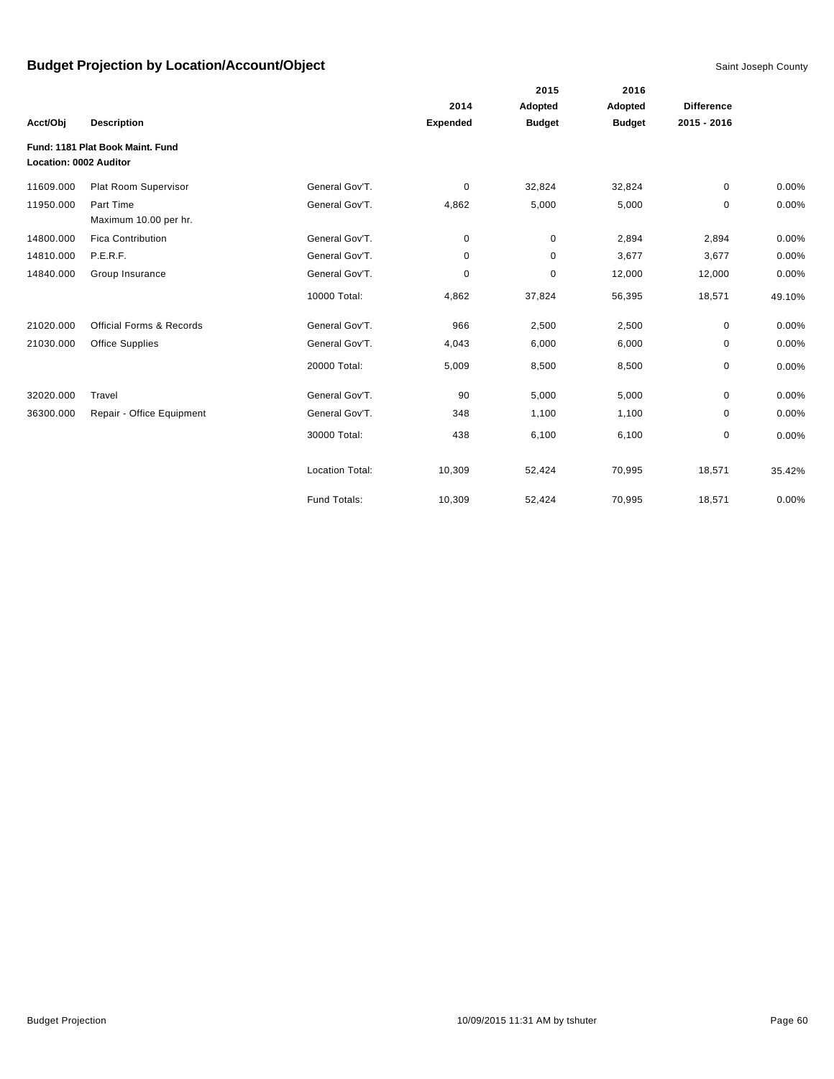|                               |                                     |                        |                 | 2015          | 2016          |                   |        |
|-------------------------------|-------------------------------------|------------------------|-----------------|---------------|---------------|-------------------|--------|
|                               |                                     |                        | 2014            | Adopted       | Adopted       | <b>Difference</b> |        |
| Acct/Obi                      | <b>Description</b>                  |                        | <b>Expended</b> | <b>Budget</b> | <b>Budget</b> | 2015 - 2016       |        |
|                               | Fund: 1181 Plat Book Maint, Fund    |                        |                 |               |               |                   |        |
| <b>Location: 0002 Auditor</b> |                                     |                        |                 |               |               |                   |        |
| 11609.000                     | Plat Room Supervisor                | General Gov'T.         | 0               | 32,824        | 32,824        | 0                 | 0.00%  |
| 11950.000                     | Part Time                           | General Gov'T.         | 4,862           | 5,000         | 5,000         | $\mathbf 0$       | 0.00%  |
|                               | Maximum 10.00 per hr.               |                        |                 |               |               |                   |        |
| 14800.000                     | <b>Fica Contribution</b>            | General Gov'T.         | 0               | 0             | 2,894         | 2,894             | 0.00%  |
| 14810.000                     | P.E.R.F.                            | General Gov'T.         | 0               | $\mathbf 0$   | 3,677         | 3,677             | 0.00%  |
| 14840.000                     | Group Insurance                     | General Gov'T.         | 0               | 0             | 12,000        | 12,000            | 0.00%  |
|                               |                                     | 10000 Total:           | 4,862           | 37,824        | 56,395        | 18,571            | 49.10% |
| 21020.000                     | <b>Official Forms &amp; Records</b> | General Gov'T.         | 966             | 2,500         | 2,500         | 0                 | 0.00%  |
| 21030.000                     | <b>Office Supplies</b>              | General Gov'T.         | 4,043           | 6,000         | 6,000         | 0                 | 0.00%  |
|                               |                                     | 20000 Total:           | 5,009           | 8,500         | 8,500         | 0                 | 0.00%  |
| 32020.000                     | Travel                              | General Gov'T.         | 90              | 5,000         | 5,000         | 0                 | 0.00%  |
| 36300.000                     | Repair - Office Equipment           | General Gov'T.         | 348             | 1,100         | 1,100         | 0                 | 0.00%  |
|                               |                                     | 30000 Total:           | 438             | 6,100         | 6,100         | 0                 | 0.00%  |
|                               |                                     | <b>Location Total:</b> | 10,309          | 52,424        | 70,995        | 18,571            | 35.42% |
|                               |                                     | Fund Totals:           | 10,309          | 52,424        | 70,995        | 18,571            | 0.00%  |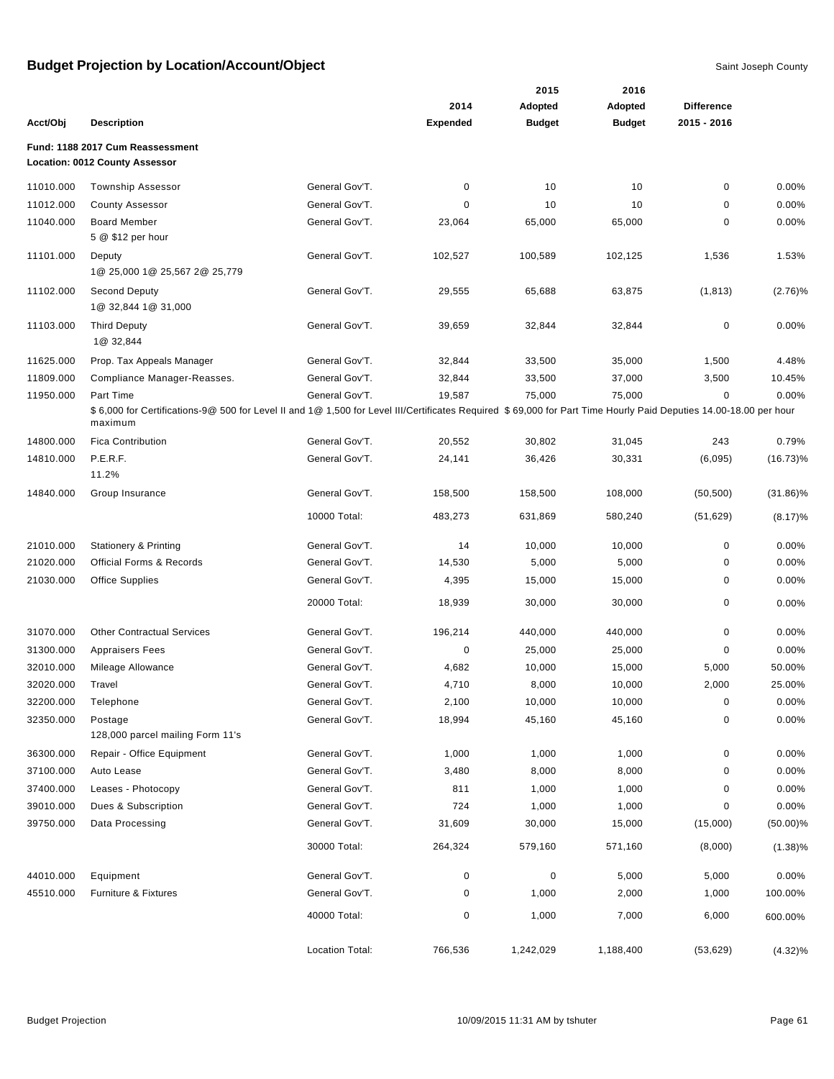|           |                                                                                                                                                                             |                 |                 | 2015          | 2016          |                   |             |
|-----------|-----------------------------------------------------------------------------------------------------------------------------------------------------------------------------|-----------------|-----------------|---------------|---------------|-------------------|-------------|
|           |                                                                                                                                                                             |                 | 2014            | Adopted       | Adopted       | <b>Difference</b> |             |
| Acct/Obj  | <b>Description</b>                                                                                                                                                          |                 | <b>Expended</b> | <b>Budget</b> | <b>Budget</b> | 2015 - 2016       |             |
|           | Fund: 1188 2017 Cum Reassessment<br><b>Location: 0012 County Assessor</b>                                                                                                   |                 |                 |               |               |                   |             |
| 11010.000 | <b>Township Assessor</b>                                                                                                                                                    | General Gov'T.  | 0               | 10            | 10            | 0                 | 0.00%       |
| 11012.000 | <b>County Assessor</b>                                                                                                                                                      | General Gov'T.  | 0               | 10            | 10            | 0                 | 0.00%       |
| 11040.000 | <b>Board Member</b>                                                                                                                                                         | General Gov'T.  | 23,064          | 65,000        | 65,000        | 0                 | 0.00%       |
|           | 5 @ \$12 per hour                                                                                                                                                           |                 |                 |               |               |                   |             |
| 11101.000 | Deputy                                                                                                                                                                      | General Gov'T.  | 102,527         | 100,589       | 102,125       | 1,536             | 1.53%       |
|           | 1@ 25,000 1@ 25,567 2@ 25,779                                                                                                                                               |                 |                 |               |               |                   |             |
| 11102.000 | <b>Second Deputy</b>                                                                                                                                                        | General Gov'T.  | 29,555          | 65,688        | 63,875        | (1, 813)          | (2.76)%     |
|           | 1@ 32,844 1@ 31,000                                                                                                                                                         |                 |                 |               |               |                   |             |
| 11103.000 | <b>Third Deputy</b>                                                                                                                                                         | General Gov'T.  | 39,659          | 32,844        | 32,844        | $\pmb{0}$         | 0.00%       |
|           | 1@ 32,844                                                                                                                                                                   |                 |                 |               |               |                   |             |
| 11625.000 | Prop. Tax Appeals Manager                                                                                                                                                   | General Gov'T.  | 32,844          | 33,500        | 35,000        | 1,500             | 4.48%       |
| 11809.000 | Compliance Manager-Reasses.                                                                                                                                                 | General Gov'T.  | 32,844          | 33,500        | 37,000        | 3,500             | 10.45%      |
| 11950.000 | Part Time                                                                                                                                                                   | General Gov'T.  | 19,587          | 75,000        | 75,000        | 0                 | 0.00%       |
|           | \$6,000 for Certifications-9@ 500 for Level II and 1@ 1,500 for Level III/Certificates Required \$69,000 for Part Time Hourly Paid Deputies 14.00-18.00 per hour<br>maximum |                 |                 |               |               |                   |             |
| 14800.000 | <b>Fica Contribution</b>                                                                                                                                                    | General Gov'T.  | 20,552          | 30,802        | 31,045        | 243               | 0.79%       |
| 14810.000 | P.E.R.F.                                                                                                                                                                    | General Gov'T.  | 24,141          | 36,426        | 30,331        | (6,095)           | $(16.73)\%$ |
|           | 11.2%                                                                                                                                                                       |                 |                 |               |               |                   |             |
| 14840.000 | Group Insurance                                                                                                                                                             | General Gov'T.  | 158,500         | 158,500       | 108,000       | (50, 500)         | $(31.86)\%$ |
|           |                                                                                                                                                                             | 10000 Total:    | 483,273         | 631,869       | 580,240       | (51, 629)         | (8.17)%     |
| 21010.000 | <b>Stationery &amp; Printing</b>                                                                                                                                            | General Gov'T.  | 14              | 10,000        | 10,000        | $\mathbf 0$       | 0.00%       |
| 21020.000 | <b>Official Forms &amp; Records</b>                                                                                                                                         | General Gov'T.  | 14,530          | 5,000         | 5,000         | 0                 | 0.00%       |
| 21030.000 | <b>Office Supplies</b>                                                                                                                                                      | General Gov'T.  | 4,395           | 15,000        | 15,000        | 0                 | 0.00%       |
|           |                                                                                                                                                                             | 20000 Total:    | 18,939          | 30,000        | 30,000        | $\mathbf 0$       | 0.00%       |
| 31070.000 | <b>Other Contractual Services</b>                                                                                                                                           | General Gov'T.  | 196,214         | 440,000       | 440,000       | $\pmb{0}$         | 0.00%       |
| 31300.000 | <b>Appraisers Fees</b>                                                                                                                                                      | General Gov'T.  | 0               | 25,000        | 25,000        | 0                 | 0.00%       |
| 32010.000 | Mileage Allowance                                                                                                                                                           | General Gov'T.  | 4,682           | 10,000        | 15,000        | 5,000             | 50.00%      |
| 32020.000 | Travel                                                                                                                                                                      | General Gov'T.  | 4,710           | 8,000         | 10,000        | 2,000             | 25.00%      |
| 32200.000 | Telephone                                                                                                                                                                   | General Gov'T.  | 2,100           | 10,000        | 10,000        | $\pmb{0}$         | 0.00%       |
| 32350.000 | Postage                                                                                                                                                                     | General Gov'T.  | 18,994          | 45,160        | 45,160        | $\pmb{0}$         | 0.00%       |
|           | 128,000 parcel mailing Form 11's                                                                                                                                            |                 |                 |               |               |                   |             |
| 36300.000 | Repair - Office Equipment                                                                                                                                                   | General Gov'T.  | 1,000           | 1,000         | 1,000         | $\mathbf 0$       | 0.00%       |
| 37100.000 | Auto Lease                                                                                                                                                                  | General Gov'T.  | 3,480           | 8,000         | 8,000         | 0                 | 0.00%       |
| 37400.000 | Leases - Photocopy                                                                                                                                                          | General Gov'T.  | 811             | 1,000         | 1,000         | 0                 | 0.00%       |
| 39010.000 | Dues & Subscription                                                                                                                                                         | General Gov'T.  | 724             | 1,000         | 1,000         | 0                 | 0.00%       |
| 39750.000 | Data Processing                                                                                                                                                             | General Gov'T.  | 31,609          | 30,000        | 15,000        | (15,000)          | $(50.00)\%$ |
|           |                                                                                                                                                                             | 30000 Total:    | 264,324         | 579,160       | 571,160       | (8,000)           | $(1.38)\%$  |
| 44010.000 | Equipment                                                                                                                                                                   | General Gov'T.  | 0               | 0             | 5,000         | 5,000             | 0.00%       |
| 45510.000 | Furniture & Fixtures                                                                                                                                                        | General Gov'T.  | 0               | 1,000         | 2,000         | 1,000             | 100.00%     |
|           |                                                                                                                                                                             | 40000 Total:    | 0               | 1,000         | 7,000         | 6,000             | 600.00%     |
|           |                                                                                                                                                                             | Location Total: | 766,536         | 1,242,029     | 1,188,400     | (53, 629)         | $(4.32)\%$  |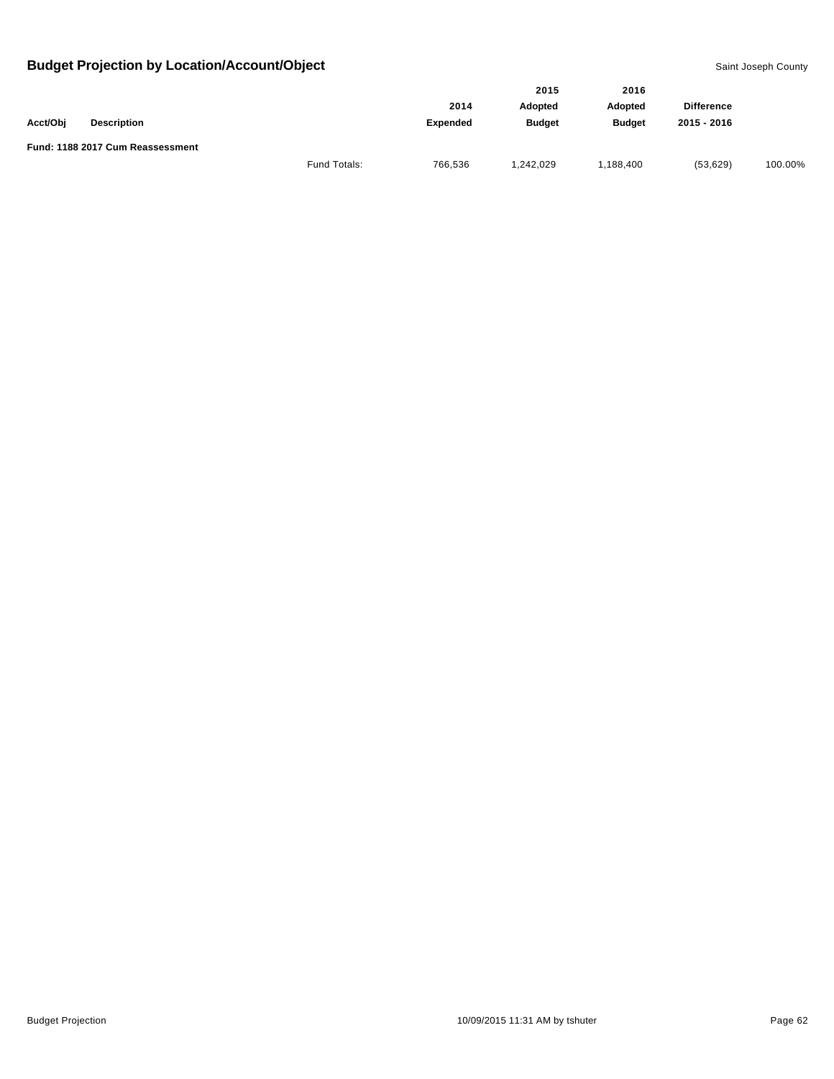|          |                                  |              |                 | 2015           | 2016          |                   |         |
|----------|----------------------------------|--------------|-----------------|----------------|---------------|-------------------|---------|
|          |                                  |              | 2014            | <b>Adopted</b> | Adopted       | <b>Difference</b> |         |
| Acct/Obj | <b>Description</b>               |              | <b>Expended</b> | <b>Budget</b>  | <b>Budget</b> | 2015 - 2016       |         |
|          | Fund: 1188 2017 Cum Reassessment |              |                 |                |               |                   |         |
|          |                                  | Fund Totals: | 766,536         | 1,242,029      | ,188,400      | (53, 629)         | 100.00% |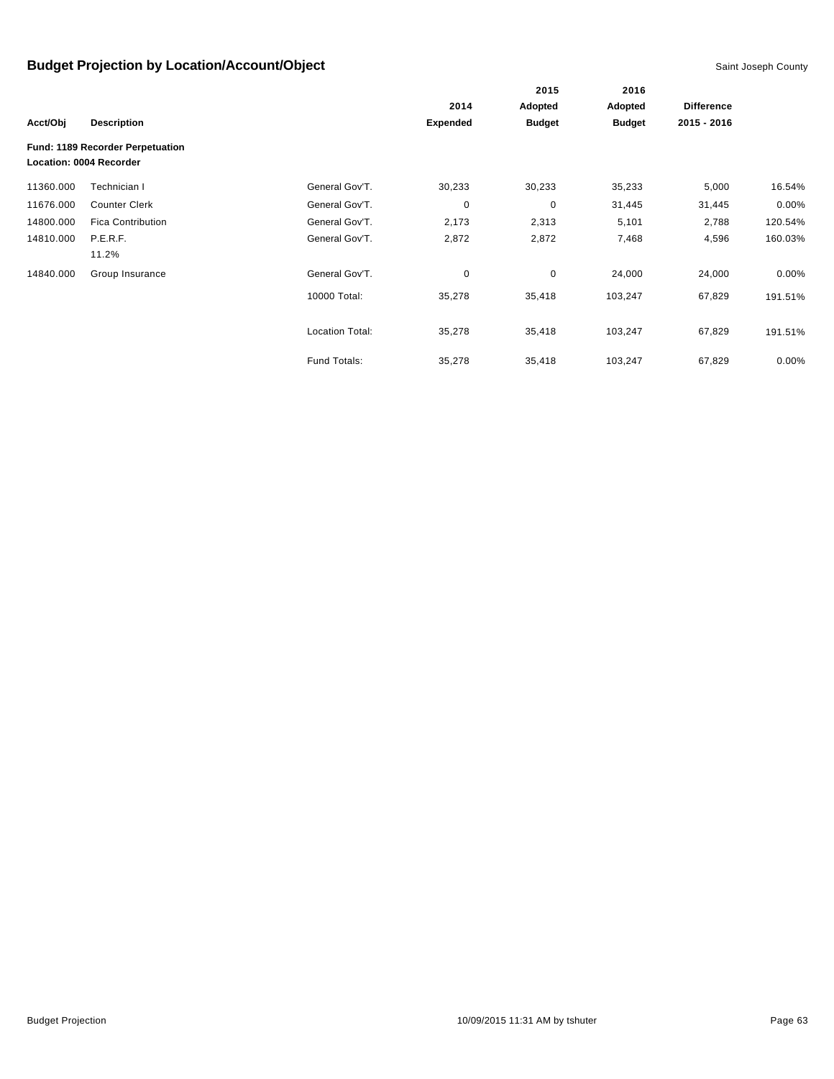|           |                                                             |                        |                 | 2015          | 2016<br>Adopted | <b>Difference</b> |          |
|-----------|-------------------------------------------------------------|------------------------|-----------------|---------------|-----------------|-------------------|----------|
|           |                                                             |                        | 2014            | Adopted       |                 |                   |          |
| Acct/Obj  | <b>Description</b>                                          |                        | <b>Expended</b> | <b>Budget</b> | <b>Budget</b>   | 2015 - 2016       |          |
|           | Fund: 1189 Recorder Perpetuation<br>Location: 0004 Recorder |                        |                 |               |                 |                   |          |
| 11360.000 | Technician I                                                | General Gov'T.         | 30,233          | 30,233        | 35,233          | 5,000             | 16.54%   |
| 11676.000 | <b>Counter Clerk</b>                                        | General Gov'T.         | 0               | $\mathbf 0$   | 31,445          | 31,445            | 0.00%    |
| 14800.000 | <b>Fica Contribution</b>                                    | General Gov'T.         | 2,173           | 2,313         | 5,101           | 2,788             | 120.54%  |
| 14810.000 | P.E.R.F.<br>11.2%                                           | General Gov'T.         | 2,872           | 2,872         | 7,468           | 4,596             | 160.03%  |
| 14840.000 | Group Insurance                                             | General Gov'T.         | 0               | 0             | 24,000          | 24,000            | $0.00\%$ |
|           |                                                             | 10000 Total:           | 35,278          | 35,418        | 103,247         | 67,829            | 191.51%  |
|           |                                                             | <b>Location Total:</b> | 35,278          | 35,418        | 103,247         | 67,829            | 191.51%  |
|           |                                                             | Fund Totals:           | 35,278          | 35,418        | 103,247         | 67,829            | 0.00%    |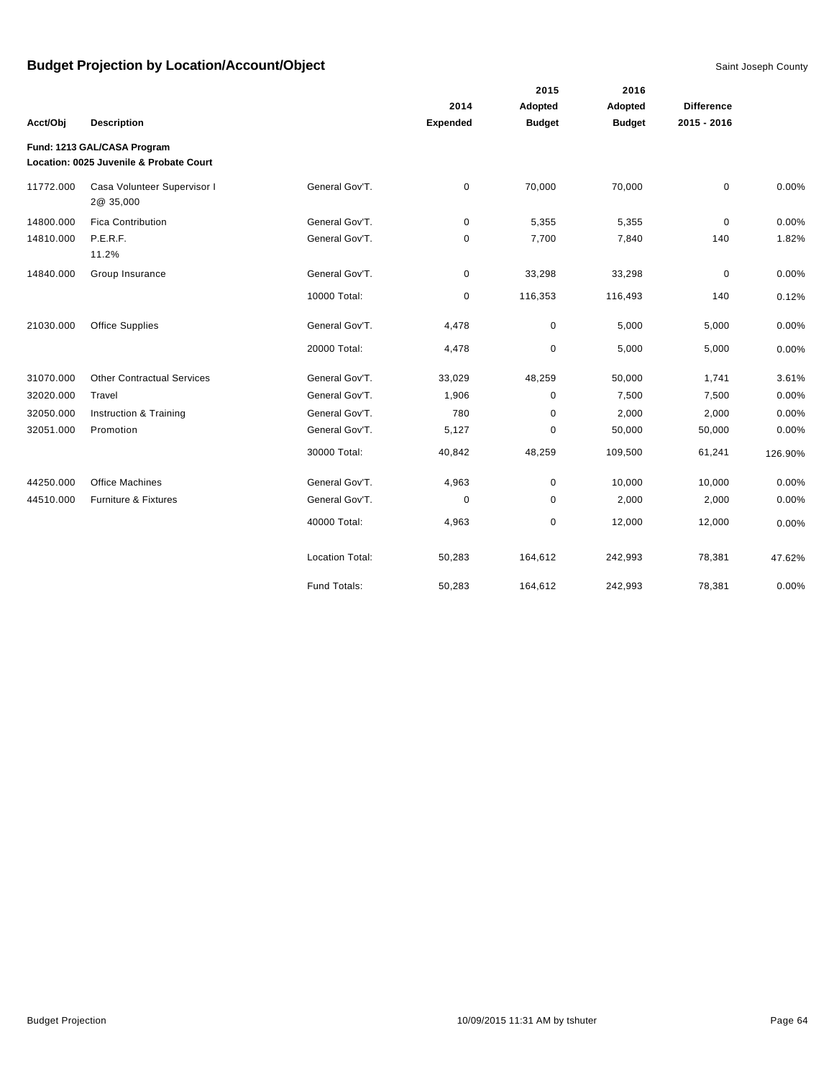|           |                                                                        |                        |                 | 2015          | 2016          |                   |         |
|-----------|------------------------------------------------------------------------|------------------------|-----------------|---------------|---------------|-------------------|---------|
|           |                                                                        |                        | 2014            | Adopted       | Adopted       | <b>Difference</b> |         |
| Acct/Obj  | <b>Description</b>                                                     |                        | <b>Expended</b> | <b>Budget</b> | <b>Budget</b> | 2015 - 2016       |         |
|           | Fund: 1213 GAL/CASA Program<br>Location: 0025 Juvenile & Probate Court |                        |                 |               |               |                   |         |
| 11772.000 | Casa Volunteer Supervisor I<br>2@ 35,000                               | General Gov'T.         | $\pmb{0}$       | 70,000        | 70,000        | 0                 | 0.00%   |
| 14800.000 | <b>Fica Contribution</b>                                               | General Gov'T.         | 0               | 5,355         | 5,355         | 0                 | 0.00%   |
| 14810.000 | P.E.R.F.<br>11.2%                                                      | General Gov'T.         | 0               | 7,700         | 7,840         | 140               | 1.82%   |
| 14840.000 | Group Insurance                                                        | General Gov'T.         | 0               | 33,298        | 33,298        | 0                 | 0.00%   |
|           |                                                                        | 10000 Total:           | 0               | 116,353       | 116,493       | 140               | 0.12%   |
| 21030.000 | <b>Office Supplies</b>                                                 | General Gov'T.         | 4,478           | 0             | 5,000         | 5,000             | 0.00%   |
|           |                                                                        | 20000 Total:           | 4,478           | $\pmb{0}$     | 5,000         | 5,000             | 0.00%   |
| 31070.000 | <b>Other Contractual Services</b>                                      | General Gov'T.         | 33,029          | 48,259        | 50,000        | 1,741             | 3.61%   |
| 32020.000 | Travel                                                                 | General Gov'T.         | 1,906           | 0             | 7,500         | 7,500             | 0.00%   |
| 32050.000 | Instruction & Training                                                 | General Gov'T.         | 780             | $\pmb{0}$     | 2,000         | 2,000             | 0.00%   |
| 32051.000 | Promotion                                                              | General Gov'T.         | 5,127           | $\pmb{0}$     | 50,000        | 50,000            | 0.00%   |
|           |                                                                        | 30000 Total:           | 40,842          | 48,259        | 109,500       | 61,241            | 126.90% |
| 44250.000 | <b>Office Machines</b>                                                 | General Gov'T.         | 4,963           | 0             | 10,000        | 10,000            | 0.00%   |
| 44510.000 | Furniture & Fixtures                                                   | General Gov'T.         | 0               | 0             | 2,000         | 2,000             | 0.00%   |
|           |                                                                        | 40000 Total:           | 4,963           | 0             | 12,000        | 12,000            | 0.00%   |
|           |                                                                        | <b>Location Total:</b> | 50,283          | 164,612       | 242,993       | 78,381            | 47.62%  |
|           |                                                                        | Fund Totals:           | 50,283          | 164,612       | 242,993       | 78,381            | 0.00%   |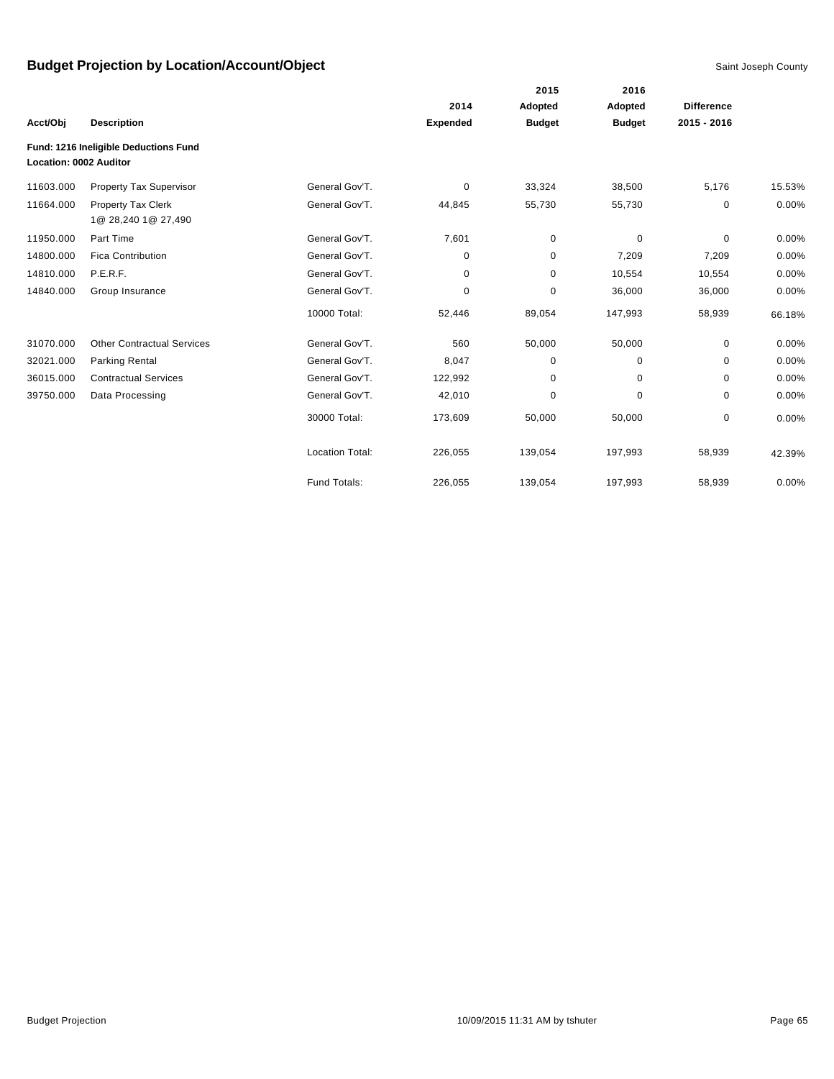|                        |                                           |                        |                 | 2015          | 2016          |                   |        |
|------------------------|-------------------------------------------|------------------------|-----------------|---------------|---------------|-------------------|--------|
|                        |                                           |                        | 2014            | Adopted       | Adopted       | <b>Difference</b> |        |
| Acct/Obj               | <b>Description</b>                        |                        | <b>Expended</b> | <b>Budget</b> | <b>Budget</b> | 2015 - 2016       |        |
| Location: 0002 Auditor | Fund: 1216 Ineligible Deductions Fund     |                        |                 |               |               |                   |        |
| 11603.000              | <b>Property Tax Supervisor</b>            | General Gov'T.         | 0               | 33,324        | 38,500        | 5,176             | 15.53% |
| 11664.000              | Property Tax Clerk<br>1@ 28,240 1@ 27,490 | General Gov'T.         | 44,845          | 55,730        | 55,730        | 0                 | 0.00%  |
| 11950.000              | Part Time                                 | General Gov'T.         | 7,601           | 0             | 0             | 0                 | 0.00%  |
| 14800.000              | <b>Fica Contribution</b>                  | General Gov'T.         | 0               | 0             | 7,209         | 7,209             | 0.00%  |
| 14810.000              | P.E.R.F.                                  | General Gov'T.         | 0               | 0             | 10,554        | 10,554            | 0.00%  |
| 14840.000              | Group Insurance                           | General Gov'T.         | 0               | $\mathbf 0$   | 36,000        | 36,000            | 0.00%  |
|                        |                                           | 10000 Total:           | 52,446          | 89,054        | 147,993       | 58,939            | 66.18% |
| 31070.000              | <b>Other Contractual Services</b>         | General Gov'T.         | 560             | 50,000        | 50,000        | 0                 | 0.00%  |
| 32021.000              | <b>Parking Rental</b>                     | General Gov'T.         | 8,047           | $\mathbf 0$   | 0             | 0                 | 0.00%  |
| 36015.000              | <b>Contractual Services</b>               | General Gov'T.         | 122,992         | 0             | 0             | 0                 | 0.00%  |
| 39750.000              | Data Processing                           | General Gov'T.         | 42,010          | $\pmb{0}$     | 0             | 0                 | 0.00%  |
|                        |                                           | 30000 Total:           | 173,609         | 50,000        | 50,000        | 0                 | 0.00%  |
|                        |                                           | <b>Location Total:</b> | 226,055         | 139,054       | 197,993       | 58,939            | 42.39% |
|                        |                                           | Fund Totals:           | 226,055         | 139,054       | 197,993       | 58,939            | 0.00%  |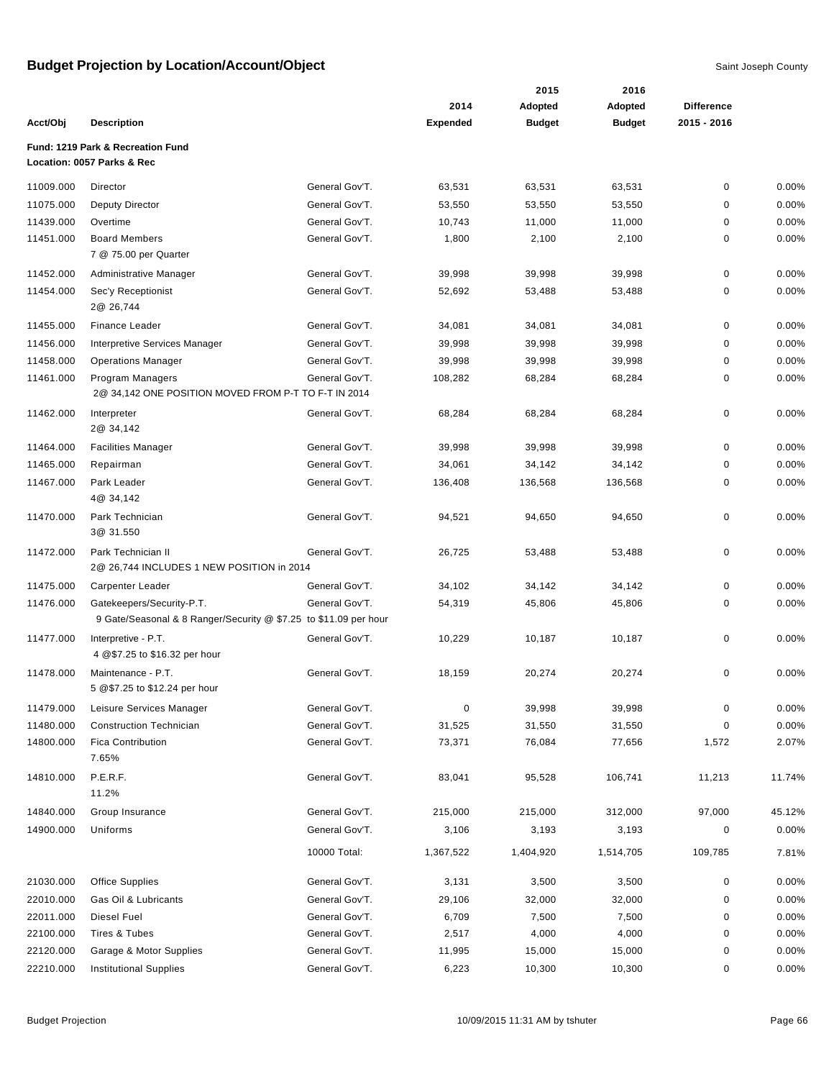|           |                                                                                               |                |                 | 2015          | 2016          |                   |        |
|-----------|-----------------------------------------------------------------------------------------------|----------------|-----------------|---------------|---------------|-------------------|--------|
|           |                                                                                               |                | 2014            | Adopted       | Adopted       | <b>Difference</b> |        |
| Acct/Obj  | <b>Description</b>                                                                            |                | <b>Expended</b> | <b>Budget</b> | <b>Budget</b> | 2015 - 2016       |        |
|           | Fund: 1219 Park & Recreation Fund<br>Location: 0057 Parks & Rec                               |                |                 |               |               |                   |        |
|           |                                                                                               |                |                 |               |               |                   |        |
| 11009.000 | Director                                                                                      | General Gov'T. | 63,531          | 63,531        | 63,531        | 0                 | 0.00%  |
| 11075.000 | Deputy Director                                                                               | General Gov'T. | 53,550          | 53,550        | 53,550        | 0                 | 0.00%  |
| 11439.000 | Overtime                                                                                      | General Gov'T. | 10,743          | 11,000        | 11,000        | 0                 | 0.00%  |
| 11451.000 | <b>Board Members</b><br>7 @ 75.00 per Quarter                                                 | General Gov'T. | 1,800           | 2,100         | 2,100         | 0                 | 0.00%  |
| 11452.000 | Administrative Manager                                                                        | General Gov'T. | 39,998          | 39,998        | 39,998        | 0                 | 0.00%  |
| 11454.000 | Sec'y Receptionist<br>2@ 26,744                                                               | General Gov'T. | 52,692          | 53,488        | 53,488        | 0                 | 0.00%  |
| 11455.000 | <b>Finance Leader</b>                                                                         | General Gov'T. | 34,081          | 34,081        | 34,081        | 0                 | 0.00%  |
| 11456.000 | Interpretive Services Manager                                                                 | General Gov'T. | 39,998          | 39,998        | 39,998        | 0                 | 0.00%  |
| 11458.000 | <b>Operations Manager</b>                                                                     | General Gov'T. | 39,998          | 39,998        | 39,998        | 0                 | 0.00%  |
| 11461.000 | <b>Program Managers</b><br>2@ 34,142 ONE POSITION MOVED FROM P-T TO F-T IN 2014               | General Gov'T. | 108,282         | 68,284        | 68,284        | 0                 | 0.00%  |
| 11462.000 | Interpreter<br>2@ 34,142                                                                      | General Gov'T. | 68,284          | 68,284        | 68,284        | 0                 | 0.00%  |
| 11464.000 | <b>Facilities Manager</b>                                                                     | General Gov'T. | 39,998          | 39,998        | 39,998        | 0                 | 0.00%  |
| 11465.000 | Repairman                                                                                     | General Gov'T. | 34,061          | 34,142        | 34,142        | 0                 | 0.00%  |
| 11467.000 | Park Leader<br>4@ 34,142                                                                      | General Gov'T. | 136,408         | 136,568       | 136,568       | 0                 | 0.00%  |
| 11470.000 | Park Technician<br>3@ 31.550                                                                  | General Gov'T. | 94,521          | 94,650        | 94,650        | 0                 | 0.00%  |
| 11472.000 | Park Technician II<br>2@ 26,744 INCLUDES 1 NEW POSITION in 2014                               | General Gov'T. | 26,725          | 53,488        | 53,488        | 0                 | 0.00%  |
| 11475.000 | Carpenter Leader                                                                              | General Gov'T. | 34,102          | 34,142        | 34,142        | 0                 | 0.00%  |
| 11476.000 | Gatekeepers/Security-P.T.<br>9 Gate/Seasonal & 8 Ranger/Security @ \$7.25 to \$11.09 per hour | General Gov'T. | 54,319          | 45,806        | 45,806        | 0                 | 0.00%  |
| 11477.000 | Interpretive - P.T.<br>4 @\$7.25 to \$16.32 per hour                                          | General Gov'T. | 10,229          | 10,187        | 10,187        | 0                 | 0.00%  |
| 11478.000 | Maintenance - P.T.<br>5 @\$7.25 to \$12.24 per hour                                           | General Gov'T. | 18,159          | 20,274        | 20,274        | 0                 | 0.00%  |
| 11479.000 | Leisure Services Manager                                                                      | General Gov'T. | 0               | 39,998        | 39,998        | 0                 | 0.00%  |
| 11480.000 | <b>Construction Technician</b>                                                                | General Gov'T. | 31,525          | 31,550        | 31,550        | 0                 | 0.00%  |
| 14800.000 | <b>Fica Contribution</b><br>7.65%                                                             | General Gov'T. | 73,371          | 76,084        | 77,656        | 1,572             | 2.07%  |
| 14810.000 | P.E.R.F.<br>11.2%                                                                             | General Gov'T. | 83,041          | 95,528        | 106,741       | 11,213            | 11.74% |
| 14840.000 | Group Insurance                                                                               | General Gov'T. | 215,000         | 215,000       | 312,000       | 97,000            | 45.12% |
| 14900.000 | Uniforms                                                                                      | General Gov'T. | 3,106           | 3,193         | 3,193         | 0                 | 0.00%  |
|           |                                                                                               | 10000 Total:   | 1,367,522       | 1,404,920     | 1,514,705     | 109,785           | 7.81%  |
| 21030.000 | Office Supplies                                                                               | General Gov'T. | 3,131           | 3,500         | 3,500         | 0                 | 0.00%  |
| 22010.000 | Gas Oil & Lubricants                                                                          | General Gov'T. | 29,106          | 32,000        | 32,000        | 0                 | 0.00%  |
| 22011.000 | Diesel Fuel                                                                                   | General Gov'T. | 6,709           | 7,500         | 7,500         | 0                 | 0.00%  |
| 22100.000 | Tires & Tubes                                                                                 | General Gov'T. | 2,517           | 4,000         | 4,000         | 0                 | 0.00%  |
| 22120.000 | Garage & Motor Supplies                                                                       | General Gov'T. | 11,995          | 15,000        | 15,000        | 0                 | 0.00%  |
| 22210.000 | <b>Institutional Supplies</b>                                                                 | General Gov'T. | 6,223           | 10,300        | 10,300        | 0                 | 0.00%  |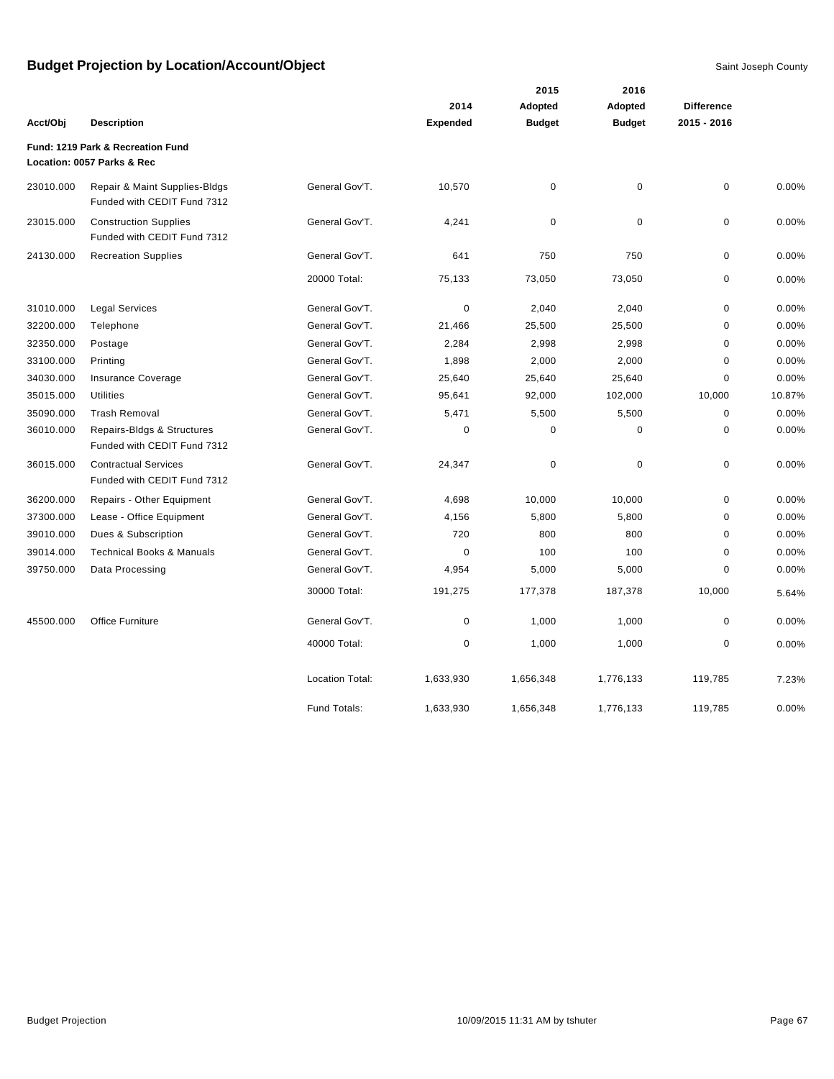|           |                                                                 |                        |                 | 2015          | 2016          |                   |        |
|-----------|-----------------------------------------------------------------|------------------------|-----------------|---------------|---------------|-------------------|--------|
|           |                                                                 |                        | 2014            | Adopted       | Adopted       | <b>Difference</b> |        |
| Acct/Obj  | <b>Description</b>                                              |                        | <b>Expended</b> | <b>Budget</b> | <b>Budget</b> | 2015 - 2016       |        |
|           | Fund: 1219 Park & Recreation Fund<br>Location: 0057 Parks & Rec |                        |                 |               |               |                   |        |
| 23010.000 | Repair & Maint Supplies-Bldgs<br>Funded with CEDIT Fund 7312    | General Gov'T.         | 10,570          | $\mathbf 0$   | 0             | $\pmb{0}$         | 0.00%  |
| 23015.000 | <b>Construction Supplies</b><br>Funded with CEDIT Fund 7312     | General Gov'T.         | 4,241           | $\pmb{0}$     | $\pmb{0}$     | $\pmb{0}$         | 0.00%  |
| 24130.000 | <b>Recreation Supplies</b>                                      | General Gov'T.         | 641             | 750           | 750           | $\mathbf 0$       | 0.00%  |
|           |                                                                 | 20000 Total:           | 75,133          | 73,050        | 73,050        | $\mathbf 0$       | 0.00%  |
| 31010.000 | <b>Legal Services</b>                                           | General Gov'T.         | 0               | 2,040         | 2,040         | $\pmb{0}$         | 0.00%  |
| 32200.000 | Telephone                                                       | General Gov'T.         | 21,466          | 25,500        | 25,500        | $\mathbf 0$       | 0.00%  |
| 32350.000 | Postage                                                         | General Gov'T.         | 2,284           | 2,998         | 2,998         | $\mathbf 0$       | 0.00%  |
| 33100.000 | Printing                                                        | General Gov'T.         | 1,898           | 2,000         | 2,000         | $\mathbf 0$       | 0.00%  |
| 34030.000 | Insurance Coverage                                              | General Gov'T.         | 25,640          | 25,640        | 25,640        | $\mathbf 0$       | 0.00%  |
| 35015.000 | <b>Utilities</b>                                                | General Gov'T.         | 95,641          | 92,000        | 102,000       | 10,000            | 10.87% |
| 35090.000 | <b>Trash Removal</b>                                            | General Gov'T.         | 5,471           | 5,500         | 5,500         | $\mathbf 0$       | 0.00%  |
| 36010.000 | Repairs-Bldgs & Structures<br>Funded with CEDIT Fund 7312       | General Gov'T.         | 0               | $\mathbf 0$   | $\mathbf 0$   | $\mathbf 0$       | 0.00%  |
| 36015.000 | <b>Contractual Services</b><br>Funded with CEDIT Fund 7312      | General Gov'T.         | 24,347          | $\mathbf 0$   | $\pmb{0}$     | $\pmb{0}$         | 0.00%  |
| 36200.000 | Repairs - Other Equipment                                       | General Gov'T.         | 4,698           | 10,000        | 10,000        | $\mathbf 0$       | 0.00%  |
| 37300.000 | Lease - Office Equipment                                        | General Gov'T.         | 4,156           | 5,800         | 5,800         | $\mathbf 0$       | 0.00%  |
| 39010.000 | Dues & Subscription                                             | General Gov'T.         | 720             | 800           | 800           | $\mathbf 0$       | 0.00%  |
| 39014.000 | <b>Technical Books &amp; Manuals</b>                            | General Gov'T.         | $\Omega$        | 100           | 100           | $\Omega$          | 0.00%  |
| 39750.000 | Data Processing                                                 | General Gov'T.         | 4,954           | 5,000         | 5,000         | $\mathbf 0$       | 0.00%  |
|           |                                                                 | 30000 Total:           | 191,275         | 177,378       | 187,378       | 10,000            | 5.64%  |
| 45500.000 | Office Furniture                                                | General Gov'T.         | $\pmb{0}$       | 1,000         | 1,000         | $\pmb{0}$         | 0.00%  |
|           |                                                                 | 40000 Total:           | 0               | 1,000         | 1,000         | $\mathbf 0$       | 0.00%  |
|           |                                                                 | <b>Location Total:</b> | 1,633,930       | 1,656,348     | 1,776,133     | 119,785           | 7.23%  |
|           |                                                                 | Fund Totals:           | 1,633,930       | 1,656,348     | 1,776,133     | 119,785           | 0.00%  |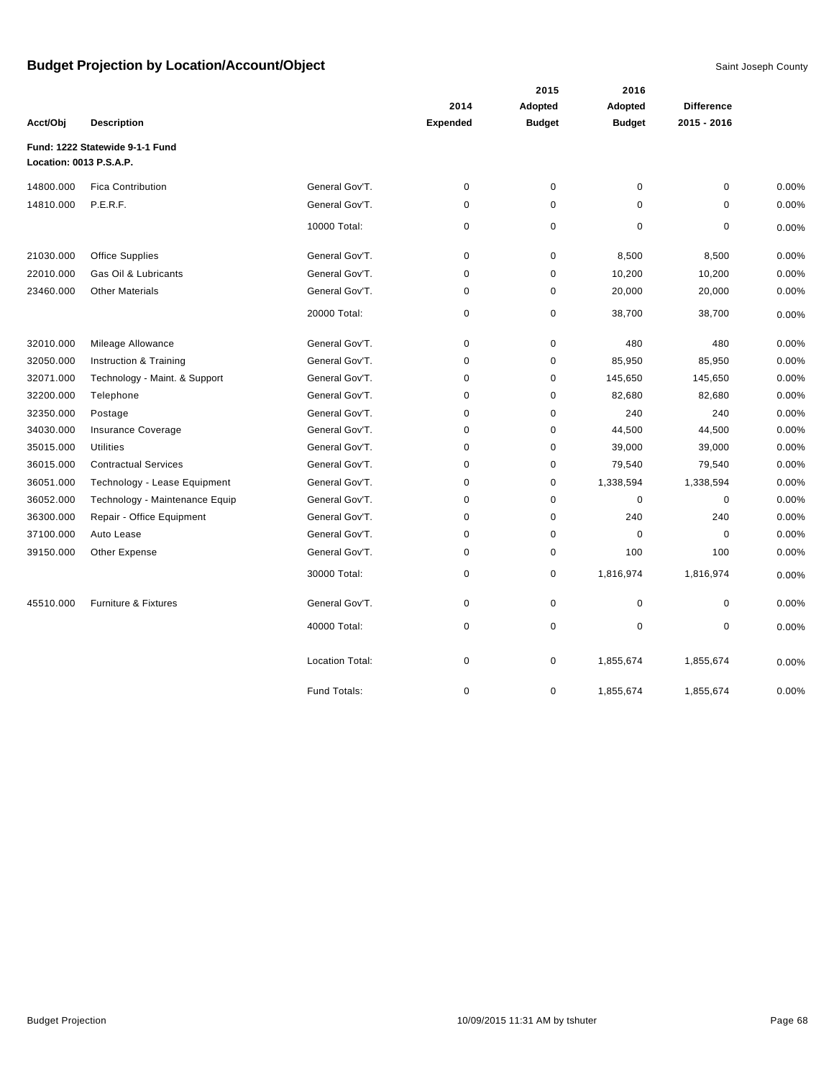|                         |                                 |                        |                 |               | 2016          |                   |       |
|-------------------------|---------------------------------|------------------------|-----------------|---------------|---------------|-------------------|-------|
|                         |                                 |                        | 2014            | Adopted       | Adopted       | <b>Difference</b> |       |
| Acct/Obj                | <b>Description</b>              |                        | <b>Expended</b> | <b>Budget</b> | <b>Budget</b> | $2015 - 2016$     |       |
| Location: 0013 P.S.A.P. | Fund: 1222 Statewide 9-1-1 Fund |                        |                 |               |               |                   |       |
| 14800.000               | <b>Fica Contribution</b>        | General Gov'T.         | 0               | $\pmb{0}$     | $\mathbf 0$   | $\mathbf 0$       | 0.00% |
| 14810.000               | P.E.R.F.                        | General Gov'T.         | 0               | 0             | 0             | 0                 | 0.00% |
|                         |                                 | 10000 Total:           | 0               | $\pmb{0}$     | $\mathbf 0$   | 0                 | 0.00% |
| 21030.000               | <b>Office Supplies</b>          | General Gov'T.         | 0               | $\pmb{0}$     | 8,500         | 8,500             | 0.00% |
| 22010.000               | Gas Oil & Lubricants            | General Gov'T.         | $\mathbf 0$     | 0             | 10,200        | 10,200            | 0.00% |
| 23460.000               | <b>Other Materials</b>          | General Gov'T.         | 0               | $\mathbf 0$   | 20,000        | 20,000            | 0.00% |
|                         |                                 | 20000 Total:           | 0               | $\pmb{0}$     | 38,700        | 38,700            | 0.00% |
| 32010.000               | Mileage Allowance               | General Gov'T.         | 0               | 0             | 480           | 480               | 0.00% |
| 32050.000               | Instruction & Training          | General Gov'T.         | 0               | $\mathbf 0$   | 85,950        | 85,950            | 0.00% |
| 32071.000               | Technology - Maint. & Support   | General Gov'T.         | 0               | 0             | 145,650       | 145,650           | 0.00% |
| 32200.000               | Telephone                       | General Gov'T.         | 0               | 0             | 82,680        | 82,680            | 0.00% |
| 32350.000               | Postage                         | General Gov'T.         | $\mathbf 0$     | 0             | 240           | 240               | 0.00% |
| 34030.000               | Insurance Coverage              | General Gov'T.         | 0               | 0             | 44,500        | 44,500            | 0.00% |
| 35015.000               | <b>Utilities</b>                | General Gov'T.         | 0               | 0             | 39,000        | 39,000            | 0.00% |
| 36015.000               | <b>Contractual Services</b>     | General Gov'T.         | 0               | 0             | 79,540        | 79,540            | 0.00% |
| 36051.000               | Technology - Lease Equipment    | General Gov'T.         | 0               | 0             | 1,338,594     | 1,338,594         | 0.00% |
| 36052.000               | Technology - Maintenance Equip  | General Gov'T.         | 0               | 0             | 0             | $\mathbf 0$       | 0.00% |
| 36300.000               | Repair - Office Equipment       | General Gov'T.         | 0               | 0             | 240           | 240               | 0.00% |
| 37100.000               | Auto Lease                      | General Gov'T.         | 0               | 0             | $\mathbf 0$   | $\mathbf 0$       | 0.00% |
| 39150.000               | Other Expense                   | General Gov'T.         | $\mathbf 0$     | 0             | 100           | 100               | 0.00% |
|                         |                                 | 30000 Total:           | 0               | $\pmb{0}$     | 1,816,974     | 1,816,974         | 0.00% |
| 45510.000               | Furniture & Fixtures            | General Gov'T.         | 0               | $\mathbf 0$   | $\pmb{0}$     | $\mathbf 0$       | 0.00% |
|                         |                                 | 40000 Total:           | 0               | 0             | $\mathbf 0$   | 0                 | 0.00% |
|                         |                                 | <b>Location Total:</b> | 0               | 0             | 1,855,674     | 1,855,674         | 0.00% |
|                         |                                 | Fund Totals:           | 0               | 0             | 1,855,674     | 1,855,674         | 0.00% |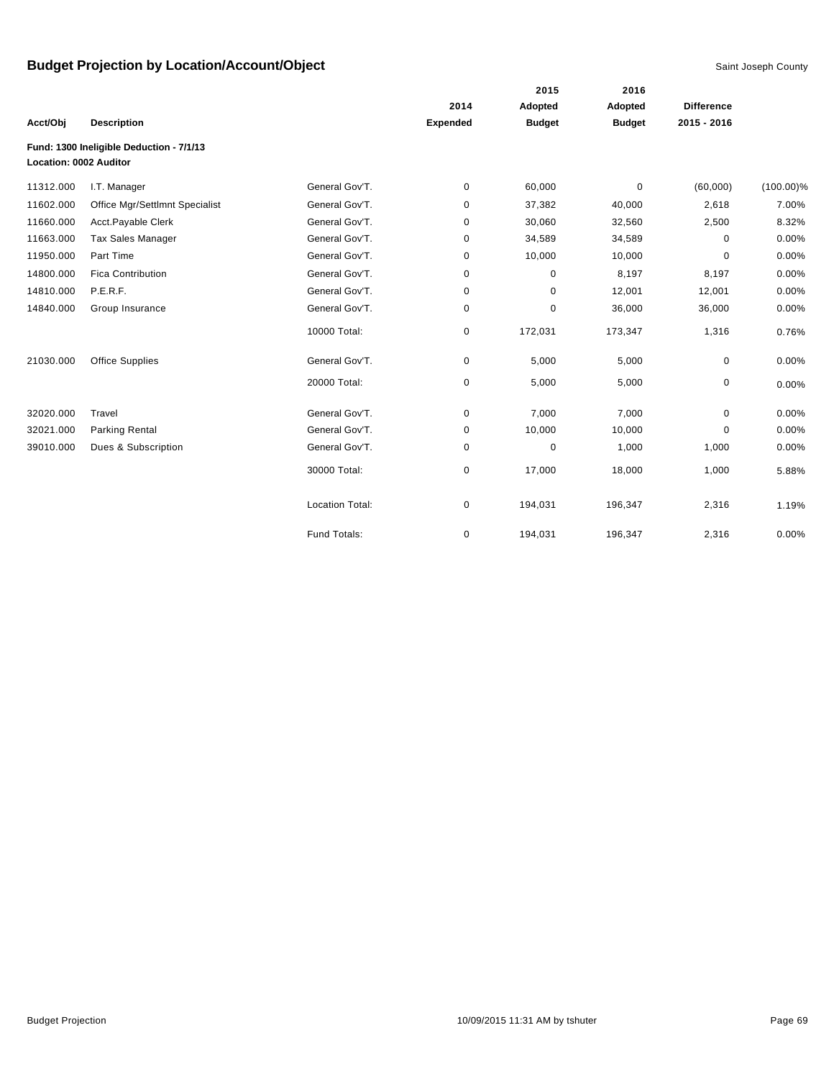|                        |                                          |                        |                 | 2015          | 2016          |                   |              |
|------------------------|------------------------------------------|------------------------|-----------------|---------------|---------------|-------------------|--------------|
|                        |                                          |                        | 2014            | Adopted       | Adopted       | <b>Difference</b> |              |
| Acct/Obj               | <b>Description</b>                       |                        | <b>Expended</b> | <b>Budget</b> | <b>Budget</b> | $2015 - 2016$     |              |
|                        | Fund: 1300 Ineligible Deduction - 7/1/13 |                        |                 |               |               |                   |              |
| Location: 0002 Auditor |                                          |                        |                 |               |               |                   |              |
| 11312.000              | I.T. Manager                             | General Gov'T.         | 0               | 60,000        | $\mathbf 0$   | (60,000)          | $(100.00)\%$ |
| 11602.000              | Office Mgr/Settlmnt Specialist           | General Gov'T.         | 0               | 37,382        | 40,000        | 2,618             | 7.00%        |
| 11660.000              | Acct.Payable Clerk                       | General Gov'T.         | 0               | 30,060        | 32,560        | 2,500             | 8.32%        |
| 11663.000              | <b>Tax Sales Manager</b>                 | General Gov'T.         | 0               | 34,589        | 34,589        | $\mathbf 0$       | 0.00%        |
| 11950.000              | Part Time                                | General Gov'T.         | 0               | 10,000        | 10,000        | 0                 | 0.00%        |
| 14800.000              | <b>Fica Contribution</b>                 | General Gov'T.         | 0               | 0             | 8,197         | 8,197             | 0.00%        |
| 14810.000              | P.E.R.F.                                 | General Gov'T.         | 0               | 0             | 12,001        | 12,001            | 0.00%        |
| 14840.000              | Group Insurance                          | General Gov'T.         | 0               | $\mathbf 0$   | 36,000        | 36,000            | 0.00%        |
|                        |                                          | 10000 Total:           | 0               | 172,031       | 173,347       | 1,316             | 0.76%        |
| 21030.000              | <b>Office Supplies</b>                   | General Gov'T.         | 0               | 5,000         | 5,000         | 0                 | 0.00%        |
|                        |                                          | 20000 Total:           | 0               | 5,000         | 5,000         | 0                 | 0.00%        |
| 32020.000              | Travel                                   | General Gov'T.         | 0               | 7,000         | 7,000         | 0                 | 0.00%        |
| 32021.000              | Parking Rental                           | General Gov'T.         | 0               | 10,000        | 10,000        | 0                 | 0.00%        |
| 39010.000              | Dues & Subscription                      | General Gov'T.         | 0               | $\mathbf 0$   | 1,000         | 1,000             | 0.00%        |
|                        |                                          | 30000 Total:           | 0               | 17,000        | 18,000        | 1,000             | 5.88%        |
|                        |                                          | <b>Location Total:</b> | 0               | 194,031       | 196,347       | 2,316             | 1.19%        |
|                        |                                          | Fund Totals:           | 0               | 194,031       | 196,347       | 2,316             | 0.00%        |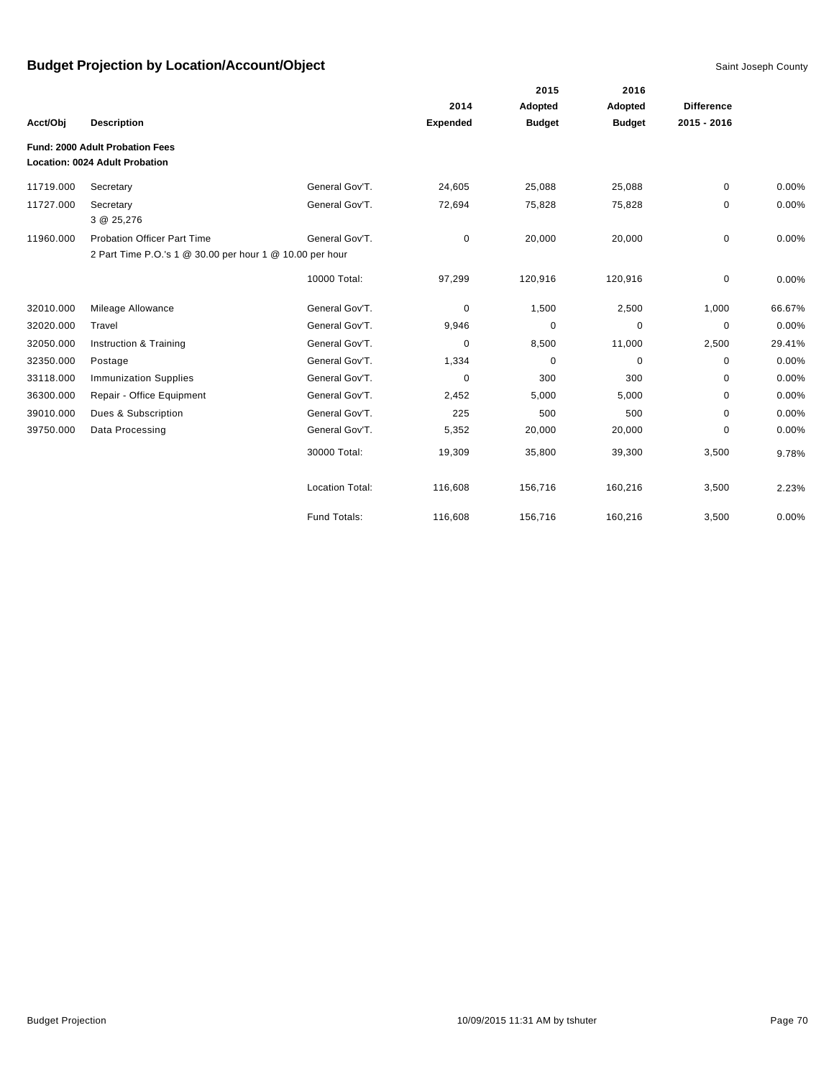|           |                                                          |                        |                 | 2015          | 2016<br>Adopted |                   |        |
|-----------|----------------------------------------------------------|------------------------|-----------------|---------------|-----------------|-------------------|--------|
|           |                                                          |                        | 2014            | Adopted       |                 | <b>Difference</b> |        |
| Acct/Obj  | <b>Description</b>                                       |                        | <b>Expended</b> | <b>Budget</b> | <b>Budget</b>   | 2015 - 2016       |        |
|           | Fund: 2000 Adult Probation Fees                          |                        |                 |               |                 |                   |        |
|           | Location: 0024 Adult Probation                           |                        |                 |               |                 |                   |        |
| 11719.000 | Secretary                                                | General Gov'T.         | 24,605          | 25,088        | 25,088          | 0                 | 0.00%  |
| 11727.000 | Secretary                                                | General Gov'T.         | 72,694          | 75,828        | 75,828          | 0                 | 0.00%  |
|           | 3 @ 25,276                                               |                        |                 |               |                 |                   |        |
| 11960.000 | <b>Probation Officer Part Time</b>                       | General Gov'T.         | 0               | 20,000        | 20,000          | 0                 | 0.00%  |
|           | 2 Part Time P.O.'s 1 @ 30.00 per hour 1 @ 10.00 per hour |                        |                 |               |                 |                   |        |
|           |                                                          | 10000 Total:           | 97,299          | 120,916       | 120,916         | 0                 | 0.00%  |
| 32010.000 | Mileage Allowance                                        | General Gov'T.         | 0               | 1,500         | 2,500           | 1,000             | 66.67% |
| 32020.000 | Travel                                                   | General Gov'T.         | 9,946           | $\mathbf 0$   | $\mathbf 0$     | $\mathbf 0$       | 0.00%  |
| 32050.000 | Instruction & Training                                   | General Gov'T.         | 0               | 8,500         | 11,000          | 2,500             | 29.41% |
| 32350.000 | Postage                                                  | General Gov'T.         | 1,334           | $\mathbf 0$   | $\mathbf 0$     | $\mathbf 0$       | 0.00%  |
| 33118.000 | <b>Immunization Supplies</b>                             | General Gov'T.         | $\mathbf 0$     | 300           | 300             | 0                 | 0.00%  |
| 36300.000 | Repair - Office Equipment                                | General Gov'T.         | 2,452           | 5,000         | 5,000           | $\mathbf 0$       | 0.00%  |
| 39010.000 | Dues & Subscription                                      | General Gov'T.         | 225             | 500           | 500             | 0                 | 0.00%  |
| 39750.000 | Data Processing                                          | General Gov'T.         | 5,352           | 20,000        | 20,000          | $\mathbf 0$       | 0.00%  |
|           |                                                          | 30000 Total:           | 19,309          | 35,800        | 39,300          | 3,500             | 9.78%  |
|           |                                                          | <b>Location Total:</b> | 116,608         | 156,716       | 160,216         | 3,500             | 2.23%  |
|           |                                                          | Fund Totals:           | 116,608         | 156,716       | 160,216         | 3,500             | 0.00%  |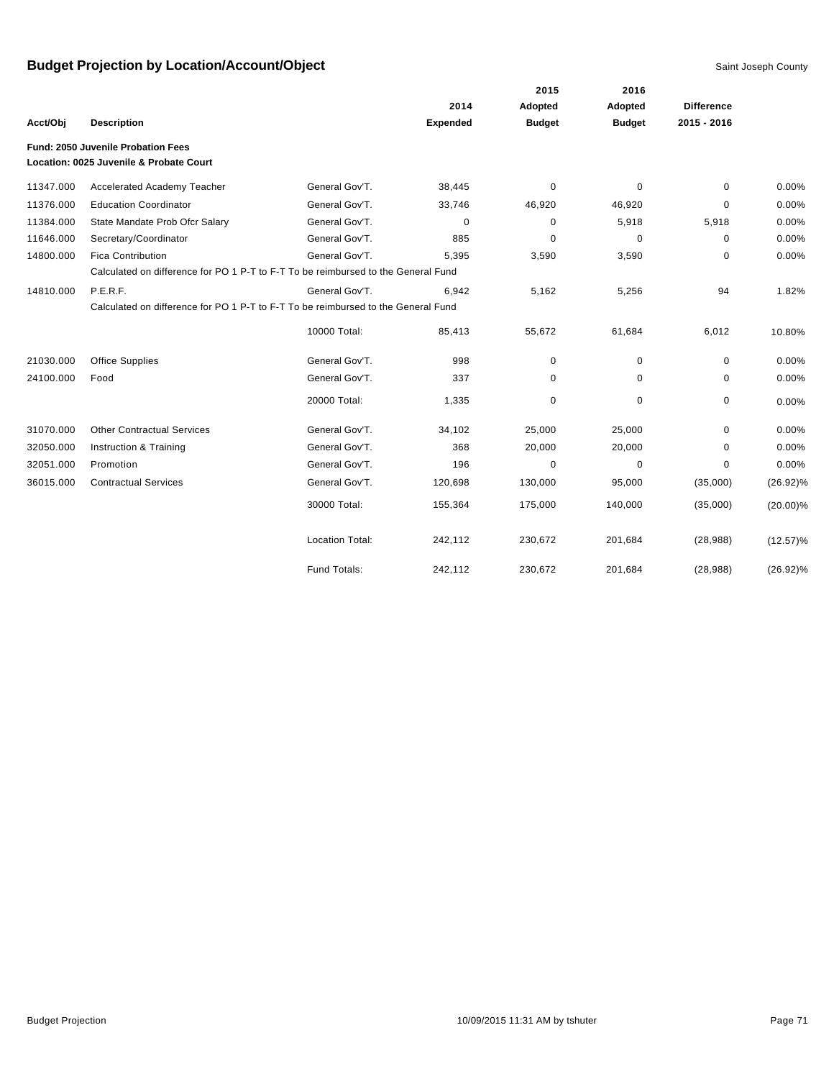|           |                                                                                   |                        |                 | 2015          | 2016          |                   |             |
|-----------|-----------------------------------------------------------------------------------|------------------------|-----------------|---------------|---------------|-------------------|-------------|
|           |                                                                                   |                        | 2014            | Adopted       | Adopted       | <b>Difference</b> |             |
| Acct/Obj  | <b>Description</b>                                                                |                        | <b>Expended</b> | <b>Budget</b> | <b>Budget</b> | 2015 - 2016       |             |
|           | Fund: 2050 Juvenile Probation Fees                                                |                        |                 |               |               |                   |             |
|           | Location: 0025 Juvenile & Probate Court                                           |                        |                 |               |               |                   |             |
| 11347.000 | Accelerated Academy Teacher                                                       | General Gov'T.         | 38,445          | 0             | $\mathbf 0$   | $\Omega$          | 0.00%       |
| 11376.000 | <b>Education Coordinator</b>                                                      | General Gov'T.         | 33,746          | 46,920        | 46,920        | 0                 | 0.00%       |
| 11384.000 | State Mandate Prob Ofcr Salary                                                    | General Gov'T.         | $\mathbf 0$     | 0             | 5,918         | 5,918             | 0.00%       |
| 11646.000 | Secretary/Coordinator                                                             | General Gov'T.         | 885             | 0             | 0             | $\mathbf 0$       | 0.00%       |
| 14800.000 | <b>Fica Contribution</b>                                                          | General Gov'T.         | 5,395           | 3,590         | 3,590         | 0                 | 0.00%       |
|           | Calculated on difference for PO 1 P-T to F-T To be reimbursed to the General Fund |                        |                 |               |               |                   |             |
| 14810.000 | P.E.R.F.                                                                          | General Gov'T.         | 6,942           | 5,162         | 5,256         | 94                | 1.82%       |
|           | Calculated on difference for PO 1 P-T to F-T To be reimbursed to the General Fund |                        |                 |               |               |                   |             |
|           |                                                                                   | 10000 Total:           | 85,413          | 55,672        | 61,684        | 6,012             | 10.80%      |
| 21030.000 | <b>Office Supplies</b>                                                            | General Gov'T.         | 998             | 0             | 0             | 0                 | 0.00%       |
| 24100.000 | Food                                                                              | General Gov'T.         | 337             | 0             | 0             | 0                 | 0.00%       |
|           |                                                                                   | 20000 Total:           | 1,335           | 0             | $\mathbf 0$   | 0                 | 0.00%       |
| 31070.000 | <b>Other Contractual Services</b>                                                 | General Gov'T.         | 34,102          | 25,000        | 25,000        | 0                 | 0.00%       |
| 32050.000 | Instruction & Training                                                            | General Gov'T.         | 368             | 20,000        | 20,000        | $\Omega$          | 0.00%       |
| 32051.000 | Promotion                                                                         | General Gov'T.         | 196             | 0             | 0             | $\mathbf 0$       | 0.00%       |
| 36015.000 | <b>Contractual Services</b>                                                       | General Gov'T.         | 120,698         | 130,000       | 95,000        | (35,000)          | $(26.92)\%$ |
|           |                                                                                   | 30000 Total:           | 155,364         | 175,000       | 140,000       | (35,000)          | $(20.00)\%$ |
|           |                                                                                   | <b>Location Total:</b> | 242,112         | 230,672       | 201,684       | (28, 988)         | $(12.57)\%$ |
|           |                                                                                   | Fund Totals:           | 242,112         | 230,672       | 201,684       | (28, 988)         | $(26.92)\%$ |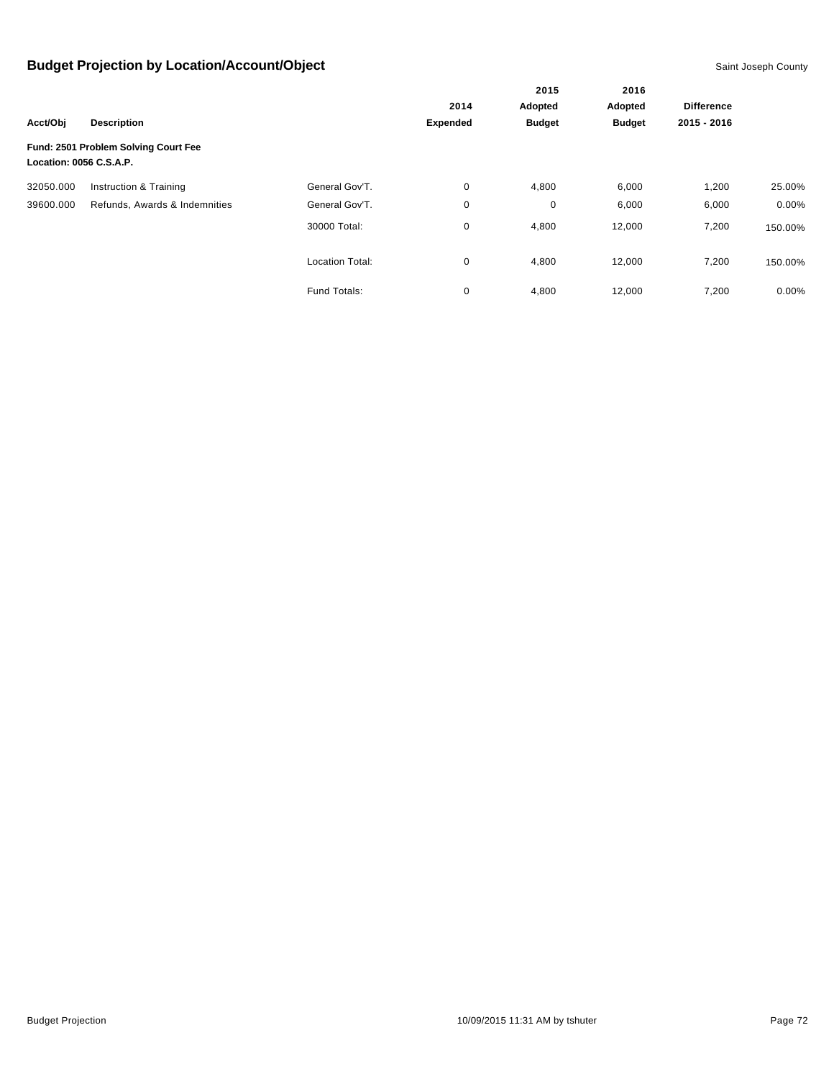|                         |                                      |                        | 2015            | 2016          |               |                   |          |
|-------------------------|--------------------------------------|------------------------|-----------------|---------------|---------------|-------------------|----------|
|                         |                                      |                        | 2014            | Adopted       | Adopted       | <b>Difference</b> |          |
| Acct/Obj                | <b>Description</b>                   |                        | <b>Expended</b> | <b>Budget</b> | <b>Budget</b> | 2015 - 2016       |          |
| Location: 0056 C.S.A.P. | Fund: 2501 Problem Solving Court Fee |                        |                 |               |               |                   |          |
| 32050.000               | Instruction & Training               | General Gov'T.         | 0               | 4,800         | 6,000         | 1,200             | 25.00%   |
| 39600.000               | Refunds, Awards & Indemnities        | General Gov'T.         | 0               | 0             | 6,000         | 6,000             | $0.00\%$ |
|                         |                                      | 30000 Total:           | 0               | 4,800         | 12,000        | 7,200             | 150.00%  |
|                         |                                      | <b>Location Total:</b> | 0               | 4,800         | 12,000        | 7,200             | 150.00%  |
|                         |                                      | Fund Totals:           | 0               | 4,800         | 12,000        | 7,200             | $0.00\%$ |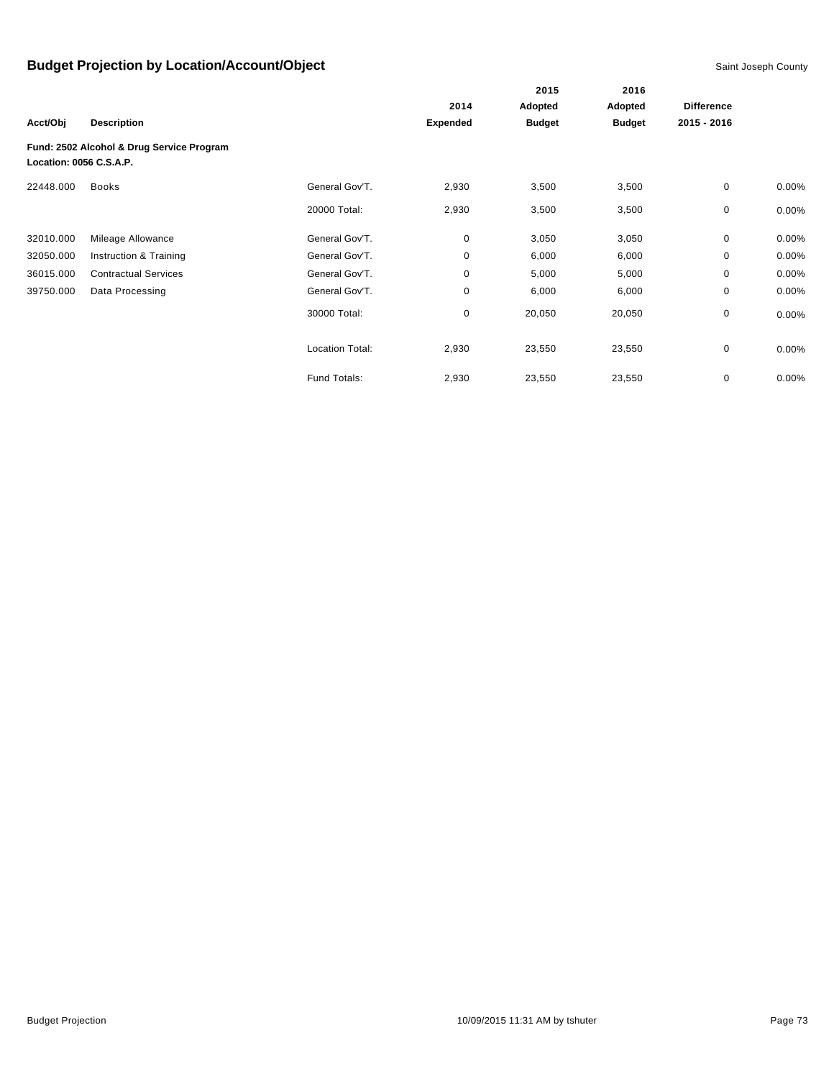|                         |                                           |                        |                 | 2015          | 2016          |                   |          |
|-------------------------|-------------------------------------------|------------------------|-----------------|---------------|---------------|-------------------|----------|
|                         |                                           |                        | 2014            | Adopted       | Adopted       | <b>Difference</b> |          |
| Acct/Obj                | <b>Description</b>                        |                        | <b>Expended</b> | <b>Budget</b> | <b>Budget</b> | 2015 - 2016       |          |
| Location: 0056 C.S.A.P. | Fund: 2502 Alcohol & Drug Service Program |                        |                 |               |               |                   |          |
| 22448.000               | <b>Books</b>                              | General Gov'T.         | 2,930           | 3,500         | 3,500         | $\mathbf 0$       | $0.00\%$ |
|                         |                                           | 20000 Total:           | 2,930           | 3,500         | 3,500         | 0                 | 0.00%    |
| 32010.000               | Mileage Allowance                         | General Gov'T.         | $\mathbf 0$     | 3,050         | 3,050         | 0                 | 0.00%    |
| 32050.000               | Instruction & Training                    | General Gov'T.         | $\mathbf 0$     | 6,000         | 6,000         | 0                 | 0.00%    |
| 36015.000               | <b>Contractual Services</b>               | General Gov'T.         | 0               | 5,000         | 5,000         | 0                 | 0.00%    |
| 39750.000               | Data Processing                           | General Gov'T.         | $\mathbf 0$     | 6,000         | 6,000         | 0                 | 0.00%    |
|                         |                                           | 30000 Total:           | $\mathbf 0$     | 20,050        | 20,050        | 0                 | $0.00\%$ |
|                         |                                           | <b>Location Total:</b> | 2,930           | 23,550        | 23,550        | 0                 | $0.00\%$ |
|                         |                                           | Fund Totals:           | 2,930           | 23,550        | 23,550        | 0                 | 0.00%    |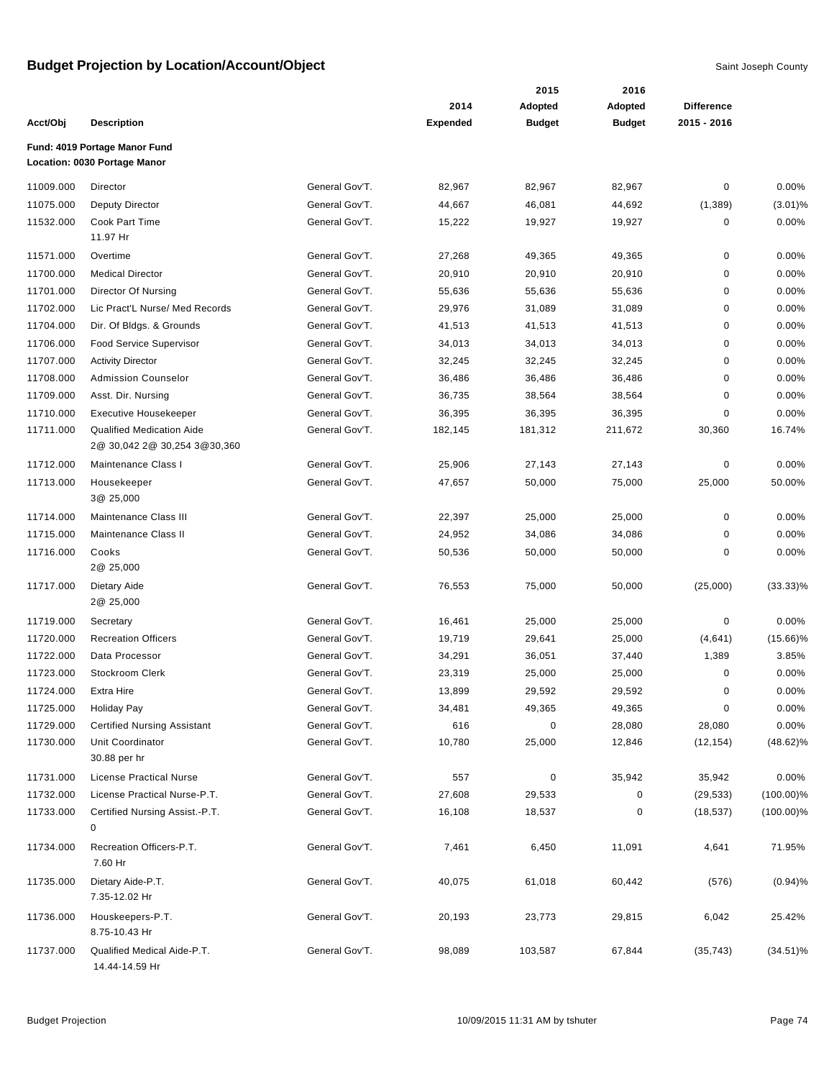|           |                                                                   |                |                 | 2015          | 2016          |                   |              |
|-----------|-------------------------------------------------------------------|----------------|-----------------|---------------|---------------|-------------------|--------------|
|           |                                                                   |                | 2014            | Adopted       | Adopted       | <b>Difference</b> |              |
| Acct/Obj  | <b>Description</b>                                                |                | <b>Expended</b> | <b>Budget</b> | <b>Budget</b> | 2015 - 2016       |              |
|           | Fund: 4019 Portage Manor Fund<br>Location: 0030 Portage Manor     |                |                 |               |               |                   |              |
| 11009.000 | Director                                                          | General Gov'T. | 82,967          | 82,967        | 82,967        | 0                 | 0.00%        |
| 11075.000 | <b>Deputy Director</b>                                            | General Gov'T. | 44,667          | 46,081        | 44,692        | (1,389)           | $(3.01)\%$   |
| 11532.000 | Cook Part Time                                                    | General Gov'T. | 15,222          | 19,927        | 19,927        | 0                 | 0.00%        |
|           | 11.97 Hr                                                          |                |                 |               |               |                   |              |
| 11571.000 | Overtime                                                          | General Gov'T. | 27,268          | 49,365        | 49,365        | 0                 | 0.00%        |
| 11700.000 | <b>Medical Director</b>                                           | General Gov'T. | 20,910          | 20,910        | 20,910        | 0                 | 0.00%        |
| 11701.000 | Director Of Nursing                                               | General Gov'T. | 55,636          | 55,636        | 55,636        | 0                 | 0.00%        |
| 11702.000 | Lic Pract'L Nurse/ Med Records                                    | General Gov'T. | 29,976          | 31,089        | 31,089        | 0                 | 0.00%        |
| 11704.000 | Dir. Of Bldgs. & Grounds                                          | General Gov'T. | 41,513          | 41,513        | 41,513        | 0                 | 0.00%        |
| 11706.000 | Food Service Supervisor                                           | General Gov'T. | 34,013          | 34,013        | 34,013        | 0                 | 0.00%        |
| 11707.000 | <b>Activity Director</b>                                          | General Gov'T. | 32,245          | 32,245        | 32,245        | 0                 | 0.00%        |
| 11708.000 | <b>Admission Counselor</b>                                        | General Gov'T. | 36,486          | 36,486        | 36,486        | $\pmb{0}$         | 0.00%        |
| 11709.000 | Asst. Dir. Nursing                                                | General Gov'T. | 36,735          | 38,564        | 38,564        | 0                 | 0.00%        |
| 11710.000 | <b>Executive Housekeeper</b>                                      | General Gov'T. | 36,395          | 36,395        | 36,395        | 0                 | 0.00%        |
| 11711.000 | <b>Qualified Medication Aide</b><br>2@ 30,042 2@ 30,254 3@ 30,360 | General Gov'T. | 182,145         | 181,312       | 211,672       | 30,360            | 16.74%       |
| 11712.000 | Maintenance Class I                                               | General Gov'T. | 25,906          | 27,143        | 27,143        | 0                 | 0.00%        |
| 11713.000 | Housekeeper<br>3@ 25,000                                          | General Gov'T. | 47,657          | 50,000        | 75,000        | 25,000            | 50.00%       |
| 11714.000 | Maintenance Class III                                             | General Gov'T. | 22,397          | 25,000        | 25,000        | 0                 | 0.00%        |
| 11715.000 | Maintenance Class II                                              | General Gov'T. | 24,952          | 34,086        | 34,086        | 0                 | 0.00%        |
| 11716.000 | Cooks                                                             | General Gov'T. | 50,536          | 50,000        | 50,000        | 0                 | 0.00%        |
|           | 2@ 25,000                                                         |                |                 |               |               |                   |              |
| 11717.000 | Dietary Aide<br>2@ 25,000                                         | General Gov'T. | 76,553          | 75,000        | 50,000        | (25,000)          | $(33.33)\%$  |
| 11719.000 | Secretary                                                         | General Gov'T. | 16,461          | 25,000        | 25,000        | 0                 | 0.00%        |
| 11720.000 | <b>Recreation Officers</b>                                        | General Gov'T. | 19,719          | 29,641        | 25,000        | (4,641)           | $(15.66)\%$  |
| 11722.000 | Data Processor                                                    | General Gov'T. | 34,291          | 36,051        | 37,440        | 1,389             | 3.85%        |
| 11723.000 | Stockroom Clerk                                                   | General Gov'T. | 23,319          | 25,000        | 25,000        | 0                 | 0.00%        |
| 11724.000 | Extra Hire                                                        | General Gov'T. | 13,899          | 29,592        | 29,592        | 0                 | 0.00%        |
| 11725.000 | <b>Holiday Pay</b>                                                | General Gov'T. | 34,481          | 49,365        | 49,365        | $\pmb{0}$         | 0.00%        |
| 11729.000 | <b>Certified Nursing Assistant</b>                                | General Gov'T. | 616             | 0             | 28,080        | 28,080            | 0.00%        |
| 11730.000 | Unit Coordinator<br>30.88 per hr                                  | General Gov'T. | 10,780          | 25,000        | 12,846        | (12, 154)         | $(48.62)\%$  |
| 11731.000 | <b>License Practical Nurse</b>                                    | General Gov'T. | 557             | $\pmb{0}$     | 35,942        | 35,942            | 0.00%        |
| 11732.000 | License Practical Nurse-P.T.                                      | General Gov'T. | 27,608          | 29,533        | 0             | (29, 533)         | $(100.00)\%$ |
| 11733.000 | Certified Nursing Assist.-P.T.<br>0                               | General Gov'T. | 16,108          | 18,537        | 0             | (18, 537)         | $(100.00)\%$ |
| 11734.000 | Recreation Officers-P.T.<br>7.60 Hr                               | General Gov'T. | 7,461           | 6,450         | 11,091        | 4,641             | 71.95%       |
| 11735.000 | Dietary Aide-P.T.<br>7.35-12.02 Hr                                | General Gov'T. | 40,075          | 61,018        | 60,442        | (576)             | (0.94)%      |
| 11736.000 | Houskeepers-P.T.<br>8.75-10.43 Hr                                 | General Gov'T. | 20,193          | 23,773        | 29,815        | 6,042             | 25.42%       |
| 11737.000 | Qualified Medical Aide-P.T.<br>14.44-14.59 Hr                     | General Gov'T. | 98,089          | 103,587       | 67,844        | (35, 743)         | $(34.51)\%$  |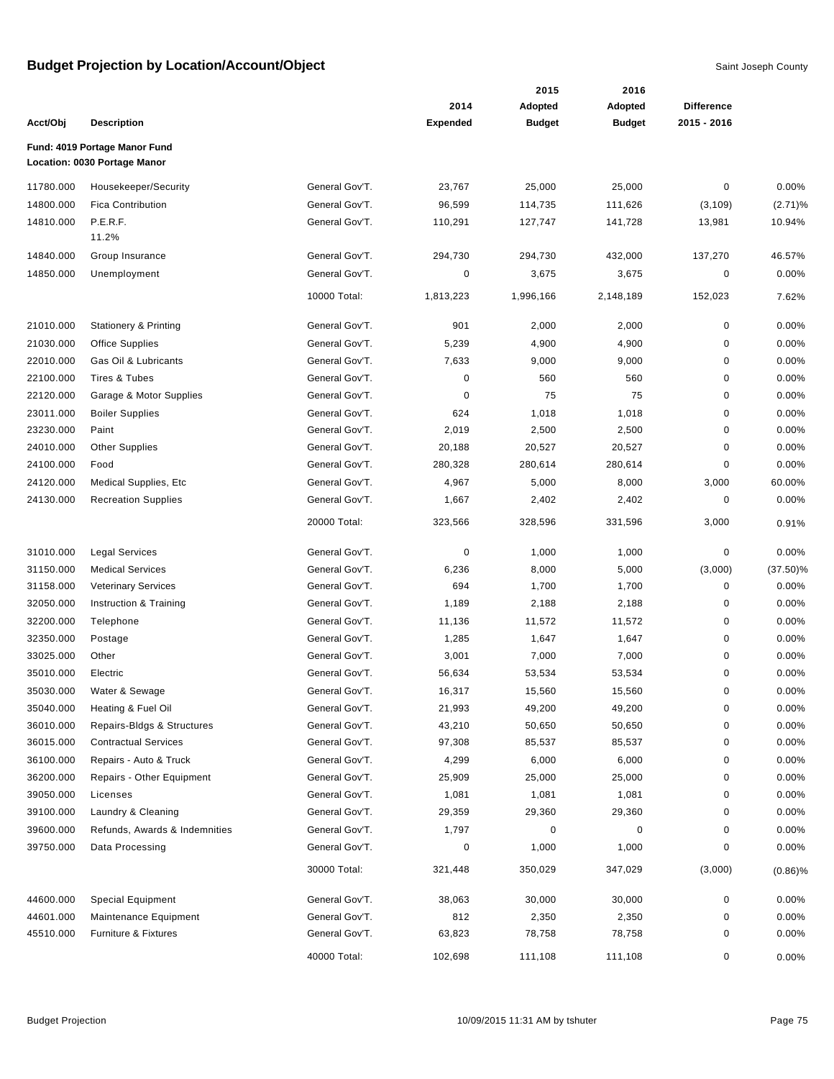|           |                                  |                |                 | 2015          | 2016          |                   |             |
|-----------|----------------------------------|----------------|-----------------|---------------|---------------|-------------------|-------------|
|           |                                  |                | 2014            | Adopted       | Adopted       | <b>Difference</b> |             |
| Acct/Obj  | <b>Description</b>               |                | <b>Expended</b> | <b>Budget</b> | <b>Budget</b> | 2015 - 2016       |             |
|           | Fund: 4019 Portage Manor Fund    |                |                 |               |               |                   |             |
|           | Location: 0030 Portage Manor     |                |                 |               |               |                   |             |
| 11780.000 | Housekeeper/Security             | General Gov'T. | 23,767          | 25,000        | 25,000        | 0                 | 0.00%       |
| 14800.000 | <b>Fica Contribution</b>         | General Gov'T. | 96,599          | 114,735       | 111,626       | (3, 109)          | (2.71)%     |
| 14810.000 | P.E.R.F.                         | General Gov'T. | 110,291         | 127,747       | 141,728       | 13,981            | 10.94%      |
|           | 11.2%                            |                |                 |               |               |                   |             |
| 14840.000 | Group Insurance                  | General Gov'T. | 294,730         | 294,730       | 432,000       | 137,270           | 46.57%      |
| 14850.000 | Unemployment                     | General Gov'T. | 0               | 3,675         | 3,675         | $\mathbf 0$       | 0.00%       |
|           |                                  | 10000 Total:   | 1,813,223       | 1,996,166     | 2,148,189     | 152,023           | 7.62%       |
| 21010.000 | <b>Stationery &amp; Printing</b> | General Gov'T. | 901             | 2,000         | 2,000         | 0                 | 0.00%       |
| 21030.000 | <b>Office Supplies</b>           | General Gov'T. | 5,239           | 4,900         | 4,900         | 0                 | 0.00%       |
| 22010.000 | Gas Oil & Lubricants             | General Gov'T. | 7,633           | 9,000         | 9,000         | 0                 | 0.00%       |
| 22100.000 | Tires & Tubes                    | General Gov'T. | 0               | 560           | 560           | 0                 | 0.00%       |
| 22120.000 | Garage & Motor Supplies          | General Gov'T. | 0               | 75            | 75            | 0                 | 0.00%       |
| 23011.000 | <b>Boiler Supplies</b>           | General Gov'T. | 624             | 1,018         | 1,018         | 0                 | 0.00%       |
| 23230.000 | Paint                            | General Gov'T. | 2,019           | 2,500         | 2,500         | 0                 | 0.00%       |
| 24010.000 | <b>Other Supplies</b>            | General Gov'T. | 20,188          | 20,527        | 20,527        | 0                 | 0.00%       |
| 24100.000 | Food                             | General Gov'T. | 280,328         | 280,614       | 280,614       | 0                 | 0.00%       |
| 24120.000 | <b>Medical Supplies, Etc</b>     | General Gov'T. | 4,967           | 5,000         | 8,000         | 3,000             | 60.00%      |
| 24130.000 | <b>Recreation Supplies</b>       | General Gov'T. | 1,667           | 2,402         | 2,402         | 0                 | 0.00%       |
|           |                                  | 20000 Total:   | 323,566         | 328,596       | 331,596       | 3,000             | 0.91%       |
| 31010.000 | <b>Legal Services</b>            | General Gov'T. | 0               | 1,000         | 1,000         | $\pmb{0}$         | 0.00%       |
| 31150.000 | <b>Medical Services</b>          | General Gov'T. | 6,236           | 8,000         | 5,000         | (3,000)           | $(37.50)\%$ |
| 31158.000 | <b>Veterinary Services</b>       | General Gov'T. | 694             | 1,700         | 1,700         | 0                 | 0.00%       |
| 32050.000 | Instruction & Training           | General Gov'T. | 1,189           | 2,188         | 2,188         | 0                 | 0.00%       |
| 32200.000 | Telephone                        | General Gov'T. | 11,136          | 11,572        | 11,572        | 0                 | 0.00%       |
| 32350.000 | Postage                          | General Gov'T. | 1,285           | 1,647         | 1,647         | 0                 | 0.00%       |
| 33025.000 | Other                            | General Gov'T. | 3,001           | 7,000         | 7,000         | 0                 | 0.00%       |
| 35010.000 | Electric                         | General Gov'T. | 56,634          | 53,534        | 53,534        | 0                 | 0.00%       |
| 35030.000 | Water & Sewage                   | General Gov'T. | 16,317          | 15,560        | 15,560        | 0                 | 0.00%       |
| 35040.000 | Heating & Fuel Oil               | General Gov'T. | 21,993          | 49,200        | 49,200        | $\pmb{0}$         | 0.00%       |
| 36010.000 | Repairs-Bldgs & Structures       | General Gov'T. | 43,210          | 50,650        | 50,650        | 0                 | 0.00%       |
| 36015.000 | <b>Contractual Services</b>      | General Gov'T. | 97,308          | 85,537        | 85,537        | 0                 | 0.00%       |
| 36100.000 | Repairs - Auto & Truck           | General Gov'T. | 4,299           | 6,000         | 6,000         | 0                 | 0.00%       |
| 36200.000 | Repairs - Other Equipment        | General Gov'T. | 25,909          | 25,000        | 25,000        | 0                 | 0.00%       |
| 39050.000 | Licenses                         | General Gov'T. | 1,081           | 1,081         | 1,081         | 0                 | 0.00%       |
| 39100.000 | Laundry & Cleaning               | General Gov'T. | 29,359          | 29,360        | 29,360        | 0                 | 0.00%       |
| 39600.000 | Refunds, Awards & Indemnities    | General Gov'T. | 1,797           | 0             | 0             | 0                 | 0.00%       |
| 39750.000 | Data Processing                  | General Gov'T. | 0               | 1,000         | 1,000         | 0                 | 0.00%       |
|           |                                  | 30000 Total:   | 321,448         | 350,029       | 347,029       | (3,000)           | $(0.86)\%$  |
| 44600.000 | <b>Special Equipment</b>         | General Gov'T. | 38,063          | 30,000        | 30,000        | 0                 | 0.00%       |
| 44601.000 | Maintenance Equipment            | General Gov'T. | 812             | 2,350         | 2,350         | 0                 | 0.00%       |
| 45510.000 | Furniture & Fixtures             | General Gov'T. | 63,823          | 78,758        | 78,758        | 0                 | 0.00%       |
|           |                                  | 40000 Total:   | 102,698         | 111,108       | 111,108       | 0                 | 0.00%       |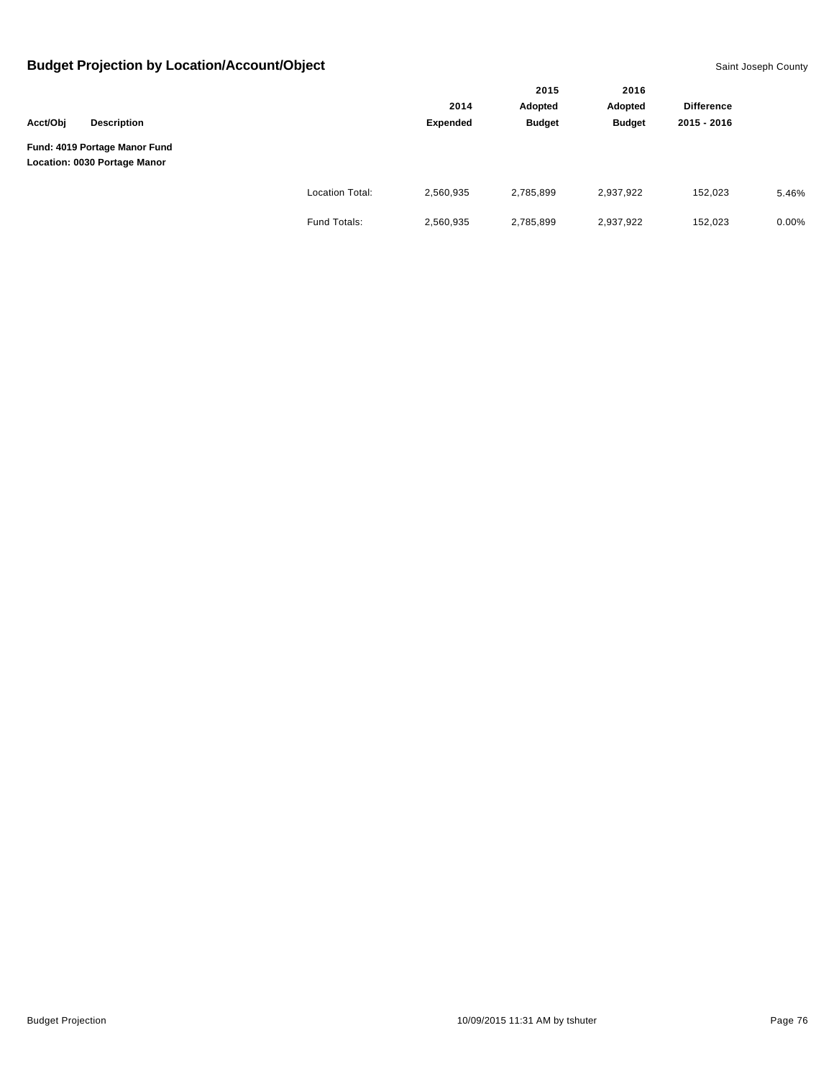|          |                                                               |                        |           | 2015          | 2016          |                   |          |
|----------|---------------------------------------------------------------|------------------------|-----------|---------------|---------------|-------------------|----------|
|          |                                                               |                        | 2014      | Adopted       | Adopted       | <b>Difference</b> |          |
| Acct/Obj | <b>Description</b>                                            |                        | Expended  | <b>Budget</b> | <b>Budget</b> | 2015 - 2016       |          |
|          | Fund: 4019 Portage Manor Fund<br>Location: 0030 Portage Manor |                        |           |               |               |                   |          |
|          |                                                               | <b>Location Total:</b> | 2,560,935 | 2,785,899     | 2,937,922     | 152,023           | 5.46%    |
|          |                                                               | Fund Totals:           | 2,560,935 | 2,785,899     | 2,937,922     | 152,023           | $0.00\%$ |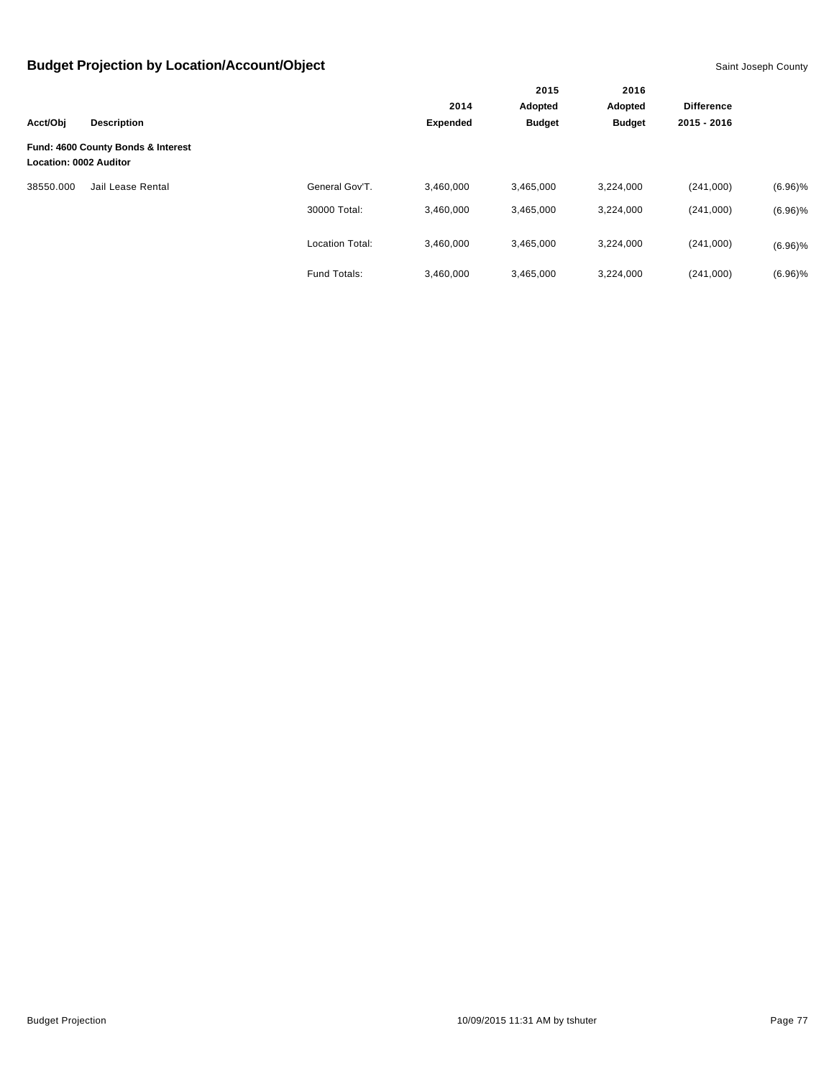|                               |                                    |                        |                 | 2015          | 2016          |                   |            |
|-------------------------------|------------------------------------|------------------------|-----------------|---------------|---------------|-------------------|------------|
|                               |                                    |                        | 2014            | Adopted       | Adopted       | <b>Difference</b> |            |
| Acct/Obj                      | <b>Description</b>                 |                        | <b>Expended</b> | <b>Budget</b> | <b>Budget</b> | 2015 - 2016       |            |
| <b>Location: 0002 Auditor</b> | Fund: 4600 County Bonds & Interest |                        |                 |               |               |                   |            |
| 38550.000                     | Jail Lease Rental                  | General Gov'T.         | 3,460,000       | 3,465,000     | 3,224,000     | (241,000)         | $(6.96)\%$ |
|                               |                                    | 30000 Total:           | 3,460,000       | 3,465,000     | 3,224,000     | (241,000)         | $(6.96)\%$ |
|                               |                                    | <b>Location Total:</b> | 3,460,000       | 3,465,000     | 3,224,000     | (241,000)         | $(6.96)\%$ |
|                               |                                    | Fund Totals:           | 3,460,000       | 3,465,000     | 3,224,000     | (241,000)         | $(6.96)\%$ |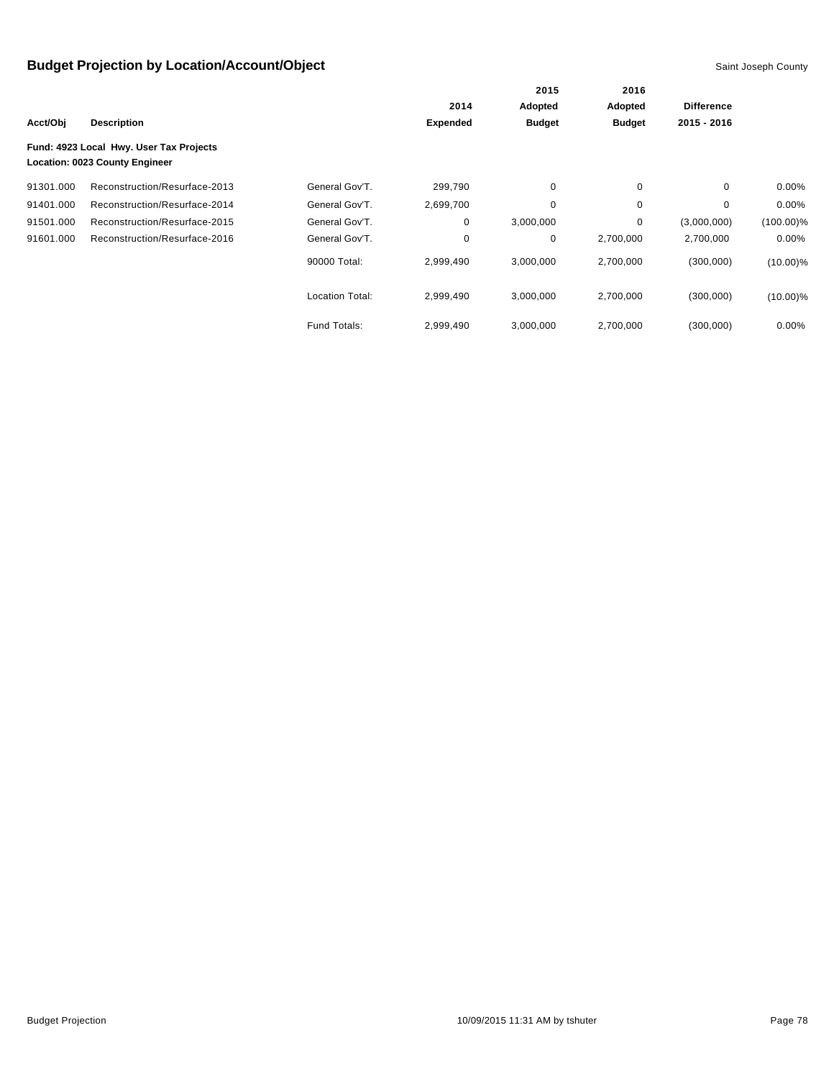|           |                                                                           |                        |                 | 2015          | 2016          | <b>Difference</b> |              |
|-----------|---------------------------------------------------------------------------|------------------------|-----------------|---------------|---------------|-------------------|--------------|
|           |                                                                           |                        | 2014            | Adopted       | Adopted       |                   |              |
| Acct/Obj  | <b>Description</b>                                                        |                        | <b>Expended</b> | <b>Budget</b> | <b>Budget</b> | 2015 - 2016       |              |
|           | Fund: 4923 Local Hwy. User Tax Projects<br>Location: 0023 County Engineer |                        |                 |               |               |                   |              |
| 91301.000 | Reconstruction/Resurface-2013                                             | General Gov'T.         | 299,790         | 0             | 0             | $\mathbf 0$       | $0.00\%$     |
| 91401.000 | Reconstruction/Resurface-2014                                             | General Gov'T.         | 2,699,700       | 0             | $\mathbf 0$   | 0                 | $0.00\%$     |
| 91501.000 | Reconstruction/Resurface-2015                                             | General Gov'T.         | 0               | 3,000,000     | 0             | (3,000,000)       | $(100.00)\%$ |
| 91601.000 | Reconstruction/Resurface-2016                                             | General Gov'T.         | 0               | 0             | 2,700,000     | 2,700,000         | $0.00\%$     |
|           |                                                                           | 90000 Total:           | 2,999,490       | 3,000,000     | 2,700,000     | (300,000)         | $(10.00)\%$  |
|           |                                                                           | <b>Location Total:</b> | 2,999,490       | 3,000,000     | 2,700,000     | (300,000)         | $(10.00)\%$  |
|           |                                                                           | Fund Totals:           | 2,999,490       | 3,000,000     | 2,700,000     | (300,000)         | $0.00\%$     |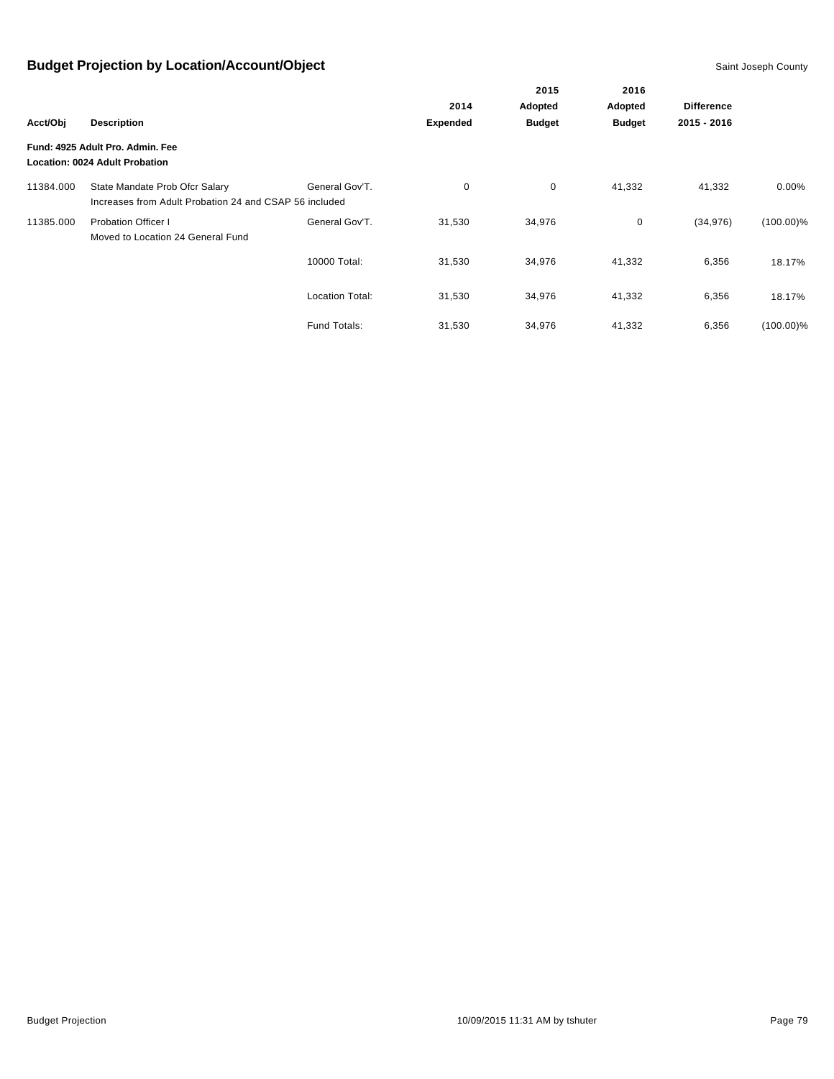|           |                                                                                          |                        |                 | 2015          | 2016              |             |              |
|-----------|------------------------------------------------------------------------------------------|------------------------|-----------------|---------------|-------------------|-------------|--------------|
|           |                                                                                          | 2014                   | Adopted         | Adopted       | <b>Difference</b> |             |              |
| Acct/Obj  | <b>Description</b>                                                                       |                        | <b>Expended</b> | <b>Budget</b> | <b>Budget</b>     | 2015 - 2016 |              |
|           | Fund: 4925 Adult Pro. Admin. Fee<br>Location: 0024 Adult Probation                       |                        |                 |               |                   |             |              |
| 11384.000 | State Mandate Prob Ofcr Salary<br>Increases from Adult Probation 24 and CSAP 56 included | General Gov'T.         | $\mathbf 0$     | 0             | 41,332            | 41,332      | 0.00%        |
| 11385.000 | <b>Probation Officer I</b><br>Moved to Location 24 General Fund                          | General Gov'T.         | 31,530          | 34,976        | 0                 | (34, 976)   | $(100.00)\%$ |
|           |                                                                                          | 10000 Total:           | 31,530          | 34,976        | 41,332            | 6,356       | 18.17%       |
|           |                                                                                          | <b>Location Total:</b> | 31,530          | 34,976        | 41,332            | 6,356       | 18.17%       |
|           |                                                                                          | Fund Totals:           | 31,530          | 34,976        | 41,332            | 6,356       | $(100.00)\%$ |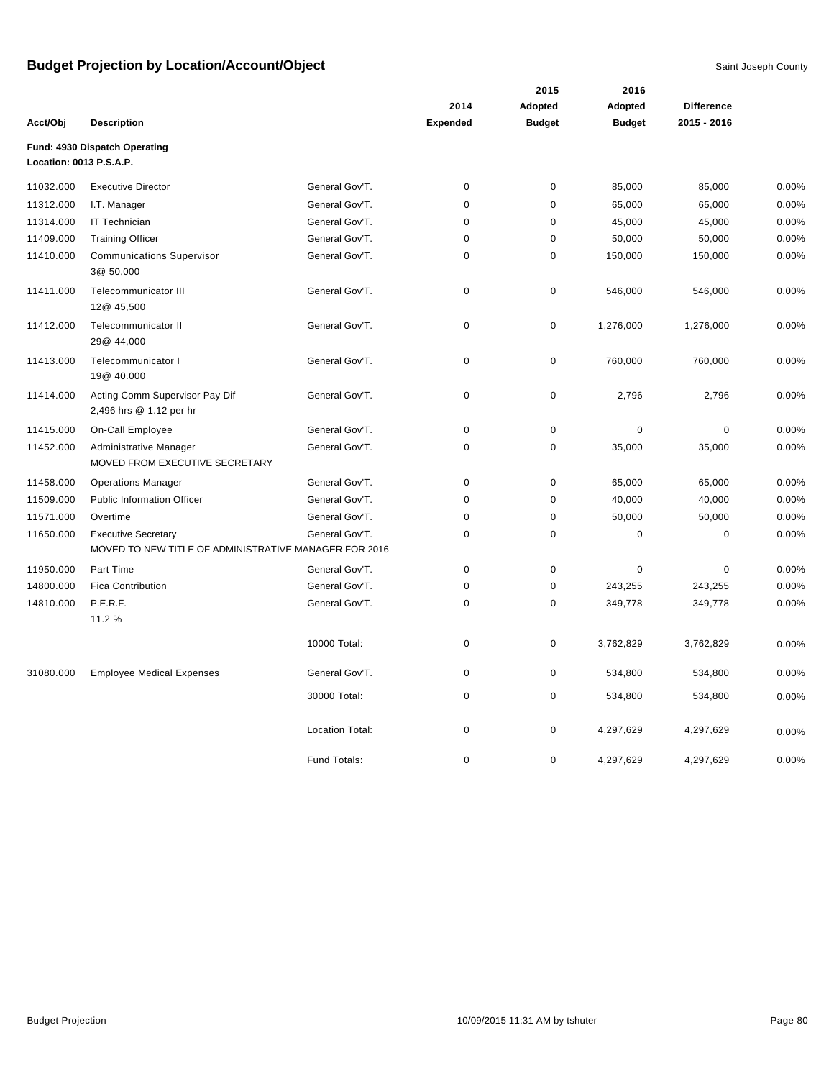|                         |                                                           |                        | 2014            | Adopted       | Adopted       | <b>Difference</b> |       |
|-------------------------|-----------------------------------------------------------|------------------------|-----------------|---------------|---------------|-------------------|-------|
| Acct/Obj                | <b>Description</b>                                        |                        | <b>Expended</b> | <b>Budget</b> | <b>Budget</b> | 2015 - 2016       |       |
| Location: 0013 P.S.A.P. | Fund: 4930 Dispatch Operating                             |                        |                 |               |               |                   |       |
| 11032.000               | <b>Executive Director</b>                                 | General Gov'T.         | $\mathsf 0$     | 0             | 85,000        | 85,000            | 0.00% |
| 11312.000               | I.T. Manager                                              | General Gov'T.         | $\mathbf 0$     | $\mathbf 0$   | 65,000        | 65,000            | 0.00% |
| 11314.000               | IT Technician                                             | General Gov'T.         | $\mathbf 0$     | $\pmb{0}$     | 45,000        | 45,000            | 0.00% |
| 11409.000               | <b>Training Officer</b>                                   | General Gov'T.         | $\mathbf 0$     | $\pmb{0}$     | 50,000        | 50,000            | 0.00% |
| 11410.000               | <b>Communications Supervisor</b><br>3@ 50,000             | General Gov'T.         | $\mathbf 0$     | 0             | 150,000       | 150,000           | 0.00% |
| 11411.000               | Telecommunicator III<br>12@ 45,500                        | General Gov'T.         | 0               | 0             | 546,000       | 546,000           | 0.00% |
| 11412.000               | Telecommunicator II<br>29@ 44,000                         | General Gov'T.         | 0               | 0             | 1,276,000     | 1,276,000         | 0.00% |
| 11413.000               | Telecommunicator I<br>19@ 40.000                          | General Gov'T.         | $\mathbf 0$     | 0             | 760,000       | 760,000           | 0.00% |
| 11414.000               | Acting Comm Supervisor Pay Dif<br>2,496 hrs @ 1.12 per hr | General Gov'T.         | $\mathsf 0$     | 0             | 2,796         | 2,796             | 0.00% |
| 11415.000               | On-Call Employee                                          | General Gov'T.         | $\mathbf 0$     | 0             | 0             | $\mathbf 0$       | 0.00% |
| 11452.000               | Administrative Manager<br>MOVED FROM EXECUTIVE SECRETARY  | General Gov'T.         | $\mathbf 0$     | 0             | 35,000        | 35,000            | 0.00% |
| 11458.000               | <b>Operations Manager</b>                                 | General Gov'T.         | 0               | 0             | 65,000        | 65,000            | 0.00% |
| 11509.000               | <b>Public Information Officer</b>                         | General Gov'T.         | $\mathbf 0$     | $\mathbf 0$   | 40,000        | 40,000            | 0.00% |
| 11571.000               | Overtime                                                  | General Gov'T.         | $\mathbf 0$     | $\pmb{0}$     | 50,000        | 50,000            | 0.00% |
| 11650.000               | <b>Executive Secretary</b>                                | General Gov'T.         | $\mathbf 0$     | 0             | 0             | $\pmb{0}$         | 0.00% |
|                         | MOVED TO NEW TITLE OF ADMINISTRATIVE MANAGER FOR 2016     |                        |                 |               |               |                   |       |
| 11950.000               | Part Time                                                 | General Gov'T.         | $\pmb{0}$       | $\pmb{0}$     | $\mathbf 0$   | $\mathbf 0$       | 0.00% |
| 14800.000               | <b>Fica Contribution</b>                                  | General Gov'T.         | $\mathbf 0$     | 0             | 243,255       | 243,255           | 0.00% |
| 14810.000               | P.E.R.F.<br>11.2 %                                        | General Gov'T.         | 0               | 0             | 349,778       | 349,778           | 0.00% |
|                         |                                                           | 10000 Total:           | $\mathbf 0$     | 0             | 3,762,829     | 3,762,829         | 0.00% |
| 31080.000               | <b>Employee Medical Expenses</b>                          | General Gov'T.         | 0               | $\pmb{0}$     | 534,800       | 534,800           | 0.00% |
|                         |                                                           | 30000 Total:           | $\mathbf 0$     | 0             | 534,800       | 534,800           | 0.00% |
|                         |                                                           | <b>Location Total:</b> | $\mathsf 0$     | 0             | 4,297,629     | 4,297,629         | 0.00% |
|                         |                                                           | Fund Totals:           | $\mathbf 0$     | 0             | 4,297,629     | 4,297,629         | 0.00% |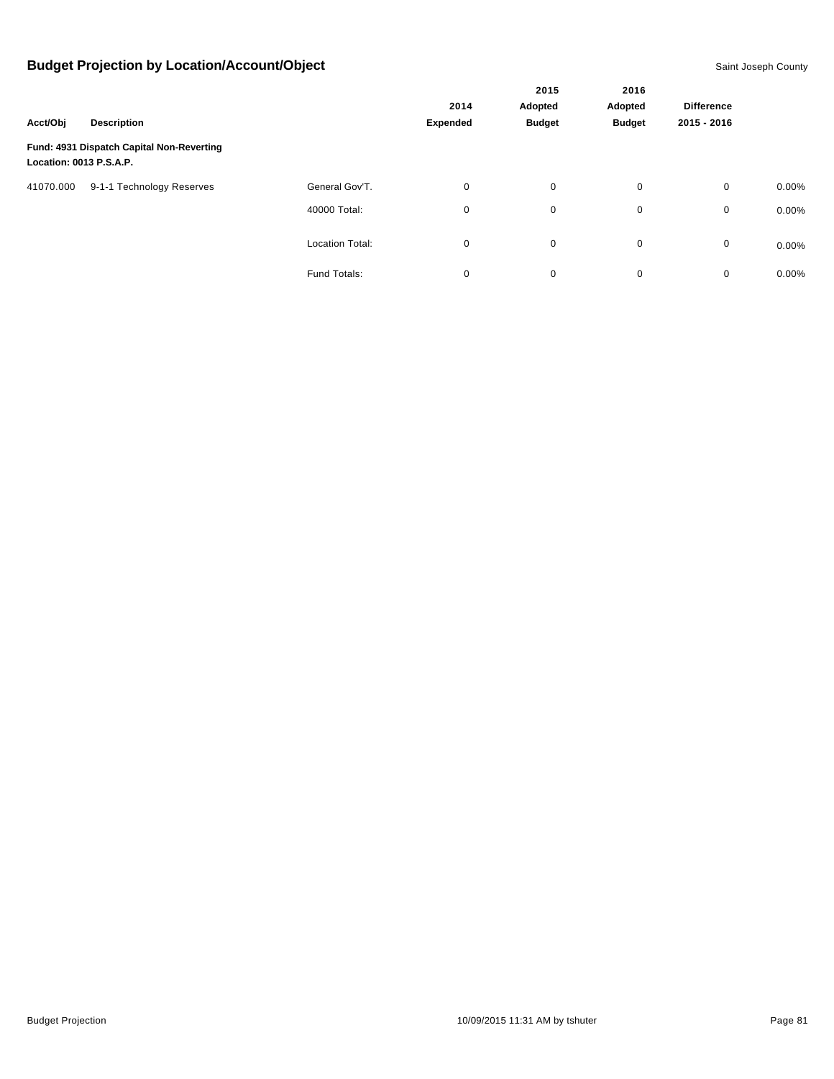| Acct/Obj<br><b>Description</b> |                                           |                        |                 | 2015                     | 2016                     |                   |          |
|--------------------------------|-------------------------------------------|------------------------|-----------------|--------------------------|--------------------------|-------------------|----------|
|                                |                                           |                        | 2014            | Adopted<br><b>Budget</b> | Adopted<br><b>Budget</b> | <b>Difference</b> |          |
|                                |                                           |                        | <b>Expended</b> |                          |                          | 2015 - 2016       |          |
| Location: 0013 P.S.A.P.        | Fund: 4931 Dispatch Capital Non-Reverting |                        |                 |                          |                          |                   |          |
| 41070.000                      | 9-1-1 Technology Reserves                 | General Gov'T.         | 0               | $\mathbf 0$              | 0                        | $\mathbf 0$       | $0.00\%$ |
|                                |                                           | 40000 Total:           | 0               | $\mathbf 0$              | 0                        | 0                 | 0.00%    |
|                                |                                           | <b>Location Total:</b> | 0               | $\mathbf 0$              | $\mathbf 0$              | 0                 | 0.00%    |
|                                |                                           | Fund Totals:           | 0               | $\pmb{0}$                | 0                        | 0                 | 0.00%    |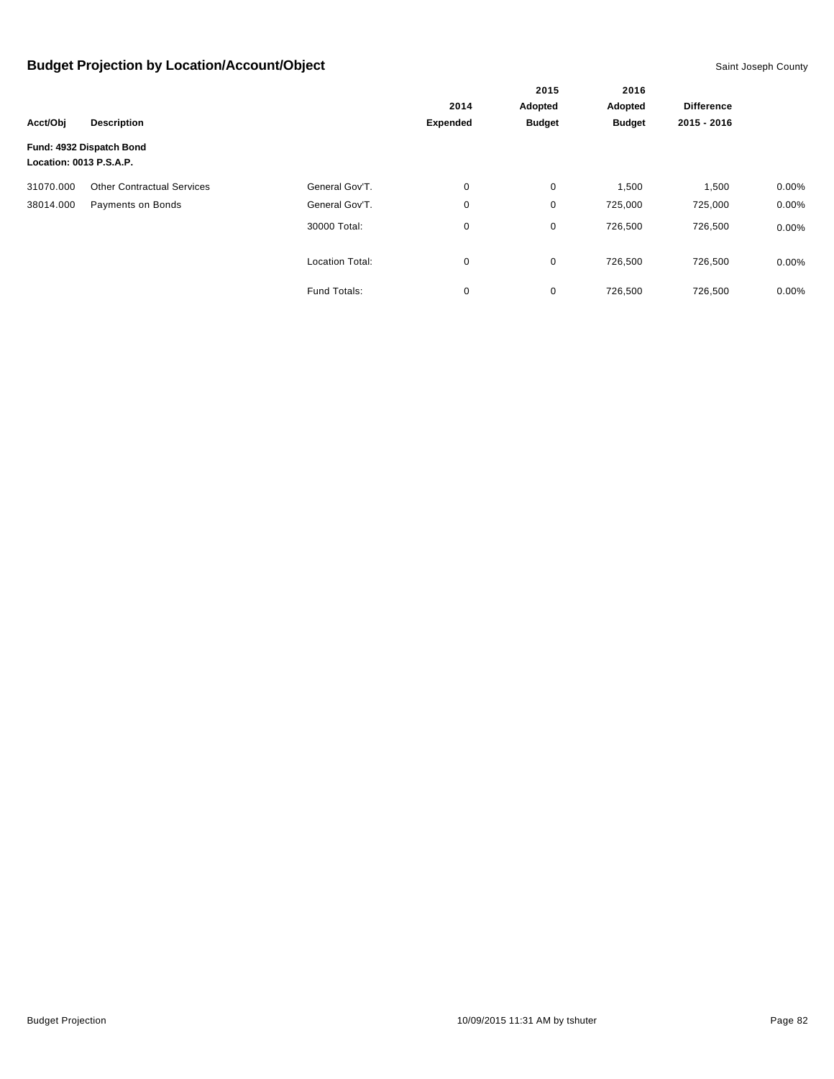|                         |                                   |                        |                 | 2015          | 2016              |             |          |
|-------------------------|-----------------------------------|------------------------|-----------------|---------------|-------------------|-------------|----------|
|                         |                                   | 2014                   | Adopted         | Adopted       | <b>Difference</b> |             |          |
| Acct/Obj                | <b>Description</b>                |                        | <b>Expended</b> | <b>Budget</b> | <b>Budget</b>     | 2015 - 2016 |          |
| Location: 0013 P.S.A.P. | Fund: 4932 Dispatch Bond          |                        |                 |               |                   |             |          |
| 31070.000               | <b>Other Contractual Services</b> | General Gov'T.         | 0               | 0             | 1,500             | 1,500       | $0.00\%$ |
| 38014.000               | Payments on Bonds                 | General Gov'T.         | 0               | 0             | 725,000           | 725,000     | 0.00%    |
|                         |                                   | 30000 Total:           | 0               | 0             | 726,500           | 726,500     | $0.00\%$ |
|                         |                                   | <b>Location Total:</b> | 0               | $\mathbf 0$   | 726,500           | 726,500     | $0.00\%$ |
|                         |                                   | Fund Totals:           | 0               | 0             | 726,500           | 726,500     | 0.00%    |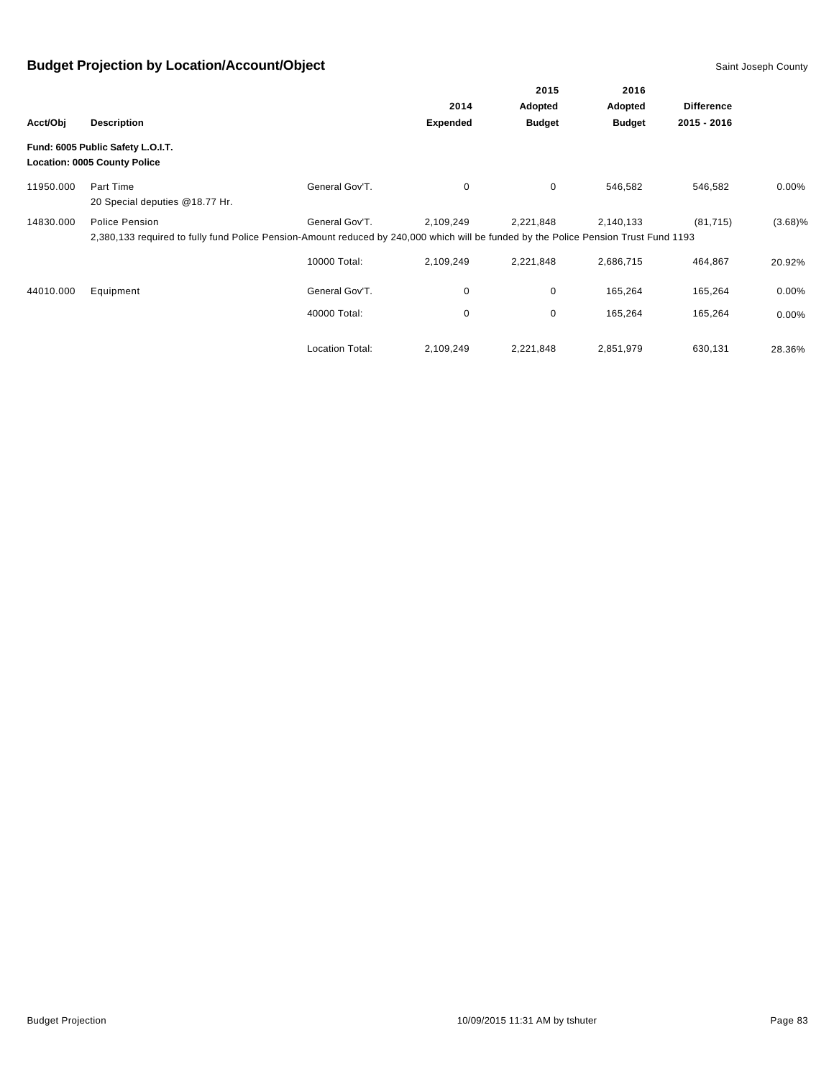|           |                                                                                                                                                        |                        |                 | 2015          | 2016              |             |            |
|-----------|--------------------------------------------------------------------------------------------------------------------------------------------------------|------------------------|-----------------|---------------|-------------------|-------------|------------|
|           |                                                                                                                                                        | 2014                   | Adopted         | Adopted       | <b>Difference</b> |             |            |
| Acct/Obj  | <b>Description</b>                                                                                                                                     |                        | <b>Expended</b> | <b>Budget</b> | <b>Budget</b>     | 2015 - 2016 |            |
|           | Fund: 6005 Public Safety L.O.I.T.<br><b>Location: 0005 County Police</b>                                                                               |                        |                 |               |                   |             |            |
| 11950.000 | Part Time<br>20 Special deputies @18.77 Hr.                                                                                                            | General Gov'T.         | 0               | 0             | 546,582           | 546,582     | $0.00\%$   |
| 14830.000 | Police Pension<br>2,380,133 required to fully fund Police Pension-Amount reduced by 240,000 which will be funded by the Police Pension Trust Fund 1193 | General Gov'T.         | 2,109,249       | 2,221,848     | 2,140,133         | (81, 715)   | $(3.68)\%$ |
|           |                                                                                                                                                        | 10000 Total:           | 2,109,249       | 2,221,848     | 2,686,715         | 464,867     | 20.92%     |
| 44010.000 | Equipment                                                                                                                                              | General Gov'T.         | 0               | 0             | 165,264           | 165,264     | $0.00\%$   |
|           |                                                                                                                                                        | 40000 Total:           | 0               | 0             | 165,264           | 165,264     | $0.00\%$   |
|           |                                                                                                                                                        | <b>Location Total:</b> | 2,109,249       | 2,221,848     | 2,851,979         | 630,131     | 28.36%     |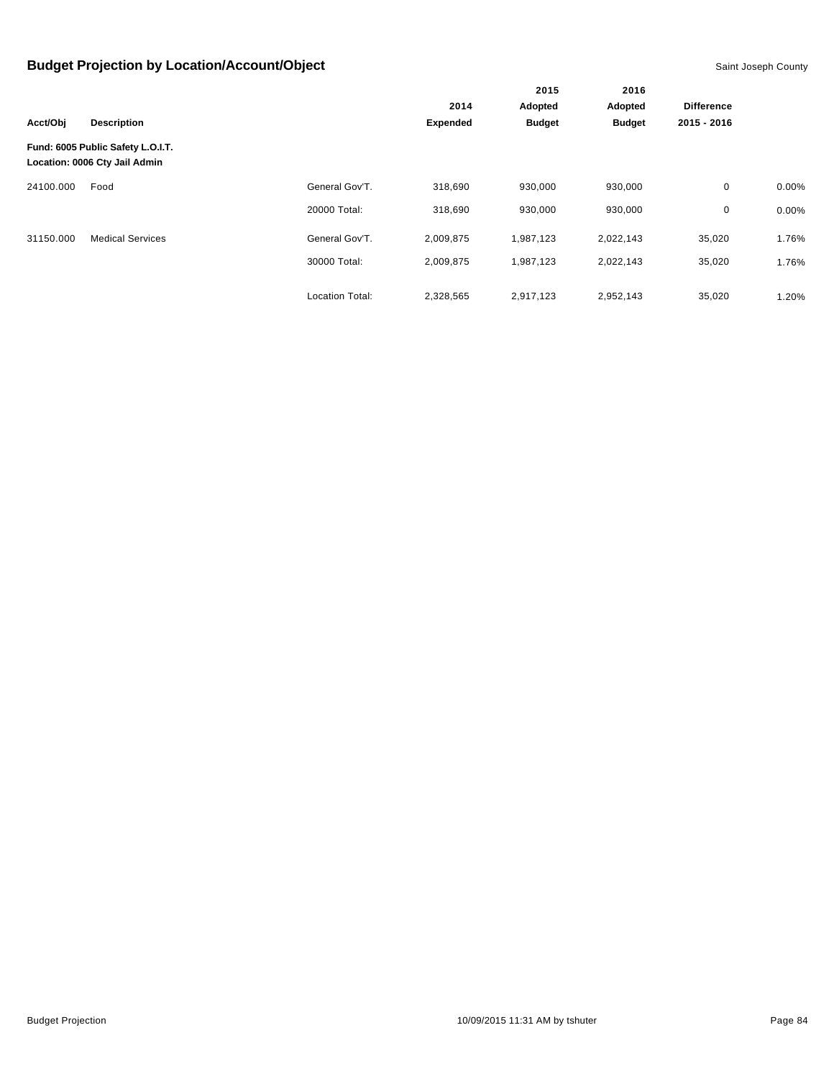|           |                                                                    |                        |                 | 2015<br>Adopted | 2016<br>Adopted | <b>Difference</b> |       |
|-----------|--------------------------------------------------------------------|------------------------|-----------------|-----------------|-----------------|-------------------|-------|
|           |                                                                    |                        | 2014            |                 |                 |                   |       |
| Acct/Obj  | <b>Description</b>                                                 |                        | <b>Expended</b> | <b>Budget</b>   | <b>Budget</b>   | 2015 - 2016       |       |
|           | Fund: 6005 Public Safety L.O.I.T.<br>Location: 0006 Cty Jail Admin |                        |                 |                 |                 |                   |       |
| 24100.000 | Food                                                               | General Gov'T.         | 318,690         | 930,000         | 930,000         | $\mathbf 0$       | 0.00% |
|           |                                                                    | 20000 Total:           | 318.690         | 930,000         | 930,000         | 0                 | 0.00% |
| 31150.000 | <b>Medical Services</b>                                            | General Gov'T.         | 2,009,875       | 1,987,123       | 2,022,143       | 35,020            | 1.76% |
|           |                                                                    | 30000 Total:           | 2,009,875       | 1,987,123       | 2,022,143       | 35,020            | 1.76% |
|           |                                                                    | <b>Location Total:</b> | 2,328,565       | 2,917,123       | 2,952,143       | 35,020            | 1.20% |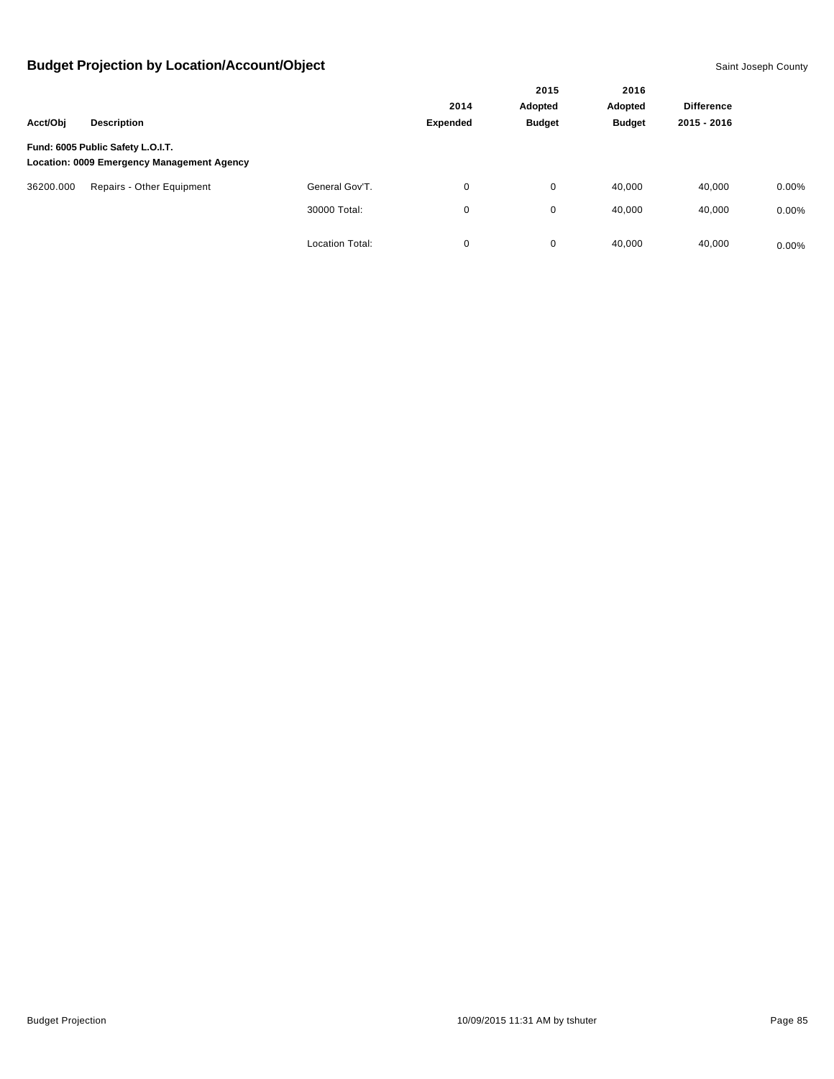|           |                                                                                        |                        |          | 2015          | 2016          |                   |          |
|-----------|----------------------------------------------------------------------------------------|------------------------|----------|---------------|---------------|-------------------|----------|
|           |                                                                                        |                        | 2014     | Adopted       | Adopted       | <b>Difference</b> |          |
| Acct/Obj  | <b>Description</b>                                                                     |                        | Expended | <b>Budget</b> | <b>Budget</b> | 2015 - 2016       |          |
|           | Fund: 6005 Public Safety L.O.I.T.<br><b>Location: 0009 Emergency Management Agency</b> |                        |          |               |               |                   |          |
| 36200.000 | Repairs - Other Equipment                                                              | General Gov'T.         | 0        | 0             | 40,000        | 40,000            | $0.00\%$ |
|           |                                                                                        | 30000 Total:           | 0        | 0             | 40,000        | 40,000            | $0.00\%$ |
|           |                                                                                        | <b>Location Total:</b> | 0        | 0             | 40,000        | 40,000            | $0.00\%$ |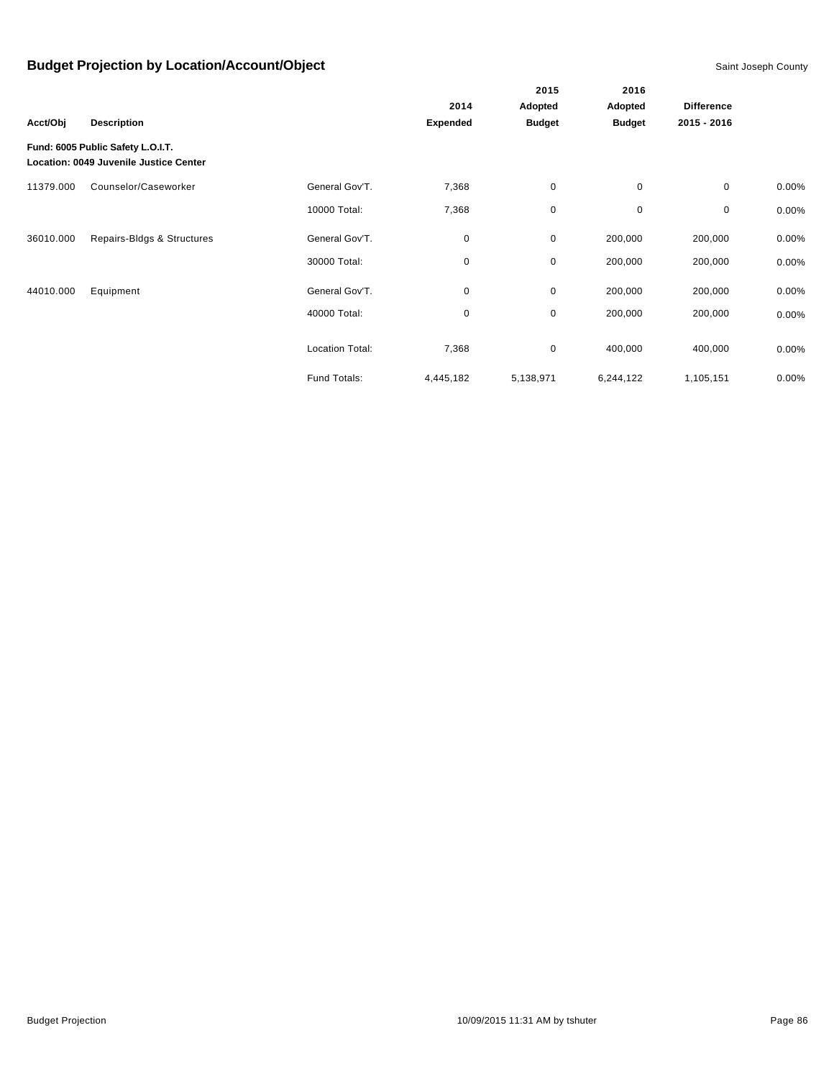|           |                                                                             |                        |                 | 2015          | 2016          |                   |          |
|-----------|-----------------------------------------------------------------------------|------------------------|-----------------|---------------|---------------|-------------------|----------|
|           |                                                                             |                        | 2014            | Adopted       | Adopted       | <b>Difference</b> |          |
| Acct/Obj  | <b>Description</b>                                                          |                        | <b>Expended</b> | <b>Budget</b> | <b>Budget</b> | 2015 - 2016       |          |
|           | Fund: 6005 Public Safety L.O.I.T.<br>Location: 0049 Juvenile Justice Center |                        |                 |               |               |                   |          |
| 11379.000 | Counselor/Caseworker                                                        | General Gov'T.         | 7,368           | $\mathbf 0$   | $\mathbf 0$   | 0                 | 0.00%    |
|           |                                                                             | 10000 Total:           | 7,368           | $\mathbf 0$   | $\mathbf 0$   | 0                 | 0.00%    |
| 36010.000 | Repairs-Bldgs & Structures                                                  | General Gov'T.         | 0               | $\mathbf 0$   | 200,000       | 200,000           | $0.00\%$ |
|           |                                                                             | 30000 Total:           | 0               | $\mathbf 0$   | 200,000       | 200,000           | 0.00%    |
| 44010.000 | Equipment                                                                   | General Gov'T.         | 0               | $\mathbf 0$   | 200,000       | 200,000           | $0.00\%$ |
|           |                                                                             | 40000 Total:           | 0               | $\mathbf 0$   | 200,000       | 200,000           | 0.00%    |
|           |                                                                             | <b>Location Total:</b> | 7,368           | $\mathbf 0$   | 400,000       | 400,000           | 0.00%    |
|           |                                                                             | Fund Totals:           | 4,445,182       | 5,138,971     | 6,244,122     | 1,105,151         | 0.00%    |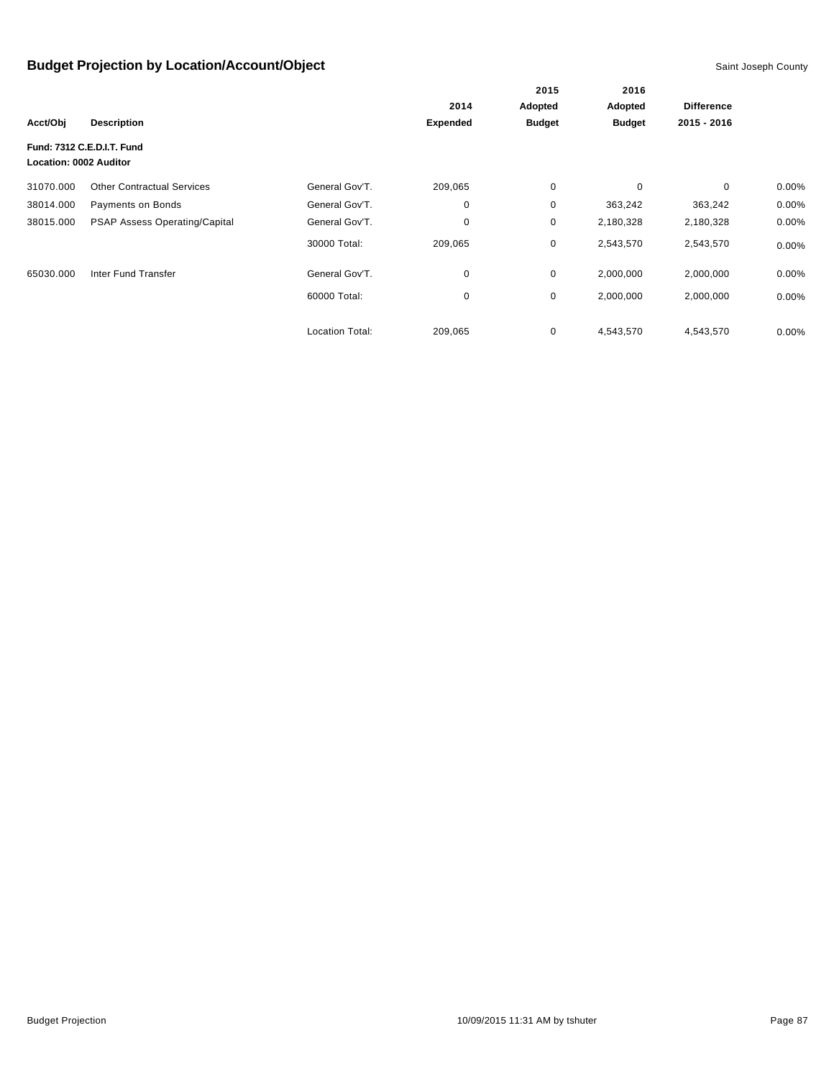|                               |                                      |                 |                 | 2015          | 2016          |                   |          |
|-------------------------------|--------------------------------------|-----------------|-----------------|---------------|---------------|-------------------|----------|
|                               |                                      |                 | 2014            | Adopted       | Adopted       | <b>Difference</b> |          |
| Acct/Obj                      | <b>Description</b>                   |                 | <b>Expended</b> | <b>Budget</b> | <b>Budget</b> | 2015 - 2016       |          |
| <b>Location: 0002 Auditor</b> | Fund: 7312 C.E.D.I.T. Fund           |                 |                 |               |               |                   |          |
| 31070.000                     | <b>Other Contractual Services</b>    | General Gov'T.  | 209,065         | $\pmb{0}$     | 0             | $\mathbf 0$       | $0.00\%$ |
| 38014.000                     | Payments on Bonds                    | General Gov'T.  | 0               | 0             | 363,242       | 363,242           | $0.00\%$ |
| 38015.000                     | <b>PSAP Assess Operating/Capital</b> | General Gov'T.  | 0               | 0             | 2,180,328     | 2,180,328         | $0.00\%$ |
|                               |                                      | 30000 Total:    | 209,065         | 0             | 2,543,570     | 2,543,570         | $0.00\%$ |
| 65030.000                     | Inter Fund Transfer                  | General Gov'T.  | 0               | 0             | 2,000,000     | 2,000,000         | $0.00\%$ |
|                               |                                      | 60000 Total:    | 0               | 0             | 2,000,000     | 2,000,000         | $0.00\%$ |
|                               |                                      | Location Total: | 209,065         | 0             | 4,543,570     | 4,543,570         | $0.00\%$ |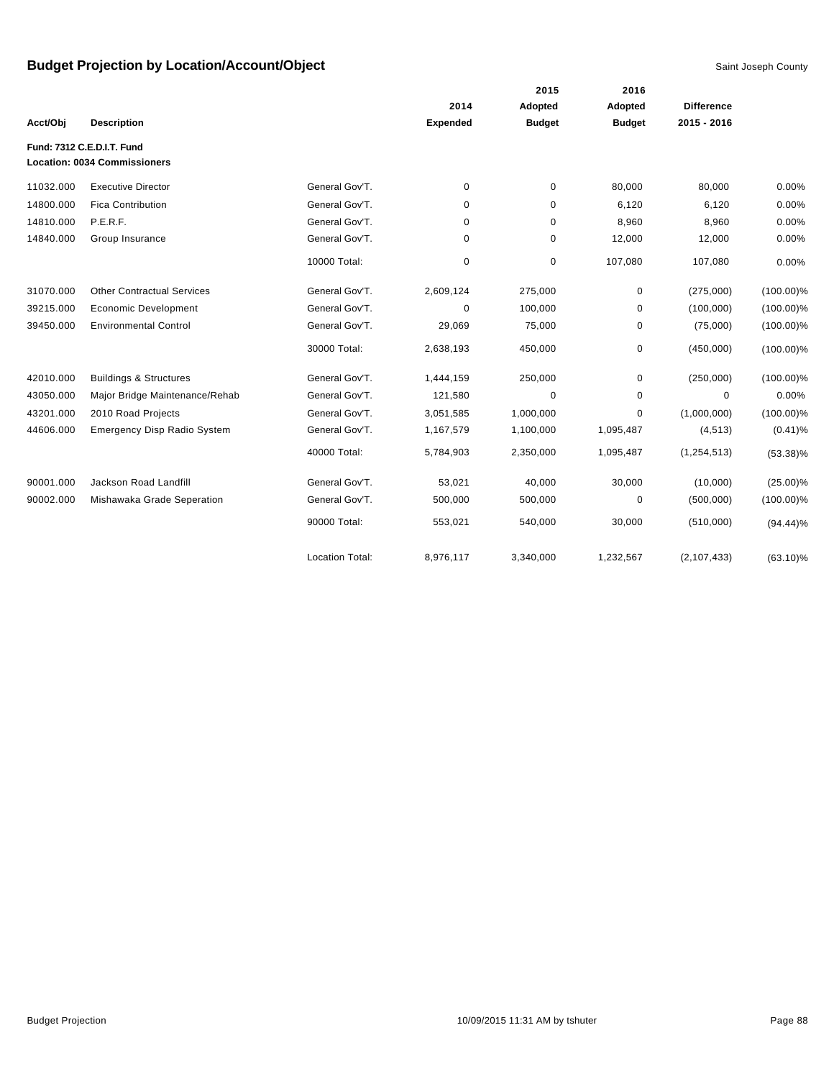|           |                                                                   |                        |                 | 2015          | 2016          |                   |              |
|-----------|-------------------------------------------------------------------|------------------------|-----------------|---------------|---------------|-------------------|--------------|
|           |                                                                   |                        | 2014            | Adopted       | Adopted       | <b>Difference</b> |              |
| Acct/Obj  | <b>Description</b>                                                |                        | <b>Expended</b> | <b>Budget</b> | <b>Budget</b> | 2015 - 2016       |              |
|           | Fund: 7312 C.E.D.I.T. Fund<br><b>Location: 0034 Commissioners</b> |                        |                 |               |               |                   |              |
| 11032.000 | <b>Executive Director</b>                                         | General Gov'T.         | 0               | 0             | 80,000        | 80,000            | 0.00%        |
| 14800.000 | <b>Fica Contribution</b>                                          | General Gov'T.         | 0               | 0             | 6,120         | 6,120             | 0.00%        |
| 14810.000 | P.E.R.F.                                                          | General Gov'T.         | 0               | 0             | 8,960         | 8,960             | 0.00%        |
| 14840.000 | Group Insurance                                                   | General Gov'T.         | 0               | 0             | 12,000        | 12,000            | 0.00%        |
|           |                                                                   | 10000 Total:           | 0               | 0             | 107,080       | 107,080           | 0.00%        |
| 31070.000 | <b>Other Contractual Services</b>                                 | General Gov'T.         | 2,609,124       | 275,000       | 0             | (275,000)         | $(100.00)\%$ |
| 39215.000 | <b>Economic Development</b>                                       | General Gov'T.         | 0               | 100,000       | 0             | (100,000)         | $(100.00)\%$ |
| 39450.000 | <b>Environmental Control</b>                                      | General Gov'T.         | 29,069          | 75,000        | 0             | (75,000)          | $(100.00)\%$ |
|           |                                                                   | 30000 Total:           | 2,638,193       | 450,000       | 0             | (450,000)         | $(100.00)\%$ |
| 42010.000 | <b>Buildings &amp; Structures</b>                                 | General Gov'T.         | 1,444,159       | 250,000       | 0             | (250,000)         | $(100.00)\%$ |
| 43050.000 | Major Bridge Maintenance/Rehab                                    | General Gov'T.         | 121,580         | 0             | 0             | $\mathbf 0$       | 0.00%        |
| 43201.000 | 2010 Road Projects                                                | General Gov'T.         | 3,051,585       | 1,000,000     | 0             | (1,000,000)       | $(100.00)\%$ |
| 44606.000 | <b>Emergency Disp Radio System</b>                                | General Gov'T.         | 1,167,579       | 1,100,000     | 1,095,487     | (4, 513)          | $(0.41)\%$   |
|           |                                                                   | 40000 Total:           | 5,784,903       | 2,350,000     | 1,095,487     | (1, 254, 513)     | $(53.38)\%$  |
| 90001.000 | Jackson Road Landfill                                             | General Gov'T.         | 53,021          | 40,000        | 30,000        | (10,000)          | $(25.00)\%$  |
| 90002.000 | Mishawaka Grade Seperation                                        | General Gov'T.         | 500,000         | 500,000       | 0             | (500,000)         | $(100.00)\%$ |
|           |                                                                   | 90000 Total:           | 553,021         | 540,000       | 30,000        | (510,000)         | $(94.44)\%$  |
|           |                                                                   | <b>Location Total:</b> | 8,976,117       | 3,340,000     | 1,232,567     | (2, 107, 433)     | $(63.10)\%$  |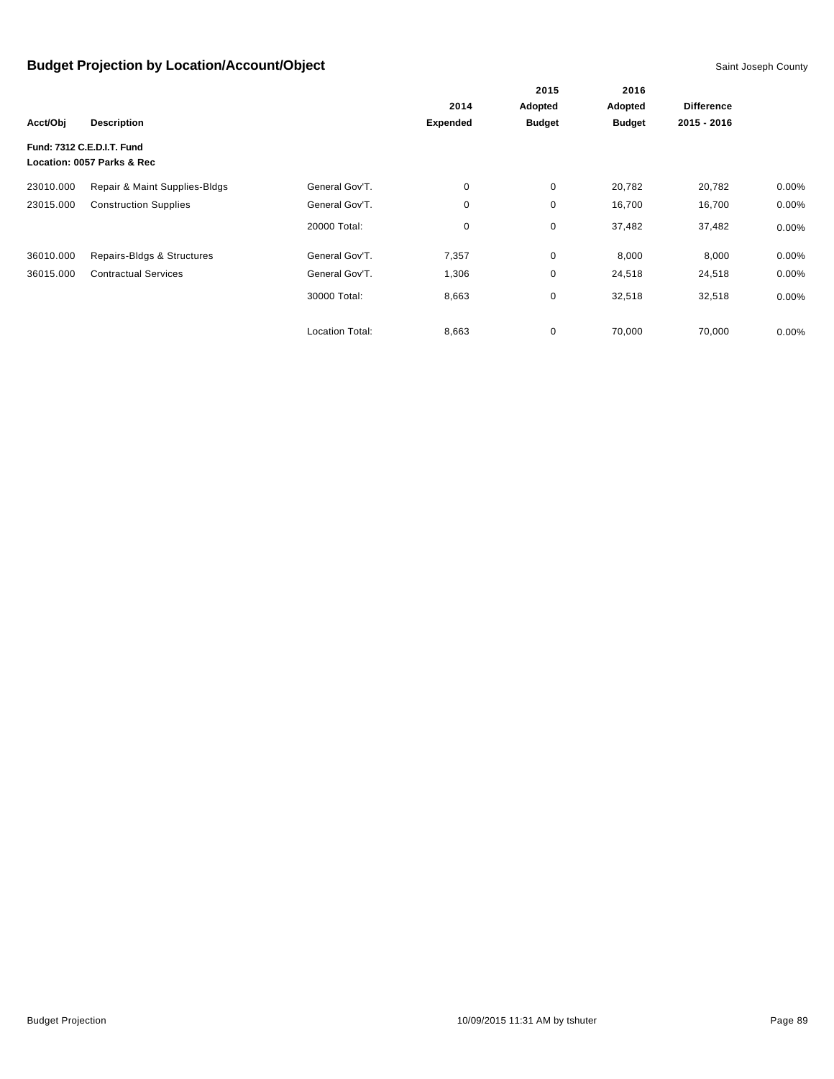|           |                                                          |                        |                 | 2015          | 2016          |                   |          |
|-----------|----------------------------------------------------------|------------------------|-----------------|---------------|---------------|-------------------|----------|
|           |                                                          |                        | 2014            | Adopted       | Adopted       | <b>Difference</b> |          |
| Acct/Obj  | <b>Description</b>                                       |                        | <b>Expended</b> | <b>Budget</b> | <b>Budget</b> | 2015 - 2016       |          |
|           | Fund: 7312 C.E.D.I.T. Fund<br>Location: 0057 Parks & Rec |                        |                 |               |               |                   |          |
| 23010.000 | Repair & Maint Supplies-Bldgs                            | General Gov'T.         | 0               | $\mathbf 0$   | 20,782        | 20,782            | $0.00\%$ |
| 23015.000 | <b>Construction Supplies</b>                             | General Gov'T.         | 0               | 0             | 16,700        | 16,700            | $0.00\%$ |
|           |                                                          | 20000 Total:           | 0               | $\mathbf 0$   | 37,482        | 37,482            | 0.00%    |
| 36010.000 | Repairs-Bldgs & Structures                               | General Gov'T.         | 7,357           | $\mathbf 0$   | 8,000         | 8,000             | $0.00\%$ |
| 36015.000 | <b>Contractual Services</b>                              | General Gov'T.         | 1,306           | $\mathbf 0$   | 24,518        | 24,518            | 0.00%    |
|           |                                                          | 30000 Total:           | 8,663           | $\mathbf 0$   | 32,518        | 32,518            | 0.00%    |
|           |                                                          | <b>Location Total:</b> | 8,663           | 0             | 70,000        | 70,000            | 0.00%    |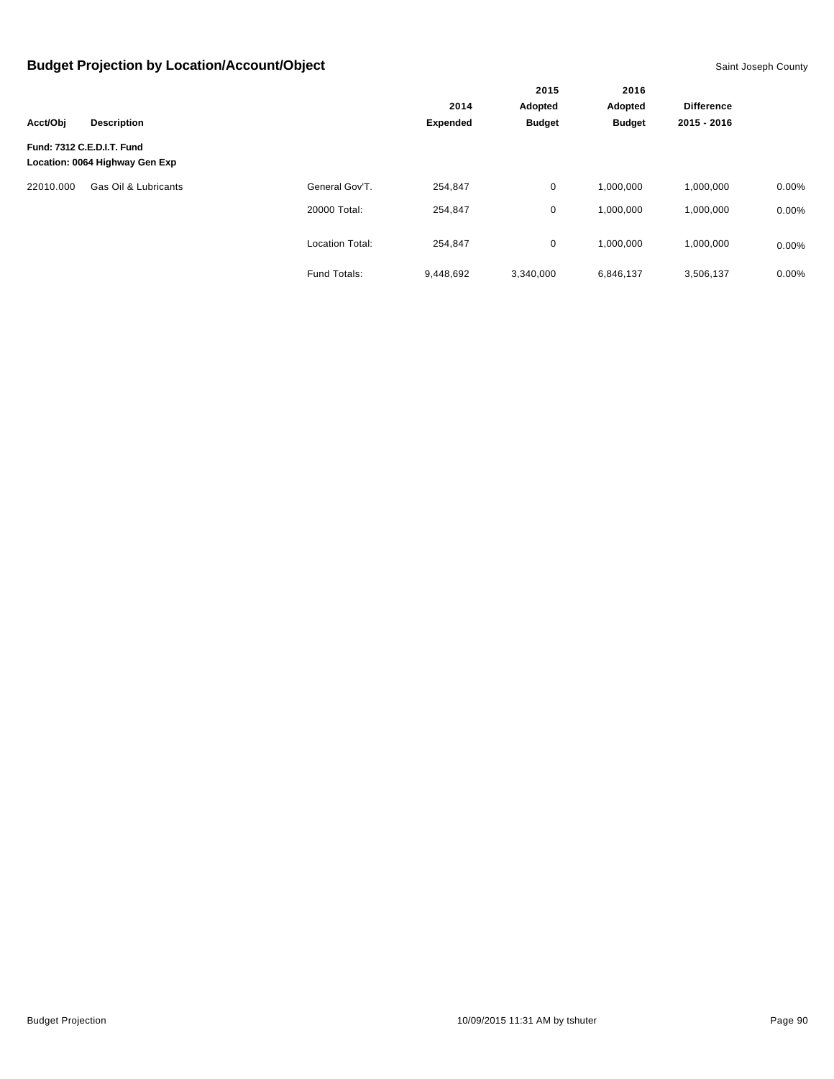|           |                                                              |                        |                 | 2015          | 2016          |                   |          |
|-----------|--------------------------------------------------------------|------------------------|-----------------|---------------|---------------|-------------------|----------|
|           |                                                              |                        | 2014            | Adopted       | Adopted       | <b>Difference</b> |          |
| Acct/Obj  | <b>Description</b>                                           |                        | <b>Expended</b> | <b>Budget</b> | <b>Budget</b> | 2015 - 2016       |          |
|           | Fund: 7312 C.E.D.I.T. Fund<br>Location: 0064 Highway Gen Exp |                        |                 |               |               |                   |          |
| 22010.000 | Gas Oil & Lubricants                                         | General Gov'T.         | 254,847         | 0             | 1,000,000     | 1,000,000         | 0.00%    |
|           |                                                              | 20000 Total:           | 254,847         | 0             | 1,000,000     | 1,000,000         | 0.00%    |
|           |                                                              | <b>Location Total:</b> | 254.847         | 0             | 1.000.000     | 1.000.000         | $0.00\%$ |
|           |                                                              | Fund Totals:           | 9.448.692       | 3.340.000     | 6,846,137     | 3,506,137         | $0.00\%$ |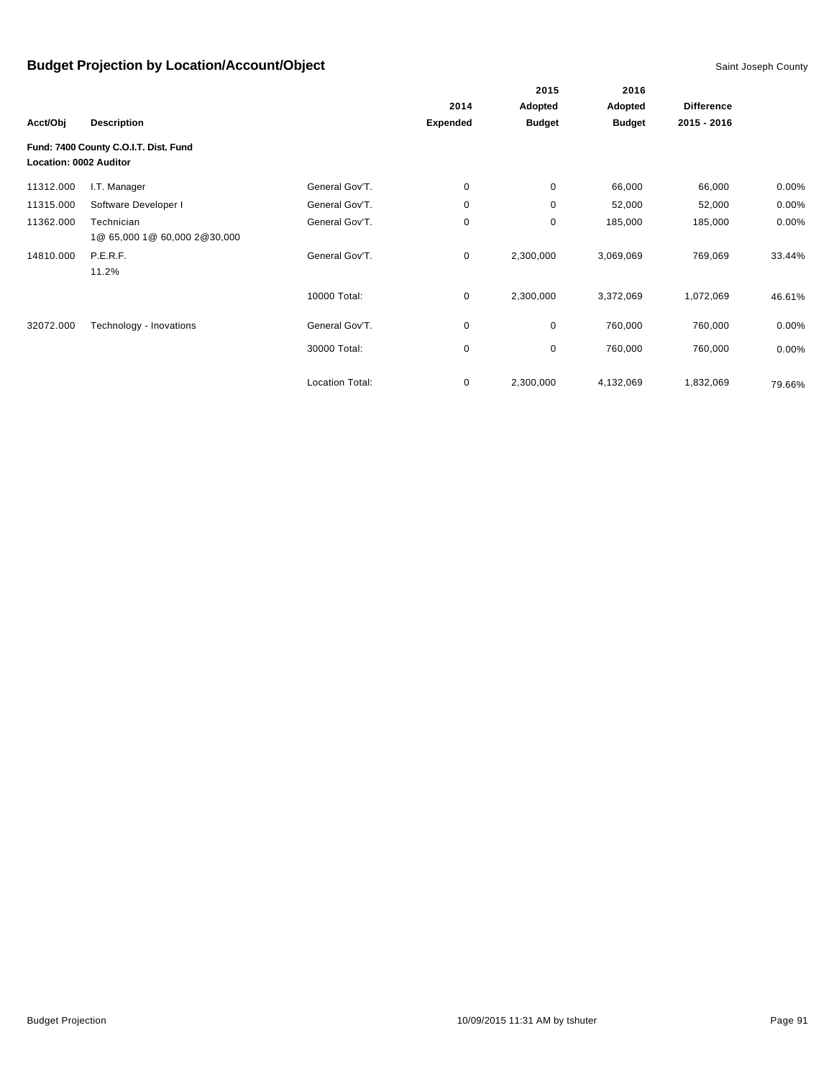|                        |                                            |                        |             | 2015          | 2016          |                   |          |
|------------------------|--------------------------------------------|------------------------|-------------|---------------|---------------|-------------------|----------|
|                        |                                            |                        | 2014        | Adopted       | Adopted       | <b>Difference</b> |          |
| Acct/Obj               | <b>Description</b>                         |                        | Expended    | <b>Budget</b> | <b>Budget</b> | 2015 - 2016       |          |
| Location: 0002 Auditor | Fund: 7400 County C.O.I.T. Dist. Fund      |                        |             |               |               |                   |          |
| 11312.000              | I.T. Manager                               | General Gov'T.         | 0           | 0             | 66,000        | 66,000            | $0.00\%$ |
| 11315.000              | Software Developer I                       | General Gov'T.         | 0           | 0             | 52,000        | 52,000            | $0.00\%$ |
| 11362.000              | Technician<br>1@ 65,000 1@ 60,000 2@30,000 | General Gov'T.         | 0           | 0             | 185,000       | 185,000           | 0.00%    |
| 14810.000              | P.E.R.F.<br>11.2%                          | General Gov'T.         | $\mathbf 0$ | 2,300,000     | 3,069,069     | 769,069           | 33.44%   |
|                        |                                            | 10000 Total:           | 0           | 2,300,000     | 3,372,069     | 1,072,069         | 46.61%   |
| 32072.000              | Technology - Inovations                    | General Gov'T.         | 0           | 0             | 760,000       | 760,000           | 0.00%    |
|                        |                                            | 30000 Total:           | 0           | 0             | 760,000       | 760,000           | $0.00\%$ |
|                        |                                            | <b>Location Total:</b> | 0           | 2,300,000     | 4,132,069     | 1,832,069         | 79.66%   |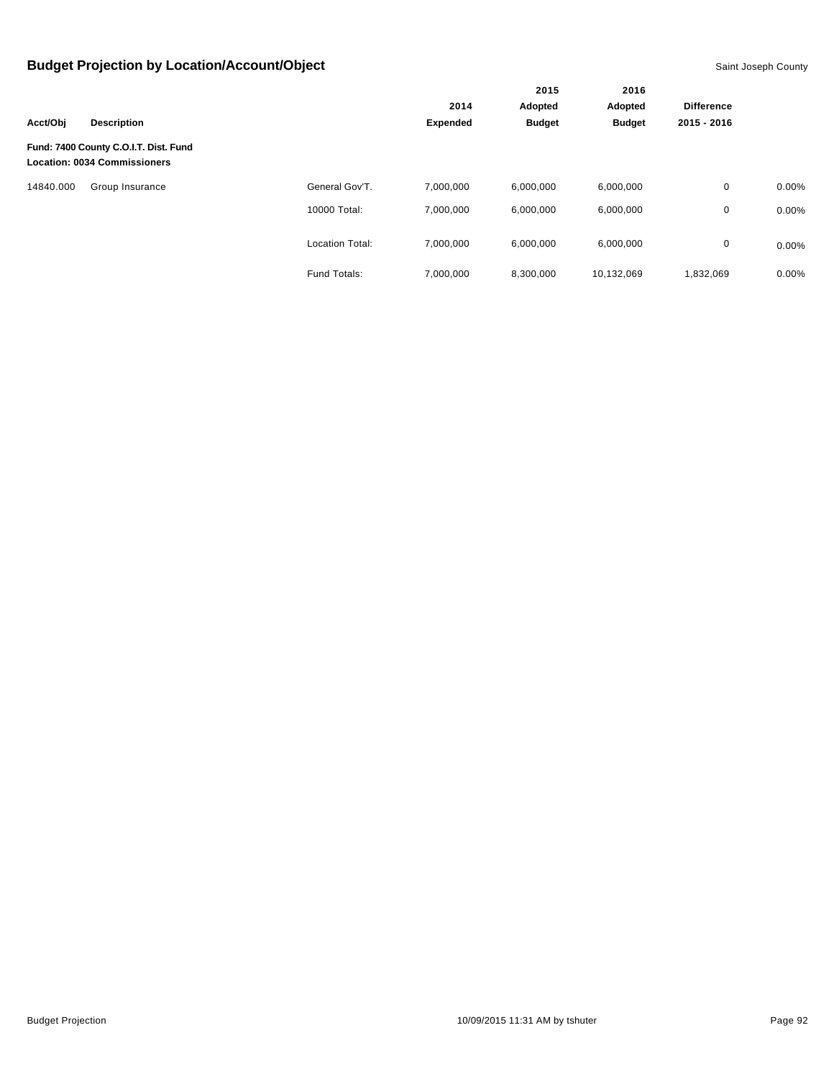|           |                                                                              |                        |                 | 2015          | 2016          |                   |          |
|-----------|------------------------------------------------------------------------------|------------------------|-----------------|---------------|---------------|-------------------|----------|
|           |                                                                              |                        | 2014            | Adopted       | Adopted       | <b>Difference</b> |          |
| Acct/Obi  | <b>Description</b>                                                           |                        | <b>Expended</b> | <b>Budget</b> | <b>Budget</b> | 2015 - 2016       |          |
|           | Fund: 7400 County C.O.I.T. Dist. Fund<br><b>Location: 0034 Commissioners</b> |                        |                 |               |               |                   |          |
| 14840.000 | Group Insurance                                                              | General Gov'T.         | 7,000,000       | 6,000,000     | 6,000,000     | $\mathbf{0}$      | $0.00\%$ |
|           |                                                                              | 10000 Total:           | 7,000,000       | 6,000,000     | 6,000,000     | 0                 | 0.00%    |
|           |                                                                              | <b>Location Total:</b> | 7,000,000       | 6,000,000     | 6,000,000     | 0                 | 0.00%    |
|           |                                                                              | Fund Totals:           | 7,000,000       | 8,300,000     | 10,132,069    | 1,832,069         | 0.00%    |